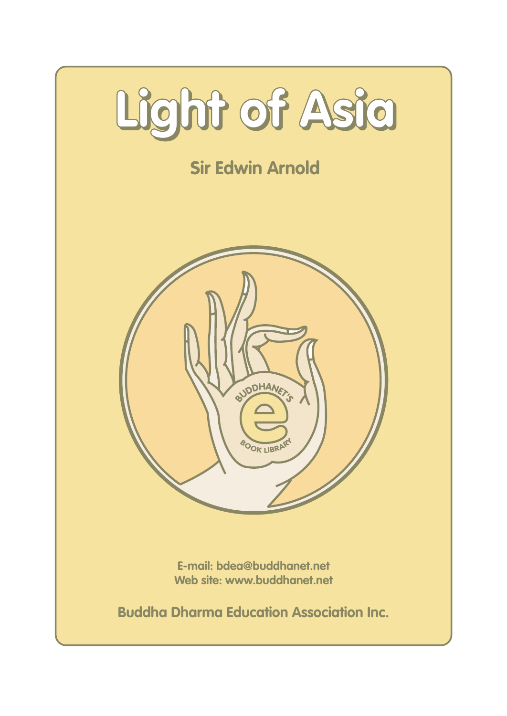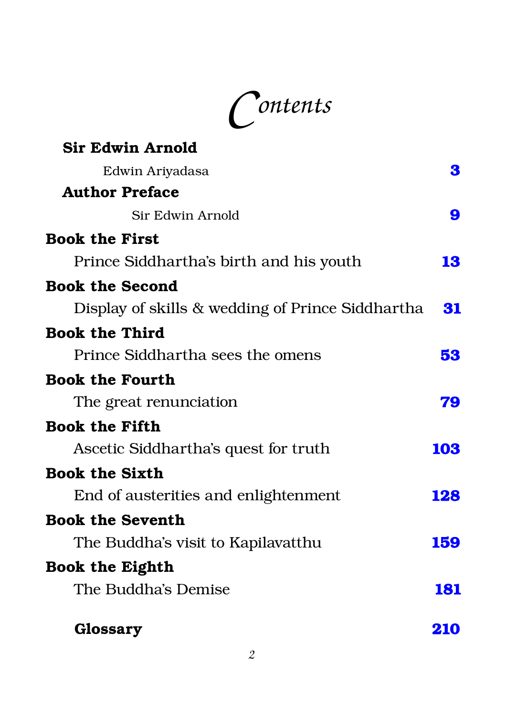

| <b>Sir Edwin Arnold</b>                          |            |
|--------------------------------------------------|------------|
| Edwin Ariyadasa                                  | 3          |
| <b>Author Preface</b>                            |            |
| Sir Edwin Arnold                                 | 9          |
| <b>Book the First</b>                            |            |
| Prince Siddhartha's birth and his youth          | 13         |
| <b>Book the Second</b>                           |            |
| Display of skills & wedding of Prince Siddhartha | 31         |
| <b>Book the Third</b>                            |            |
| Prince Siddhartha sees the omens                 | 53         |
| <b>Book the Fourth</b>                           |            |
| The great renunciation                           | 79         |
| <b>Book the Fifth</b>                            |            |
| Ascetic Siddhartha's quest for truth             | 103        |
| <b>Book the Sixth</b>                            |            |
| End of austerities and enlightenment             | 128        |
| <b>Book the Seventh</b>                          |            |
| The Buddha's visit to Kapilavatthu               | <b>159</b> |
| <b>Book the Eighth</b>                           |            |
| The Buddha's Demise                              | 181        |
|                                                  |            |
| Glossary                                         | 210        |

*2*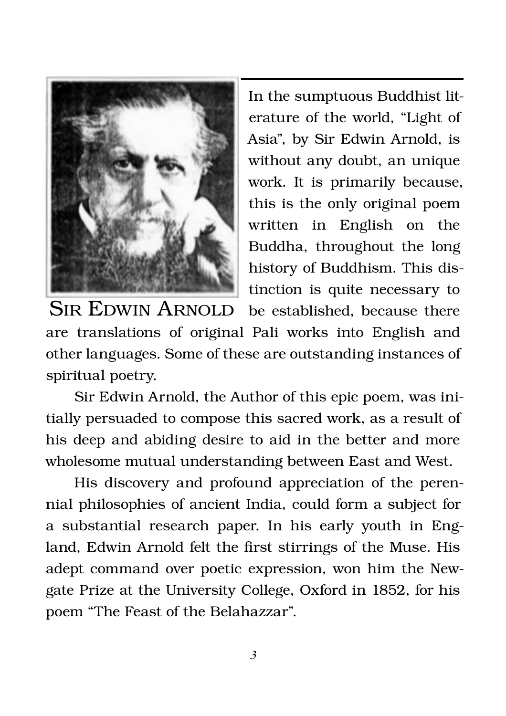<span id="page-2-0"></span>

 In the sumptuous Buddhist literature of the world, "Light of Asia", by Sir Edwin Arnold, is without any doubt, an unique work. It is primarily because, this is the only original poem written in English on the Buddha, throughout the long history of Buddhism. This distinction is quite necessary to

SIR EDWIN ARNOLD be established, because there are translations of original Pali works into English and other languages. Some of these are outstanding instances of spiritual poetry.

 Sir Edwin Arnold, the Author of this epic poem, was initially persuaded to compose this sacred work, as a result of his deep and abiding desire to aid in the better and more wholesome mutual understanding between East and West.

 His discovery and profound appreciation of the perennial philosophies of ancient India, could form a subject for a substantial research paper. In his early youth in England, Edwin Arnold felt the first stirrings of the Muse. His adept command over poetic expression, won him the Newgate Prize at the University College, Oxford in 1852, for his poem "The Feast of the Belahazzar".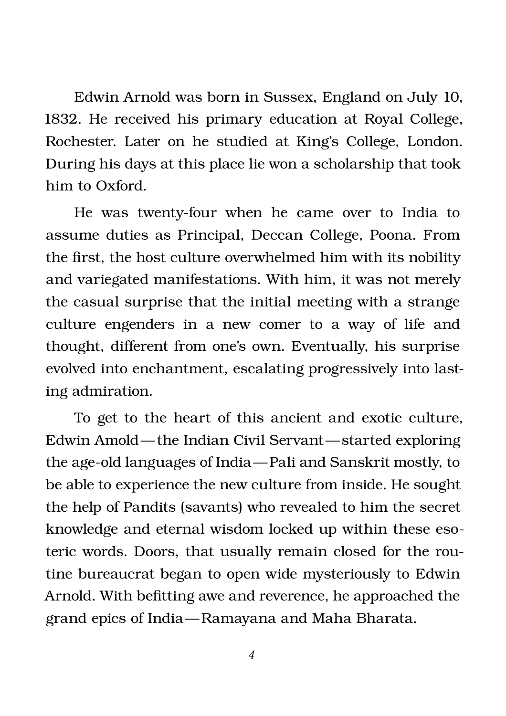Edwin Arnold was born in Sussex, England on July 10, 1832. He received his primary education at Royal College, Rochester. Later on he studied at King's College, London. During his days at this place lie won a scholarship that took him to Oxford.

 He was twenty-four when he came over to India to assume duties as Principal, Deccan College, Poona. From the first, the host culture overwhelmed him with its nobility and variegated manifestations. With him, it was not merely the casual surprise that the initial meeting with a strange culture engenders in a new comer to a way of life and thought, different from one's own. Eventually, his surprise evolved into enchantment, escalating progressively into lasting admiration.

 To get to the heart of this ancient and exotic culture, Edwin Amold — the Indian Civil Servant — started exploring the age-old languages of India — Pali and Sanskrit mostly, to be able to experience the new culture from inside. He sought the help of Pandits (savants) who revealed to him the secret knowledge and eternal wisdom locked up within these esoteric words. Doors, that usually remain closed for the routine bureaucrat began to open wide mysteriously to Edwin Arnold. With befitting awe and reverence, he approached the grand epics of India — Ramayana and Maha Bharata.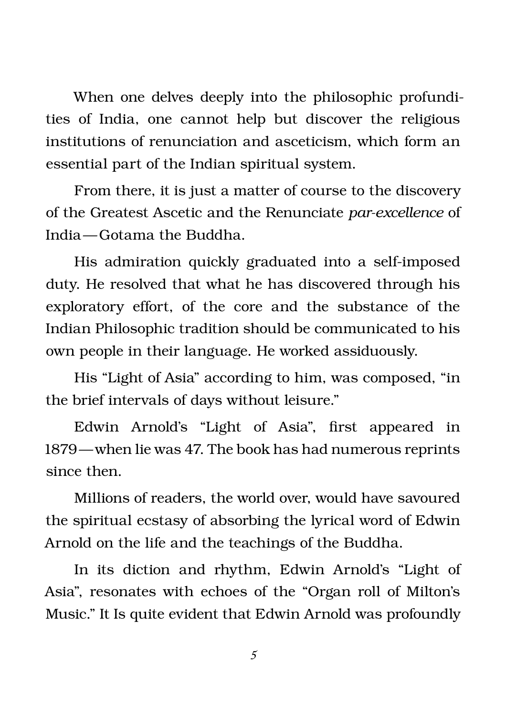When one delves deeply into the philosophic profundities of India, one cannot help but discover the religious institutions of renunciation and asceticism, which form an essential part of the Indian spiritual system.

 From there, it is just a matter of course to the discovery of the Greatest Ascetic and the Renunciate *par-excellence* of India — Gotama the Buddha.

 His admiration quickly graduated into a self-imposed duty. He resolved that what he has discovered through his exploratory effort, of the core and the substance of the Indian Philosophic tradition should be communicated to his own people in their language. He worked assiduously.

 His "Light of Asia" according to him, was composed, "in the brief intervals of days without leisure."

Edwin Arnold's "Light of Asia", first appeared in 1879 — when lie was 47. The book has had numerous reprints since then.

 Millions of readers, the world over, would have savoured the spiritual ecstasy of absorbing the lyrical word of Edwin Arnold on the life and the teachings of the Buddha.

 In its diction and rhythm, Edwin Arnold's "Light of Asia", resonates with echoes of the "Organ roll of Milton's Music." It Is quite evident that Edwin Arnold was profoundly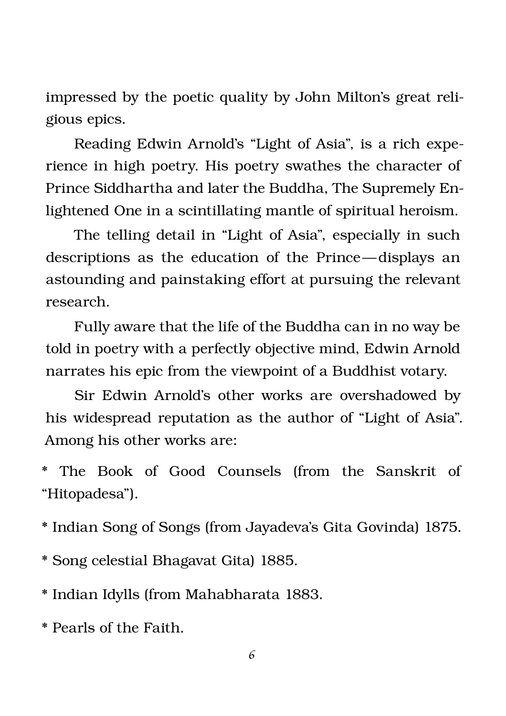impressed by the poetic quality by John Milton's great religious epics.

 Reading Edwin Arnold's "Light of Asia", is a rich experience in high poetry. His poetry swathes the character of Prince Siddhartha and later the Buddha, The Supremely Enlightened One in a scintillating mantle of spiritual heroism.

 The telling detail in "Light of Asia", especially in such descriptions as the education of the Prince — displays an astounding and painstaking effort at pursuing the relevant research.

 Fully aware that the life of the Buddha can in no way be told in poetry with a perfectly objective mind, Edwin Arnold narrates his epic from the viewpoint of a Buddhist votary.

 Sir Edwin Arnold's other works are overshadowed by his widespread reputation as the author of "Light of Asia". Among his other works are:

\* The Book of Good Counsels (from the Sanskrit of "Hitopadesa").

\* Indian Song of Songs (from Jayadeva's Gita Govinda) 1875.

\* Song celestial Bhagavat Gita) 1885.

\* Indian Idylls (from Mahabharata 1883.

\* Pearls of the Faith.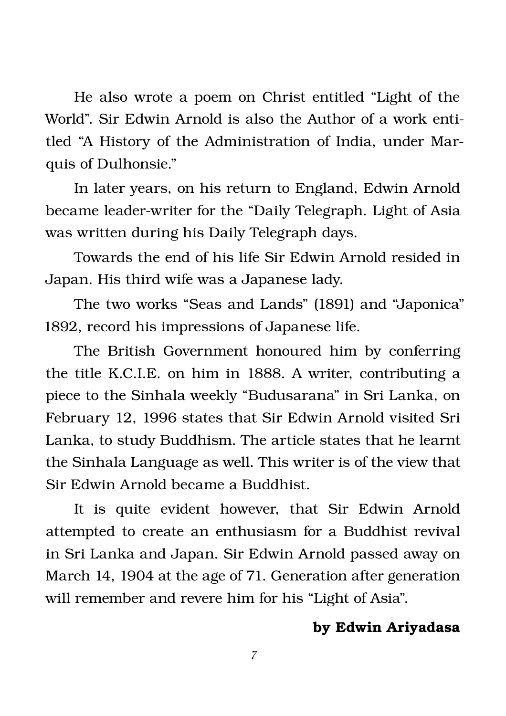He also wrote a poem on Christ entitled "Light of the World". Sir Edwin Arnold is also the Author of a work entitled "A History of the Administration of India, under Marquis of Dulhonsie."

 In later years, on his return to England, Edwin Arnold became leader-writer for the "Daily Telegraph. Light of Asia was written during his Daily Telegraph days.

 Towards the end of his life Sir Edwin Arnold resided in Japan. His third wife was a Japanese lady.

 The two works "Seas and Lands" (1891) and "Japonica" 1892, record his impressions of Japanese life.

 The British Government honoured him by conferring the title K.C.I.E. on him in 1888. A writer, contributing a piece to the Sinhala weekly "Budusarana" in Sri Lanka, on February 12, 1996 states that Sir Edwin Arnold visited Sri Lanka, to study Buddhism. The article states that he learnt the Sinhala Language as well. This writer is of the view that Sir Edwin Arnold became a Buddhist.

 It is quite evident however, that Sir Edwin Arnold attempted to create an enthusiasm for a Buddhist revival in Sri Lanka and Japan. Sir Edwin Arnold passed away on March 14, 1904 at the age of 71. Generation after generation will remember and revere him for his "Light of Asia".

### **by Edwin Ariyadasa**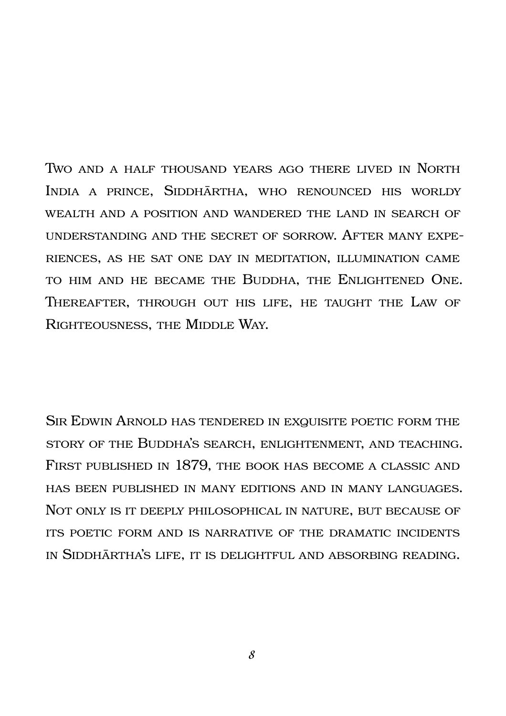Two and a half thousand years ago there lived in North India a prince, Siddhàrtha, who renounced his worldy wealth and a position and wandered the land in search of understanding and the secret of sorrow. After many experiences, as he sat one day in meditation, illumination came to him and he became the Buddha, the Enlightened One. THEREAFTER, THROUGH OUT HIS LIFE, HE TAUGHT THE LAW OF Righteousness, the Middle Way.

SIR EDWIN ARNOLD HAS TENDERED IN EXQUISITE POETIC FORM THE story of the Buddha's search, enlightenment, and teaching. FIRST PUBLISHED IN 1879. THE BOOK HAS BECOME A CLASSIC AND has been published in many editions and in many languages. Not only is it deeply philosophical in nature, but because of its poetic form and is narrative of the dramatic incidents in Siddhàrtha's life, it is delightful and absorbing reading.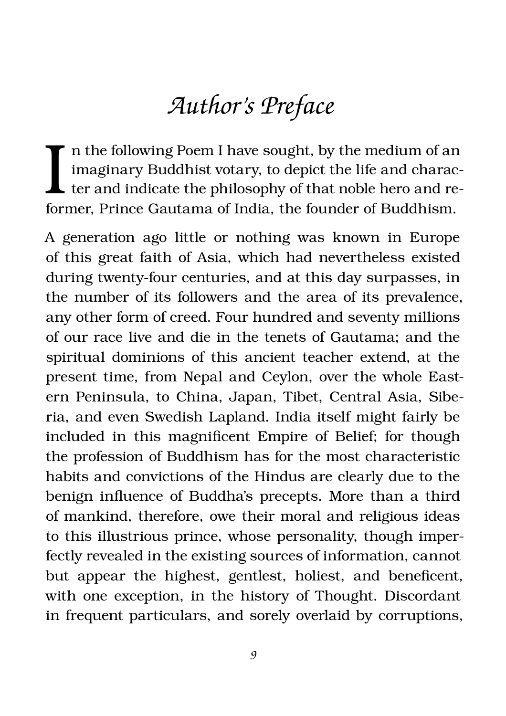## *Author's Preface*

<span id="page-8-0"></span>In the following Poem I have sought, by the medium of an imaginary Buddhist votary, to depict the life and character and indicate the philosophy of that noble hero and reformer, Prince Gautama of India, the founder of Budd n the following Poem I have sought, by the medium of an imaginary Buddhist votary, to depict the life and charac- $\mathsf{\mathsf{L}}$  ter and indicate the philosophy of that noble hero and re-

A generation ago little or nothing was known in Europe of this great faith of Asia, which had nevertheless existed during twenty-four centuries, and at this day surpasses, in the number of its followers and the area of its prevalence, any other form of creed. Four hundred and seventy millions of our race live and die in the tenets of Gautama; and the spiritual dominions of this ancient teacher extend, at the present time, from Nepal and Ceylon, over the whole Eastern Peninsula, to China, Japan, Tibet, Central Asia, Siberia, and even Swedish Lapland. India itself might fairly be included in this magnificent Empire of Belief; for though the profession of Buddhism has for the most characteristic habits and convictions of the Hindus are clearly due to the benign influence of Buddha's precepts. More than a third of mankind, therefore, owe their moral and religious ideas to this illustrious prince, whose personality, though imperfectly revealed in the existing sources of information, cannot but appear the highest, gentlest, holiest, and beneficent, with one exception, in the history of Thought. Discordant in frequent particulars, and sorely overlaid by corruptions,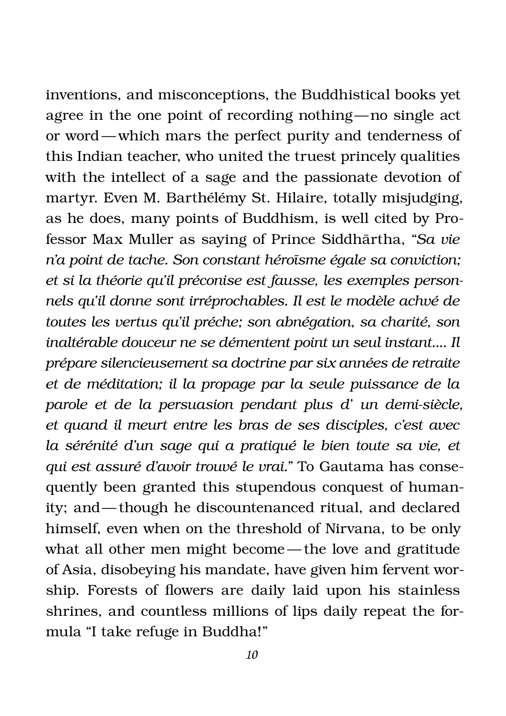inventions, and misconceptions, the Buddhistical books yet agree in the one point of recording nothing—no single act or word— which mars the perfect purity and tenderness of this Indian teacher, who united the truest princely qualities with the intellect of a sage and the passionate devotion of martyr. Even M. Barthélémy St. Hilaire, totally misjudging, as he does, many points of Buddhism, is well cited by Professor Max Muller as saying of Prince Siddhàrtha, "*Sa vie n'a point de tache. Son constant héroãsme égale sa conviction; et si la théorie qu'il préconise est fausse, les exemples personnels qu'il donne sont irréprochables. Il est le modèle achvé de toutes les vertus qu'il préche; son abnégation, sa charité, son inaltérable douceur ne se démentent point un seul instant.... Il prépare silencieusement sa doctrine par six années de retraite et de méditation; il la propage par la seule puissance de la*  parole et de la persuasion pendant plus d'un demi-siècle, *et quand il meurt entre les bras de ses disciples, c'est avec*  la sérénité d'un sage qui a pratiqué le bien toute sa vie, et *qui est assuré d'avoir trouvé le vrai."* To Gautama has consequently been granted this stupendous conquest of humanity; and — though he discountenanced ritual, and declared himself, even when on the threshold of Nirvana, to be only what all other men might become— the love and gratitude of Asia, disobeying his mandate, have given him fervent worship. Forests of flowers are daily laid upon his stainless shrines, and countless millions of lips daily repeat the formula "I take refuge in Buddha!"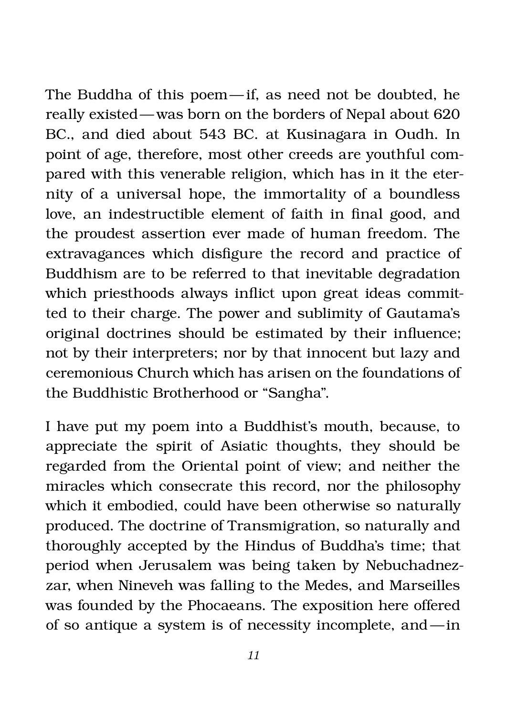The Buddha of this poem — if, as need not be doubted, he really existed — was born on the borders of Nepal about 620 BC., and died about 543 BC. at Kusinagara in Oudh. In point of age, therefore, most other creeds are youthful compared with this venerable religion, which has in it the eternity of a universal hope, the immortality of a boundless love, an indestructible element of faith in final good, and the proudest assertion ever made of human freedom. The extravagances which disfigure the record and practice of Buddhism are to be referred to that inevitable degradation which priesthoods always inflict upon great ideas committed to their charge. The power and sublimity of Gautama's original doctrines should be estimated by their influence; not by their interpreters; nor by that innocent but lazy and ceremonious Church which has arisen on the foundations of the Buddhistic Brotherhood or "Sangha".

I have put my poem into a Buddhist's mouth, because, to appreciate the spirit of Asiatic thoughts, they should be regarded from the Oriental point of view; and neither the miracles which consecrate this record, nor the philosophy which it embodied, could have been otherwise so naturally produced. The doctrine of Transmigration, so naturally and thoroughly accepted by the Hindus of Buddha's time; that period when Jerusalem was being taken by Nebuchadnezzar, when Nineveh was falling to the Medes, and Marseilles was founded by the Phocaeans. The exposition here offered of so antique a system is of necessity incomplete, and— in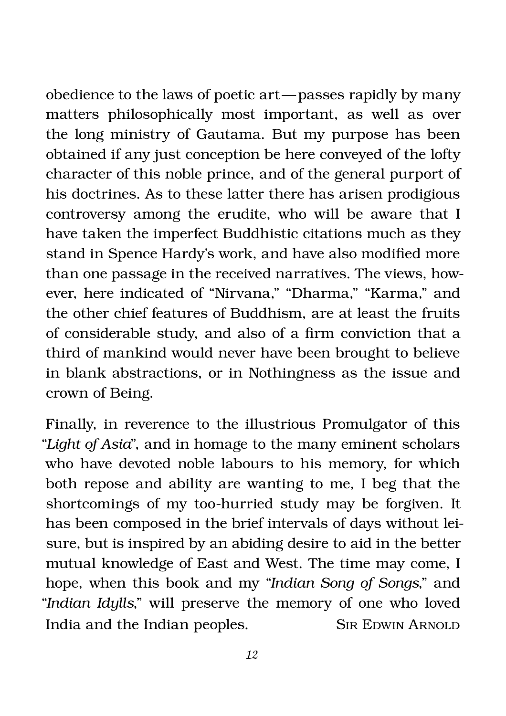obedience to the laws of poetic art — passes rapidly by many matters philosophically most important, as well as over the long ministry of Gautama. But my purpose has been obtained if any just conception be here conveyed of the lofty character of this noble prince, and of the general purport of his doctrines. As to these latter there has arisen prodigious controversy among the erudite, who will be aware that I have taken the imperfect Buddhistic citations much as they stand in Spence Hardy's work, and have also modified more than one passage in the received narratives. The views, however, here indicated of "Nirvana," "Dharma," "Karma," and the other chief features of Buddhism, are at least the fruits of considerable study, and also of a firm conviction that a third of mankind would never have been brought to believe in blank abstractions, or in Nothingness as the issue and crown of Being.

Finally, in reverence to the illustrious Promulgator of this "*Light of Asia*", and in homage to the many eminent scholars who have devoted noble labours to his memory, for which both repose and ability are wanting to me, I beg that the shortcomings of my too-hurried study may be forgiven. It has been composed in the brief intervals of days without leisure, but is inspired by an abiding desire to aid in the better mutual knowledge of East and West. The time may come, I hope, when this book and my "*Indian Song of Songs*," and "*Indian Idylls*," will preserve the memory of one who loved India and the Indian peoples. SIR EDWIN ARNOLD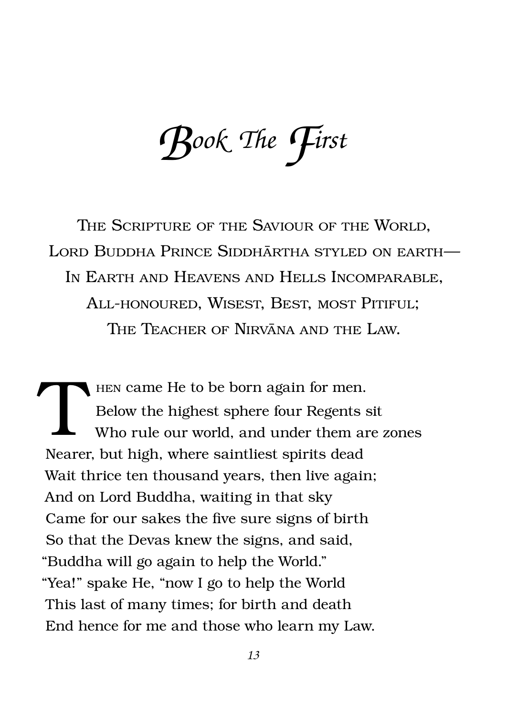<span id="page-12-0"></span>*Book The First*

THE SCRIPTURE OF THE SAVIOUR OF THE WORLD, LORD BUDDHA PRINCE SIDDHĀRTHA STYLED ON EARTH-In Earth and Heavens and Hells Incomparable, All-honoured, Wisest, Best, most Pitiful; THE TEACHER OF NIRVANA AND THE LAW.

THEN came He to be born again for men.<br>Below the highest sphere four Regents<br>Who rule our world, and under them as Below the highest sphere four Regents sit Who rule our world, and under them are zones Nearer, but high, where saintliest spirits dead Wait thrice ten thousand years, then live again; And on Lord Buddha, waiting in that sky Came for our sakes the five sure signs of birth So that the Devas knew the signs, and said, "Buddha will go again to help the World." "Yea!" spake He, "now I go to help the World This last of many times; for birth and death End hence for me and those who learn my Law.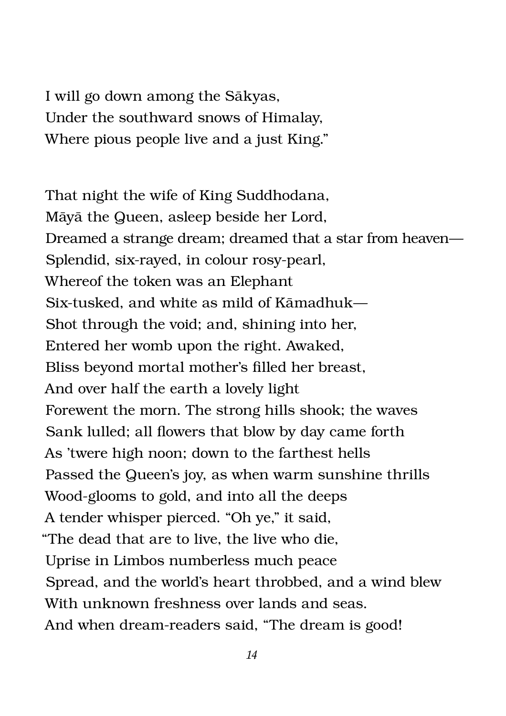I will go down among the Sàkyas, Under the southward snows of Himalay, Where pious people live and a just King."

That night the wife of King Suddhodana, Màyà the Queen, asleep beside her Lord, Dreamed a strange dream; dreamed that a star from heaven-Splendid, six-rayed, in colour rosy-pearl, Whereof the token was an Elephant Six-tusked, and white as mild of Kāmadhuk— Shot through the void; and, shining into her, Entered her womb upon the right. Awaked, Bliss beyond mortal mother's filled her breast, And over half the earth a lovely light Forewent the morn. The strong hills shook; the waves Sank lulled; all flowers that blow by day came forth As 'twere high noon; down to the farthest hells Passed the Queen's joy, as when warm sunshine thrills Wood-glooms to gold, and into all the deeps A tender whisper pierced. "Oh ye," it said, "The dead that are to live, the live who die, Uprise in Limbos numberless much peace Spread, and the world's heart throbbed, and a wind blew With unknown freshness over lands and seas. And when dream-readers said, "The dream is good!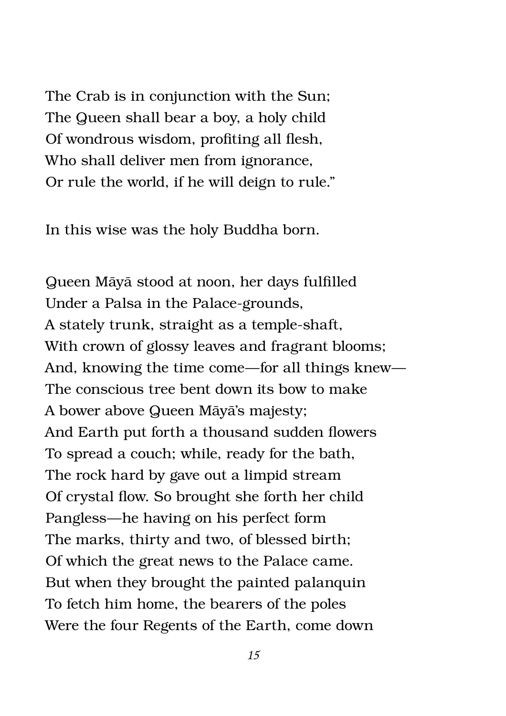The Crab is in conjunction with the Sun; The Queen shall bear a boy, a holy child Of wondrous wisdom, profiting all flesh, Who shall deliver men from ignorance, Or rule the world, if he will deign to rule."

In this wise was the holy Buddha born.

Queen Māyā stood at noon, her days fulfilled Under a Palsa in the Palace-grounds, A stately trunk, straight as a temple-shaft, With crown of glossy leaves and fragrant blooms; And, knowing the time come—for all things knew— The conscious tree bent down its bow to make A bower above Queen Màyà's majesty; And Earth put forth a thousand sudden flowers To spread a couch; while, ready for the bath, The rock hard by gave out a limpid stream Of crystal flow. So brought she forth her child Pangless — he having on his perfect form The marks, thirty and two, of blessed birth; Of which the great news to the Palace came. But when they brought the painted palanquin To fetch him home, the bearers of the poles Were the four Regents of the Earth, come down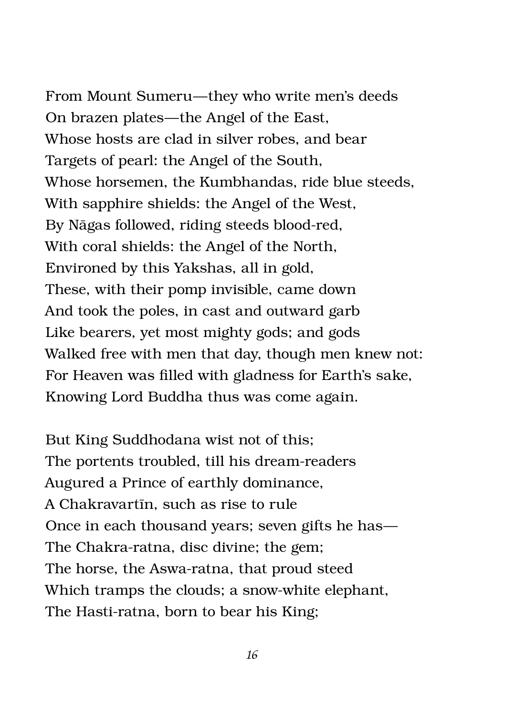From Mount Sumeru—they who write men's deeds On brazen plates — the Angel of the East, Whose hosts are clad in silver robes, and bear Targets of pearl: the Angel of the South, Whose horsemen, the Kumbhandas, ride blue steeds, With sapphire shields: the Angel of the West, By Nàgas followed, riding steeds blood-red, With coral shields: the Angel of the North, Environed by this Yakshas, all in gold, These, with their pomp invisible, came down And took the poles, in cast and outward garb Like bearers, yet most mighty gods; and gods Walked free with men that day, though men knew not: For Heaven was filled with gladness for Earth's sake, Knowing Lord Buddha thus was come again.

But King Suddhodana wist not of this; The portents troubled, till his dream-readers Augured a Prince of earthly dominance, A Chakravartin, such as rise to rule Once in each thousand years; seven gifts he has— The Chakra-ratna, disc divine; the gem; The horse, the Aswa-ratna, that proud steed Which tramps the clouds; a snow-white elephant, The Hasti-ratna, born to bear his King;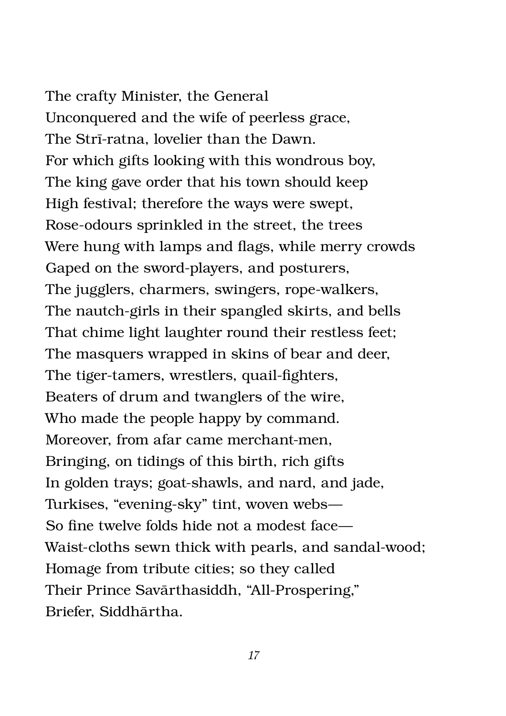The crafty Minister, the General Unconquered and the wife of peerless grace, The Strī-ratna, lovelier than the Dawn. For which gifts looking with this wondrous boy, The king gave order that his town should keep High festival; therefore the ways were swept, Rose-odours sprinkled in the street, the trees Were hung with lamps and flags, while merry crowds Gaped on the sword-players, and posturers, The jugglers, charmers, swingers, rope-walkers, The nautch-girls in their spangled skirts, and bells That chime light laughter round their restless feet; The masquers wrapped in skins of bear and deer, The tiger-tamers, wrestlers, quail-fighters, Beaters of drum and twanglers of the wire, Who made the people happy by command. Moreover, from afar came merchant-men, Bringing, on tidings of this birth, rich gifts In golden trays; goat-shawls, and nard, and jade, Turkises, "evening-sky" tint, woven webs — So fine twelve folds hide not a modest face— Waist-cloths sewn thick with pearls, and sandal-wood; Homage from tribute cities; so they called Their Prince Savàrthasiddh, "All-Prospering," Briefer, Siddhàrtha.

*17*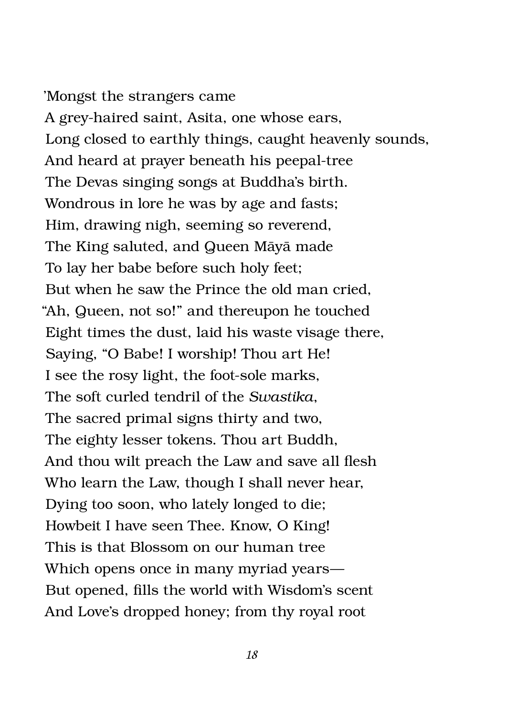#### 'Mongst the strangers came

A grey-haired saint, Asita, one whose ears, Long closed to earthly things, caught heavenly sounds, And heard at prayer beneath his peepal-tree The Devas singing songs at Buddha's birth. Wondrous in lore he was by age and fasts; Him, drawing nigh, seeming so reverend, The King saluted, and Queen Màyà made To lay her babe before such holy feet; But when he saw the Prince the old man cried, "Ah, Queen, not so!" and thereupon he touched Eight times the dust, laid his waste visage there, Saying, "O Babe! I worship! Thou art He! I see the rosy light, the foot-sole marks, The soft curled tendril of the *Swastika*, The sacred primal signs thirty and two, The eighty lesser tokens. Thou art Buddh, And thou wilt preach the Law and save all flesh Who learn the Law, though I shall never hear, Dying too soon, who lately longed to die; Howbeit I have seen Thee. Know, O King! This is that Blossom on our human tree Which opens once in many myriad years— But opened, fills the world with Wisdom's scent And Love's dropped honey; from thy royal root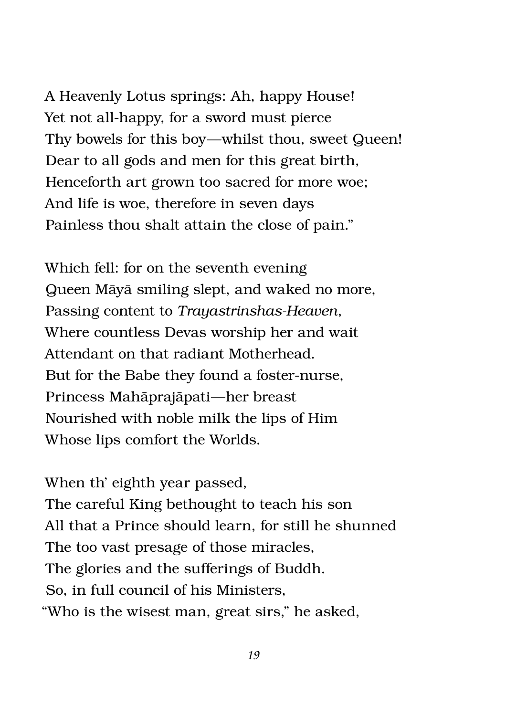A Heavenly Lotus springs: Ah, happy House! Yet not all-happy, for a sword must pierce Thy bowels for this boy—whilst thou, sweet Queen! Dear to all gods and men for this great birth, Henceforth art grown too sacred for more woe; And life is woe, therefore in seven days Painless thou shalt attain the close of pain."

Which fell: for on the seventh evening Queen Màyà smiling slept, and waked no more, Passing content to *Trayastrinshas-Heaven*, Where countless Devas worship her and wait Attendant on that radiant Motherhead. But for the Babe they found a foster-nurse, Princess Mahàprajàpati — her breast Nourished with noble milk the lips of Him Whose lips comfort the Worlds.

When th' eighth year passed, The careful King bethought to teach his son All that a Prince should learn, for still he shunned The too vast presage of those miracles, The glories and the sufferings of Buddh. So, in full council of his Ministers, "Who is the wisest man, great sirs," he asked,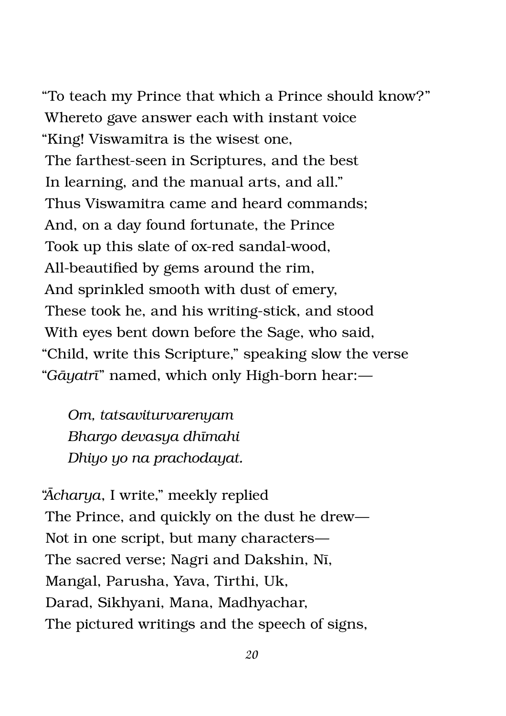"To teach my Prince that which a Prince should know?" Whereto gave answer each with instant voice "King! Viswamitra is the wisest one, The farthest-seen in Scriptures, and the best In learning, and the manual arts, and all." Thus Viswamitra came and heard commands; And, on a day found fortunate, the Prince Took up this slate of ox-red sandal-wood, All-beautified by gems around the rim, And sprinkled smooth with dust of emery, These took he, and his writing-stick, and stood With eyes bent down before the Sage, who said, "Child, write this Scripture," speaking slow the verse "*Gàyatrã*" named, which only High-born hear: —

*Om, tatsaviturvarenyam Bhargo devasya dhãmahi Dhiyo yo na prachodayat.*

"*âcharya*, I write," meekly replied The Prince, and quickly on the dust he drew— Not in one script, but many characters — The sacred verse; Nagri and Dakshin, Nã, Mangal, Parusha, Yava, Tirthi, Uk, Darad, Sikhyani, Mana, Madhyachar, The pictured writings and the speech of signs,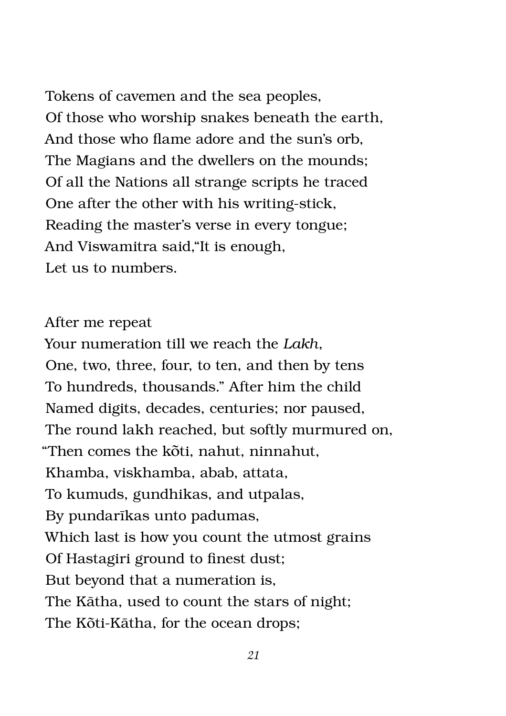Tokens of cavemen and the sea peoples, Of those who worship snakes beneath the earth, And those who flame adore and the sun's orb, The Magians and the dwellers on the mounds; Of all the Nations all strange scripts he traced One after the other with his writing-stick, Reading the master's verse in every tongue; And Viswamitra said,"It is enough, Let us to numbers.

#### After me repeat

Your numeration till we reach the *Lakh*, One, two, three, four, to ten, and then by tens To hundreds, thousands." After him the child Named digits, decades, centuries; nor paused, The round lakh reached, but softly murmured on, "Then comes the kõti, nahut, ninnahut, Khamba, viskhamba, abab, attata, To kumuds, gundhikas, and utpalas, By pundarīkas unto padumas, Which last is how you count the utmost grains Of Hastagiri ground to finest dust; But beyond that a numeration is, The Kàtha, used to count the stars of night; The Kõti-Kàtha, for the ocean drops;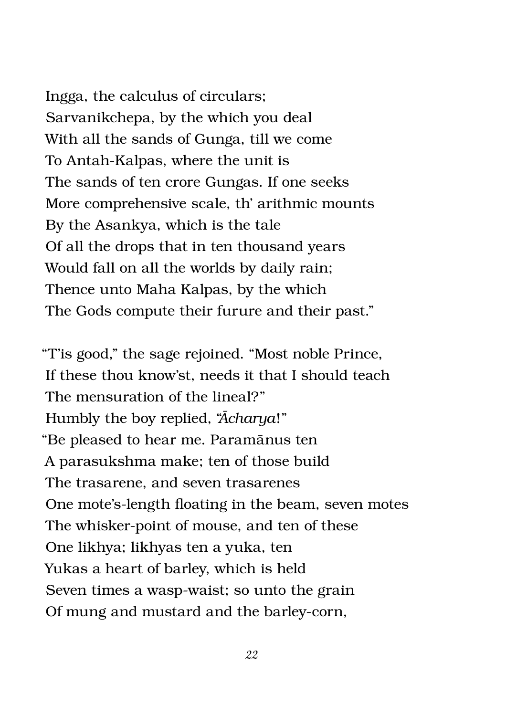Ingga, the calculus of circulars; Sarvanikchepa, by the which you deal With all the sands of Gunga, till we come To Antah-Kalpas, where the unit is The sands of ten crore Gungas. If one seeks More comprehensive scale, th' arithmic mounts By the Asankya, which is the tale Of all the drops that in ten thousand years Would fall on all the worlds by daily rain; Thence unto Maha Kalpas, by the which The Gods compute their furure and their past."

"T'is good," the sage rejoined. "Most noble Prince, If these thou know'st, needs it that I should teach The mensuration of the lineal?" Humbly the boy replied, "*âcharya*!" "Be pleased to hear me. Paramànus ten A parasukshma make; ten of those build The trasarene, and seven trasarenes One mote's-length floating in the beam, seven motes The whisker-point of mouse, and ten of these One likhya; likhyas ten a yuka, ten Yukas a heart of barley, which is held Seven times a wasp-waist; so unto the grain Of mung and mustard and the barley-corn,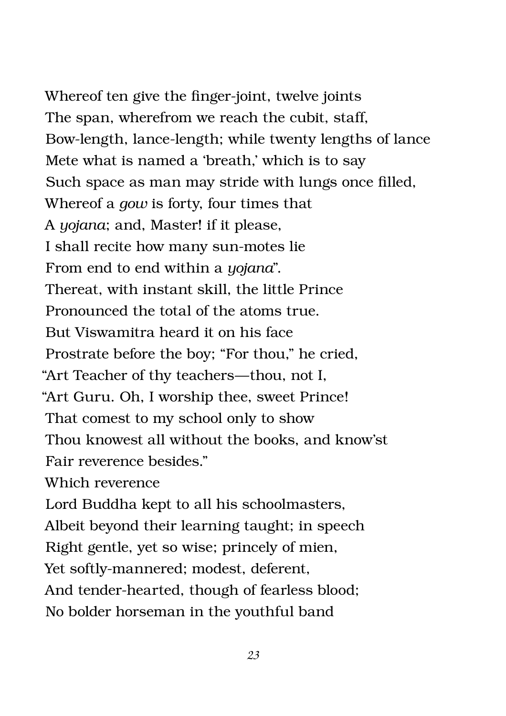Whereof ten give the finger-joint, twelve joints The span, wherefrom we reach the cubit, staff, Bow-length, lance-length; while twenty lengths of lance Mete what is named a 'breath,' which is to say Such space as man may stride with lungs once filled, Whereof a *gow* is forty, four times that A *yojana*; and, Master! if it please, I shall recite how many sun-motes lie From end to end within a *yojana*". Thereat, with instant skill, the little Prince Pronounced the total of the atoms true. But Viswamitra heard it on his face Prostrate before the boy; "For thou," he cried, "Art Teacher of thy teachers — thou, not I, "Art Guru. Oh, I worship thee, sweet Prince! That comest to my school only to show Thou knowest all without the books, and know'st Fair reverence besides." Which reverence

Lord Buddha kept to all his schoolmasters, Albeit beyond their learning taught; in speech Right gentle, yet so wise; princely of mien, Yet softly-mannered; modest, deferent, And tender-hearted, though of fearless blood; No bolder horseman in the youthful band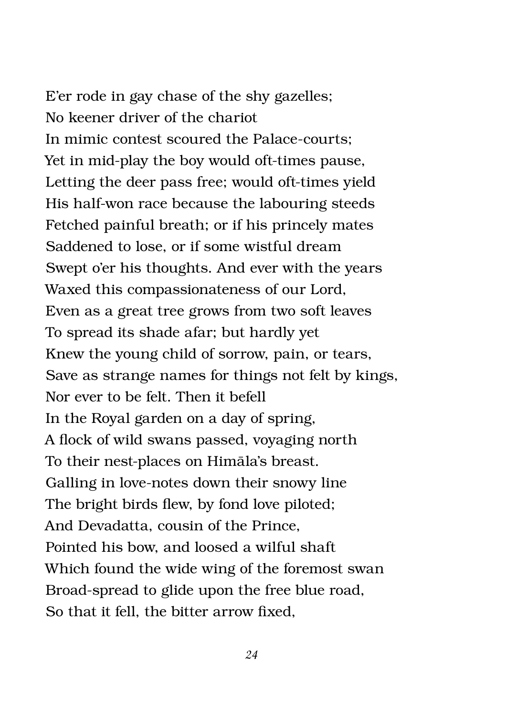E'er rode in gay chase of the shy gazelles; No keener driver of the chariot In mimic contest scoured the Palace-courts; Yet in mid-play the boy would oft-times pause, Letting the deer pass free; would oft-times yield His half-won race because the labouring steeds Fetched painful breath; or if his princely mates Saddened to lose, or if some wistful dream Swept o'er his thoughts. And ever with the years Waxed this compassionateness of our Lord, Even as a great tree grows from two soft leaves To spread its shade afar; but hardly yet Knew the young child of sorrow, pain, or tears, Save as strange names for things not felt by kings, Nor ever to be felt. Then it befell In the Royal garden on a day of spring, A flock of wild swans passed, voyaging north To their nest-places on Himàla's breast. Galling in love-notes down their snowy line The bright birds flew, by fond love piloted; And Devadatta, cousin of the Prince, Pointed his bow, and loosed a wilful shaft Which found the wide wing of the foremost swan Broad-spread to glide upon the free blue road, So that it fell, the bitter arrow fixed.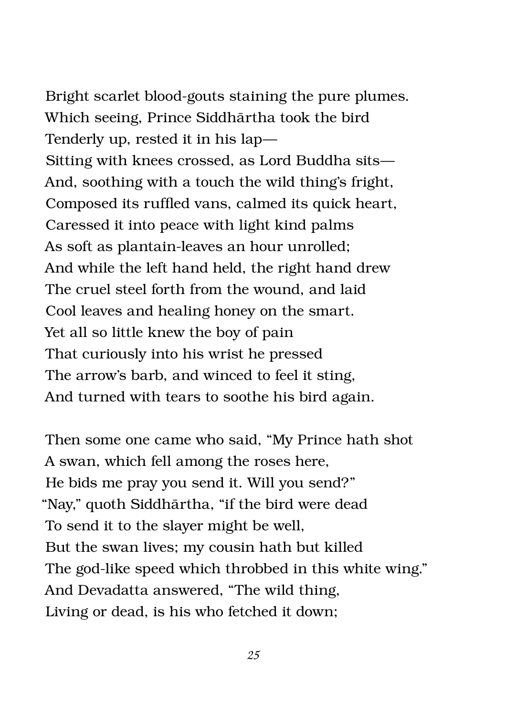Bright scarlet blood-gouts staining the pure plumes. Which seeing, Prince Siddhàrtha took the bird Tenderly up, rested it in his lap-Sitting with knees crossed, as Lord Buddha sits-And, soothing with a touch the wild thing's fright, Composed its ruffled vans, calmed its quick heart, Caressed it into peace with light kind palms As soft as plantain-leaves an hour unrolled; And while the left hand held, the right hand drew The cruel steel forth from the wound, and laid Cool leaves and healing honey on the smart. Yet all so little knew the boy of pain That curiously into his wrist he pressed The arrow's barb, and winced to feel it sting, And turned with tears to soothe his bird again.

Then some one came who said, "My Prince hath shot A swan, which fell among the roses here, He bids me pray you send it. Will you send?" "Nay," quoth Siddhàrtha, "if the bird were dead To send it to the slayer might be well, But the swan lives; my cousin hath but killed The god-like speed which throbbed in this white wing." And Devadatta answered, "The wild thing, Living or dead, is his who fetched it down;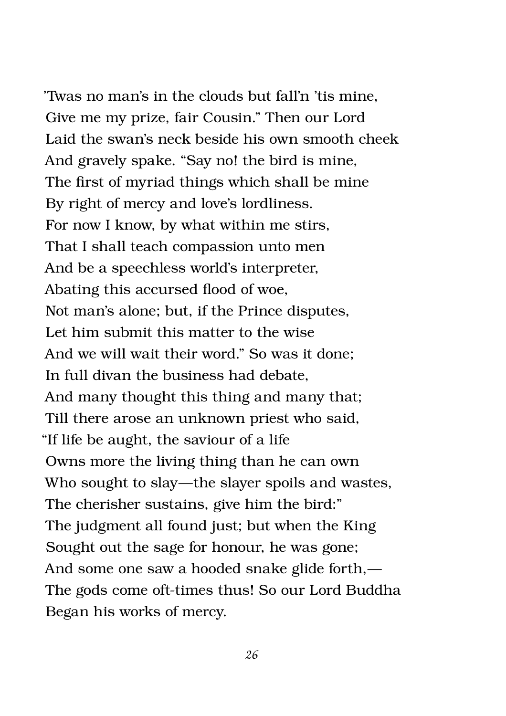'Twas no man's in the clouds but fall'n 'tis mine, Give me my prize, fair Cousin." Then our Lord Laid the swan's neck beside his own smooth cheek And gravely spake. "Say no! the bird is mine, The first of myriad things which shall be mine By right of mercy and love's lordliness. For now I know, by what within me stirs, That I shall teach compassion unto men And be a speechless world's interpreter, Abating this accursed flood of woe, Not man's alone; but, if the Prince disputes, Let him submit this matter to the wise And we will wait their word." So was it done; In full divan the business had debate, And many thought this thing and many that; Till there arose an unknown priest who said, "If life be aught, the saviour of a life Owns more the living thing than he can own Who sought to slay—the slayer spoils and wastes, The cherisher sustains, give him the bird:" The judgment all found just; but when the King Sought out the sage for honour, he was gone; And some one saw a hooded snake glide forth, — The gods come oft-times thus! So our Lord Buddha Began his works of mercy.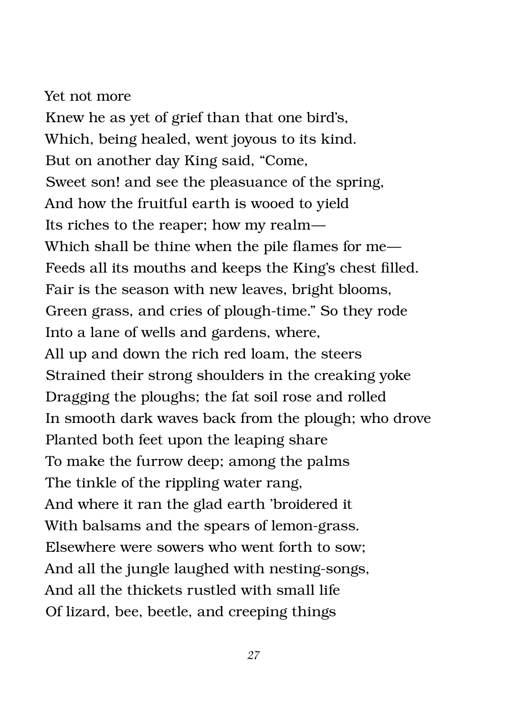#### Yet not more

Knew he as yet of grief than that one bird's, Which, being healed, went joyous to its kind. But on another day King said, "Come, Sweet son! and see the pleasuance of the spring, And how the fruitful earth is wooed to yield Its riches to the reaper; how my realm — Which shall be thine when the pile flames for me $-$ Feeds all its mouths and keeps the King's chest filled. Fair is the season with new leaves, bright blooms, Green grass, and cries of plough-time." So they rode Into a lane of wells and gardens, where, All up and down the rich red loam, the steers Strained their strong shoulders in the creaking yoke Dragging the ploughs; the fat soil rose and rolled In smooth dark waves back from the plough; who drove Planted both feet upon the leaping share To make the furrow deep; among the palms The tinkle of the rippling water rang, And where it ran the glad earth 'broidered it With balsams and the spears of lemon-grass. Elsewhere were sowers who went forth to sow; And all the jungle laughed with nesting-songs, And all the thickets rustled with small life Of lizard, bee, beetle, and creeping things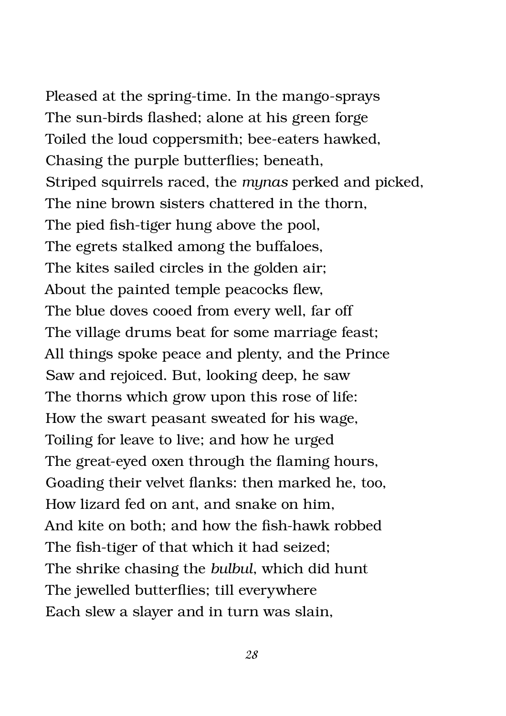Pleased at the spring-time. In the mango-sprays The sun-birds flashed; alone at his green forge Toiled the loud coppersmith; bee-eaters hawked, Chasing the purple butterflies; beneath, Striped squirrels raced, the *mynas* perked and picked, The nine brown sisters chattered in the thorn, The pied fish-tiger hung above the pool, The egrets stalked among the buffaloes, The kites sailed circles in the golden air; About the painted temple peacocks flew, The blue doves cooed from every well, far off The village drums beat for some marriage feast; All things spoke peace and plenty, and the Prince Saw and rejoiced. But, looking deep, he saw The thorns which grow upon this rose of life: How the swart peasant sweated for his wage, Toiling for leave to live; and how he urged The great-eyed oxen through the flaming hours, Goading their velvet flanks: then marked he, too, How lizard fed on ant, and snake on him, And kite on both; and how the fish-hawk robbed The fish-tiger of that which it had seized; The shrike chasing the *bulbul*, which did hunt The jewelled butterflies; till everywhere Each slew a slayer and in turn was slain,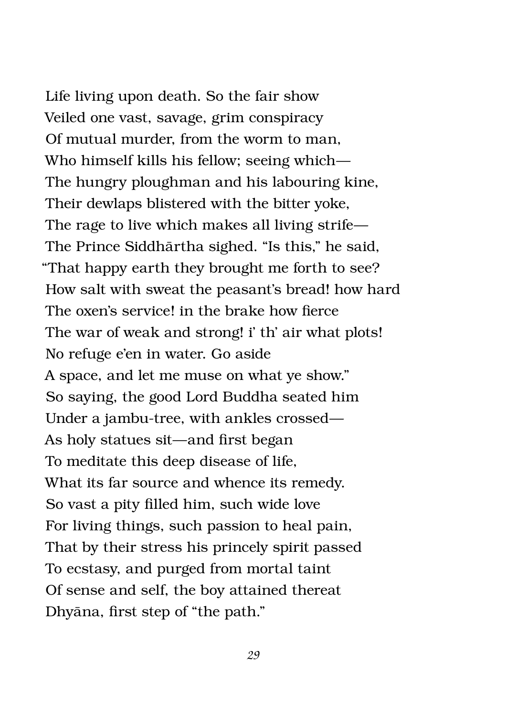Life living upon death. So the fair show Veiled one vast, savage, grim conspiracy Of mutual murder, from the worm to man, Who himself kills his fellow; seeing which— The hungry ploughman and his labouring kine, Their dewlaps blistered with the bitter yoke, The rage to live which makes all living strife— The Prince Siddhàrtha sighed. "Is this," he said, "That happy earth they brought me forth to see? How salt with sweat the peasant's bread! how hard The oxen's service! in the brake how fierce The war of weak and strong! i' th' air what plots! No refuge e'en in water. Go aside A space, and let me muse on what ye show." So saying, the good Lord Buddha seated him Under a jambu-tree, with ankles crossed— As holy statues sit—and first began To meditate this deep disease of life, What its far source and whence its remedy. So vast a pity filled him, such wide love For living things, such passion to heal pain, That by their stress his princely spirit passed To ecstasy, and purged from mortal taint Of sense and self, the boy attained thereat Dhyāna, first step of "the path."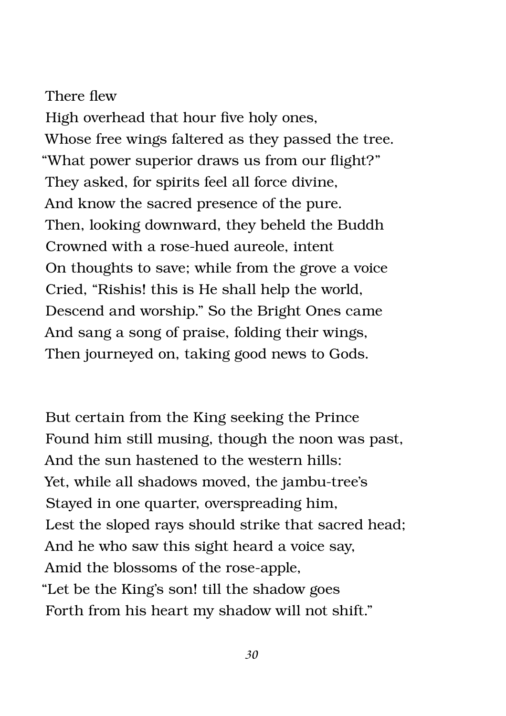#### There flew

High overhead that hour five holy ones, Whose free wings faltered as they passed the tree. "What power superior draws us from our flight?" They asked, for spirits feel all force divine, And know the sacred presence of the pure. Then, looking downward, they beheld the Buddh Crowned with a rose-hued aureole, intent On thoughts to save; while from the grove a voice Cried, "Rishis! this is He shall help the world, Descend and worship." So the Bright Ones came And sang a song of praise, folding their wings, Then journeyed on, taking good news to Gods.

But certain from the King seeking the Prince Found him still musing, though the noon was past, And the sun hastened to the western hills: Yet, while all shadows moved, the jambu-tree's Stayed in one quarter, overspreading him, Lest the sloped rays should strike that sacred head; And he who saw this sight heard a voice say, Amid the blossoms of the rose-apple, "Let be the King's son! till the shadow goes Forth from his heart my shadow will not shift."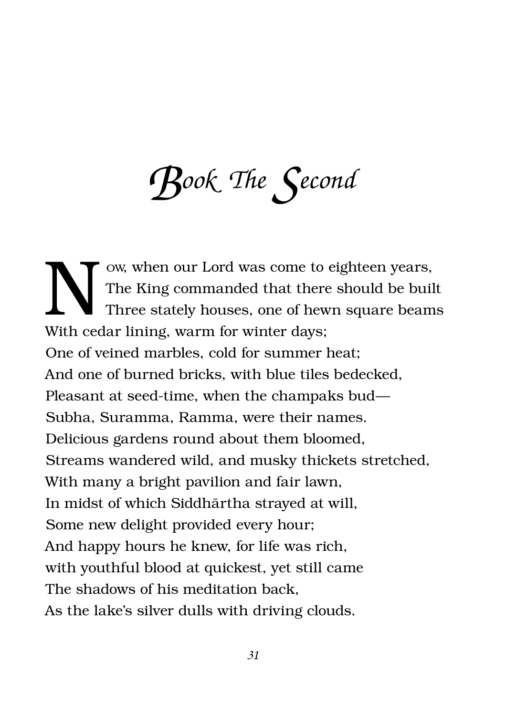# <span id="page-30-0"></span>*Book The Second*

We will also commanded that there should be builthed at three stately houses, one of hewn square beam with cedar lining warm for winter days: The King commanded that there should be built Three stately houses, one of hewn square beams With cedar lining, warm for winter days; One of veined marbles, cold for summer heat; And one of burned bricks, with blue tiles bedecked, Pleasant at seed-time, when the champaks bud— Subha, Suramma, Ramma, were their names. Delicious gardens round about them bloomed, Streams wandered wild, and musky thickets stretched, With many a bright pavilion and fair lawn, In midst of which Siddhàrtha strayed at will, Some new delight provided every hour; And happy hours he knew, for life was rich, with youthful blood at quickest, yet still came The shadows of his meditation back, As the lake's silver dulls with driving clouds.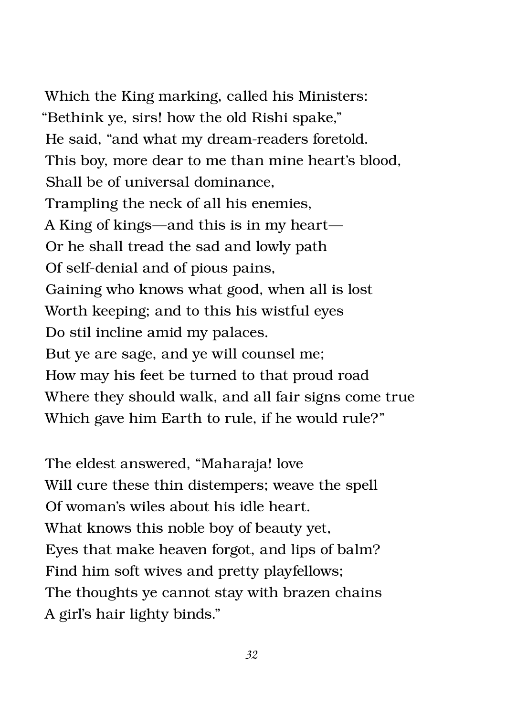Which the King marking, called his Ministers: "Bethink ye, sirs! how the old Rishi spake," He said, "and what my dream-readers foretold. This boy, more dear to me than mine heart's blood, Shall be of universal dominance, Trampling the neck of all his enemies, A King of kings—and this is in my heart— Or he shall tread the sad and lowly path Of self-denial and of pious pains, Gaining who knows what good, when all is lost Worth keeping; and to this his wistful eyes Do stil incline amid my palaces. But ye are sage, and ye will counsel me; How may his feet be turned to that proud road Where they should walk, and all fair signs come true Which gave him Earth to rule, if he would rule?"

The eldest answered, "Maharaja! love Will cure these thin distempers; weave the spell Of woman's wiles about his idle heart. What knows this noble boy of beauty yet, Eyes that make heaven forgot, and lips of balm? Find him soft wives and pretty playfellows; The thoughts ye cannot stay with brazen chains A girl's hair lighty binds."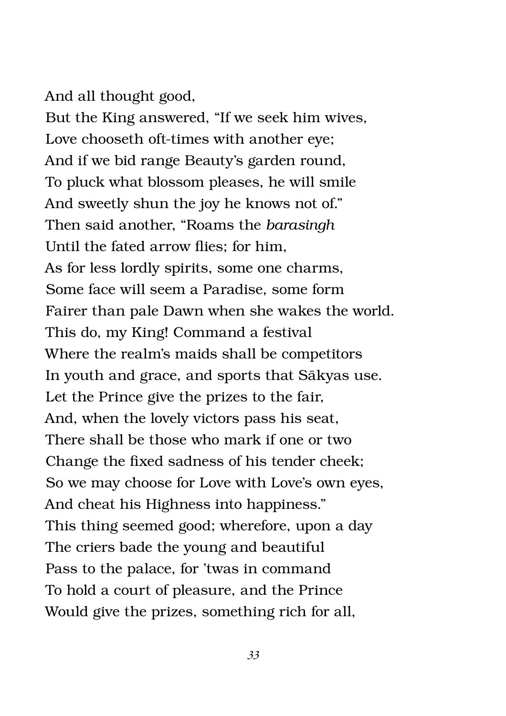And all thought good,

But the King answered, "If we seek him wives, Love chooseth oft-times with another eye; And if we bid range Beauty's garden round, To pluck what blossom pleases, he will smile And sweetly shun the joy he knows not of." Then said another, "Roams the *barasingh* Until the fated arrow flies; for him. As for less lordly spirits, some one charms, Some face will seem a Paradise, some form Fairer than pale Dawn when she wakes the world. This do, my King! Command a festival Where the realm's maids shall be competitors In youth and grace, and sports that Sàkyas use. Let the Prince give the prizes to the fair, And, when the lovely victors pass his seat, There shall be those who mark if one or two Change the fixed sadness of his tender cheek; So we may choose for Love with Love's own eyes, And cheat his Highness into happiness." This thing seemed good; wherefore, upon a day The criers bade the young and beautiful Pass to the palace, for 'twas in command To hold a court of pleasure, and the Prince Would give the prizes, something rich for all,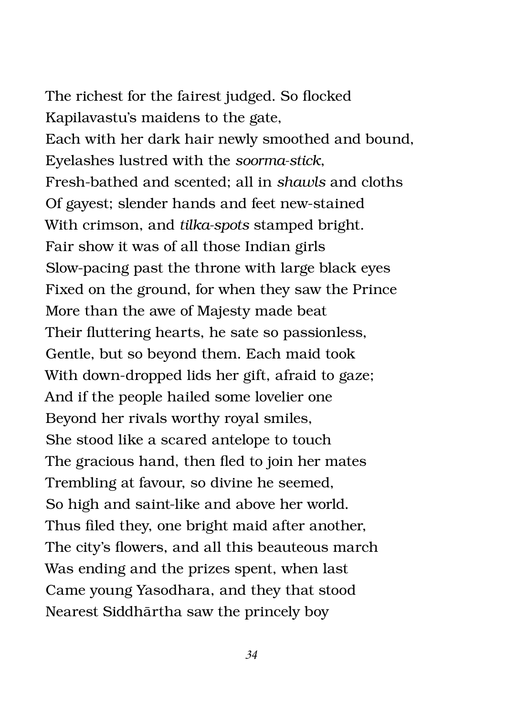The richest for the fairest judged. So flocked Kapilavastu's maidens to the gate, Each with her dark hair newly smoothed and bound, Eyelashes lustred with the *soorma-stick*, Fresh-bathed and scented; all in *shawls* and cloths Of gayest; slender hands and feet new-stained With crimson, and *tilka-spots* stamped bright. Fair show it was of all those Indian girls Slow-pacing past the throne with large black eyes Fixed on the ground, for when they saw the Prince More than the awe of Majesty made beat Their fluttering hearts, he sate so passionless, Gentle, but so beyond them. Each maid took With down-dropped lids her gift, afraid to gaze; And if the people hailed some lovelier one Beyond her rivals worthy royal smiles, She stood like a scared antelope to touch The gracious hand, then fled to join her mates Trembling at favour, so divine he seemed, So high and saint-like and above her world. Thus filed they, one bright maid after another, The city's flowers, and all this beauteous march Was ending and the prizes spent, when last Came young Yasodhara, and they that stood Nearest Siddhàrtha saw the princely boy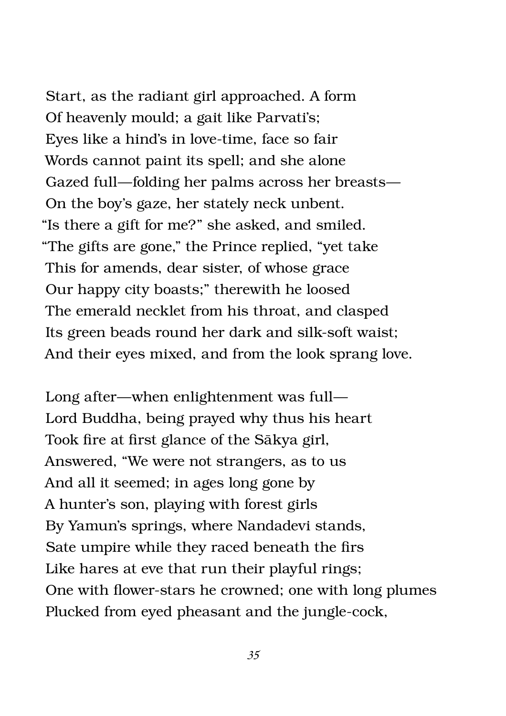Start, as the radiant girl approached. A form Of heavenly mould; a gait like Parvati's; Eyes like a hind's in love-time, face so fair Words cannot paint its spell; and she alone Gazed full—folding her palms across her breasts— On the boy's gaze, her stately neck unbent. "Is there a gift for me?" she asked, and smiled. "The gifts are gone," the Prince replied, "yet take This for amends, dear sister, of whose grace Our happy city boasts;" therewith he loosed The emerald necklet from his throat, and clasped Its green beads round her dark and silk-soft waist; And their eyes mixed, and from the look sprang love.

Long after—when enlightenment was full— Lord Buddha, being prayed why thus his heart Took fire at first glance of the Sākya girl, Answered, "We were not strangers, as to us And all it seemed; in ages long gone by A hunter's son, playing with forest girls By Yamun's springs, where Nandadevi stands, Sate umpire while they raced beneath the firs Like hares at eve that run their playful rings; One with flower-stars he crowned; one with long plumes Plucked from eyed pheasant and the jungle-cock,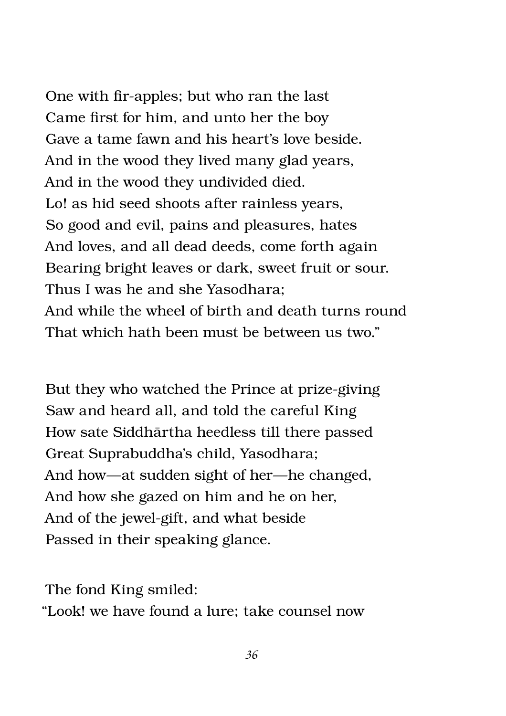One with fir-apples; but who ran the last Came first for him, and unto her the boy Gave a tame fawn and his heart's love beside. And in the wood they lived many glad years, And in the wood they undivided died. Lo! as hid seed shoots after rainless years, So good and evil, pains and pleasures, hates And loves, and all dead deeds, come forth again Bearing bright leaves or dark, sweet fruit or sour. Thus I was he and she Yasodhara; And while the wheel of birth and death turns round That which hath been must be between us two."

But they who watched the Prince at prize-giving Saw and heard all, and told the careful King How sate Siddhàrtha heedless till there passed Great Suprabuddha's child, Yasodhara; And how—at sudden sight of her—he changed, And how she gazed on him and he on her, And of the jewel-gift, and what beside Passed in their speaking glance.

The fond King smiled:

"Look! we have found a lure; take counsel now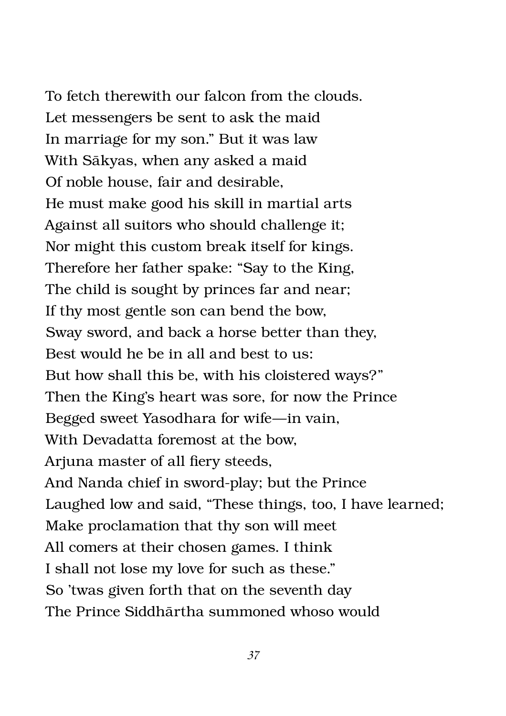To fetch therewith our falcon from the clouds. Let messengers be sent to ask the maid In marriage for my son." But it was law With Sàkyas, when any asked a maid Of noble house, fair and desirable, He must make good his skill in martial arts Against all suitors who should challenge it; Nor might this custom break itself for kings. Therefore her father spake: "Say to the King, The child is sought by princes far and near; If thy most gentle son can bend the bow, Sway sword, and back a horse better than they, Best would he be in all and best to us: But how shall this be, with his cloistered ways?" Then the King's heart was sore, for now the Prince Begged sweet Yasodhara for wife—in vain, With Devadatta foremost at the bow, Arjuna master of all fiery steeds, And Nanda chief in sword-play; but the Prince Laughed low and said, "These things, too, I have learned; Make proclamation that thy son will meet All comers at their chosen games. I think I shall not lose my love for such as these." So 'twas given forth that on the seventh day The Prince Siddhàrtha summoned whoso would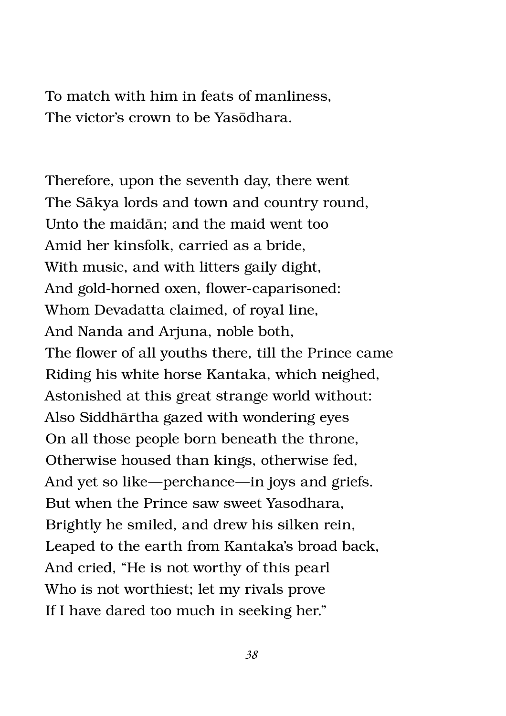To match with him in feats of manliness, The victor's crown to be Yas**'**dhara.

Therefore, upon the seventh day, there went The Sàkya lords and town and country round, Unto the maidàn; and the maid went too Amid her kinsfolk, carried as a bride, With music, and with litters gaily dight, And gold-horned oxen, flower-caparisoned: Whom Devadatta claimed, of royal line, And Nanda and Arjuna, noble both, The flower of all youths there, till the Prince came Riding his white horse Kantaka, which neighed, Astonished at this great strange world without: Also Siddhàrtha gazed with wondering eyes On all those people born beneath the throne, Otherwise housed than kings, otherwise fed, And yet so like—perchance—in joys and griefs. But when the Prince saw sweet Yasodhara, Brightly he smiled, and drew his silken rein, Leaped to the earth from Kantaka's broad back, And cried, "He is not worthy of this pearl Who is not worthiest; let my rivals prove If I have dared too much in seeking her."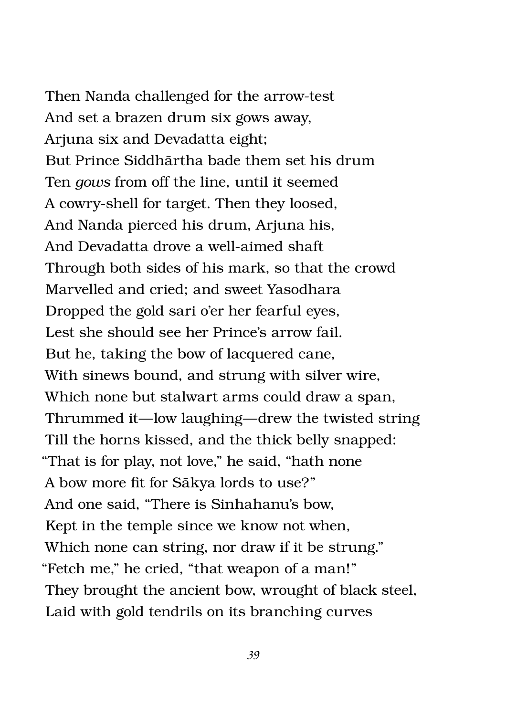Then Nanda challenged for the arrow-test And set a brazen drum six gows away, Arjuna six and Devadatta eight; But Prince Siddhàrtha bade them set his drum Ten *gows* from off the line, until it seemed A cowry-shell for target. Then they loosed, And Nanda pierced his drum, Arjuna his, And Devadatta drove a well-aimed shaft Through both sides of his mark, so that the crowd Marvelled and cried; and sweet Yasodhara Dropped the gold sari o'er her fearful eyes, Lest she should see her Prince's arrow fail. But he, taking the bow of lacquered cane, With sinews bound, and strung with silver wire, Which none but stalwart arms could draw a span, Thrummed it—low laughing—drew the twisted string Till the horns kissed, and the thick belly snapped: "That is for play, not love," he said, "hath none A bow more fit for Sākya lords to use?" And one said, "There is Sinhahanu's bow, Kept in the temple since we know not when, Which none can string, nor draw if it be strung." "Fetch me," he cried, "that weapon of a man!" They brought the ancient bow, wrought of black steel, Laid with gold tendrils on its branching curves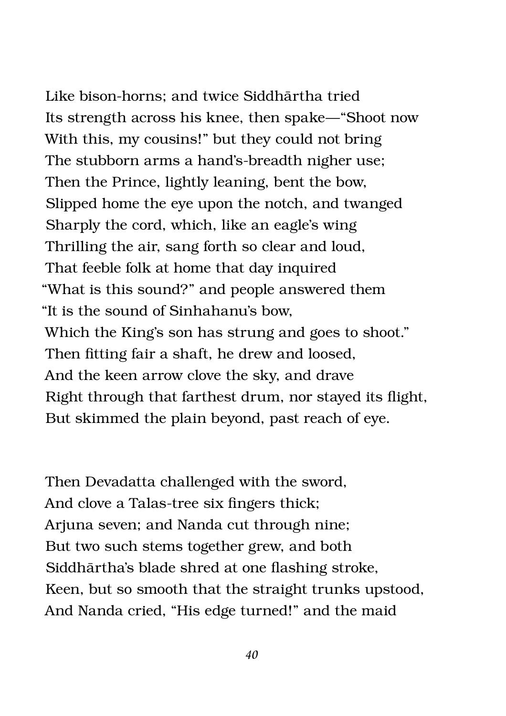Like bison-horns; and twice Siddhàrtha tried Its strength across his knee, then spake—"Shoot now With this, my cousins!" but they could not bring The stubborn arms a hand's-breadth nigher use; Then the Prince, lightly leaning, bent the bow, Slipped home the eye upon the notch, and twanged Sharply the cord, which, like an eagle's wing Thrilling the air, sang forth so clear and loud, That feeble folk at home that day inquired "What is this sound?" and people answered them "It is the sound of Sinhahanu's bow, Which the King's son has strung and goes to shoot." Then fitting fair a shaft, he drew and loosed, And the keen arrow clove the sky, and drave Right through that farthest drum, nor stayed its flight, But skimmed the plain beyond, past reach of eye.

Then Devadatta challenged with the sword, And clove a Talas-tree six fingers thick; Arjuna seven; and Nanda cut through nine; But two such stems together grew, and both Siddhārtha's blade shred at one flashing stroke, Keen, but so smooth that the straight trunks upstood, And Nanda cried, "His edge turned!" and the maid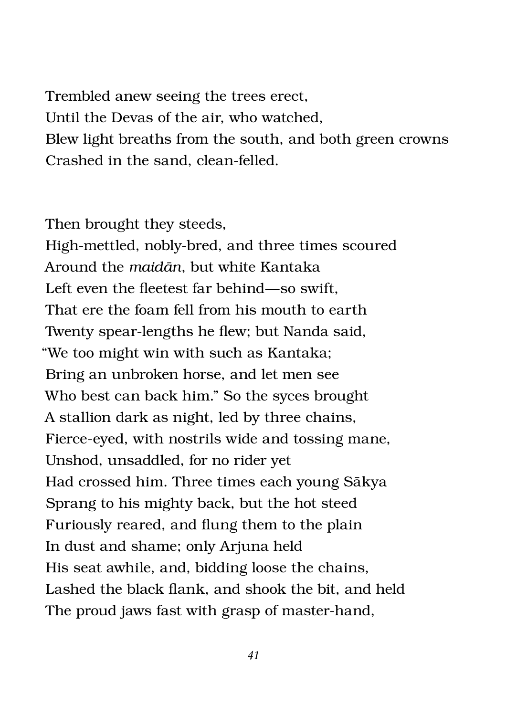Trembled anew seeing the trees erect, Until the Devas of the air, who watched, Blew light breaths from the south, and both green crowns Crashed in the sand, clean-felled.

Then brought they steeds,

High-mettled, nobly-bred, and three times scoured Around the *maidàn*, but white Kantaka Left even the fleetest far behind—so swift. That ere the foam fell from his mouth to earth Twenty spear-lengths he flew; but Nanda said, "We too might win with such as Kantaka; Bring an unbroken horse, and let men see Who best can back him." So the syces brought A stallion dark as night, led by three chains, Fierce-eyed, with nostrils wide and tossing mane, Unshod, unsaddled, for no rider yet Had crossed him. Three times each young Sàkya Sprang to his mighty back, but the hot steed Furiously reared, and flung them to the plain In dust and shame; only Arjuna held His seat awhile, and, bidding loose the chains, Lashed the black flank, and shook the bit, and held The proud jaws fast with grasp of master-hand,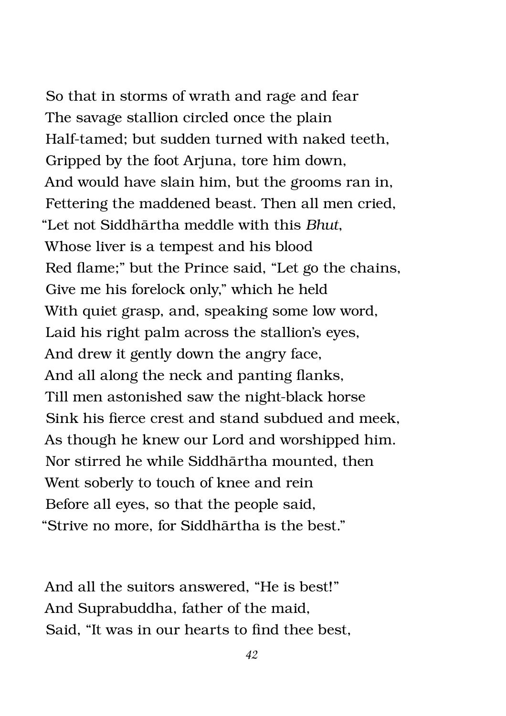So that in storms of wrath and rage and fear The savage stallion circled once the plain Half-tamed; but sudden turned with naked teeth, Gripped by the foot Arjuna, tore him down, And would have slain him, but the grooms ran in, Fettering the maddened beast. Then all men cried, "Let not Siddhàrtha meddle with this *Bhut*, Whose liver is a tempest and his blood Red flame;" but the Prince said, "Let go the chains, Give me his forelock only," which he held With quiet grasp, and, speaking some low word, Laid his right palm across the stallion's eyes, And drew it gently down the angry face, And all along the neck and panting flanks, Till men astonished saw the night-black horse Sink his fierce crest and stand subdued and meek. As though he knew our Lord and worshipped him. Nor stirred he while Siddhàrtha mounted, then Went soberly to touch of knee and rein Before all eyes, so that the people said, "Strive no more, for Siddhàrtha is the best."

And all the suitors answered, "He is best!" And Suprabuddha, father of the maid, Said, "It was in our hearts to find thee best.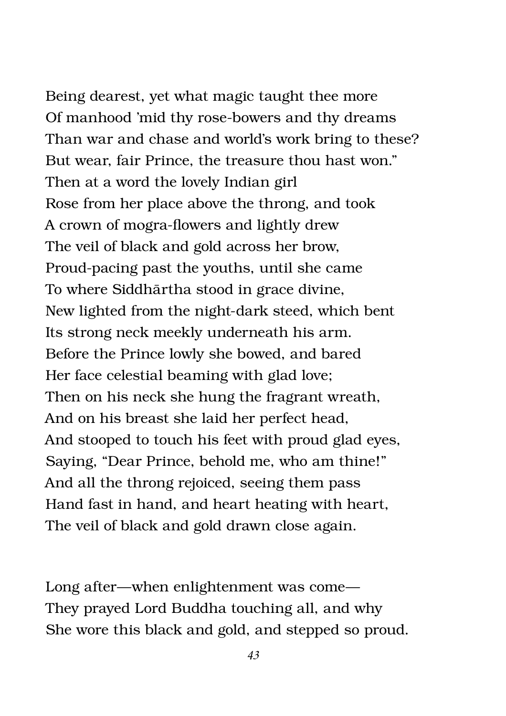Being dearest, yet what magic taught thee more Of manhood 'mid thy rose-bowers and thy dreams Than war and chase and world's work bring to these? But wear, fair Prince, the treasure thou hast won." Then at a word the lovely Indian girl Rose from her place above the throng, and took A crown of mogra-flowers and lightly drew The veil of black and gold across her brow, Proud-pacing past the youths, until she came To where Siddhàrtha stood in grace divine, New lighted from the night-dark steed, which bent Its strong neck meekly underneath his arm. Before the Prince lowly she bowed, and bared Her face celestial beaming with glad love; Then on his neck she hung the fragrant wreath, And on his breast she laid her perfect head, And stooped to touch his feet with proud glad eyes, Saying, "Dear Prince, behold me, who am thine!" And all the throng rejoiced, seeing them pass Hand fast in hand, and heart heating with heart, The veil of black and gold drawn close again.

Long after—when enlightenment was come— They prayed Lord Buddha touching all, and why She wore this black and gold, and stepped so proud.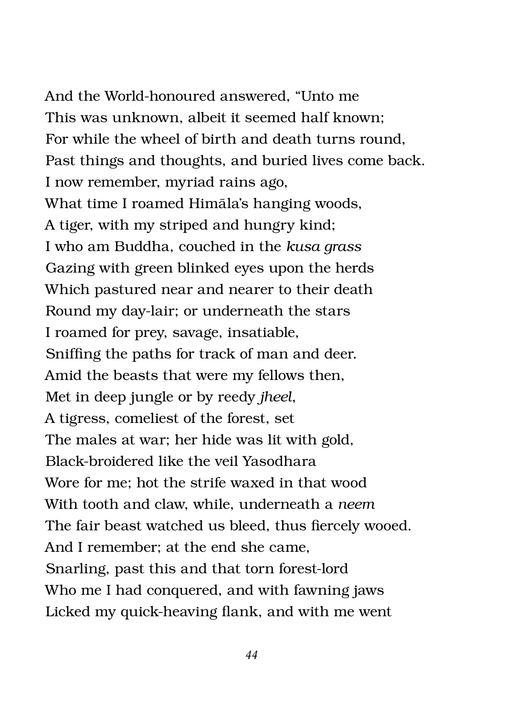And the World-honoured answered, "Unto me This was unknown, albeit it seemed half known; For while the wheel of birth and death turns round, Past things and thoughts, and buried lives come back. I now remember, myriad rains ago, What time I roamed Himàla's hanging woods, A tiger, with my striped and hungry kind; I who am Buddha, couched in the *kusa grass* Gazing with green blinked eyes upon the herds Which pastured near and nearer to their death Round my day-lair; or underneath the stars I roamed for prey, savage, insatiable, Sniffing the paths for track of man and deer. Amid the beasts that were my fellows then, Met in deep jungle or by reedy *jheel*, A tigress, comeliest of the forest, set The males at war; her hide was lit with gold, Black-broidered like the veil Yasodhara Wore for me; hot the strife waxed in that wood With tooth and claw, while, underneath a *neem* The fair beast watched us bleed, thus fiercely wooed. And I remember; at the end she came, Snarling, past this and that torn forest-lord Who me I had conquered, and with fawning jaws Licked my quick-heaving flank, and with me went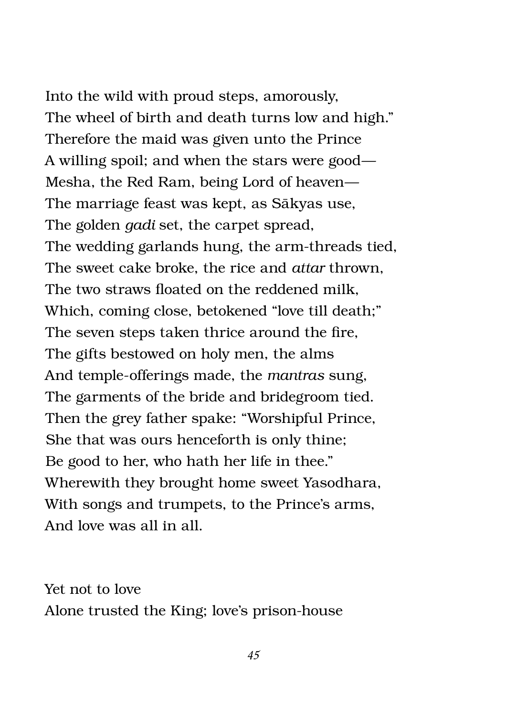Into the wild with proud steps, amorously, The wheel of birth and death turns low and high." Therefore the maid was given unto the Prince A willing spoil; and when the stars were good— Mesha, the Red Ram, being Lord of heaven— The marriage feast was kept, as Sàkyas use, The golden *gadi* set, the carpet spread, The wedding garlands hung, the arm-threads tied, The sweet cake broke, the rice and *attar* thrown, The two straws floated on the reddened milk. Which, coming close, betokened "love till death;" The seven steps taken thrice around the fire, The gifts bestowed on holy men, the alms And temple-offerings made, the *mantras* sung, The garments of the bride and bridegroom tied. Then the grey father spake: "Worshipful Prince, She that was ours henceforth is only thine; Be good to her, who hath her life in thee." Wherewith they brought home sweet Yasodhara, With songs and trumpets, to the Prince's arms, And love was all in all.

Yet not to love Alone trusted the King; love's prison-house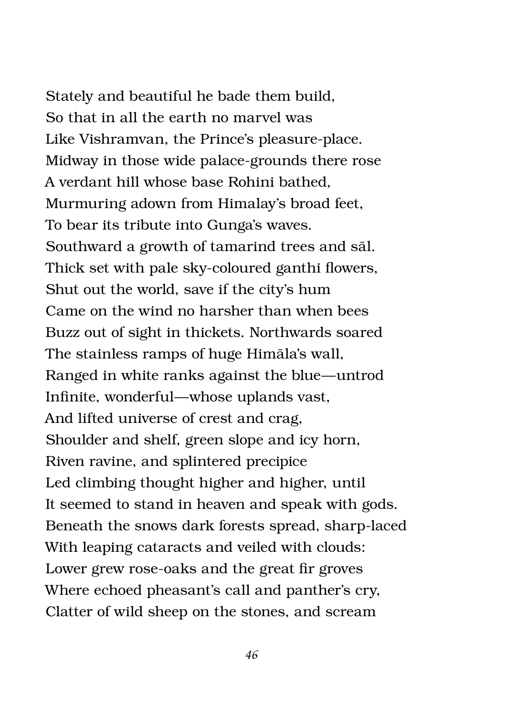Stately and beautiful he bade them build, So that in all the earth no marvel was Like Vishramvan, the Prince's pleasure-place. Midway in those wide palace-grounds there rose A verdant hill whose base Rohini bathed, Murmuring adown from Himalay's broad feet, To bear its tribute into Gunga's waves. Southward a growth of tamarind trees and sàl. Thick set with pale sky-coloured ganthi flowers, Shut out the world, save if the city's hum Came on the wind no harsher than when bees Buzz out of sight in thickets. Northwards soared The stainless ramps of huge Himàla's wall, Ranged in white ranks against the blue—untrod Infinite, wonderful—whose uplands vast, And lifted universe of crest and crag, Shoulder and shelf, green slope and icy horn, Riven ravine, and splintered precipice Led climbing thought higher and higher, until It seemed to stand in heaven and speak with gods. Beneath the snows dark forests spread, sharp-laced With leaping cataracts and veiled with clouds: Lower grew rose-oaks and the great fir groves Where echoed pheasant's call and panther's cry, Clatter of wild sheep on the stones, and scream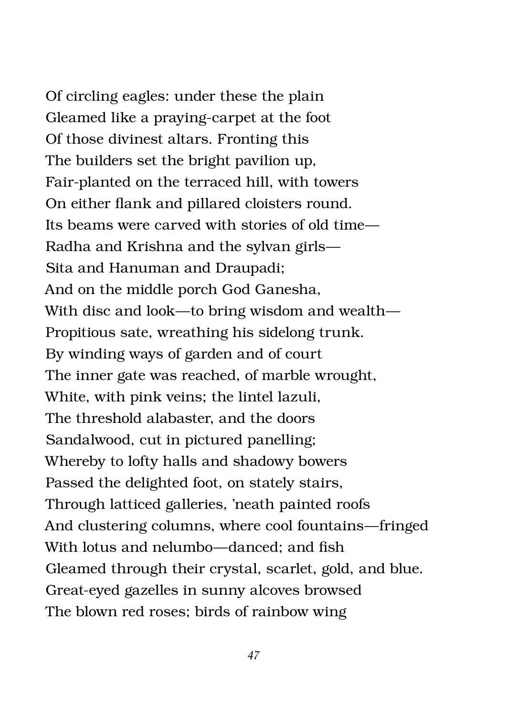Of circling eagles: under these the plain Gleamed like a praying-carpet at the foot Of those divinest altars. Fronting this The builders set the bright pavilion up, Fair-planted on the terraced hill, with towers On either flank and pillared cloisters round. Its beams were carved with stories of old time— Radha and Krishna and the sylvan girls— Sita and Hanuman and Draupadi; And on the middle porch God Ganesha, With disc and look—to bring wisdom and wealth— Propitious sate, wreathing his sidelong trunk. By winding ways of garden and of court The inner gate was reached, of marble wrought, White, with pink veins; the lintel lazuli, The threshold alabaster, and the doors Sandalwood, cut in pictured panelling; Whereby to lofty halls and shadowy bowers Passed the delighted foot, on stately stairs, Through latticed galleries, 'neath painted roofs And clustering columns, where cool fountains — fringed With lotus and nelumbo—danced; and fish Gleamed through their crystal, scarlet, gold, and blue. Great-eyed gazelles in sunny alcoves browsed The blown red roses; birds of rainbow wing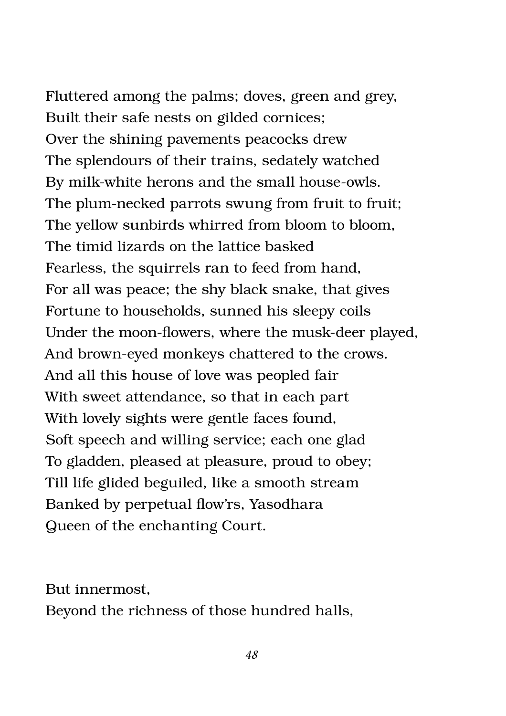Fluttered among the palms; doves, green and grey, Built their safe nests on gilded cornices; Over the shining pavements peacocks drew The splendours of their trains, sedately watched By milk-white herons and the small house-owls. The plum-necked parrots swung from fruit to fruit; The yellow sunbirds whirred from bloom to bloom, The timid lizards on the lattice basked Fearless, the squirrels ran to feed from hand, For all was peace; the shy black snake, that gives Fortune to households, sunned his sleepy coils Under the moon-flowers, where the musk-deer played, And brown-eyed monkeys chattered to the crows. And all this house of love was peopled fair With sweet attendance, so that in each part With lovely sights were gentle faces found, Soft speech and willing service; each one glad To gladden, pleased at pleasure, proud to obey; Till life glided beguiled, like a smooth stream Banked by perpetual flow'rs, Yasodhara Queen of the enchanting Court.

But innermost, Beyond the richness of those hundred halls,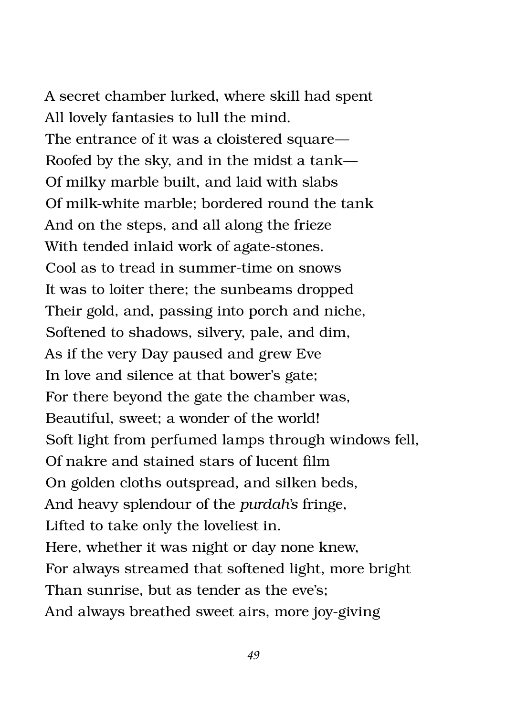A secret chamber lurked, where skill had spent All lovely fantasies to lull the mind. The entrance of it was a cloistered square-Roofed by the sky, and in the midst a tank — Of milky marble built, and laid with slabs Of milk-white marble; bordered round the tank And on the steps, and all along the frieze With tended inlaid work of agate-stones. Cool as to tread in summer-time on snows It was to loiter there; the sunbeams dropped Their gold, and, passing into porch and niche, Softened to shadows, silvery, pale, and dim, As if the very Day paused and grew Eve In love and silence at that bower's gate; For there beyond the gate the chamber was, Beautiful, sweet; a wonder of the world! Soft light from perfumed lamps through windows fell, Of nakre and stained stars of lucent film On golden cloths outspread, and silken beds, And heavy splendour of the *purdah's* fringe, Lifted to take only the loveliest in. Here, whether it was night or day none knew, For always streamed that softened light, more bright Than sunrise, but as tender as the eve's; And always breathed sweet airs, more joy-giving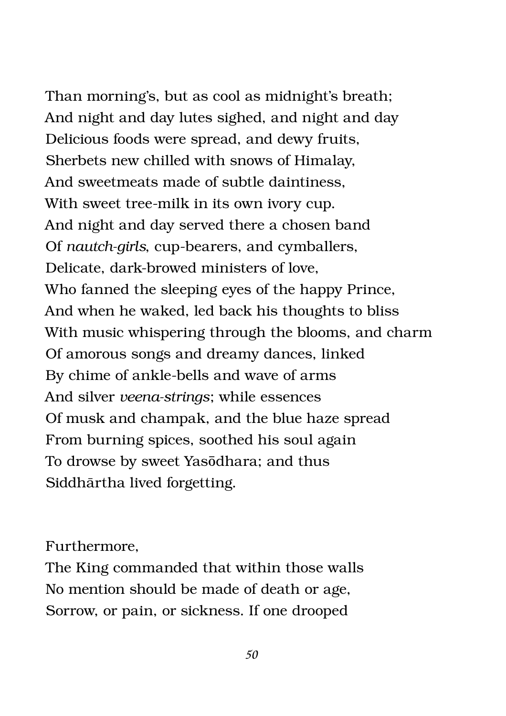Than morning's, but as cool as midnight's breath; And night and day lutes sighed, and night and day Delicious foods were spread, and dewy fruits, Sherbets new chilled with snows of Himalay, And sweetmeats made of subtle daintiness, With sweet tree-milk in its own ivory cup. And night and day served there a chosen band Of *nautch-girls*, cup-bearers, and cymballers, Delicate, dark-browed ministers of love, Who fanned the sleeping eyes of the happy Prince, And when he waked, led back his thoughts to bliss With music whispering through the blooms, and charm Of amorous songs and dreamy dances, linked By chime of ankle-bells and wave of arms And silver *veena-strings*; while essences Of musk and champak, and the blue haze spread From burning spices, soothed his soul again To drowse by sweet Yas**'**dhara; and thus

Siddhàrtha lived forgetting.

# Furthermore,

The King commanded that within those walls No mention should be made of death or age, Sorrow, or pain, or sickness. If one drooped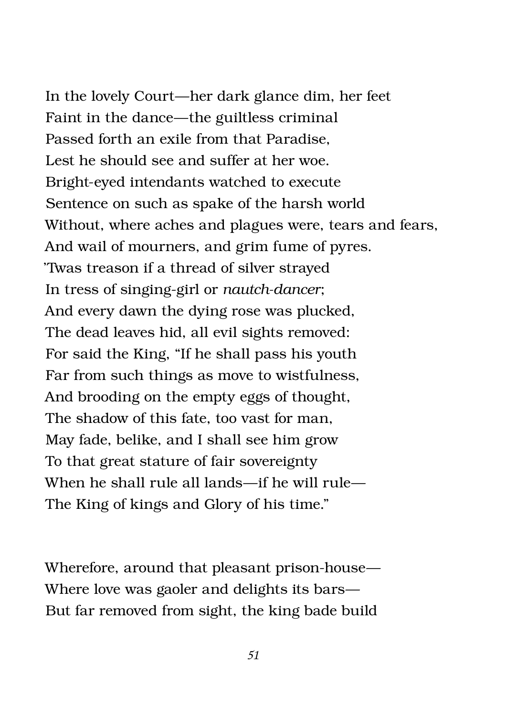In the lovely Court—her dark glance dim, her feet Faint in the dance—the guiltless criminal Passed forth an exile from that Paradise, Lest he should see and suffer at her woe. Bright-eyed intendants watched to execute Sentence on such as spake of the harsh world Without, where aches and plagues were, tears and fears, And wail of mourners, and grim fume of pyres. 'Twas treason if a thread of silver strayed In tress of singing-girl or *nautch-dancer*; And every dawn the dying rose was plucked, The dead leaves hid, all evil sights removed: For said the King, "If he shall pass his youth Far from such things as move to wistfulness, And brooding on the empty eggs of thought, The shadow of this fate, too vast for man, May fade, belike, and I shall see him grow To that great stature of fair sovereignty When he shall rule all lands—if he will rule— The King of kings and Glory of his time."

Wherefore, around that pleasant prison-house-Where love was gaoler and delights its bars— But far removed from sight, the king bade build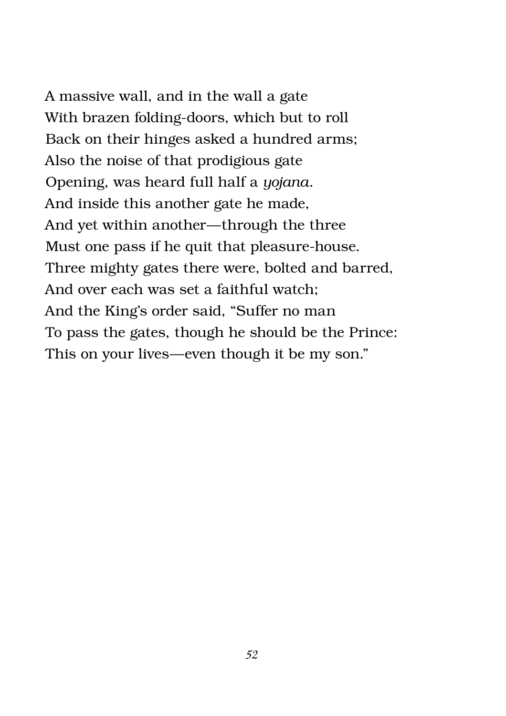A massive wall, and in the wall a gate With brazen folding-doors, which but to roll Back on their hinges asked a hundred arms; Also the noise of that prodigious gate Opening, was heard full half a *yojana*. And inside this another gate he made, And yet within another—through the three Must one pass if he quit that pleasure-house. Three mighty gates there were, bolted and barred, And over each was set a faithful watch; And the King's order said, "Suffer no man To pass the gates, though he should be the Prince: This on your lives—even though it be my son."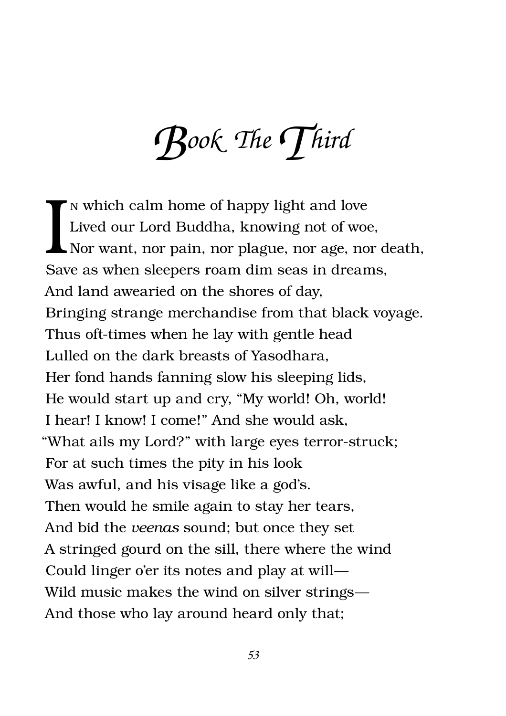# *Book The Third*

In which calm home of happy light and love<br>Lived our Lord Buddha, knowing not of woe,<br>Nor want, nor pain, nor plague, nor age, nor d<br>Save as when sleepers roam dim seas in dreams,  $\mathbf{\nabla}$  N which calm home of happy light and love Lived our Lord Buddha, knowing not of woe, Nor want, nor pain, nor plague, nor age, nor death, And land awearied on the shores of day, Bringing strange merchandise from that black voyage. Thus oft-times when he lay with gentle head Lulled on the dark breasts of Yasodhara, Her fond hands fanning slow his sleeping lids, He would start up and cry, "My world! Oh, world! I hear! I know! I come!" And she would ask, "What ails my Lord?" with large eyes terror-struck; For at such times the pity in his look Was awful, and his visage like a god's. Then would he smile again to stay her tears, And bid the *veenas* sound; but once they set A stringed gourd on the sill, there where the wind Could linger o'er its notes and play at will— Wild music makes the wind on silver strings— And those who lay around heard only that;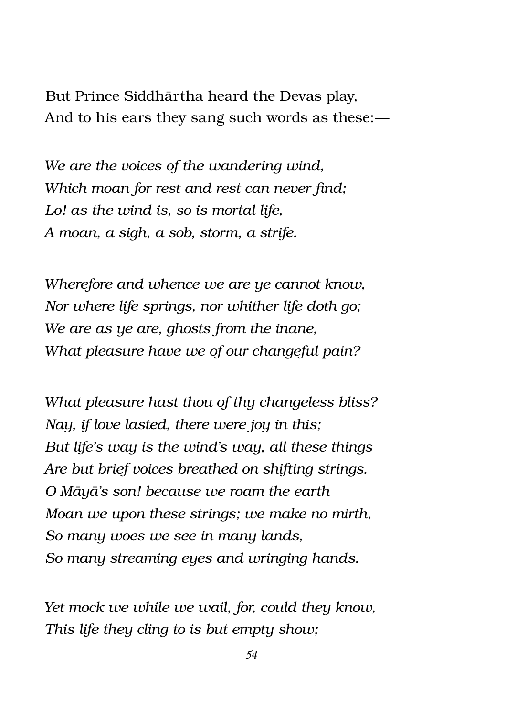But Prince Siddhàrtha heard the Devas play, And to his ears they sang such words as these:—

*We are the voices of the wandering wind, Which moan for rest and rest can never find; Lo! as the wind is, so is mortal life, A moan, a sigh, a sob, storm, a strife.*

*Wherefore and whence we are ye cannot know, Nor where life springs, nor whither life doth go; We are as ye are, ghosts from the inane, What pleasure have we of our changeful pain?*

*What pleasure hast thou of thy changeless bliss? Nay, if love lasted, there were joy in this; But life's way is the wind's way, all these things Are but brief voices breathed on shifting strings. O Màyà's son! because we roam the earth Moan we upon these strings; we make no mirth, So many woes we see in many lands, So many streaming eyes and wringing hands.*

*Yet mock we while we wail, for, could they know, This life they cling to is but empty show;*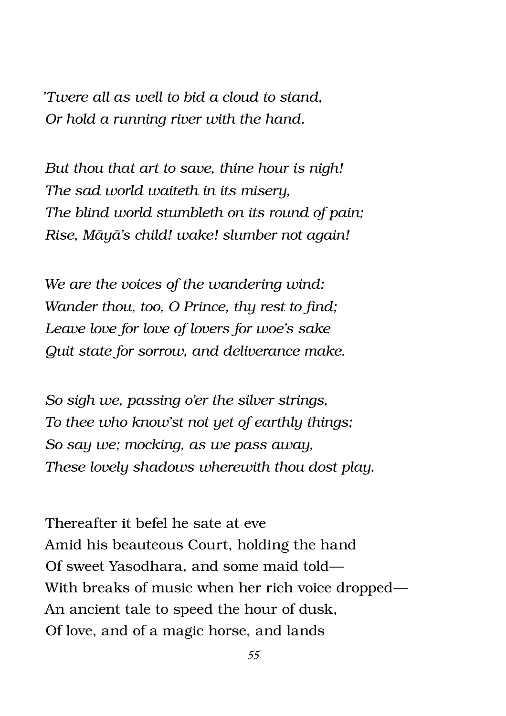*'Twere all as well to bid a cloud to stand, Or hold a running river with the hand.*

*But thou that art to save, thine hour is nigh! The sad world waiteth in its misery, The blind world stumbleth on its round of pain; Rise, Màyà's child! wake! slumber not again!*

*We are the voices of the wandering wind: Wander thou, too, O Prince, thy rest to find; Leave love for love of lovers for woe's sake Quit state for sorrow, and deliverance make.*

*So sigh we, passing o'er the silver strings, To thee who know'st not yet of earthly things; So say we; mocking, as we pass away, These lovely shadows wherewith thou dost play.*

Thereafter it befel he sate at eve Amid his beauteous Court, holding the hand Of sweet Yasodhara, and some maid told— With breaks of music when her rich voice dropped-An ancient tale to speed the hour of dusk, Of love, and of a magic horse, and lands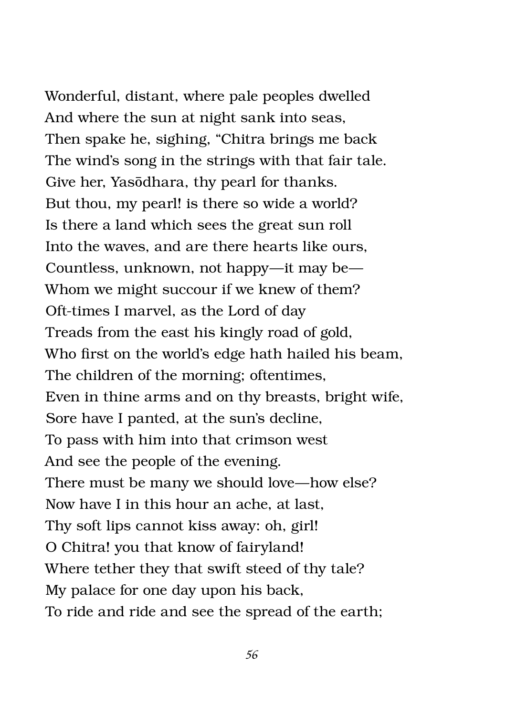Wonderful, distant, where pale peoples dwelled And where the sun at night sank into seas, Then spake he, sighing, "Chitra brings me back The wind's song in the strings with that fair tale. Give her, Yasodhara, thy pearl for thanks. But thou, my pearl! is there so wide a world? Is there a land which sees the great sun roll Into the waves, and are there hearts like ours, Countless, unknown, not happy—it may be— Whom we might succour if we knew of them? Oft-times I marvel, as the Lord of day Treads from the east his kingly road of gold, Who first on the world's edge hath hailed his beam, The children of the morning; oftentimes, Even in thine arms and on thy breasts, bright wife, Sore have I panted, at the sun's decline, To pass with him into that crimson west And see the people of the evening. There must be many we should love—how else? Now have I in this hour an ache, at last, Thy soft lips cannot kiss away: oh, girl! O Chitra! you that know of fairyland! Where tether they that swift steed of thy tale? My palace for one day upon his back, To ride and ride and see the spread of the earth;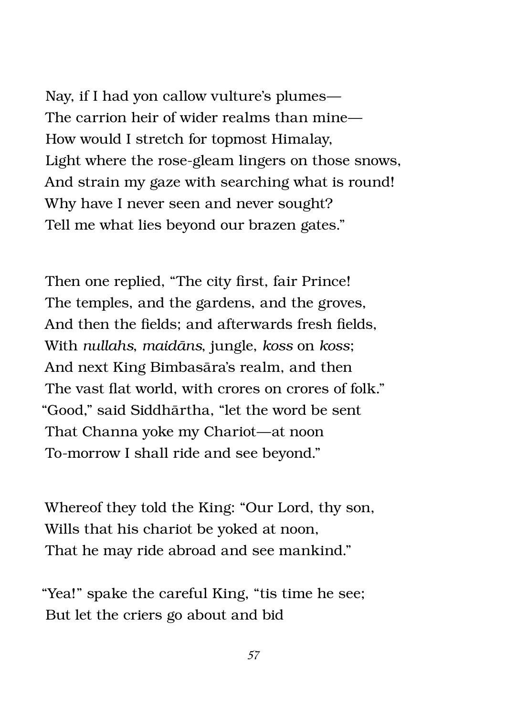Nay, if I had yon callow vulture's plumes— The carrion heir of wider realms than mine— How would I stretch for topmost Himalay, Light where the rose-gleam lingers on those snows, And strain my gaze with searching what is round! Why have I never seen and never sought? Tell me what lies beyond our brazen gates."

Then one replied, "The city first, fair Prince! The temples, and the gardens, and the groves, And then the fields; and afterwards fresh fields, With *nullahs*, *maidàns*, jungle, *koss* on *koss*; And next King Bimbasàra's realm, and then The vast flat world, with crores on crores of folk." "Good," said Siddhàrtha, "let the word be sent That Channa yoke my Chariot—at noon To-morrow I shall ride and see beyond."

Whereof they told the King: "Our Lord, thy son, Wills that his chariot be yoked at noon, That he may ride abroad and see mankind."

"Yea!" spake the careful King, "tis time he see; But let the criers go about and bid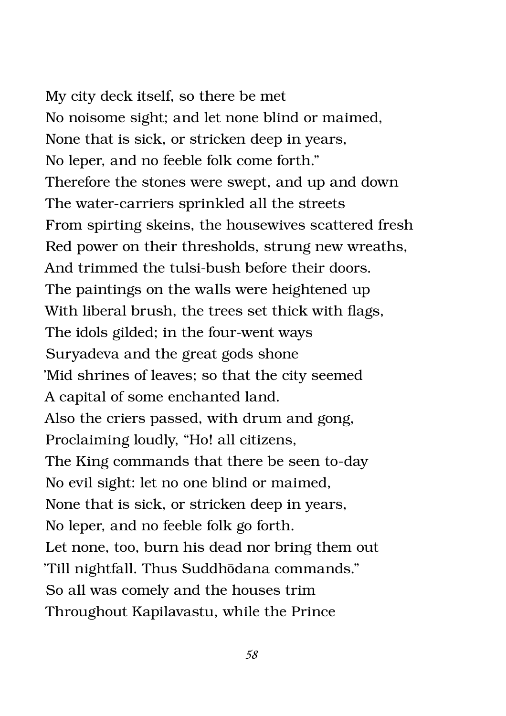My city deck itself, so there be met No noisome sight; and let none blind or maimed, None that is sick, or stricken deep in years, No leper, and no feeble folk come forth." Therefore the stones were swept, and up and down The water-carriers sprinkled all the streets From spirting skeins, the housewives scattered fresh Red power on their thresholds, strung new wreaths, And trimmed the tulsi-bush before their doors. The paintings on the walls were heightened up With liberal brush, the trees set thick with flags, The idols gilded; in the four-went ways Suryadeva and the great gods shone 'Mid shrines of leaves; so that the city seemed A capital of some enchanted land. Also the criers passed, with drum and gong, Proclaiming loudly, "Ho! all citizens, The King commands that there be seen to-day No evil sight: let no one blind or maimed, None that is sick, or stricken deep in years, No leper, and no feeble folk go forth. Let none, too, burn his dead nor bring them out 'Till nightfall. Thus Suddh**'**dana commands." So all was comely and the houses trim Throughout Kapilavastu, while the Prince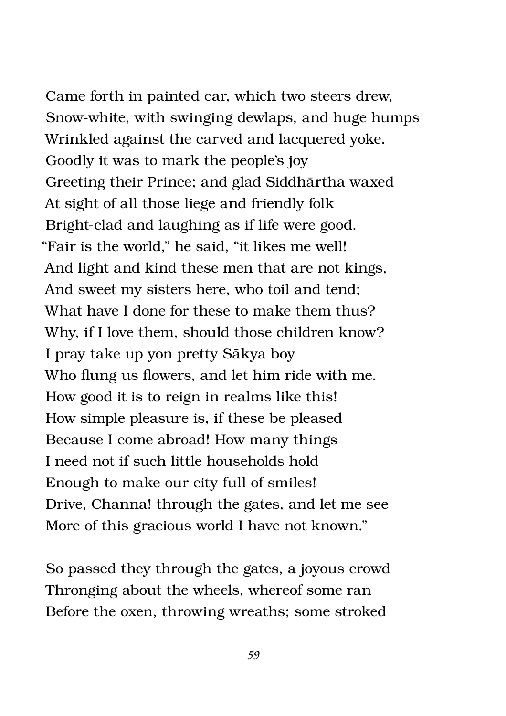Came forth in painted car, which two steers drew, Snow-white, with swinging dewlaps, and huge humps Wrinkled against the carved and lacquered yoke. Goodly it was to mark the people's joy Greeting their Prince; and glad Siddhàrtha waxed At sight of all those liege and friendly folk Bright-clad and laughing as if life were good. "Fair is the world," he said, "it likes me well! And light and kind these men that are not kings, And sweet my sisters here, who toil and tend; What have I done for these to make them thus? Why, if I love them, should those children know? I pray take up yon pretty Sàkya boy Who flung us flowers, and let him ride with me. How good it is to reign in realms like this! How simple pleasure is, if these be pleased Because I come abroad! How many things I need not if such little households hold Enough to make our city full of smiles! Drive, Channa! through the gates, and let me see More of this gracious world I have not known."

So passed they through the gates, a joyous crowd Thronging about the wheels, whereof some ran Before the oxen, throwing wreaths; some stroked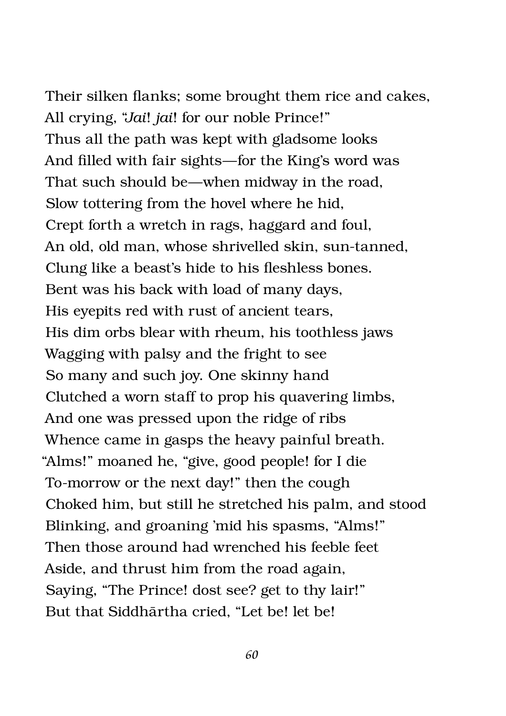Their silken flanks; some brought them rice and cakes, All crying, "*Jai*! *jai*! for our noble Prince!" Thus all the path was kept with gladsome looks And filled with fair sights—for the King's word was That such should be—when midway in the road, Slow tottering from the hovel where he hid, Crept forth a wretch in rags, haggard and foul, An old, old man, whose shrivelled skin, sun-tanned, Clung like a beast's hide to his fleshless bones. Bent was his back with load of many days, His eyepits red with rust of ancient tears, His dim orbs blear with rheum, his toothless jaws Wagging with palsy and the fright to see So many and such joy. One skinny hand Clutched a worn staff to prop his quavering limbs, And one was pressed upon the ridge of ribs Whence came in gasps the heavy painful breath. "Alms!" moaned he, "give, good people! for I die To-morrow or the next day!" then the cough Choked him, but still he stretched his palm, and stood Blinking, and groaning 'mid his spasms, "Alms!" Then those around had wrenched his feeble feet Aside, and thrust him from the road again, Saying, "The Prince! dost see? get to thy lair!" But that Siddhàrtha cried, "Let be! let be!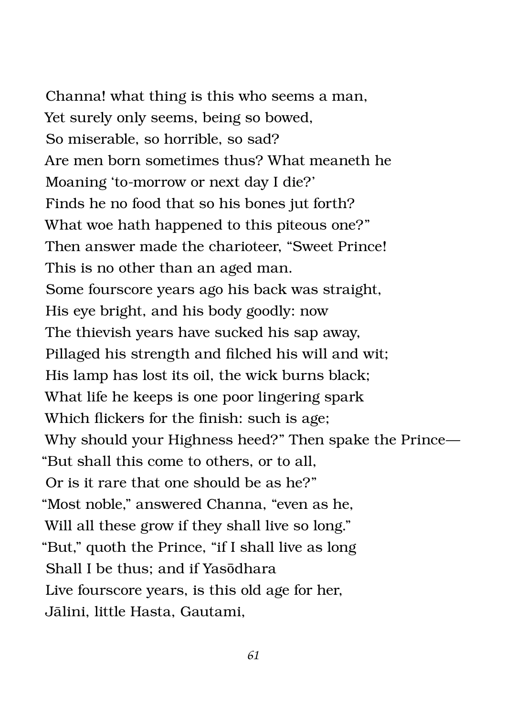Channa! what thing is this who seems a man, Yet surely only seems, being so bowed, So miserable, so horrible, so sad? Are men born sometimes thus? What meaneth he Moaning 'to-morrow or next day I die?' Finds he no food that so his bones jut forth? What woe hath happened to this piteous one?" Then answer made the charioteer, "Sweet Prince! This is no other than an aged man. Some fourscore years ago his back was straight, His eye bright, and his body goodly: now The thievish years have sucked his sap away, Pillaged his strength and filched his will and wit; His lamp has lost its oil, the wick burns black; What life he keeps is one poor lingering spark Which flickers for the finish: such is age; Why should your Highness heed?" Then spake the Prince— "But shall this come to others, or to all, Or is it rare that one should be as he?" "Most noble," answered Channa, "even as he, Will all these grow if they shall live so long." "But," quoth the Prince, "if I shall live as long Shall I be thus; and if Yas**'**dhara Live fourscore years, is this old age for her, Jàlini, little Hasta, Gautami,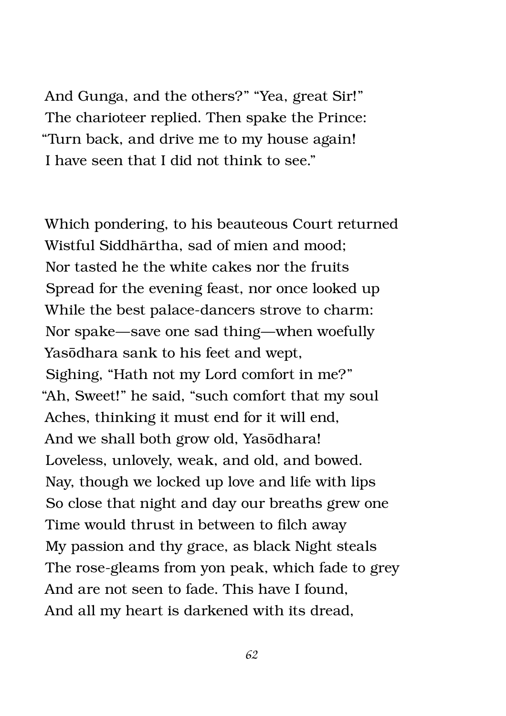And Gunga, and the others?" "Yea, great Sir!" The charioteer replied. Then spake the Prince: "Turn back, and drive me to my house again! I have seen that I did not think to see."

Which pondering, to his beauteous Court returned Wistful Siddhàrtha, sad of mien and mood; Nor tasted he the white cakes nor the fruits Spread for the evening feast, nor once looked up While the best palace-dancers strove to charm: Nor spake—save one sad thing—when woefully Yas**'**dhara sank to his feet and wept, Sighing, "Hath not my Lord comfort in me?" "Ah, Sweet!" he said, "such comfort that my soul Aches, thinking it must end for it will end, And we shall both grow old, Yasodhara! Loveless, unlovely, weak, and old, and bowed. Nay, though we locked up love and life with lips So close that night and day our breaths grew one Time would thrust in between to filch away My passion and thy grace, as black Night steals The rose-gleams from yon peak, which fade to grey And are not seen to fade. This have I found, And all my heart is darkened with its dread,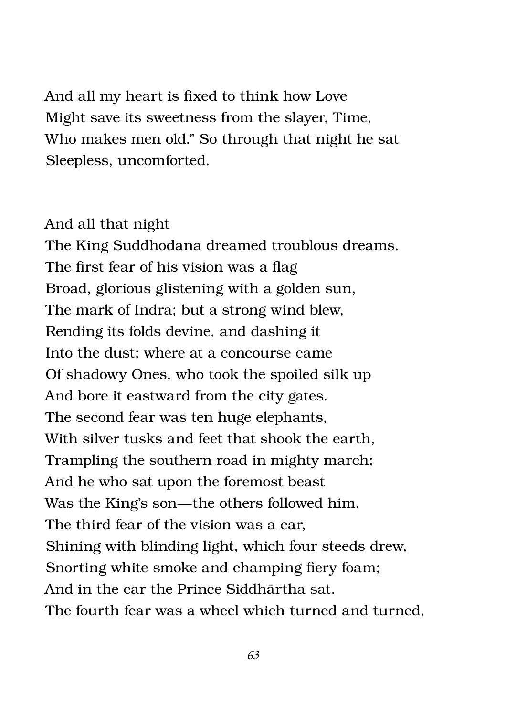And all my heart is fixed to think how Love Might save its sweetness from the slayer, Time, Who makes men old." So through that night he sat Sleepless, uncomforted.

#### And all that night

The King Suddhodana dreamed troublous dreams. The first fear of his vision was a flag Broad, glorious glistening with a golden sun, The mark of Indra; but a strong wind blew, Rending its folds devine, and dashing it Into the dust; where at a concourse came Of shadowy Ones, who took the spoiled silk up And bore it eastward from the city gates. The second fear was ten huge elephants, With silver tusks and feet that shook the earth, Trampling the southern road in mighty march; And he who sat upon the foremost beast Was the King's son—the others followed him. The third fear of the vision was a car, Shining with blinding light, which four steeds drew, Snorting white smoke and champing fiery foam; And in the car the Prince Siddhàrtha sat. The fourth fear was a wheel which turned and turned,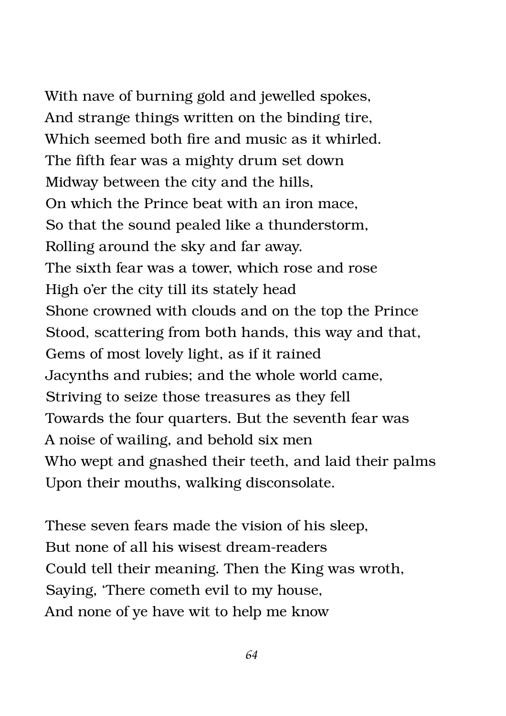With nave of burning gold and jewelled spokes, And strange things written on the binding tire, Which seemed both fire and music as it whirled. The fifth fear was a mighty drum set down Midway between the city and the hills, On which the Prince beat with an iron mace, So that the sound pealed like a thunderstorm, Rolling around the sky and far away. The sixth fear was a tower, which rose and rose High o'er the city till its stately head Shone crowned with clouds and on the top the Prince Stood, scattering from both hands, this way and that, Gems of most lovely light, as if it rained Jacynths and rubies; and the whole world came, Striving to seize those treasures as they fell Towards the four quarters. But the seventh fear was A noise of wailing, and behold six men Who wept and gnashed their teeth, and laid their palms Upon their mouths, walking disconsolate.

These seven fears made the vision of his sleep, But none of all his wisest dream-readers Could tell their meaning. Then the King was wroth, Saying, 'There cometh evil to my house, And none of ye have wit to help me know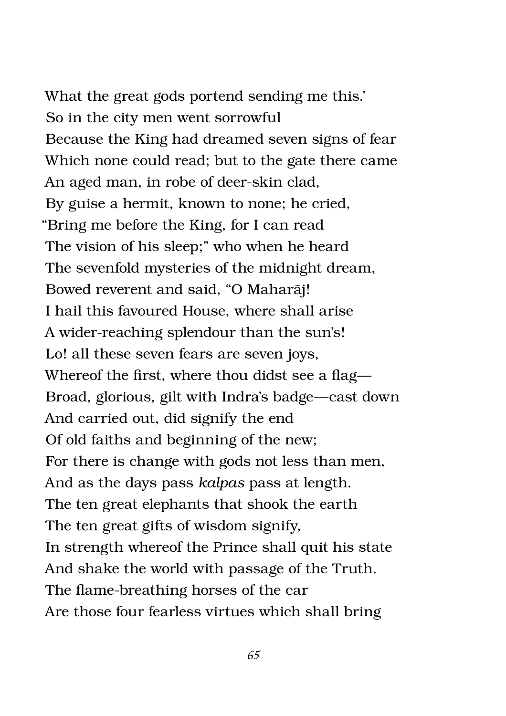What the great gods portend sending me this.' So in the city men went sorrowful Because the King had dreamed seven signs of fear Which none could read; but to the gate there came An aged man, in robe of deer-skin clad, By guise a hermit, known to none; he cried, "Bring me before the King, for I can read The vision of his sleep;" who when he heard The sevenfold mysteries of the midnight dream, Bowed reverent and said, "O Maharàj! I hail this favoured House, where shall arise A wider-reaching splendour than the sun's! Lo! all these seven fears are seven joys, Whereof the first, where thou didst see a flag— Broad, glorious, gilt with Indra's badge — cast down And carried out, did signify the end Of old faiths and beginning of the new; For there is change with gods not less than men, And as the days pass *kalpas* pass at length. The ten great elephants that shook the earth The ten great gifts of wisdom signify, In strength whereof the Prince shall quit his state And shake the world with passage of the Truth. The flame-breathing horses of the car Are those four fearless virtues which shall bring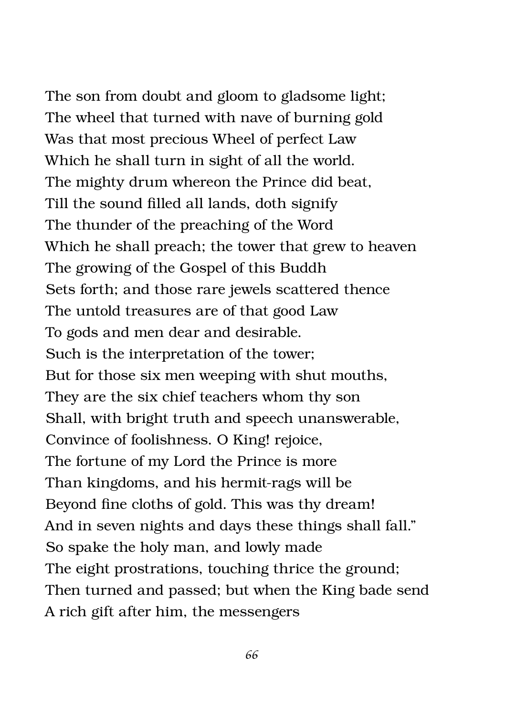The son from doubt and gloom to gladsome light; The wheel that turned with nave of burning gold Was that most precious Wheel of perfect Law Which he shall turn in sight of all the world. The mighty drum whereon the Prince did beat, Till the sound filled all lands, doth signify The thunder of the preaching of the Word Which he shall preach; the tower that grew to heaven The growing of the Gospel of this Buddh Sets forth; and those rare jewels scattered thence The untold treasures are of that good Law To gods and men dear and desirable. Such is the interpretation of the tower; But for those six men weeping with shut mouths, They are the six chief teachers whom thy son Shall, with bright truth and speech unanswerable, Convince of foolishness. O King! rejoice, The fortune of my Lord the Prince is more Than kingdoms, and his hermit-rags will be Beyond fine cloths of gold. This was thy dream! And in seven nights and days these things shall fall." So spake the holy man, and lowly made The eight prostrations, touching thrice the ground; Then turned and passed; but when the King bade send A rich gift after him, the messengers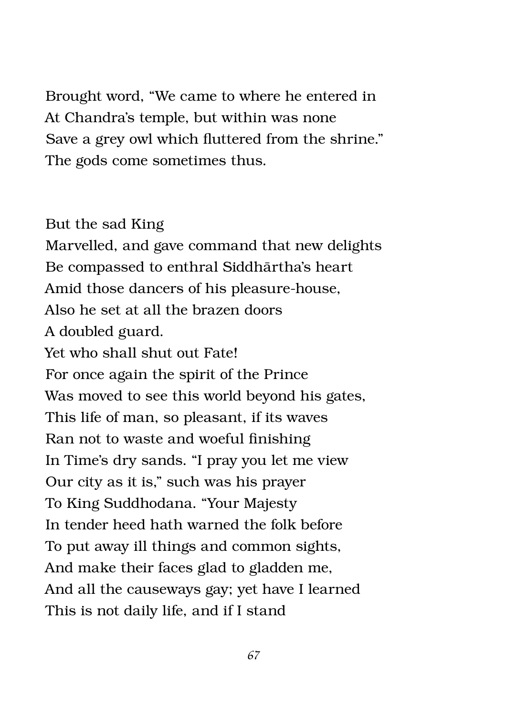Brought word, "We came to where he entered in At Chandra's temple, but within was none Save a grey owl which fluttered from the shrine." The gods come sometimes thus.

## But the sad King

Marvelled, and gave command that new delights Be compassed to enthral Siddhàrtha's heart Amid those dancers of his pleasure-house, Also he set at all the brazen doors A doubled guard. Yet who shall shut out Fate! For once again the spirit of the Prince Was moved to see this world beyond his gates, This life of man, so pleasant, if its waves Ran not to waste and woeful finishing In Time's dry sands. "I pray you let me view Our city as it is," such was his prayer To King Suddhodana. "Your Majesty In tender heed hath warned the folk before To put away ill things and common sights, And make their faces glad to gladden me, And all the causeways gay; yet have I learned This is not daily life, and if I stand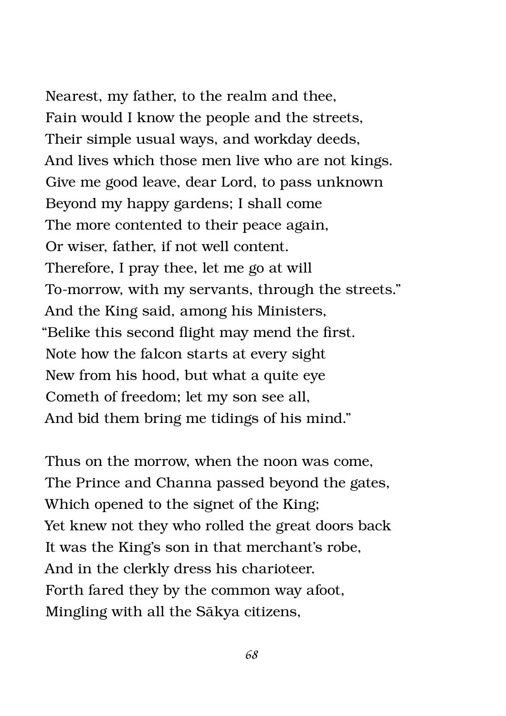Nearest, my father, to the realm and thee, Fain would I know the people and the streets, Their simple usual ways, and workday deeds, And lives which those men live who are not kings. Give me good leave, dear Lord, to pass unknown Beyond my happy gardens; I shall come The more contented to their peace again, Or wiser, father, if not well content. Therefore, I pray thee, let me go at will To-morrow, with my servants, through the streets." And the King said, among his Ministers, "Belike this second flight may mend the first. Note how the falcon starts at every sight New from his hood, but what a quite eye Cometh of freedom; let my son see all, And bid them bring me tidings of his mind."

Thus on the morrow, when the noon was come, The Prince and Channa passed beyond the gates, Which opened to the signet of the King; Yet knew not they who rolled the great doors back It was the King's son in that merchant's robe, And in the clerkly dress his charioteer. Forth fared they by the common way afoot, Mingling with all the Sàkya citizens,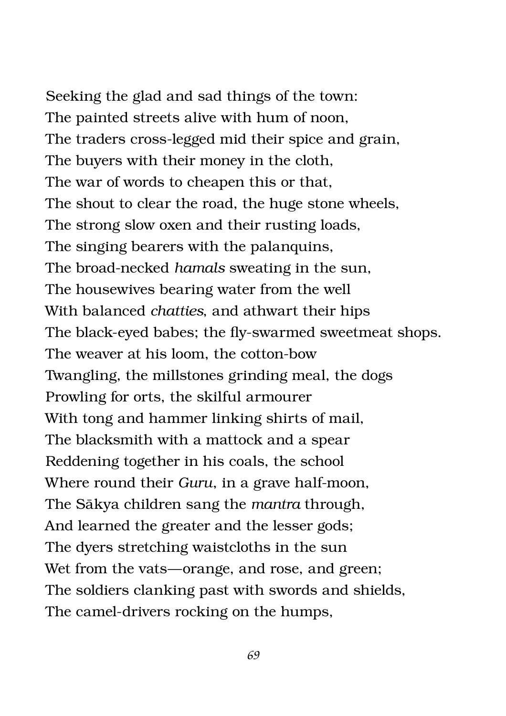Seeking the glad and sad things of the town: The painted streets alive with hum of noon, The traders cross-legged mid their spice and grain, The buyers with their money in the cloth, The war of words to cheapen this or that, The shout to clear the road, the huge stone wheels, The strong slow oxen and their rusting loads, The singing bearers with the palanquins, The broad-necked *hamals* sweating in the sun, The housewives bearing water from the well With balanced *chatties*, and athwart their hips The black-eyed babes; the fly-swarmed sweetmeat shops. The weaver at his loom, the cotton-bow Twangling, the millstones grinding meal, the dogs Prowling for orts, the skilful armourer With tong and hammer linking shirts of mail, The blacksmith with a mattock and a spear Reddening together in his coals, the school Where round their *Guru*, in a grave half-moon, The Sàkya children sang the *mantra* through, And learned the greater and the lesser gods; The dyers stretching waistcloths in the sun Wet from the vats—orange, and rose, and green; The soldiers clanking past with swords and shields, The camel-drivers rocking on the humps,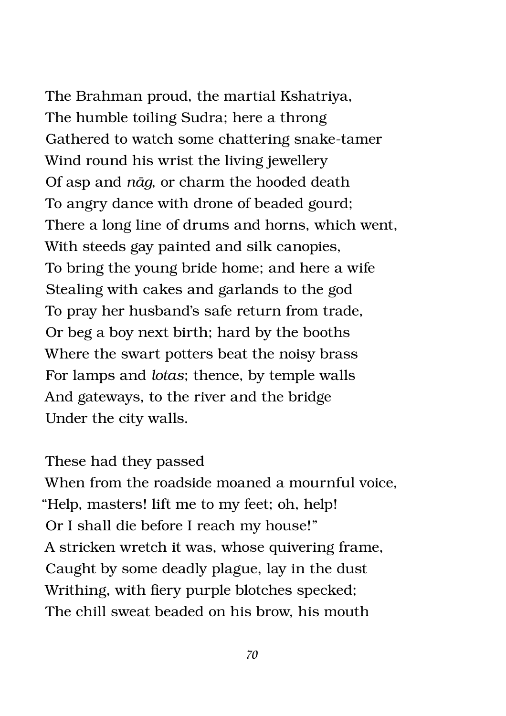The Brahman proud, the martial Kshatriya, The humble toiling Sudra; here a throng Gathered to watch some chattering snake-tamer Wind round his wrist the living jewellery Of asp and *nàg*, or charm the hooded death To angry dance with drone of beaded gourd; There a long line of drums and horns, which went, With steeds gay painted and silk canopies, To bring the young bride home; and here a wife Stealing with cakes and garlands to the god To pray her husband's safe return from trade, Or beg a boy next birth; hard by the booths Where the swart potters beat the noisy brass For lamps and *lotas*; thence, by temple walls And gateways, to the river and the bridge Under the city walls.

## These had they passed

When from the roadside moaned a mournful voice, "Help, masters! lift me to my feet; oh, help! Or I shall die before I reach my house!" A stricken wretch it was, whose quivering frame, Caught by some deadly plague, lay in the dust Writhing, with fiery purple blotches specked; The chill sweat beaded on his brow, his mouth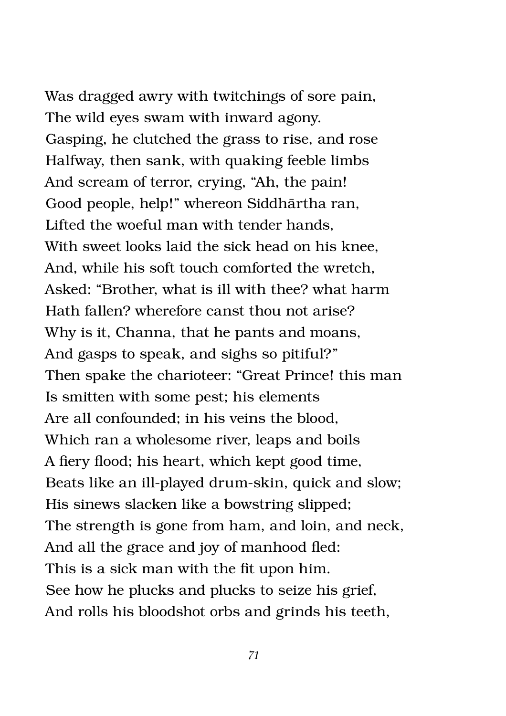Was dragged awry with twitchings of sore pain, The wild eyes swam with inward agony. Gasping, he clutched the grass to rise, and rose Halfway, then sank, with quaking feeble limbs And scream of terror, crying, "Ah, the pain! Good people, help!" whereon Siddhàrtha ran, Lifted the woeful man with tender hands, With sweet looks laid the sick head on his knee, And, while his soft touch comforted the wretch, Asked: "Brother, what is ill with thee? what harm Hath fallen? wherefore canst thou not arise? Why is it, Channa, that he pants and moans, And gasps to speak, and sighs so pitiful?" Then spake the charioteer: "Great Prince! this man Is smitten with some pest; his elements Are all confounded; in his veins the blood, Which ran a wholesome river, leaps and boils A fiery flood; his heart, which kept good time, Beats like an ill-played drum-skin, quick and slow; His sinews slacken like a bowstring slipped; The strength is gone from ham, and loin, and neck, And all the grace and joy of manhood fled: This is a sick man with the fit upon him. See how he plucks and plucks to seize his grief, And rolls his bloodshot orbs and grinds his teeth,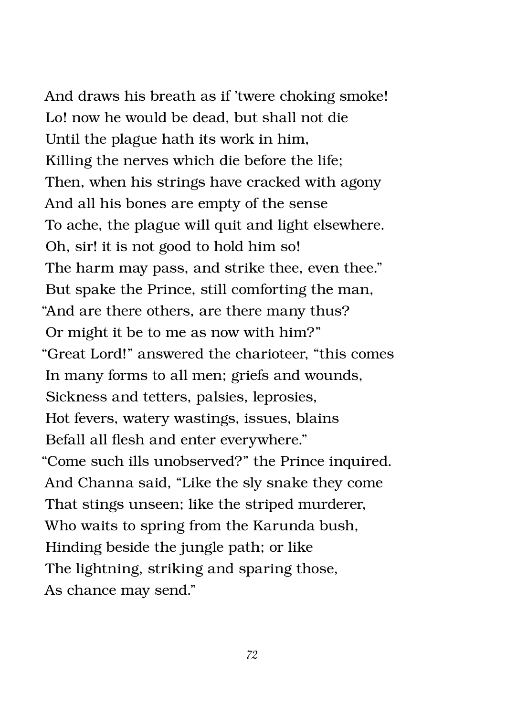And draws his breath as if 'twere choking smoke! Lo! now he would be dead, but shall not die Until the plague hath its work in him, Killing the nerves which die before the life; Then, when his strings have cracked with agony And all his bones are empty of the sense To ache, the plague will quit and light elsewhere. Oh, sir! it is not good to hold him so! The harm may pass, and strike thee, even thee." But spake the Prince, still comforting the man, "And are there others, are there many thus? Or might it be to me as now with him?" "Great Lord!" answered the charioteer, "this comes In many forms to all men; griefs and wounds, Sickness and tetters, palsies, leprosies, Hot fevers, watery wastings, issues, blains Befall all flesh and enter everywhere." "Come such ills unobserved?" the Prince inquired. And Channa said, "Like the sly snake they come That stings unseen; like the striped murderer, Who waits to spring from the Karunda bush, Hinding beside the jungle path; or like The lightning, striking and sparing those, As chance may send."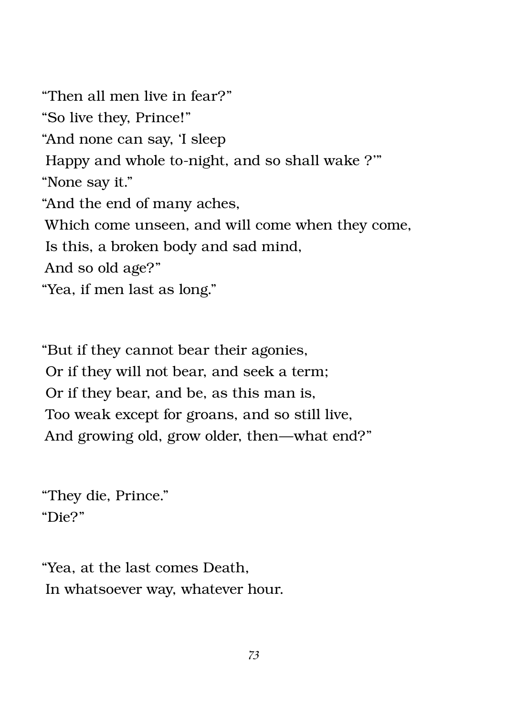"Then all men live in fear?" "So live they, Prince!" "And none can say, 'I sleep Happy and whole to-night, and so shall wake ?'" "None say it." "And the end of many aches, Which come unseen, and will come when they come, Is this, a broken body and sad mind, And so old age?" "Yea, if men last as long."

"But if they cannot bear their agonies, Or if they will not bear, and seek a term; Or if they bear, and be, as this man is, Too weak except for groans, and so still live, And growing old, grow older, then—what end?"

"They die, Prince." "Die?"

"Yea, at the last comes Death, In whatsoever way, whatever hour.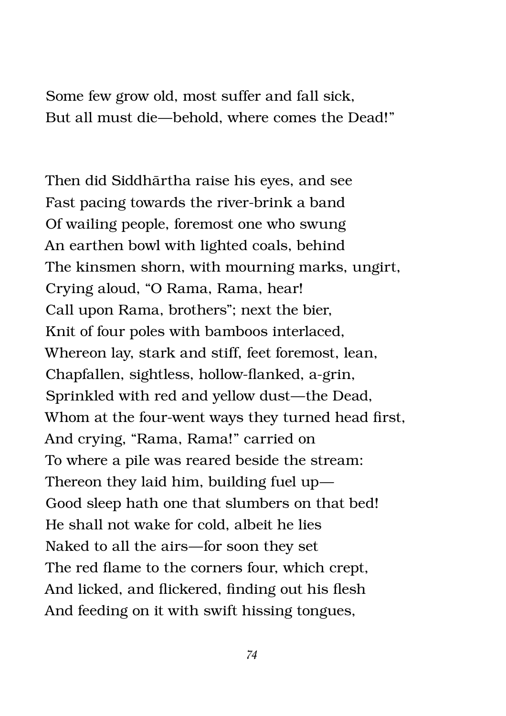Some few grow old, most suffer and fall sick, But all must die — behold, where comes the Dead!"

Then did Siddhàrtha raise his eyes, and see Fast pacing towards the river-brink a band Of wailing people, foremost one who swung An earthen bowl with lighted coals, behind The kinsmen shorn, with mourning marks, ungirt, Crying aloud, "O Rama, Rama, hear! Call upon Rama, brothers"; next the bier, Knit of four poles with bamboos interlaced, Whereon lay, stark and stiff, feet foremost, lean, Chapfallen, sightless, hollow-flanked, a-grin, Sprinkled with red and yellow dust—the Dead, Whom at the four-went ways they turned head first, And crying, "Rama, Rama!" carried on To where a pile was reared beside the stream: Thereon they laid him, building fuel  $up$ — Good sleep hath one that slumbers on that bed! He shall not wake for cold, albeit he lies Naked to all the airs — for soon they set The red flame to the corners four, which crept, And licked, and flickered, finding out his flesh And feeding on it with swift hissing tongues,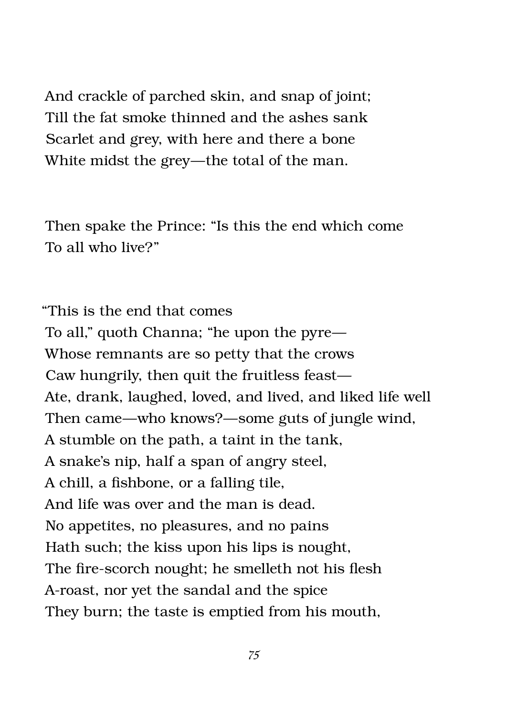And crackle of parched skin, and snap of joint; Till the fat smoke thinned and the ashes sank Scarlet and grey, with here and there a bone White midst the grey—the total of the man.

Then spake the Prince: "Is this the end which come To all who live?"

"This is the end that comes To all," quoth Channa; "he upon the pyre— Whose remnants are so petty that the crows Caw hungrily, then quit the fruitless feast— Ate, drank, laughed, loved, and lived, and liked life well Then came—who knows?—some guts of jungle wind, A stumble on the path, a taint in the tank, A snake's nip, half a span of angry steel, A chill, a fishbone, or a falling tile, And life was over and the man is dead. No appetites, no pleasures, and no pains Hath such; the kiss upon his lips is nought, The fire-scorch nought; he smelleth not his flesh A-roast, nor yet the sandal and the spice They burn; the taste is emptied from his mouth,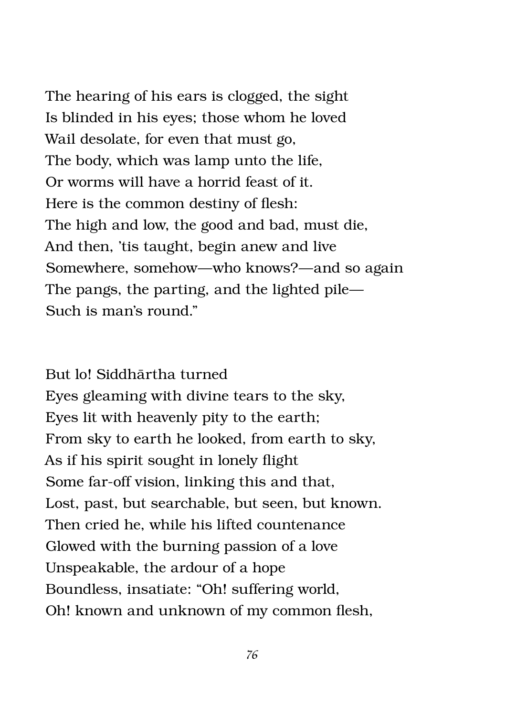The hearing of his ears is clogged, the sight Is blinded in his eyes; those whom he loved Wail desolate, for even that must go, The body, which was lamp unto the life, Or worms will have a horrid feast of it. Here is the common destiny of flesh: The high and low, the good and bad, must die, And then, 'tis taught, begin anew and live Somewhere, somehow — who knows? — and so again The pangs, the parting, and the lighted pile— Such is man's round."

But lo! Siddhàrtha turned Eyes gleaming with divine tears to the sky, Eyes lit with heavenly pity to the earth; From sky to earth he looked, from earth to sky, As if his spirit sought in lonely flight Some far-off vision, linking this and that, Lost, past, but searchable, but seen, but known. Then cried he, while his lifted countenance Glowed with the burning passion of a love Unspeakable, the ardour of a hope Boundless, insatiate: "Oh! suffering world, Oh! known and unknown of my common flesh,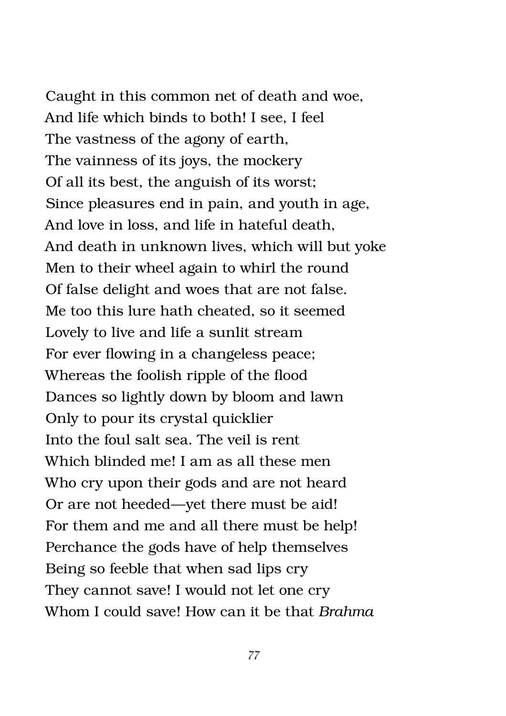Caught in this common net of death and woe, And life which binds to both! I see, I feel The vastness of the agony of earth, The vainness of its joys, the mockery Of all its best, the anguish of its worst; Since pleasures end in pain, and youth in age, And love in loss, and life in hateful death, And death in unknown lives, which will but yoke Men to their wheel again to whirl the round Of false delight and woes that are not false. Me too this lure hath cheated, so it seemed Lovely to live and life a sunlit stream For ever flowing in a changeless peace; Whereas the foolish ripple of the flood Dances so lightly down by bloom and lawn Only to pour its crystal quicklier Into the foul salt sea. The veil is rent Which blinded me! I am as all these men Who cry upon their gods and are not heard Or are not heeded — yet there must be aid! For them and me and all there must be help! Perchance the gods have of help themselves Being so feeble that when sad lips cry They cannot save! I would not let one cry Whom I could save! How can it be that *Brahma*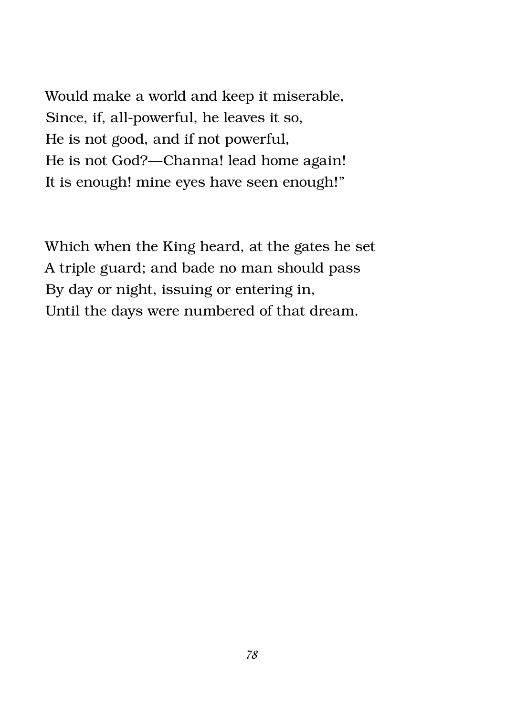Would make a world and keep it miserable, Since, if, all-powerful, he leaves it so, He is not good, and if not powerful, He is not God?—Channa! lead home again! It is enough! mine eyes have seen enough!"

Which when the King heard, at the gates he set A triple guard; and bade no man should pass By day or night, issuing or entering in, Until the days were numbered of that dream.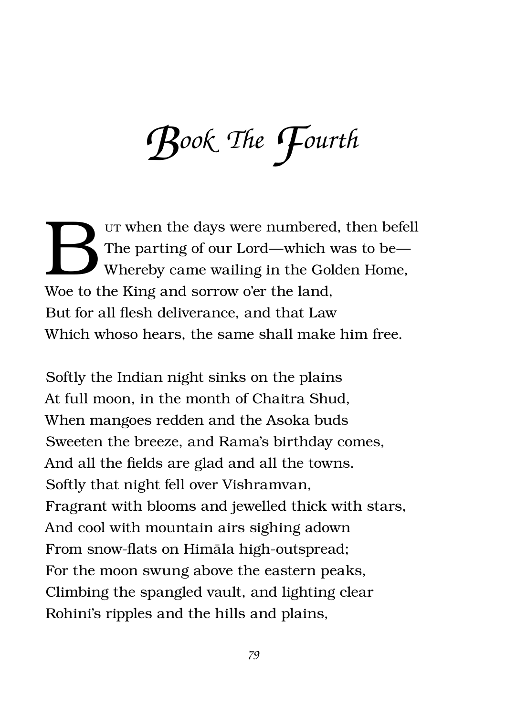# *Book The Fourth*

UT when the days were numbered, then befell<br>The parting of our Lord—which was to be—<br>Whereby came wailing in the Golden Home,<br>Woe to the King and sorrow o'er the land The parting of our Lord—which was to be— Whereby came wailing in the Golden Home, Woe to the King and sorrow o'er the land, But for all flesh deliverance, and that Law Which whoso hears, the same shall make him free.

Softly the Indian night sinks on the plains At full moon, in the month of Chaitra Shud, When mangoes redden and the Asoka buds Sweeten the breeze, and Rama's birthday comes, And all the fields are glad and all the towns. Softly that night fell over Vishramvan, Fragrant with blooms and jewelled thick with stars, And cool with mountain airs sighing adown From snow-flats on Himāla high-outspread; For the moon swung above the eastern peaks, Climbing the spangled vault, and lighting clear Rohini's ripples and the hills and plains,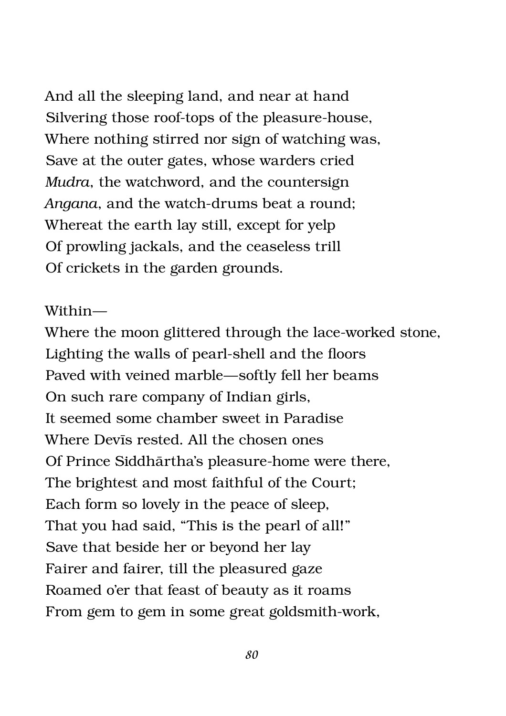And all the sleeping land, and near at hand Silvering those roof-tops of the pleasure-house, Where nothing stirred nor sign of watching was, Save at the outer gates, whose warders cried *Mudra*, the watchword, and the countersign *Angana*, and the watch-drums beat a round; Whereat the earth lay still, except for yelp Of prowling jackals, and the ceaseless trill Of crickets in the garden grounds.

#### Within-

Where the moon glittered through the lace-worked stone, Lighting the walls of pearl-shell and the floors Paved with veined marble — softly fell her beams On such rare company of Indian girls, It seemed some chamber sweet in Paradise Where Devãs rested. All the chosen ones Of Prince Siddhàrtha's pleasure-home were there, The brightest and most faithful of the Court; Each form so lovely in the peace of sleep, That you had said, "This is the pearl of all!" Save that beside her or beyond her lay Fairer and fairer, till the pleasured gaze Roamed o'er that feast of beauty as it roams From gem to gem in some great goldsmith-work,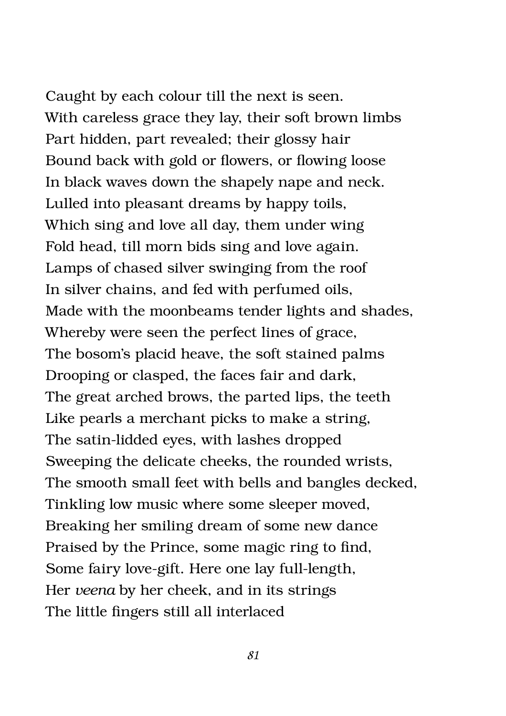Caught by each colour till the next is seen. With careless grace they lay, their soft brown limbs Part hidden, part revealed; their glossy hair Bound back with gold or flowers, or flowing loose In black waves down the shapely nape and neck. Lulled into pleasant dreams by happy toils, Which sing and love all day, them under wing Fold head, till morn bids sing and love again. Lamps of chased silver swinging from the roof In silver chains, and fed with perfumed oils, Made with the moonbeams tender lights and shades, Whereby were seen the perfect lines of grace, The bosom's placid heave, the soft stained palms Drooping or clasped, the faces fair and dark, The great arched brows, the parted lips, the teeth Like pearls a merchant picks to make a string, The satin-lidded eyes, with lashes dropped Sweeping the delicate cheeks, the rounded wrists, The smooth small feet with bells and bangles decked, Tinkling low music where some sleeper moved, Breaking her smiling dream of some new dance Praised by the Prince, some magic ring to find, Some fairy love-gift. Here one lay full-length, Her *veena* by her cheek, and in its strings The little fingers still all interlaced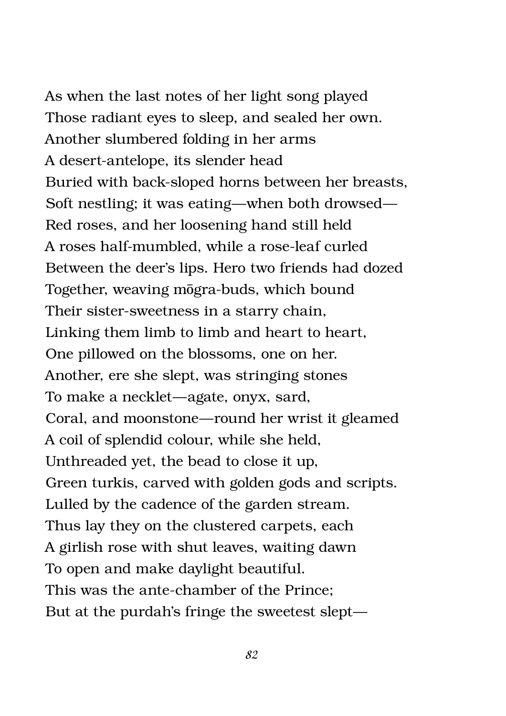As when the last notes of her light song played Those radiant eyes to sleep, and sealed her own. Another slumbered folding in her arms A desert-antelope, its slender head Buried with back-sloped horns between her breasts, Soft nestling; it was eating—when both drowsed— Red roses, and her loosening hand still held A roses half-mumbled, while a rose-leaf curled Between the deer's lips. Hero two friends had dozed Together, weaving m**'**gra-buds, which bound Their sister-sweetness in a starry chain, Linking them limb to limb and heart to heart, One pillowed on the blossoms, one on her. Another, ere she slept, was stringing stones To make a necklet—agate, onyx, sard, Coral, and moonstone — round her wrist it gleamed A coil of splendid colour, while she held, Unthreaded yet, the bead to close it up, Green turkis, carved with golden gods and scripts. Lulled by the cadence of the garden stream. Thus lay they on the clustered carpets, each A girlish rose with shut leaves, waiting dawn To open and make daylight beautiful. This was the ante-chamber of the Prince; But at the purdah's fringe the sweetest slept—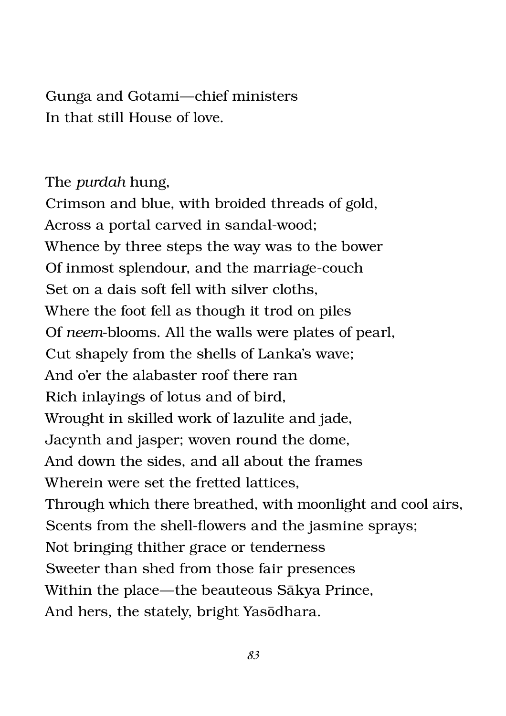### Gunga and Gotami—chief ministers In that still House of love.

The *purdah* hung, Crimson and blue, with broided threads of gold, Across a portal carved in sandal-wood; Whence by three steps the way was to the bower Of inmost splendour, and the marriage-couch Set on a dais soft fell with silver cloths, Where the foot fell as though it trod on piles Of *neem*-blooms. All the walls were plates of pearl, Cut shapely from the shells of Lanka's wave; And o'er the alabaster roof there ran Rich inlayings of lotus and of bird, Wrought in skilled work of lazulite and jade, Jacynth and jasper; woven round the dome, And down the sides, and all about the frames Wherein were set the fretted lattices, Through which there breathed, with moonlight and cool airs, Scents from the shell-flowers and the jasmine sprays; Not bringing thither grace or tenderness Sweeter than shed from those fair presences Within the place—the beauteous Sākya Prince, And hers, the stately, bright Yas**'**dhara.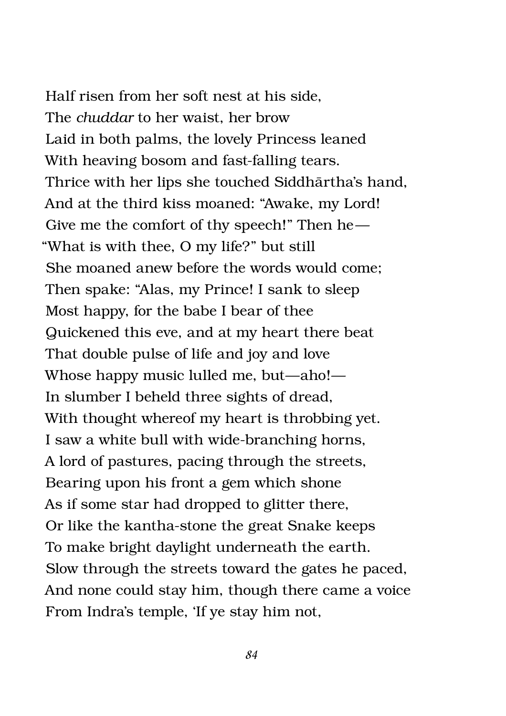Half risen from her soft nest at his side, The *chuddar* to her waist, her brow Laid in both palms, the lovely Princess leaned With heaving bosom and fast-falling tears. Thrice with her lips she touched Siddhàrtha's hand, And at the third kiss moaned: "Awake, my Lord! Give me the comfort of thy speech!" Then he — "What is with thee, O my life?" but still She moaned anew before the words would come; Then spake: "Alas, my Prince! I sank to sleep Most happy, for the babe I bear of thee Quickened this eve, and at my heart there beat That double pulse of life and joy and love Whose happy music lulled me, but—aho!— In slumber I beheld three sights of dread, With thought whereof my heart is throbbing yet. I saw a white bull with wide-branching horns, A lord of pastures, pacing through the streets, Bearing upon his front a gem which shone As if some star had dropped to glitter there, Or like the kantha-stone the great Snake keeps To make bright daylight underneath the earth. Slow through the streets toward the gates he paced, And none could stay him, though there came a voice From Indra's temple, 'If ye stay him not,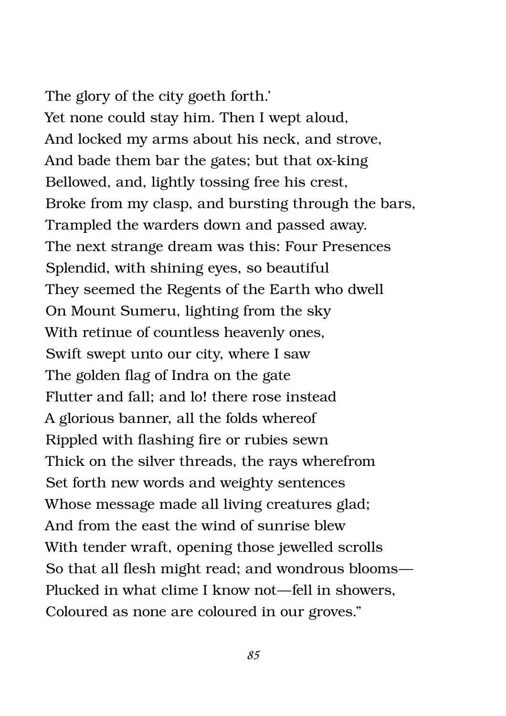The glory of the city goeth forth.' Yet none could stay him. Then I wept aloud, And locked my arms about his neck, and strove, And bade them bar the gates; but that ox-king Bellowed, and, lightly tossing free his crest, Broke from my clasp, and bursting through the bars, Trampled the warders down and passed away. The next strange dream was this: Four Presences Splendid, with shining eyes, so beautiful They seemed the Regents of the Earth who dwell On Mount Sumeru, lighting from the sky With retinue of countless heavenly ones, Swift swept unto our city, where I saw The golden flag of Indra on the gate Flutter and fall; and lo! there rose instead A glorious banner, all the folds whereof Rippled with flashing fire or rubies sewn Thick on the silver threads, the rays wherefrom Set forth new words and weighty sentences Whose message made all living creatures glad; And from the east the wind of sunrise blew With tender wraft, opening those jewelled scrolls So that all flesh might read; and wondrous blooms— Plucked in what clime I know not—fell in showers. Coloured as none are coloured in our groves."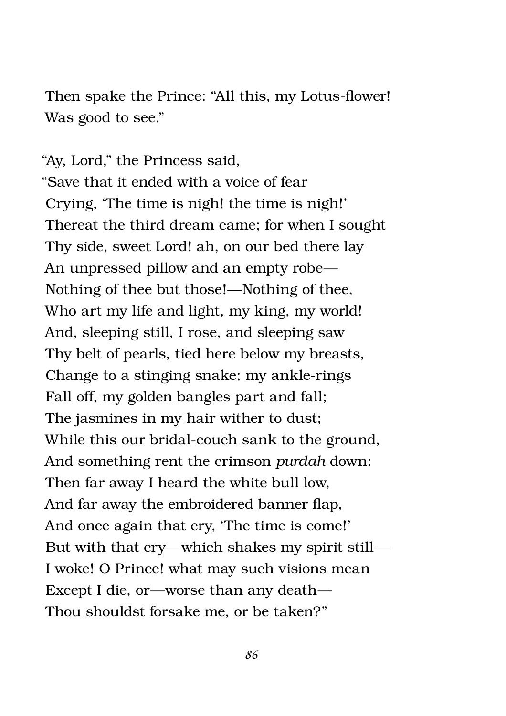Then spake the Prince: "All this, my Lotus-flower! Was good to see."

"Ay, Lord," the Princess said, "Save that it ended with a voice of fear Crying, 'The time is nigh! the time is nigh!' Thereat the third dream came; for when I sought Thy side, sweet Lord! ah, on our bed there lay An unpressed pillow and an empty robe— Nothing of thee but those!—Nothing of thee, Who art my life and light, my king, my world! And, sleeping still, I rose, and sleeping saw Thy belt of pearls, tied here below my breasts, Change to a stinging snake; my ankle-rings Fall off, my golden bangles part and fall; The jasmines in my hair wither to dust; While this our bridal-couch sank to the ground, And something rent the crimson *purdah* down: Then far away I heard the white bull low, And far away the embroidered banner flap, And once again that cry, 'The time is come!' But with that cry—which shakes my spirit still— I woke! O Prince! what may such visions mean Except I die, or — worse than any death — Thou shouldst forsake me, or be taken?"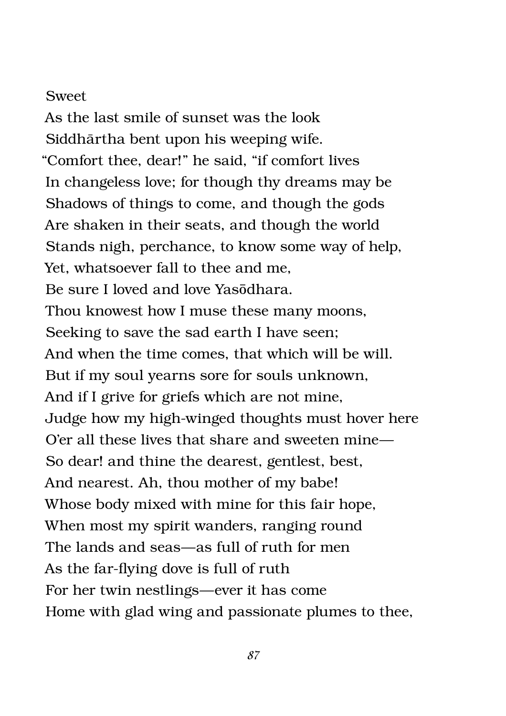#### Sweet

As the last smile of sunset was the look Siddhàrtha bent upon his weeping wife. "Comfort thee, dear!" he said, "if comfort lives In changeless love; for though thy dreams may be Shadows of things to come, and though the gods Are shaken in their seats, and though the world Stands nigh, perchance, to know some way of help, Yet, whatsoever fall to thee and me, Be sure I loved and love Yas**'**dhara. Thou knowest how I muse these many moons, Seeking to save the sad earth I have seen; And when the time comes, that which will be will. But if my soul yearns sore for souls unknown, And if I grive for griefs which are not mine, Judge how my high-winged thoughts must hover here O'er all these lives that share and sweeten mine— So dear! and thine the dearest, gentlest, best, And nearest. Ah, thou mother of my babe! Whose body mixed with mine for this fair hope, When most my spirit wanders, ranging round The lands and seas—as full of ruth for men As the far-flying dove is full of ruth For her twin nestlings — ever it has come Home with glad wing and passionate plumes to thee,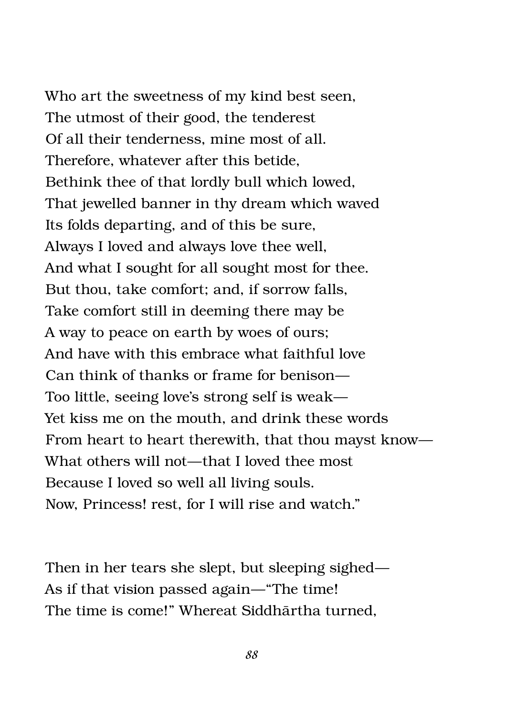Who art the sweetness of my kind best seen, The utmost of their good, the tenderest Of all their tenderness, mine most of all. Therefore, whatever after this betide, Bethink thee of that lordly bull which lowed, That jewelled banner in thy dream which waved Its folds departing, and of this be sure, Always I loved and always love thee well, And what I sought for all sought most for thee. But thou, take comfort; and, if sorrow falls, Take comfort still in deeming there may be A way to peace on earth by woes of ours; And have with this embrace what faithful love Can think of thanks or frame for benison — Too little, seeing love's strong self is weak — Yet kiss me on the mouth, and drink these words From heart to heart therewith, that thou mayst know-What others will not—that I loved thee most Because I loved so well all living souls. Now, Princess! rest, for I will rise and watch."

Then in her tears she slept, but sleeping sighed— As if that vision passed again—"The time! The time is come!" Whereat Siddhàrtha turned,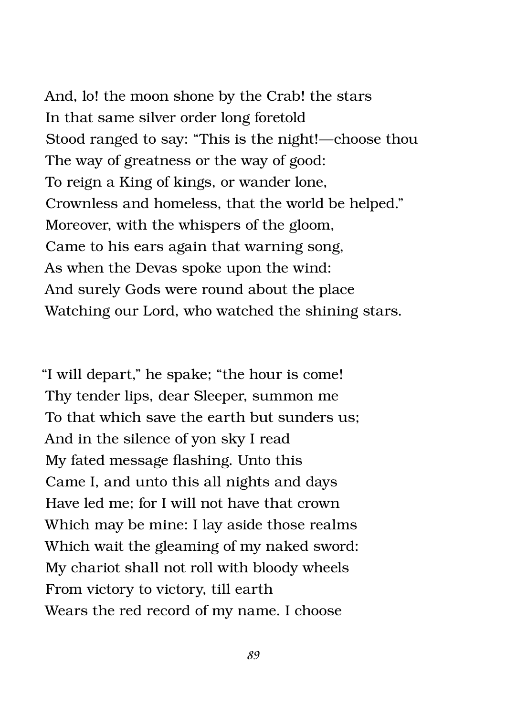And, lo! the moon shone by the Crab! the stars In that same silver order long foretold Stood ranged to say: "This is the night!--choose thou The way of greatness or the way of good: To reign a King of kings, or wander lone, Crownless and homeless, that the world be helped." Moreover, with the whispers of the gloom, Came to his ears again that warning song, As when the Devas spoke upon the wind: And surely Gods were round about the place Watching our Lord, who watched the shining stars.

"I will depart," he spake; "the hour is come! Thy tender lips, dear Sleeper, summon me To that which save the earth but sunders us; And in the silence of yon sky I read My fated message flashing. Unto this Came I, and unto this all nights and days Have led me; for I will not have that crown Which may be mine: I lay aside those realms Which wait the gleaming of my naked sword: My chariot shall not roll with bloody wheels From victory to victory, till earth Wears the red record of my name. I choose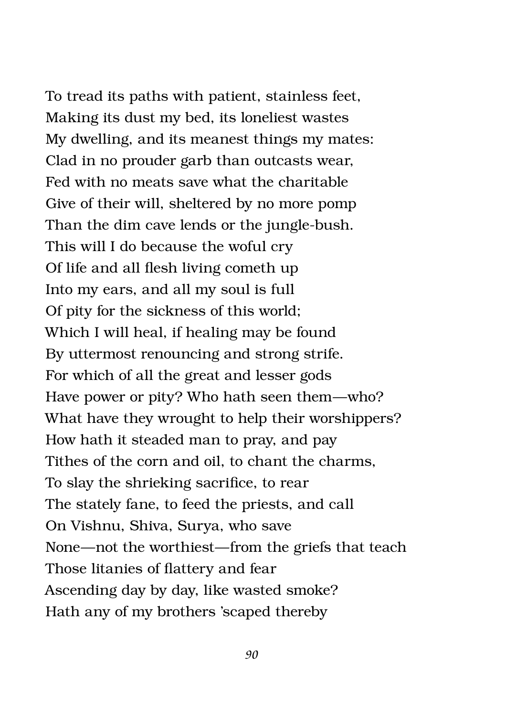To tread its paths with patient, stainless feet, Making its dust my bed, its loneliest wastes My dwelling, and its meanest things my mates: Clad in no prouder garb than outcasts wear, Fed with no meats save what the charitable Give of their will, sheltered by no more pomp Than the dim cave lends or the jungle-bush. This will I do because the woful cry Of life and all flesh living cometh up Into my ears, and all my soul is full Of pity for the sickness of this world; Which I will heal, if healing may be found By uttermost renouncing and strong strife. For which of all the great and lesser gods Have power or pity? Who hath seen them—who? What have they wrought to help their worshippers? How hath it steaded man to pray, and pay Tithes of the corn and oil, to chant the charms, To slay the shrieking sacrifice, to rear The stately fane, to feed the priests, and call On Vishnu, Shiva, Surya, who save None—not the worthiest—from the griefs that teach Those litanies of flattery and fear Ascending day by day, like wasted smoke? Hath any of my brothers 'scaped thereby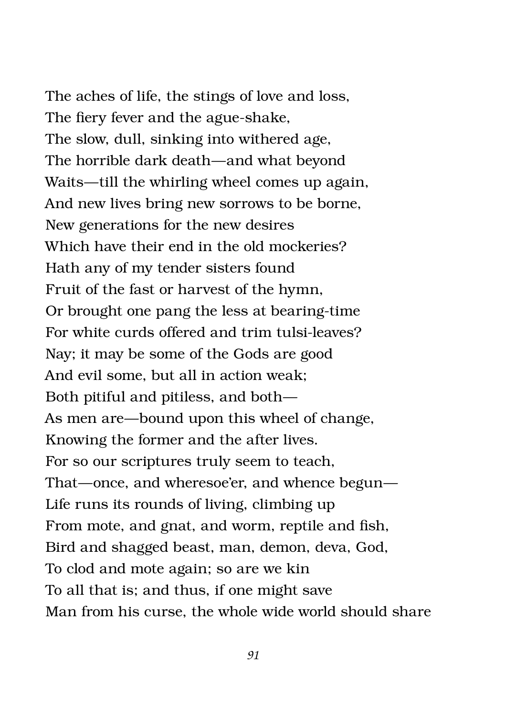The aches of life, the stings of love and loss, The fiery fever and the ague-shake, The slow, dull, sinking into withered age, The horrible dark death—and what beyond Waits—till the whirling wheel comes up again, And new lives bring new sorrows to be borne, New generations for the new desires Which have their end in the old mockeries? Hath any of my tender sisters found Fruit of the fast or harvest of the hymn, Or brought one pang the less at bearing-time For white curds offered and trim tulsi-leaves? Nay; it may be some of the Gods are good And evil some, but all in action weak; Both pitiful and pitiless, and both-As men are-bound upon this wheel of change, Knowing the former and the after lives. For so our scriptures truly seem to teach, That—once, and wheresoe'er, and whence begun— Life runs its rounds of living, climbing up From mote, and gnat, and worm, reptile and fish, Bird and shagged beast, man, demon, deva, God, To clod and mote again; so are we kin To all that is; and thus, if one might save Man from his curse, the whole wide world should share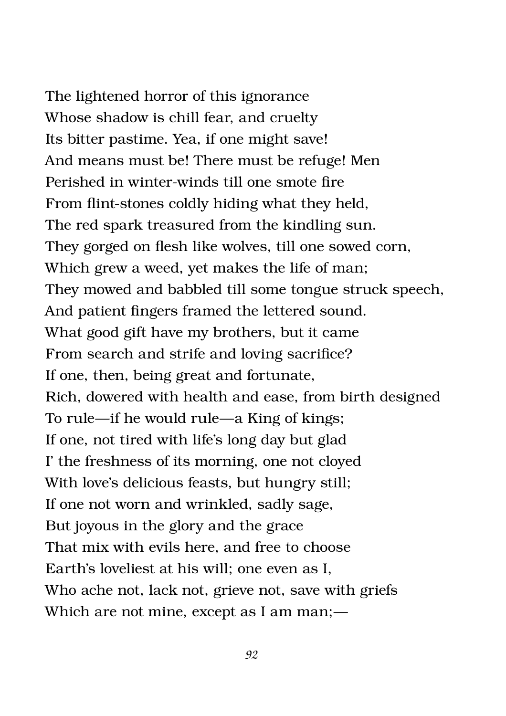The lightened horror of this ignorance Whose shadow is chill fear, and cruelty Its bitter pastime. Yea, if one might save! And means must be! There must be refuge! Men Perished in winter-winds till one smote fire From flint-stones coldly hiding what they held, The red spark treasured from the kindling sun. They gorged on flesh like wolves, till one sowed corn, Which grew a weed, yet makes the life of man; They mowed and babbled till some tongue struck speech, And patient fingers framed the lettered sound. What good gift have my brothers, but it came From search and strife and loving sacrifice? If one, then, being great and fortunate, Rich, dowered with health and ease, from birth designed To rule-if he would rule-a King of kings; If one, not tired with life's long day but glad I' the freshness of its morning, one not cloyed With love's delicious feasts, but hungry still; If one not worn and wrinkled, sadly sage, But joyous in the glory and the grace That mix with evils here, and free to choose Earth's loveliest at his will; one even as I, Who ache not, lack not, grieve not, save with griefs Which are not mine, except as I am man;—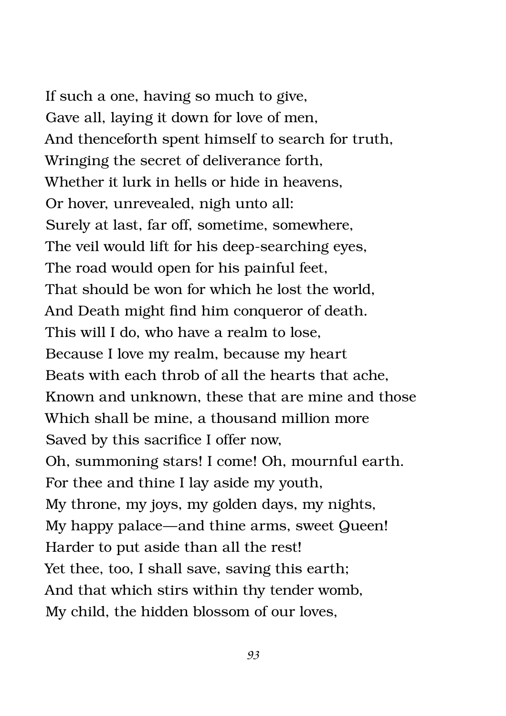If such a one, having so much to give, Gave all, laying it down for love of men, And thenceforth spent himself to search for truth, Wringing the secret of deliverance forth, Whether it lurk in hells or hide in heavens, Or hover, unrevealed, nigh unto all: Surely at last, far off, sometime, somewhere, The veil would lift for his deep-searching eyes, The road would open for his painful feet, That should be won for which he lost the world, And Death might find him conqueror of death. This will I do, who have a realm to lose, Because I love my realm, because my heart Beats with each throb of all the hearts that ache, Known and unknown, these that are mine and those Which shall be mine, a thousand million more Saved by this sacrifice I offer now, Oh, summoning stars! I come! Oh, mournful earth. For thee and thine I lay aside my youth, My throne, my joys, my golden days, my nights, My happy palace — and thine arms, sweet Queen! Harder to put aside than all the rest! Yet thee, too, I shall save, saving this earth; And that which stirs within thy tender womb, My child, the hidden blossom of our loves,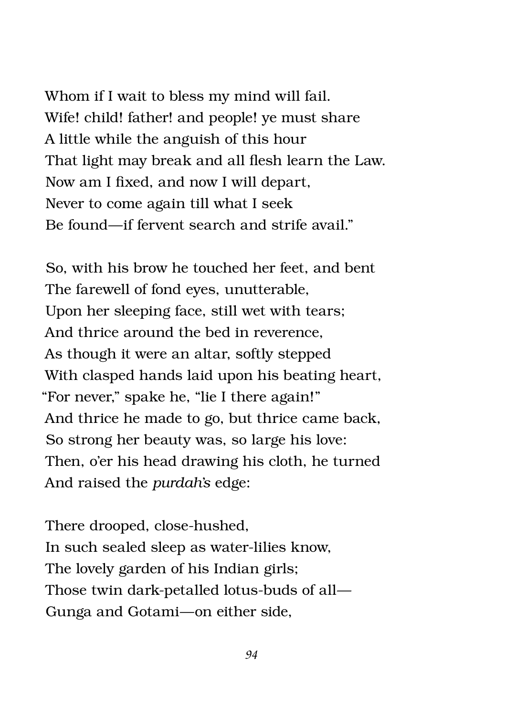Whom if I wait to bless my mind will fail. Wife! child! father! and people! ye must share A little while the anguish of this hour That light may break and all flesh learn the Law. Now am I fixed, and now I will depart, Never to come again till what I seek Be found—if fervent search and strife avail."

So, with his brow he touched her feet, and bent The farewell of fond eyes, unutterable, Upon her sleeping face, still wet with tears; And thrice around the bed in reverence, As though it were an altar, softly stepped With clasped hands laid upon his beating heart, "For never," spake he, "lie I there again!" And thrice he made to go, but thrice came back, So strong her beauty was, so large his love: Then, o'er his head drawing his cloth, he turned And raised the *purdah's* edge:

There drooped, close-hushed, In such sealed sleep as water-lilies know, The lovely garden of his Indian girls; Those twin dark-petalled lotus-buds of all— Gunga and Gotami—on either side,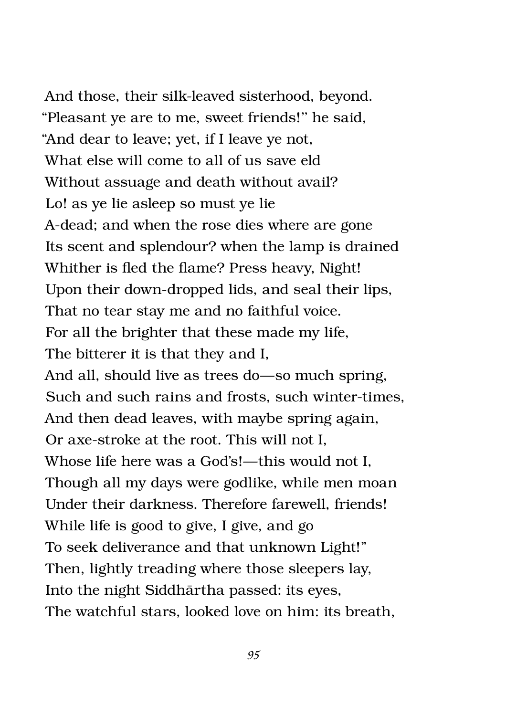And those, their silk-leaved sisterhood, beyond. "Pleasant ye are to me, sweet friends!'' he said, "And dear to leave; yet, if I leave ye not, What else will come to all of us save eld Without assuage and death without avail? Lo! as ye lie asleep so must ye lie A-dead; and when the rose dies where are gone Its scent and splendour? when the lamp is drained Whither is fled the flame? Press heavy, Night! Upon their down-dropped lids, and seal their lips, That no tear stay me and no faithful voice. For all the brighter that these made my life, The bitterer it is that they and I, And all, should live as trees do—so much spring, Such and such rains and frosts, such winter-times, And then dead leaves, with maybe spring again, Or axe-stroke at the root. This will not I, Whose life here was a God's!—this would not I. Though all my days were godlike, while men moan Under their darkness. Therefore farewell, friends! While life is good to give, I give, and go To seek deliverance and that unknown Light!" Then, lightly treading where those sleepers lay, Into the night Siddhàrtha passed: its eyes, The watchful stars, looked love on him: its breath,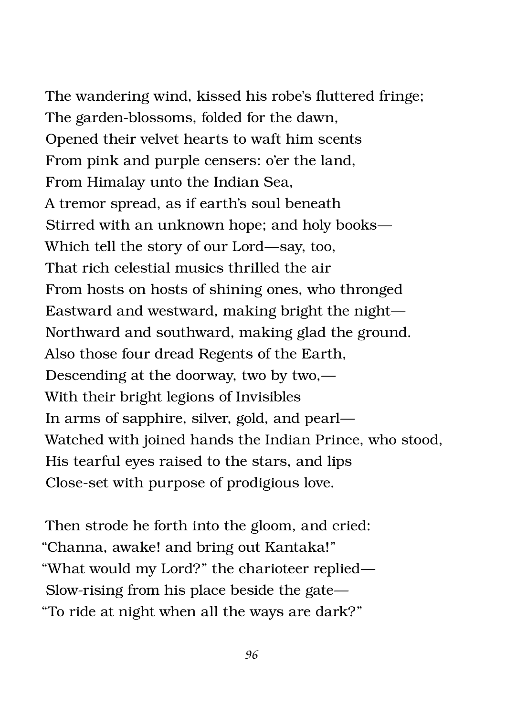The wandering wind, kissed his robe's fluttered fringe; The garden-blossoms, folded for the dawn, Opened their velvet hearts to waft him scents From pink and purple censers: o'er the land, From Himalay unto the Indian Sea, A tremor spread, as if earth's soul beneath Stirred with an unknown hope; and holy books— Which tell the story of our Lord—say, too, That rich celestial musics thrilled the air From hosts on hosts of shining ones, who thronged Eastward and westward, making bright the night— Northward and southward, making glad the ground. Also those four dread Regents of the Earth, Descending at the doorway, two by two,— With their bright legions of Invisibles In arms of sapphire, silver, gold, and pearl— Watched with joined hands the Indian Prince, who stood, His tearful eyes raised to the stars, and lips Close-set with purpose of prodigious love.

Then strode he forth into the gloom, and cried: "Channa, awake! and bring out Kantaka!" "What would my Lord?" the charioteer replied— Slow-rising from his place beside the gate— "To ride at night when all the ways are dark?"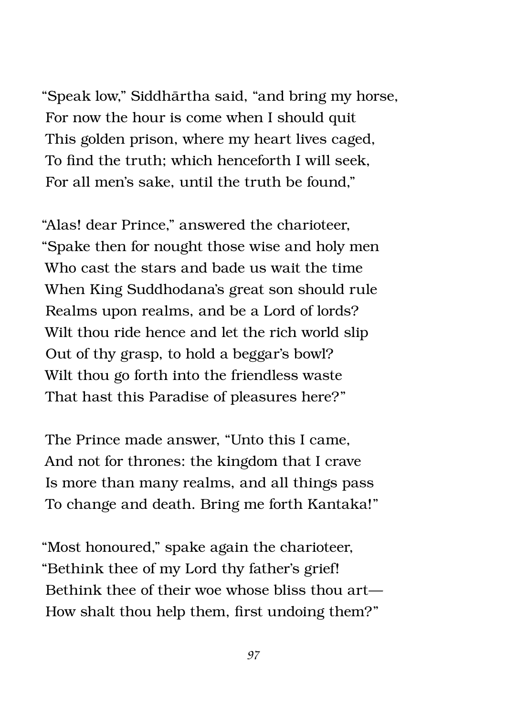"Speak low," Siddhàrtha said, "and bring my horse, For now the hour is come when I should quit This golden prison, where my heart lives caged, To find the truth; which henceforth I will seek, For all men's sake, until the truth be found,"

"Alas! dear Prince," answered the charioteer, "Spake then for nought those wise and holy men Who cast the stars and bade us wait the time When King Suddhodana's great son should rule Realms upon realms, and be a Lord of lords? Wilt thou ride hence and let the rich world slip Out of thy grasp, to hold a beggar's bowl? Wilt thou go forth into the friendless waste That hast this Paradise of pleasures here?"

The Prince made answer, "Unto this I came, And not for thrones: the kingdom that I crave Is more than many realms, and all things pass To change and death. Bring me forth Kantaka!"

"Most honoured," spake again the charioteer, "Bethink thee of my Lord thy father's grief! Bethink thee of their woe whose bliss thou art— How shalt thou help them, first undoing them?"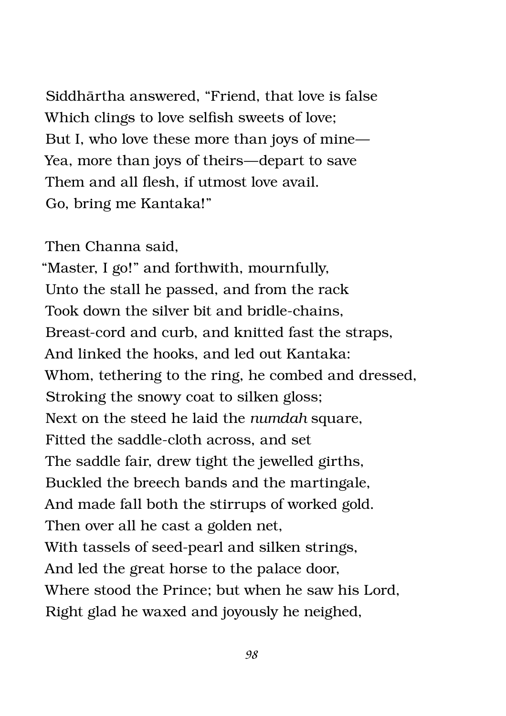Siddhàrtha answered, "Friend, that love is false Which clings to love selfish sweets of love; But I, who love these more than joys of mine— Yea, more than joys of theirs — depart to save Them and all flesh, if utmost love avail. Go, bring me Kantaka!"

Then Channa said,

"Master, I go!" and forthwith, mournfully, Unto the stall he passed, and from the rack Took down the silver bit and bridle-chains, Breast-cord and curb, and knitted fast the straps, And linked the hooks, and led out Kantaka: Whom, tethering to the ring, he combed and dressed, Stroking the snowy coat to silken gloss; Next on the steed he laid the *numdah* square, Fitted the saddle-cloth across, and set The saddle fair, drew tight the jewelled girths, Buckled the breech bands and the martingale, And made fall both the stirrups of worked gold. Then over all he cast a golden net, With tassels of seed-pearl and silken strings, And led the great horse to the palace door, Where stood the Prince; but when he saw his Lord, Right glad he waxed and joyously he neighed,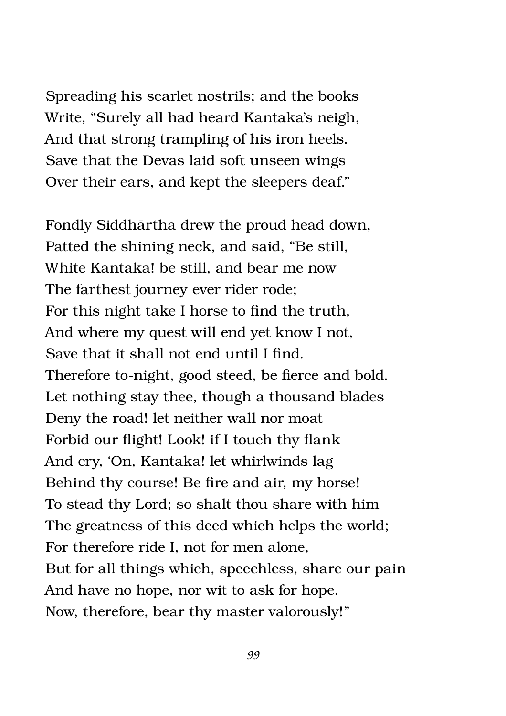Spreading his scarlet nostrils; and the books Write, "Surely all had heard Kantaka's neigh, And that strong trampling of his iron heels. Save that the Devas laid soft unseen wings Over their ears, and kept the sleepers deaf."

Fondly Siddhàrtha drew the proud head down, Patted the shining neck, and said, "Be still, White Kantaka! be still, and bear me now The farthest journey ever rider rode; For this night take I horse to find the truth, And where my quest will end yet know I not, Save that it shall not end until I find. Therefore to-night, good steed, be fierce and bold. Let nothing stay thee, though a thousand blades Deny the road! let neither wall nor moat Forbid our flight! Look! if I touch thy flank And cry, 'On, Kantaka! let whirlwinds lag Behind thy course! Be fire and air, my horse! To stead thy Lord; so shalt thou share with him The greatness of this deed which helps the world; For therefore ride I, not for men alone, But for all things which, speechless, share our pain And have no hope, nor wit to ask for hope. Now, therefore, bear thy master valorously!"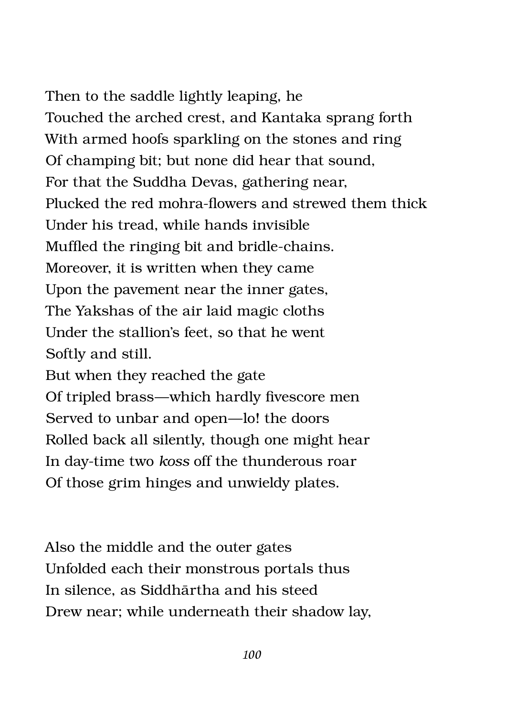Then to the saddle lightly leaping, he Touched the arched crest, and Kantaka sprang forth With armed hoofs sparkling on the stones and ring Of champing bit; but none did hear that sound, For that the Suddha Devas, gathering near, Plucked the red mohra-flowers and strewed them thick Under his tread, while hands invisible Muffled the ringing bit and bridle-chains. Moreover, it is written when they came Upon the pavement near the inner gates, The Yakshas of the air laid magic cloths Under the stallion's feet, so that he went Softly and still. But when they reached the gate Of tripled brass—which hardly fivescore men Served to unbar and open—lo! the doors Rolled back all silently, though one might hear In day-time two *koss* off the thunderous roar

Of those grim hinges and unwieldy plates.

Also the middle and the outer gates Unfolded each their monstrous portals thus In silence, as Siddhàrtha and his steed Drew near; while underneath their shadow lay,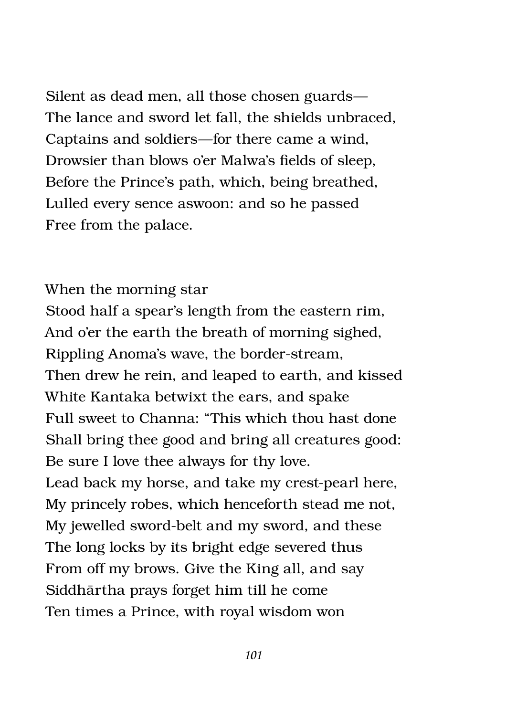Silent as dead men, all those chosen guards— The lance and sword let fall, the shields unbraced, Captains and soldiers — for there came a wind, Drowsier than blows o'er Malwa's fields of sleep, Before the Prince's path, which, being breathed, Lulled every sence aswoon: and so he passed Free from the palace.

When the morning star Stood half a spear's length from the eastern rim, And o'er the earth the breath of morning sighed, Rippling Anoma's wave, the border-stream, Then drew he rein, and leaped to earth, and kissed White Kantaka betwixt the ears, and spake Full sweet to Channa: "This which thou hast done Shall bring thee good and bring all creatures good: Be sure I love thee always for thy love. Lead back my horse, and take my crest-pearl here, My princely robes, which henceforth stead me not, My jewelled sword-belt and my sword, and these The long locks by its bright edge severed thus From off my brows. Give the King all, and say Siddhàrtha prays forget him till he come Ten times a Prince, with royal wisdom won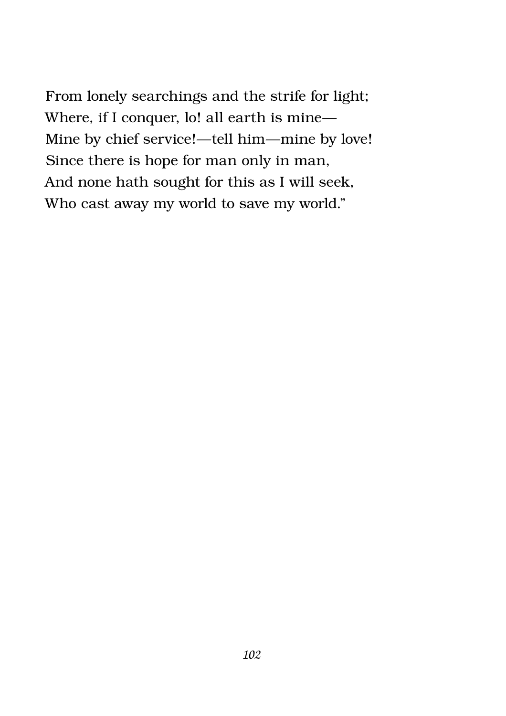From lonely searchings and the strife for light; Where, if I conquer, lo! all earth is mine— Mine by chief service!-tell him-mine by love! Since there is hope for man only in man, And none hath sought for this as I will seek, Who cast away my world to save my world."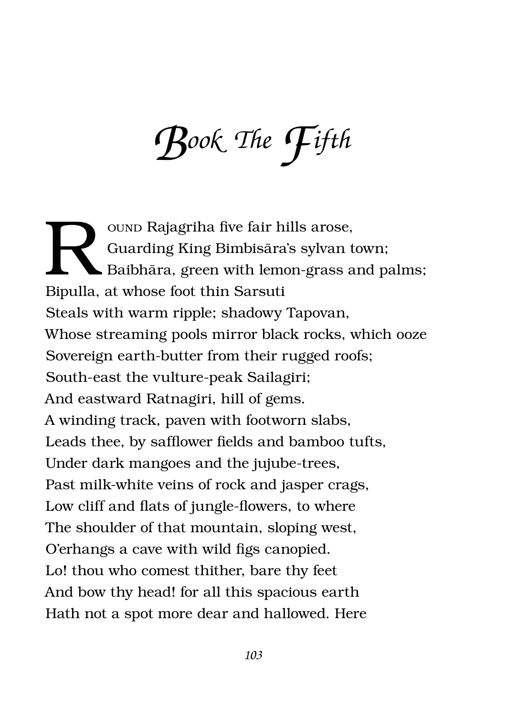## *Book The Fifth*

OUND Rajagriha five fair hills arose,<br>Guarding King Bimbisāra's sylvan t<br>Baibhāra, green with lemon-grass a<br>Ripulla at whose foot thin Sarsuti Guarding King Bimbisàra's sylvan town; Baibhàra, green with lemon-grass and palms; Bipulla, at whose foot thin Sarsuti Steals with warm ripple; shadowy Tapovan, Whose streaming pools mirror black rocks, which ooze Sovereign earth-butter from their rugged roofs; South-east the vulture-peak Sailagiri; And eastward Ratnagiri, hill of gems. A winding track, paven with footworn slabs, Leads thee, by safflower fields and bamboo tufts, Under dark mangoes and the jujube-trees, Past milk-white veins of rock and jasper crags, Low cliff and flats of jungle-flowers, to where The shoulder of that mountain, sloping west, O'erhangs a cave with wild figs canopied. Lo! thou who comest thither, bare thy feet And bow thy head! for all this spacious earth Hath not a spot more dear and hallowed. Here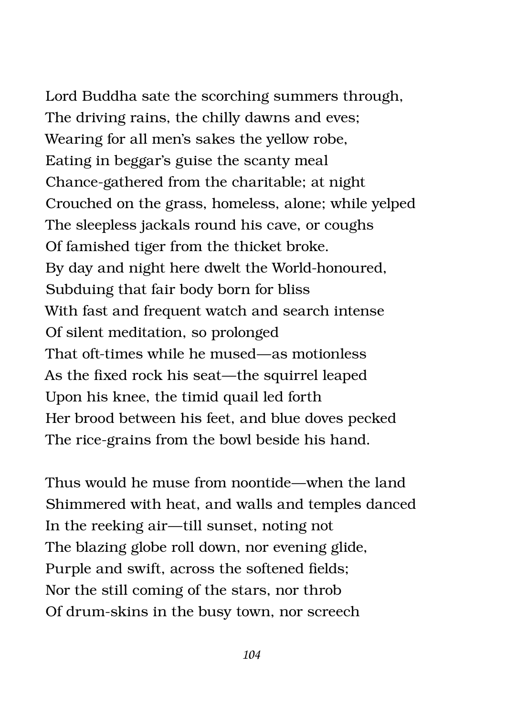Lord Buddha sate the scorching summers through, The driving rains, the chilly dawns and eves; Wearing for all men's sakes the yellow robe, Eating in beggar's guise the scanty meal Chance-gathered from the charitable; at night Crouched on the grass, homeless, alone; while yelped The sleepless jackals round his cave, or coughs Of famished tiger from the thicket broke. By day and night here dwelt the World-honoured, Subduing that fair body born for bliss With fast and frequent watch and search intense Of silent meditation, so prolonged That of t-times while he mused—as motionless As the fixed rock his seat—the squirrel leaped Upon his knee, the timid quail led forth Her brood between his feet, and blue doves pecked The rice-grains from the bowl beside his hand.

Thus would he muse from noontide—when the land Shimmered with heat, and walls and temples danced In the reeking air—till sunset, noting not The blazing globe roll down, nor evening glide, Purple and swift, across the softened fields; Nor the still coming of the stars, nor throb Of drum-skins in the busy town, nor screech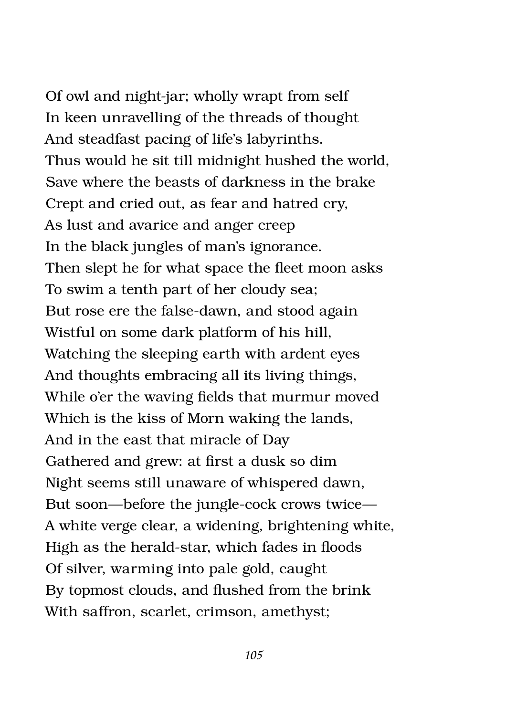Of owl and night-jar; wholly wrapt from self In keen unravelling of the threads of thought And steadfast pacing of life's labyrinths. Thus would he sit till midnight hushed the world, Save where the beasts of darkness in the brake Crept and cried out, as fear and hatred cry, As lust and avarice and anger creep In the black jungles of man's ignorance. Then slept he for what space the fleet moon asks To swim a tenth part of her cloudy sea; But rose ere the false-dawn, and stood again Wistful on some dark platform of his hill, Watching the sleeping earth with ardent eyes And thoughts embracing all its living things, While o'er the waving fields that murmur moved Which is the kiss of Morn waking the lands, And in the east that miracle of Day Gathered and grew: at first a dusk so dim Night seems still unaware of whispered dawn, But soon — before the jungle-cock crows twice — A white verge clear, a widening, brightening white, High as the herald-star, which fades in floods Of silver, warming into pale gold, caught By topmost clouds, and flushed from the brink With saffron, scarlet, crimson, amethyst;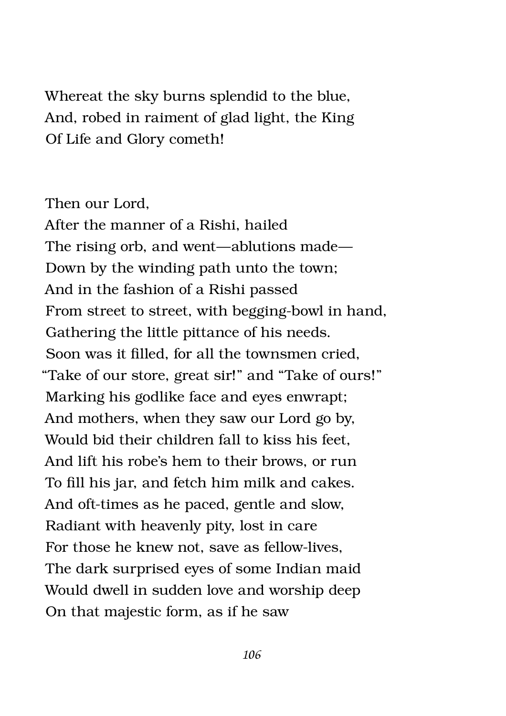Whereat the sky burns splendid to the blue, And, robed in raiment of glad light, the King Of Life and Glory cometh!

#### Then our Lord,

After the manner of a Rishi, hailed The rising orb, and went—ablutions made— Down by the winding path unto the town; And in the fashion of a Rishi passed From street to street, with begging-bowl in hand, Gathering the little pittance of his needs. Soon was it filled, for all the townsmen cried, "Take of our store, great sir!" and "Take of ours!" Marking his godlike face and eyes enwrapt; And mothers, when they saw our Lord go by, Would bid their children fall to kiss his feet, And lift his robe's hem to their brows, or run To fill his jar, and fetch him milk and cakes. And oft-times as he paced, gentle and slow, Radiant with heavenly pity, lost in care For those he knew not, save as fellow-lives, The dark surprised eyes of some Indian maid Would dwell in sudden love and worship deep On that majestic form, as if he saw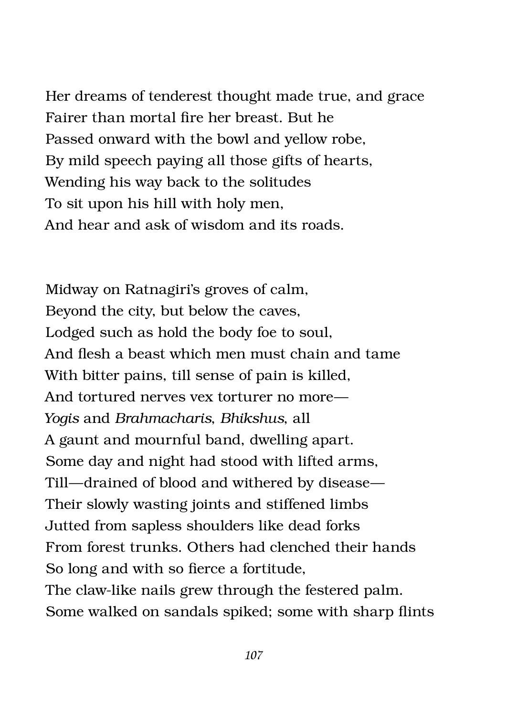Her dreams of tenderest thought made true, and grace Fairer than mortal fire her breast. But he Passed onward with the bowl and yellow robe, By mild speech paying all those gifts of hearts, Wending his way back to the solitudes To sit upon his hill with holy men, And hear and ask of wisdom and its roads.

Midway on Ratnagiri's groves of calm, Beyond the city, but below the caves, Lodged such as hold the body foe to soul, And flesh a beast which men must chain and tame With bitter pains, till sense of pain is killed, And tortured nerves vex torturer no more— *Yogis* and *Brahmacharis*, *Bhikshus*, all A gaunt and mournful band, dwelling apart. Some day and night had stood with lifted arms, Till—drained of blood and withered by disease— Their slowly wasting joints and stiffened limbs Jutted from sapless shoulders like dead forks From forest trunks. Others had clenched their hands So long and with so fierce a fortitude, The claw-like nails grew through the festered palm. Some walked on sandals spiked; some with sharp flints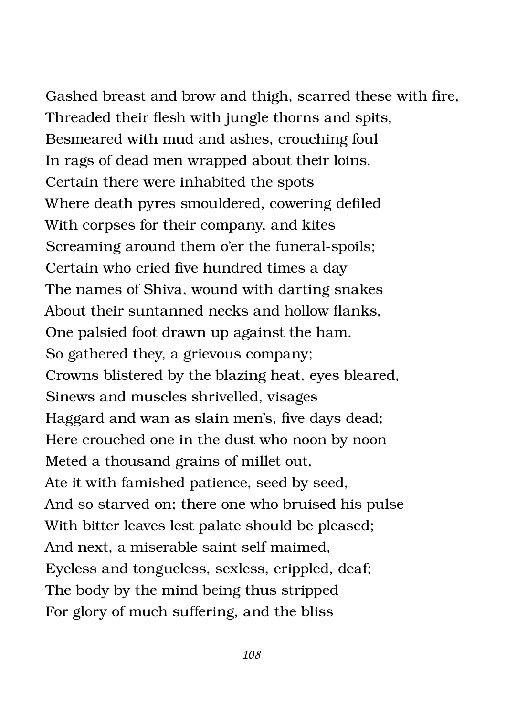Gashed breast and brow and thigh, scarred these with fire, Threaded their flesh with jungle thorns and spits, Besmeared with mud and ashes, crouching foul In rags of dead men wrapped about their loins. Certain there were inhabited the spots Where death pyres smouldered, cowering defiled With corpses for their company, and kites Screaming around them o'er the funeral-spoils; Certain who cried five hundred times a day The names of Shiva, wound with darting snakes About their suntanned necks and hollow flanks. One palsied foot drawn up against the ham. So gathered they, a grievous company; Crowns blistered by the blazing heat, eyes bleared, Sinews and muscles shrivelled, visages Haggard and wan as slain men's, five days dead; Here crouched one in the dust who noon by noon Meted a thousand grains of millet out, Ate it with famished patience, seed by seed, And so starved on; there one who bruised his pulse With bitter leaves lest palate should be pleased; And next, a miserable saint self-maimed, Eyeless and tongueless, sexless, crippled, deaf; The body by the mind being thus stripped For glory of much suffering, and the bliss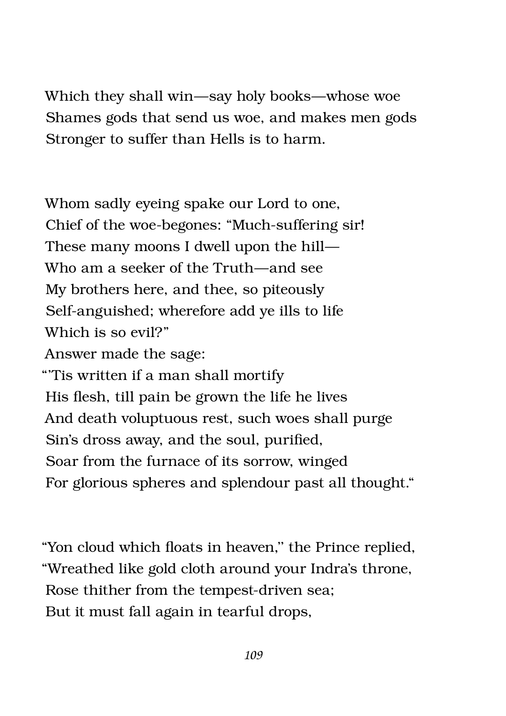Which they shall win—say holy books—whose woe Shames gods that send us woe, and makes men gods Stronger to suffer than Hells is to harm.

Whom sadly eyeing spake our Lord to one, Chief of the woe-begones: "Much-suffering sir! These many moons I dwell upon the hill— Who am a seeker of the Truth—and see My brothers here, and thee, so piteously Self-anguished; wherefore add ye ills to life Which is so evil?" Answer made the sage: " 'Tis written if a man shall mortify His flesh, till pain be grown the life he lives And death voluptuous rest, such woes shall purge Sin's dross away, and the soul, purified, Soar from the furnace of its sorrow, winged For glorious spheres and splendour past all thought."

"Yon cloud which floats in heaven," the Prince replied, "Wreathed like gold cloth around your Indra's throne, Rose thither from the tempest-driven sea; But it must fall again in tearful drops,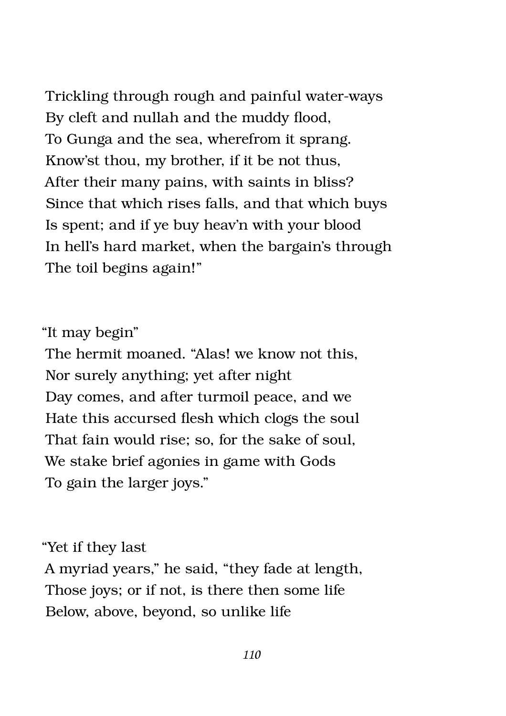Trickling through rough and painful water-ways By cleft and nullah and the muddy flood, To Gunga and the sea, wherefrom it sprang. Know'st thou, my brother, if it be not thus, After their many pains, with saints in bliss? Since that which rises falls, and that which buys Is spent; and if ye buy heav'n with your blood In hell's hard market, when the bargain's through The toil begins again!"

"It may begin"

The hermit moaned. "Alas! we know not this, Nor surely anything; yet after night Day comes, and after turmoil peace, and we Hate this accursed flesh which clogs the soul That fain would rise; so, for the sake of soul, We stake brief agonies in game with Gods To gain the larger joys."

"Yet if they last A myriad years," he said, "they fade at length, Those joys; or if not, is there then some life Below, above, beyond, so unlike life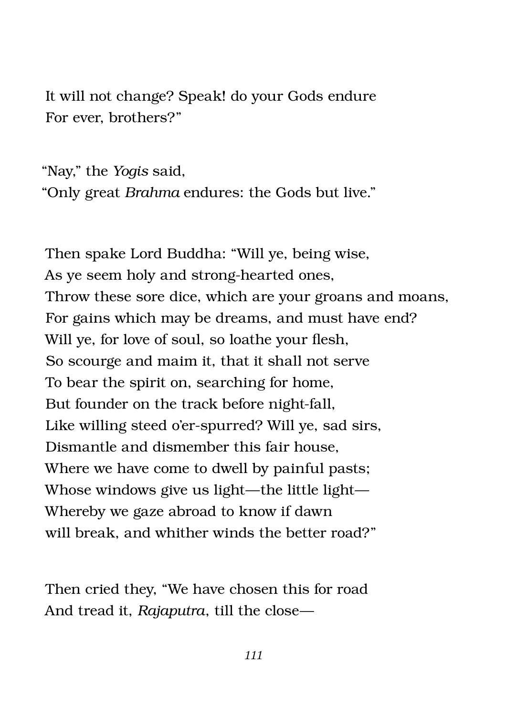It will not change? Speak! do your Gods endure For ever, brothers?"

"Nay," the *Yogis* said, "Only great *Brahma* endures: the Gods but live."

Then spake Lord Buddha: "Will ye, being wise, As ye seem holy and strong-hearted ones, Throw these sore dice, which are your groans and moans, For gains which may be dreams, and must have end? Will ye, for love of soul, so loathe your flesh, So scourge and maim it, that it shall not serve To bear the spirit on, searching for home, But founder on the track before night-fall, Like willing steed o'er-spurred? Will ye, sad sirs, Dismantle and dismember this fair house, Where we have come to dwell by painful pasts; Whose windows give us light—the little light— Whereby we gaze abroad to know if dawn will break, and whither winds the better road?"

Then cried they, "We have chosen this for road And tread it, *Rajaputra*, till the close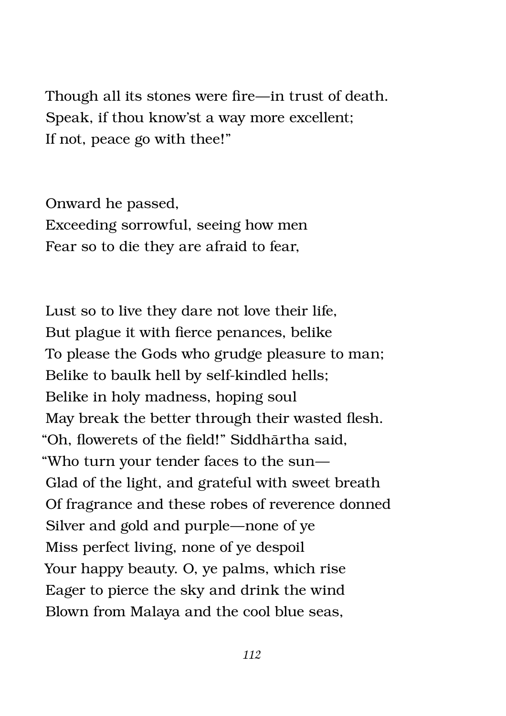Though all its stones were fire—in trust of death. Speak, if thou know'st a way more excellent; If not, peace go with thee!"

Onward he passed, Exceeding sorrowful, seeing how men Fear so to die they are afraid to fear,

Lust so to live they dare not love their life, But plague it with fierce penances, belike To please the Gods who grudge pleasure to man; Belike to baulk hell by self-kindled hells; Belike in holy madness, hoping soul May break the better through their wasted flesh. "Oh, flowerets of the field!" Siddhārtha said, "Who turn your tender faces to the sun— Glad of the light, and grateful with sweet breath Of fragrance and these robes of reverence donned Silver and gold and purple—none of ye Miss perfect living, none of ye despoil Your happy beauty. O, ye palms, which rise Eager to pierce the sky and drink the wind Blown from Malaya and the cool blue seas,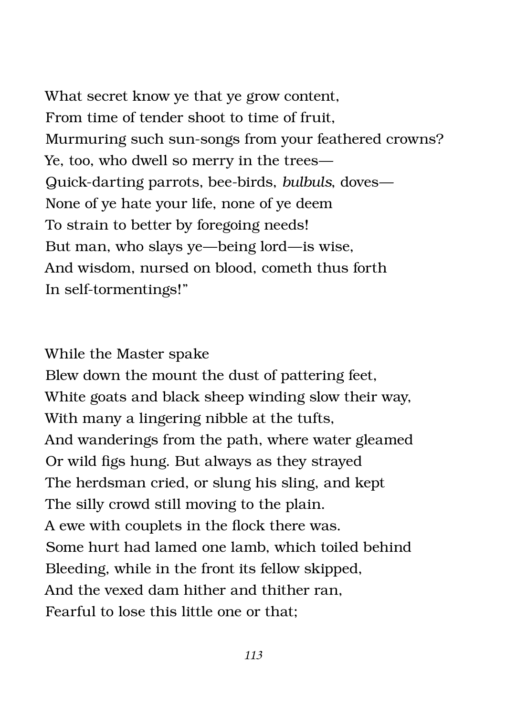What secret know ye that ye grow content, From time of tender shoot to time of fruit, Murmuring such sun-songs from your feathered crowns? Ye, too, who dwell so merry in the trees-Quick-darting parrots, bee-birds, *bulbuls*, doves — None of ye hate your life, none of ye deem To strain to better by foregoing needs! But man, who slays ye — being lord — is wise, And wisdom, nursed on blood, cometh thus forth In self-tormentings!"

While the Master spake

Blew down the mount the dust of pattering feet, White goats and black sheep winding slow their way, With many a lingering nibble at the tufts, And wanderings from the path, where water gleamed Or wild figs hung. But always as they strayed The herdsman cried, or slung his sling, and kept The silly crowd still moving to the plain. A ewe with couplets in the flock there was. Some hurt had lamed one lamb, which toiled behind Bleeding, while in the front its fellow skipped, And the vexed dam hither and thither ran, Fearful to lose this little one or that;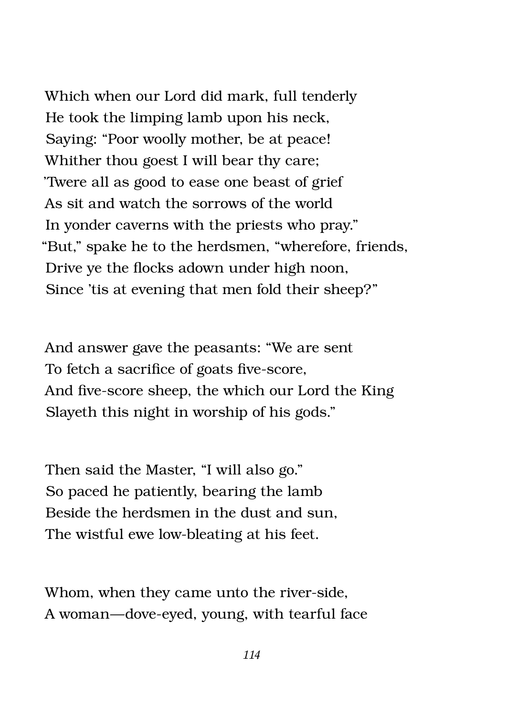Which when our Lord did mark, full tenderly He took the limping lamb upon his neck, Saying: "Poor woolly mother, be at peace! Whither thou goest I will bear thy care; 'Twere all as good to ease one beast of grief As sit and watch the sorrows of the world In yonder caverns with the priests who pray." "But," spake he to the herdsmen, "wherefore, friends, Drive ye the flocks adown under high noon, Since 'tis at evening that men fold their sheep?"

And answer gave the peasants: "We are sent To fetch a sacrifice of goats five-score, And five-score sheep, the which our Lord the King Slayeth this night in worship of his gods."

Then said the Master, "I will also go." So paced he patiently, bearing the lamb Beside the herdsmen in the dust and sun, The wistful ewe low-bleating at his feet.

Whom, when they came unto the river-side, A woman — dove-eyed, young, with tearful face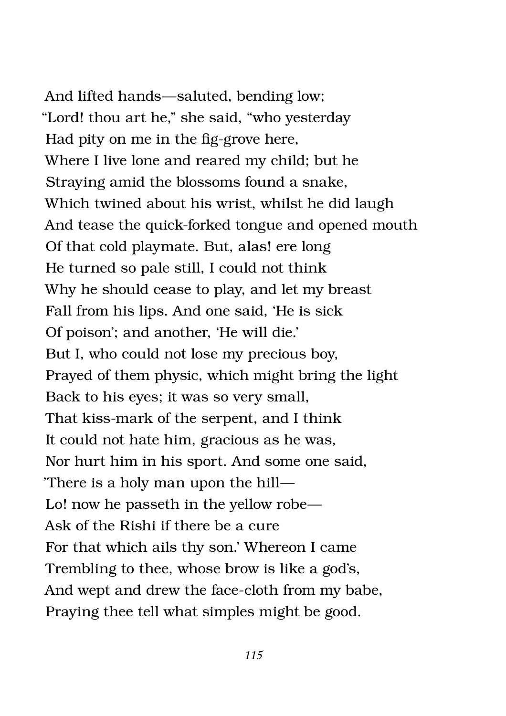And lifted hands—saluted, bending low; "Lord! thou art he," she said, "who yesterday Had pity on me in the fig-grove here, Where I live lone and reared my child; but he Straying amid the blossoms found a snake, Which twined about his wrist, whilst he did laugh And tease the quick-forked tongue and opened mouth Of that cold playmate. But, alas! ere long He turned so pale still, I could not think Why he should cease to play, and let my breast Fall from his lips. And one said, 'He is sick Of poison'; and another, 'He will die.' But I, who could not lose my precious boy, Prayed of them physic, which might bring the light Back to his eyes; it was so very small, That kiss-mark of the serpent, and I think It could not hate him, gracious as he was, Nor hurt him in his sport. And some one said, There is a holy man upon the hill— Lo! now he passeth in the yellow robe— Ask of the Rishi if there be a cure For that which ails thy son.' Whereon I came Trembling to thee, whose brow is like a god's, And wept and drew the face-cloth from my babe, Praying thee tell what simples might be good.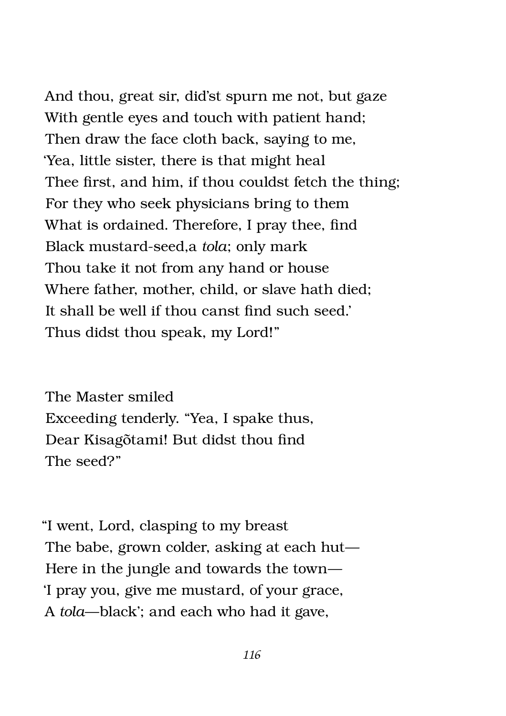And thou, great sir, did'st spurn me not, but gaze With gentle eyes and touch with patient hand; Then draw the face cloth back, saying to me, 'Yea, little sister, there is that might heal Thee first, and him, if thou couldst fetch the thing; For they who seek physicians bring to them What is ordained. Therefore, I pray thee, find Black mustard-seed,a *tola*; only mark Thou take it not from any hand or house Where father, mother, child, or slave hath died; It shall be well if thou canst find such seed.' Thus didst thou speak, my Lord!"

The Master smiled Exceeding tenderly. "Yea, I spake thus, Dear Kisagõtami! But didst thou find The seed?"

"I went, Lord, clasping to my breast The babe, grown colder, asking at each hut— Here in the jungle and towards the town— 'I pray you, give me mustard, of your grace, A *tola*—black'; and each who had it gave,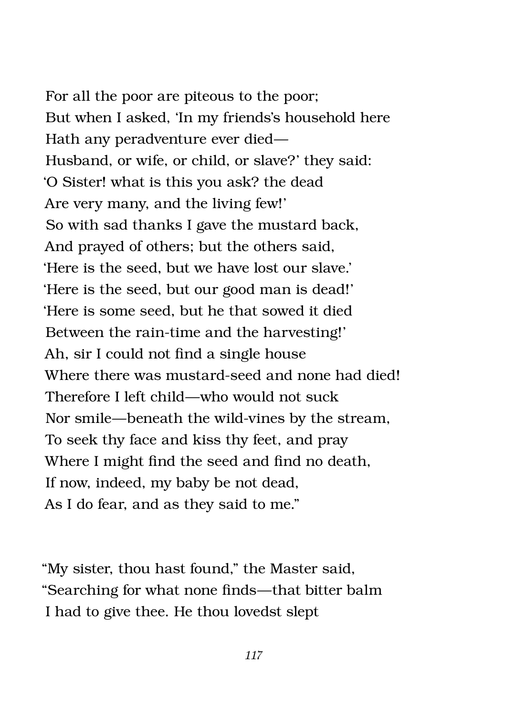For all the poor are piteous to the poor; But when I asked, 'In my friends's household here Hath any peradventure ever died-Husband, or wife, or child, or slave?' they said: 'O Sister! what is this you ask? the dead Are very many, and the living few!' So with sad thanks I gave the mustard back, And prayed of others; but the others said, 'Here is the seed, but we have lost our slave.' 'Here is the seed, but our good man is dead!' 'Here is some seed, but he that sowed it died Between the rain-time and the harvesting!' Ah, sir I could not find a single house Where there was mustard-seed and none had died! Therefore I left child—who would not suck Nor smile — beneath the wild-vines by the stream, To seek thy face and kiss thy feet, and pray Where I might find the seed and find no death, If now, indeed, my baby be not dead, As I do fear, and as they said to me."

"My sister, thou hast found," the Master said, "Searching for what none finds—that bitter balm I had to give thee. He thou lovedst slept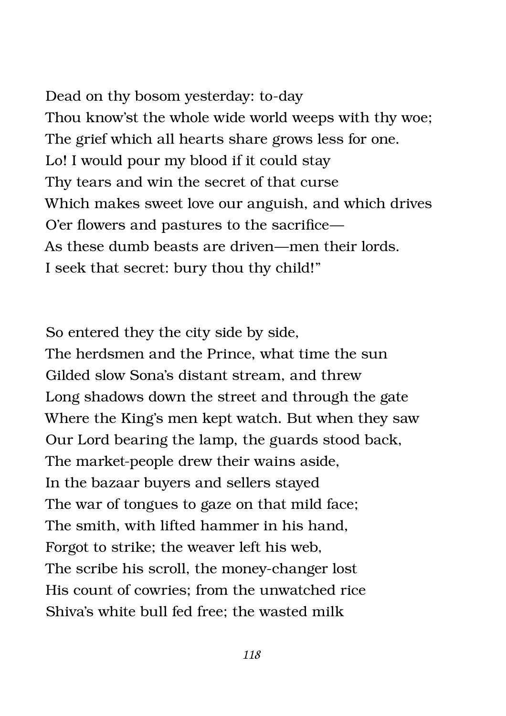Dead on thy bosom yesterday: to-day Thou know'st the whole wide world weeps with thy woe; The grief which all hearts share grows less for one. Lo! I would pour my blood if it could stay Thy tears and win the secret of that curse Which makes sweet love our anguish, and which drives O'er flowers and pastures to the sacrifice— As these dumb beasts are driven—men their lords. I seek that secret: bury thou thy child!"

So entered they the city side by side, The herdsmen and the Prince, what time the sun Gilded slow Sona's distant stream, and threw Long shadows down the street and through the gate Where the King's men kept watch. But when they saw Our Lord bearing the lamp, the guards stood back, The market-people drew their wains aside, In the bazaar buyers and sellers stayed The war of tongues to gaze on that mild face; The smith, with lifted hammer in his hand, Forgot to strike; the weaver left his web, The scribe his scroll, the money-changer lost His count of cowries; from the unwatched rice Shiva's white bull fed free; the wasted milk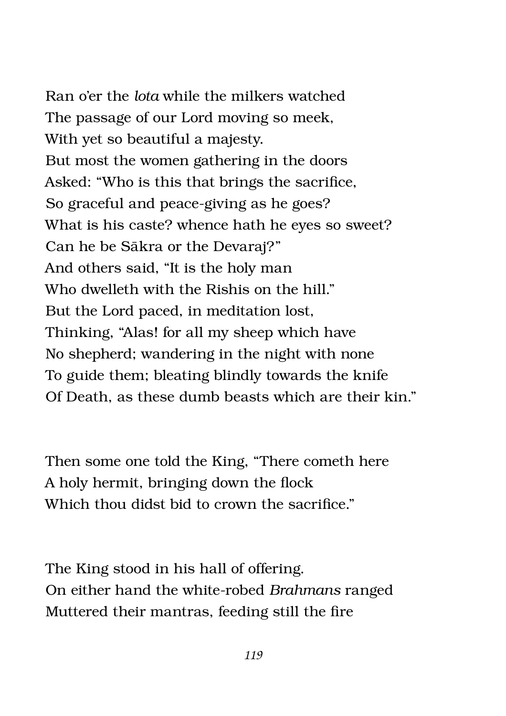Ran o'er the *lota* while the milkers watched The passage of our Lord moving so meek, With yet so beautiful a majesty. But most the women gathering in the doors Asked: "Who is this that brings the sacrifice, So graceful and peace-giving as he goes? What is his caste? whence hath he eyes so sweet? Can he be Sàkra or the Devaraj?" And others said, "It is the holy man Who dwelleth with the Rishis on the hill." But the Lord paced, in meditation lost, Thinking, "Alas! for all my sheep which have No shepherd; wandering in the night with none To guide them; bleating blindly towards the knife Of Death, as these dumb beasts which are their kin."

Then some one told the King, "There cometh here A holy hermit, bringing down the flock Which thou didst bid to crown the sacrifice."

The King stood in his hall of offering. On either hand the white-robed *Brahmans* ranged Muttered their mantras, feeding still the fire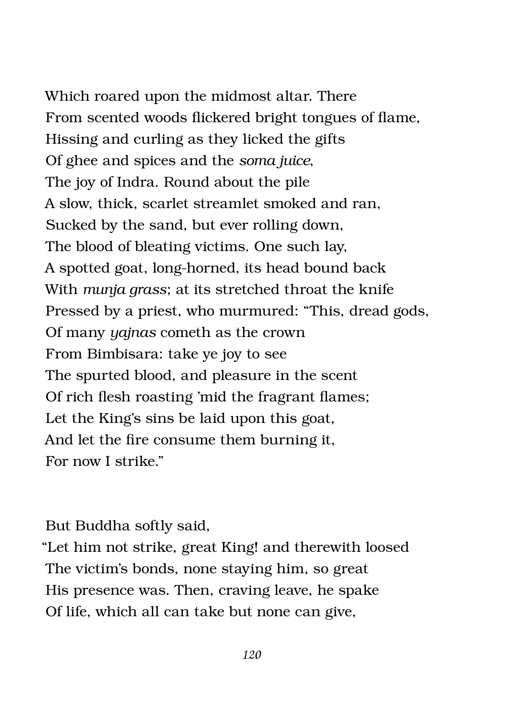Which roared upon the midmost altar. There From scented woods flickered bright tongues of flame, Hissing and curling as they licked the gifts Of ghee and spices and the *soma juice*, The joy of Indra. Round about the pile A slow, thick, scarlet streamlet smoked and ran, Sucked by the sand, but ever rolling down, The blood of bleating victims. One such lay, A spotted goat, long-horned, its head bound back With *munja grass*; at its stretched throat the knife Pressed by a priest, who murmured: "This, dread gods, Of many *yajnas* cometh as the crown From Bimbisara: take ye joy to see The spurted blood, and pleasure in the scent Of rich flesh roasting 'mid the fragrant flames; Let the King's sins be laid upon this goat, And let the fire consume them burning it, For now I strike."

But Buddha softly said,

"Let him not strike, great King! and therewith loosed The victim's bonds, none staying him, so great His presence was. Then, craving leave, he spake Of life, which all can take but none can give,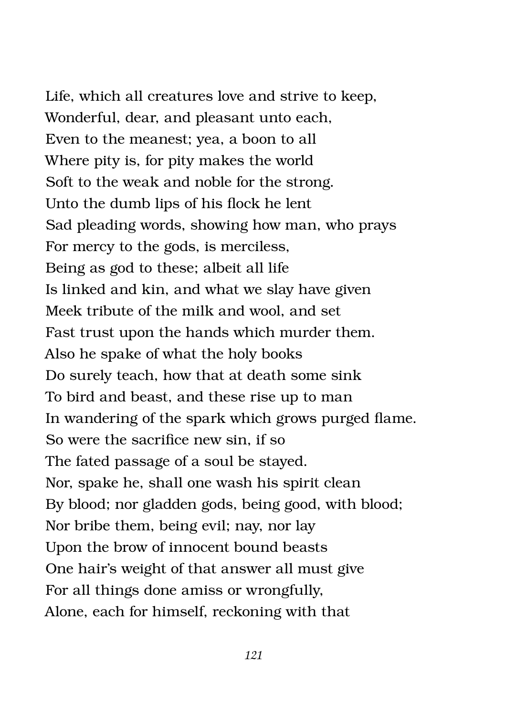Life, which all creatures love and strive to keep, Wonderful, dear, and pleasant unto each, Even to the meanest; yea, a boon to all Where pity is, for pity makes the world Soft to the weak and noble for the strong. Unto the dumb lips of his flock he lent Sad pleading words, showing how man, who prays For mercy to the gods, is merciless, Being as god to these; albeit all life Is linked and kin, and what we slay have given Meek tribute of the milk and wool, and set Fast trust upon the hands which murder them. Also he spake of what the holy books Do surely teach, how that at death some sink To bird and beast, and these rise up to man In wandering of the spark which grows purged flame. So were the sacrifice new sin, if so The fated passage of a soul be stayed. Nor, spake he, shall one wash his spirit clean By blood; nor gladden gods, being good, with blood; Nor bribe them, being evil; nay, nor lay Upon the brow of innocent bound beasts One hair's weight of that answer all must give For all things done amiss or wrongfully, Alone, each for himself, reckoning with that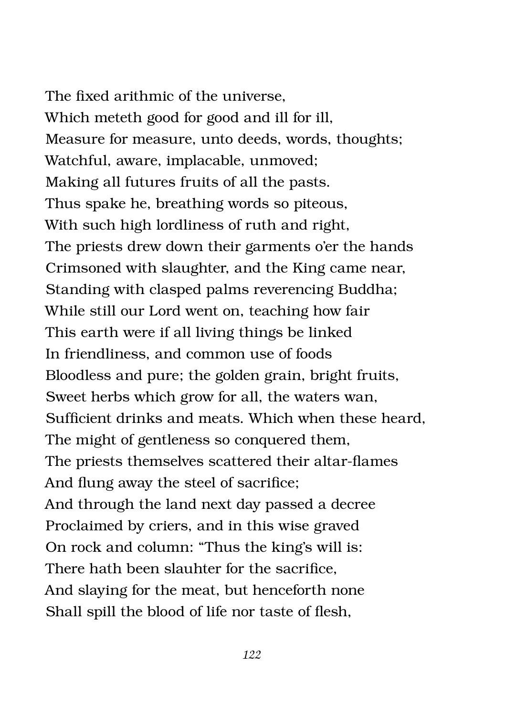The fixed arithmic of the universe. Which meteth good for good and ill for ill, Measure for measure, unto deeds, words, thoughts; Watchful, aware, implacable, unmoved; Making all futures fruits of all the pasts. Thus spake he, breathing words so piteous, With such high lordliness of ruth and right, The priests drew down their garments o'er the hands Crimsoned with slaughter, and the King came near, Standing with clasped palms reverencing Buddha; While still our Lord went on, teaching how fair This earth were if all living things be linked In friendliness, and common use of foods Bloodless and pure; the golden grain, bright fruits, Sweet herbs which grow for all, the waters wan, Sufficient drinks and meats. Which when these heard, The might of gentleness so conquered them, The priests themselves scattered their altar-flames And flung away the steel of sacrifice; And through the land next day passed a decree Proclaimed by criers, and in this wise graved On rock and column: "Thus the king's will is: There hath been slauhter for the sacrifice. And slaying for the meat, but henceforth none Shall spill the blood of life nor taste of flesh,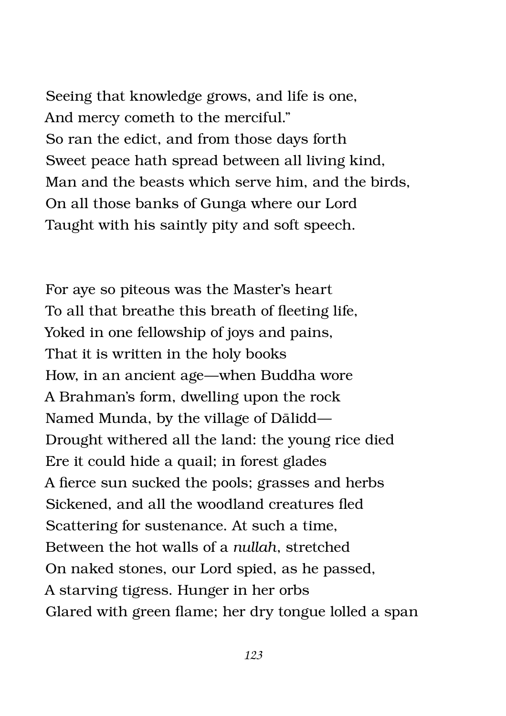Seeing that knowledge grows, and life is one, And mercy cometh to the merciful." So ran the edict, and from those days forth Sweet peace hath spread between all living kind, Man and the beasts which serve him, and the birds, On all those banks of Gunga where our Lord Taught with his saintly pity and soft speech.

For aye so piteous was the Master's heart To all that breathe this breath of fleeting life, Yoked in one fellowship of joys and pains, That it is written in the holy books How, in an ancient age—when Buddha wore A Brahman's form, dwelling upon the rock Named Munda, by the village of Dalidd— Drought withered all the land: the young rice died Ere it could hide a quail; in forest glades A fierce sun sucked the pools; grasses and herbs Sickened, and all the woodland creatures fled Scattering for sustenance. At such a time, Between the hot walls of a *nullah*, stretched On naked stones, our Lord spied, as he passed, A starving tigress. Hunger in her orbs Glared with green flame; her dry tongue lolled a span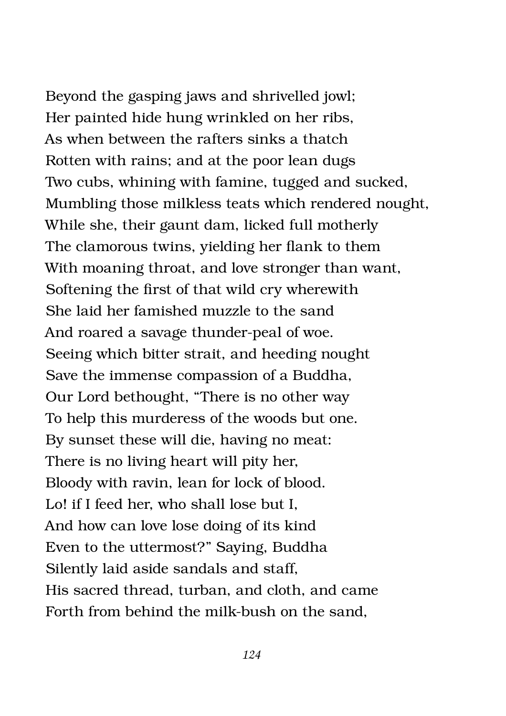Beyond the gasping jaws and shrivelled jowl; Her painted hide hung wrinkled on her ribs, As when between the rafters sinks a thatch Rotten with rains; and at the poor lean dugs Two cubs, whining with famine, tugged and sucked, Mumbling those milkless teats which rendered nought, While she, their gaunt dam, licked full motherly The clamorous twins, yielding her flank to them With moaning throat, and love stronger than want, Softening the first of that wild cry wherewith She laid her famished muzzle to the sand And roared a savage thunder-peal of woe. Seeing which bitter strait, and heeding nought Save the immense compassion of a Buddha, Our Lord bethought, "There is no other way To help this murderess of the woods but one. By sunset these will die, having no meat: There is no living heart will pity her, Bloody with ravin, lean for lock of blood. Lo! if I feed her, who shall lose but I, And how can love lose doing of its kind Even to the uttermost?" Saying, Buddha Silently laid aside sandals and staff, His sacred thread, turban, and cloth, and came Forth from behind the milk-bush on the sand,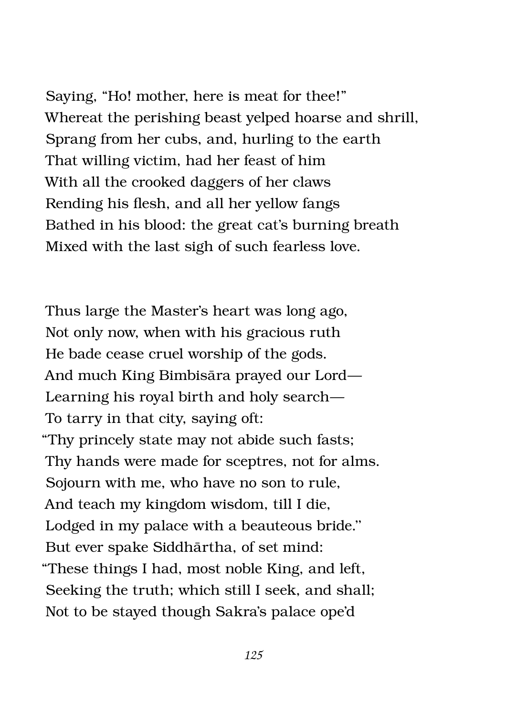Saying, "Ho! mother, here is meat for thee!" Whereat the perishing beast yelped hoarse and shrill, Sprang from her cubs, and, hurling to the earth That willing victim, had her feast of him With all the crooked daggers of her claws Rending his flesh, and all her yellow fangs Bathed in his blood: the great cat's burning breath Mixed with the last sigh of such fearless love.

Thus large the Master's heart was long ago, Not only now, when with his gracious ruth He bade cease cruel worship of the gods. And much King Bimbisara prayed our Lord— Learning his royal birth and holy search — To tarry in that city, saying oft: "Thy princely state may not abide such fasts; Thy hands were made for sceptres, not for alms. Sojourn with me, who have no son to rule, And teach my kingdom wisdom, till I die, Lodged in my palace with a beauteous bride.'' But ever spake Siddhàrtha, of set mind: "These things I had, most noble King, and left, Seeking the truth; which still I seek, and shall; Not to be stayed though Sakra's palace ope'd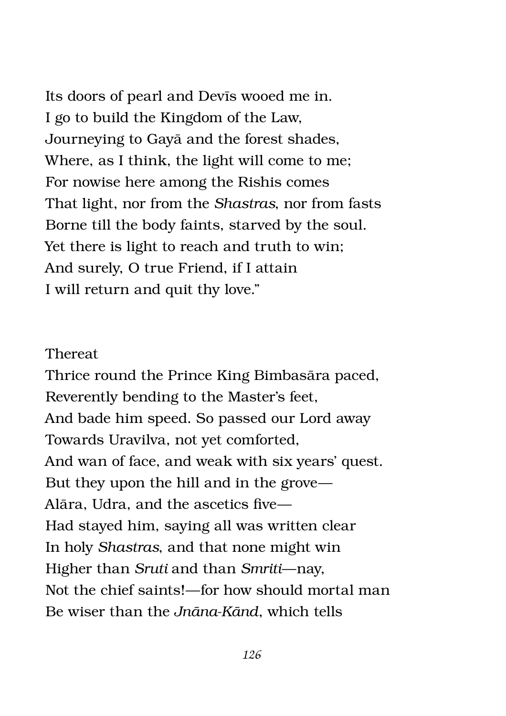Its doors of pearl and Devãs wooed me in. I go to build the Kingdom of the Law, Journeying to Gayà and the forest shades, Where, as I think, the light will come to me; For nowise here among the Rishis comes That light, nor from the *Shastras*, nor from fasts Borne till the body faints, starved by the soul. Yet there is light to reach and truth to win; And surely, O true Friend, if I attain I will return and quit thy love."

## Thereat

Thrice round the Prince King Bimbasàra paced, Reverently bending to the Master's feet, And bade him speed. So passed our Lord away Towards Uravilva, not yet comforted, And wan of face, and weak with six years' quest. But they upon the hill and in the grove— Alāra, Udra, and the ascetics five  $-$ Had stayed him, saying all was written clear In holy *Shastras*, and that none might win Higher than *Sruti* and than *Smriti* — nay, Not the chief saints!—for how should mortal man Be wiser than the *Jnàna-Kànd*, which tells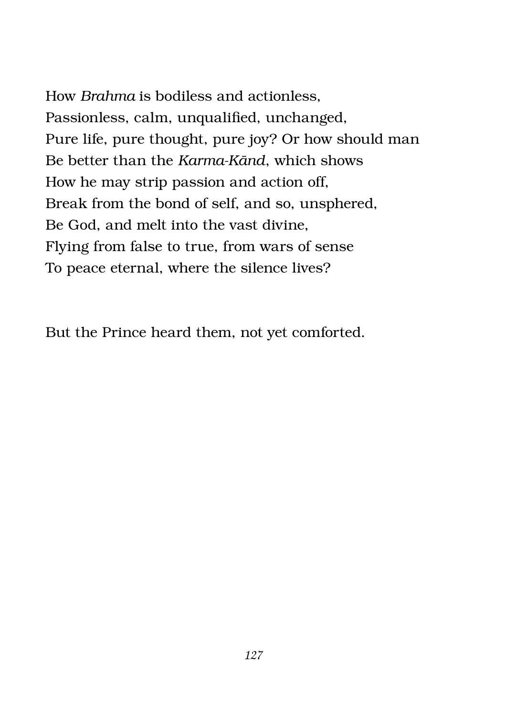How *Brahma* is bodiless and actionless, Passionless, calm, unqualified, unchanged, Pure life, pure thought, pure joy? Or how should man Be better than the *Karma-Kànd*, which shows How he may strip passion and action off, Break from the bond of self, and so, unsphered, Be God, and melt into the vast divine, Flying from false to true, from wars of sense To peace eternal, where the silence lives?

But the Prince heard them, not yet comforted.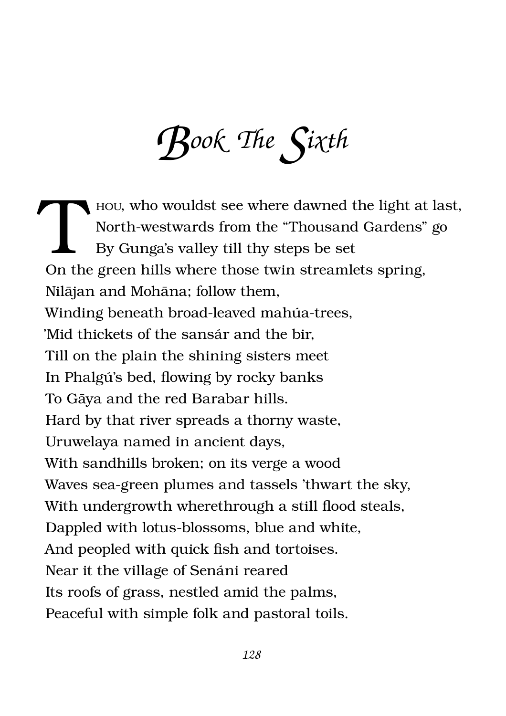## *Book The Sixth*

Hou, who wouldst see where dawned the light at last,<br>North-westwards from the "Thousand Gardens" go<br>By Gunga's valley till thy steps be set<br>On the green hills where those twin streamlets spring North-westwards from the "Thousand Gardens" go By Gunga's valley till thy steps be set On the green hills where those twin streamlets spring, Nilàjan and Mohàna; follow them, Winding beneath broad-leaved mahúa-trees, 'Mid thickets of the sansár and the bir, Till on the plain the shining sisters meet In Phalgú's bed, flowing by rocky banks To Gàya and the red Barabar hills. Hard by that river spreads a thorny waste, Uruwelaya named in ancient days, With sandhills broken; on its verge a wood Waves sea-green plumes and tassels 'thwart the sky, With undergrowth wherethrough a still flood steals, Dappled with lotus-blossoms, blue and white, And peopled with quick fish and tortoises. Near it the village of Senáni reared Its roofs of grass, nestled amid the palms, Peaceful with simple folk and pastoral toils.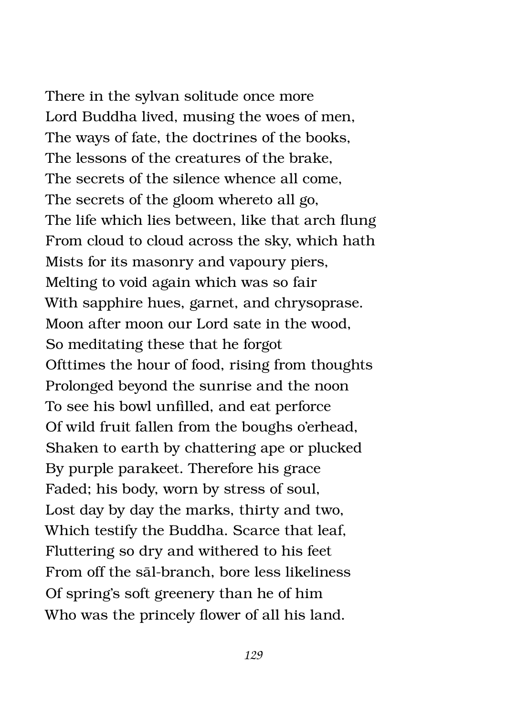There in the sylvan solitude once more Lord Buddha lived, musing the woes of men, The ways of fate, the doctrines of the books, The lessons of the creatures of the brake, The secrets of the silence whence all come, The secrets of the gloom whereto all go, The life which lies between, like that arch flung From cloud to cloud across the sky, which hath Mists for its masonry and vapoury piers, Melting to void again which was so fair With sapphire hues, garnet, and chrysoprase. Moon after moon our Lord sate in the wood, So meditating these that he forgot Ofttimes the hour of food, rising from thoughts Prolonged beyond the sunrise and the noon To see his bowl unfilled, and eat perforce Of wild fruit fallen from the boughs o'erhead, Shaken to earth by chattering ape or plucked By purple parakeet. Therefore his grace Faded; his body, worn by stress of soul, Lost day by day the marks, thirty and two, Which testify the Buddha. Scarce that leaf, Fluttering so dry and withered to his feet From off the sàl-branch, bore less likeliness Of spring's soft greenery than he of him Who was the princely flower of all his land.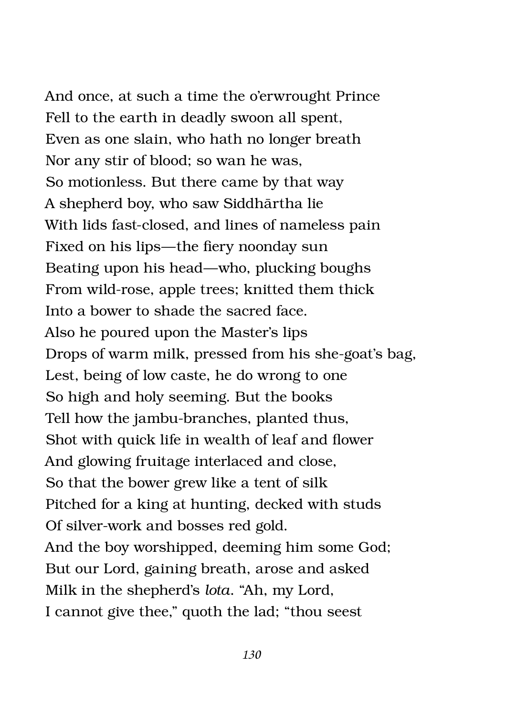And once, at such a time the o'erwrought Prince Fell to the earth in deadly swoon all spent, Even as one slain, who hath no longer breath Nor any stir of blood; so wan he was, So motionless. But there came by that way A shepherd boy, who saw Siddhàrtha lie With lids fast-closed, and lines of nameless pain Fixed on his lips—the fiery noonday sun Beating upon his head—who, plucking boughs From wild-rose, apple trees; knitted them thick Into a bower to shade the sacred face. Also he poured upon the Master's lips Drops of warm milk, pressed from his she-goat's bag, Lest, being of low caste, he do wrong to one So high and holy seeming. But the books Tell how the jambu-branches, planted thus, Shot with quick life in wealth of leaf and flower And glowing fruitage interlaced and close, So that the bower grew like a tent of silk Pitched for a king at hunting, decked with studs Of silver-work and bosses red gold. And the boy worshipped, deeming him some God; But our Lord, gaining breath, arose and asked Milk in the shepherd's *lota*. "Ah, my Lord, I cannot give thee," quoth the lad; "thou seest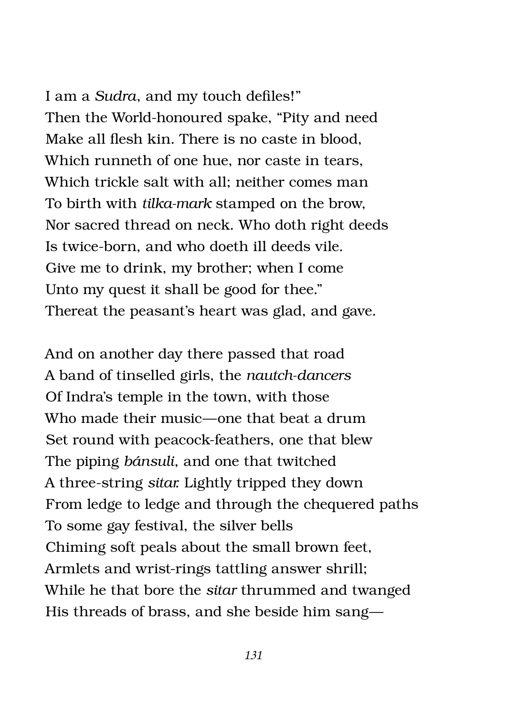I am a *Sudra*, and my touch defiles!" Then the World-honoured spake, "Pity and need Make all flesh kin. There is no caste in blood. Which runneth of one hue, nor caste in tears, Which trickle salt with all; neither comes man To birth with *tilka-mark* stamped on the brow, Nor sacred thread on neck. Who doth right deeds Is twice-born, and who doeth ill deeds vile. Give me to drink, my brother; when I come Unto my quest it shall be good for thee." Thereat the peasant's heart was glad, and gave.

And on another day there passed that road A band of tinselled girls, the *nautch-dancers* Of Indra's temple in the town, with those Who made their music—one that beat a drum Set round with peacock-feathers, one that blew The piping *bánsuli*, and one that twitched A three-string *sitar*. Lightly tripped they down From ledge to ledge and through the chequered paths To some gay festival, the silver bells Chiming soft peals about the small brown feet, Armlets and wrist-rings tattling answer shrill; While he that bore the *sitar* thrummed and twanged His threads of brass, and she beside him sang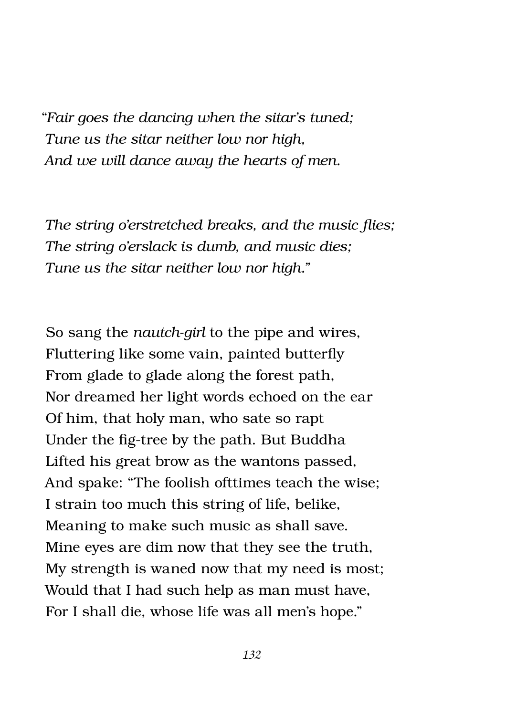"*Fair goes the dancing when the sitar's tuned; Tune us the sitar neither low nor high, And we will dance away the hearts of men.*

The string o'erstretched breaks, and the music flies; *The string o'erslack is dumb, and music dies; Tune us the sitar neither low nor high."*

So sang the *nautch-girl* to the pipe and wires, Fluttering like some vain, painted butterfly From glade to glade along the forest path, Nor dreamed her light words echoed on the ear Of him, that holy man, who sate so rapt Under the fig-tree by the path. But Buddha Lifted his great brow as the wantons passed, And spake: "The foolish ofttimes teach the wise; I strain too much this string of life, belike, Meaning to make such music as shall save. Mine eyes are dim now that they see the truth, My strength is waned now that my need is most; Would that I had such help as man must have, For I shall die, whose life was all men's hope."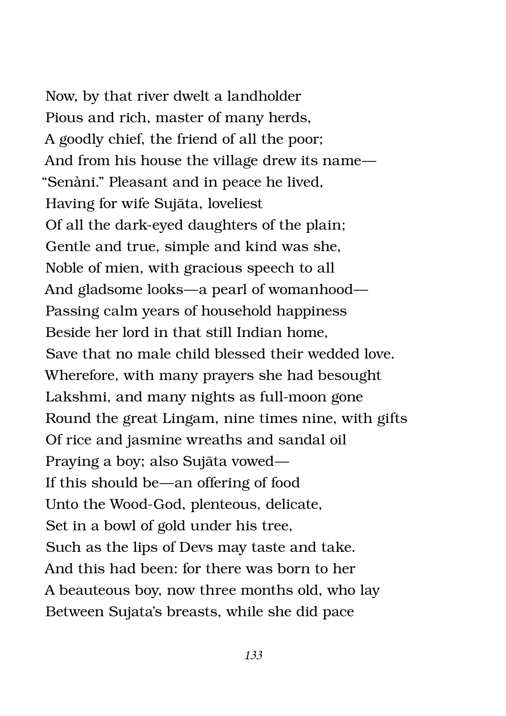Now, by that river dwelt a landholder Pious and rich, master of many herds, A goodly chief, the friend of all the poor; And from his house the village drew its name — "Senàni." Pleasant and in peace he lived, Having for wife Sujàta, loveliest Of all the dark-eyed daughters of the plain; Gentle and true, simple and kind was she, Noble of mien, with gracious speech to all And gladsome looks-a pearl of womanhood-Passing calm years of household happiness Beside her lord in that still Indian home, Save that no male child blessed their wedded love. Wherefore, with many prayers she had besought Lakshmi, and many nights as full-moon gone Round the great Lingam, nine times nine, with gifts Of rice and jasmine wreaths and sandal oil Praying a boy; also Sujàta vowed — If this should be — an offering of food Unto the Wood-God, plenteous, delicate, Set in a bowl of gold under his tree, Such as the lips of Devs may taste and take. And this had been: for there was born to her A beauteous boy, now three months old, who lay Between Sujata's breasts, while she did pace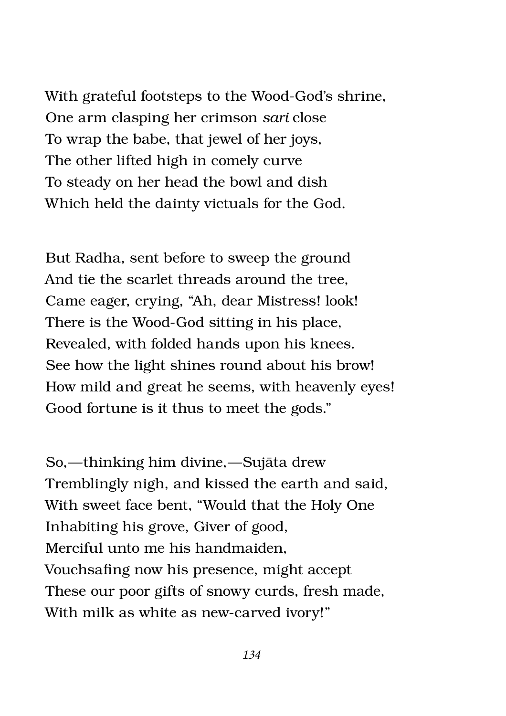With grateful footsteps to the Wood-God's shrine, One arm clasping her crimson *sari* close To wrap the babe, that jewel of her joys, The other lifted high in comely curve To steady on her head the bowl and dish Which held the dainty victuals for the God.

But Radha, sent before to sweep the ground And tie the scarlet threads around the tree, Came eager, crying, "Ah, dear Mistress! look! There is the Wood-God sitting in his place, Revealed, with folded hands upon his knees. See how the light shines round about his brow! How mild and great he seems, with heavenly eyes! Good fortune is it thus to meet the gods."

So, — thinking him divine, — Sujàta drew Tremblingly nigh, and kissed the earth and said, With sweet face bent, "Would that the Holy One Inhabiting his grove, Giver of good, Merciful unto me his handmaiden, Vouchsafing now his presence, might accept These our poor gifts of snowy curds, fresh made, With milk as white as new-carved ivory!"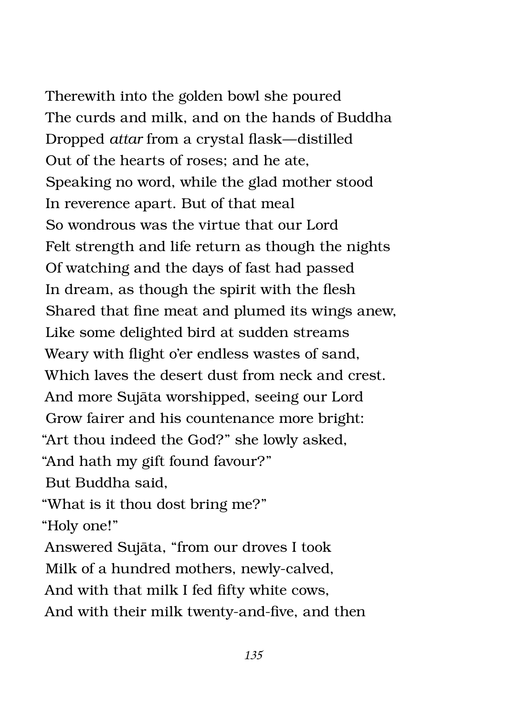Therewith into the golden bowl she poured The curds and milk, and on the hands of Buddha Dropped *attar* from a crystal flask—distilled Out of the hearts of roses; and he ate, Speaking no word, while the glad mother stood In reverence apart. But of that meal So wondrous was the virtue that our Lord Felt strength and life return as though the nights Of watching and the days of fast had passed In dream, as though the spirit with the flesh Shared that fine meat and plumed its wings anew, Like some delighted bird at sudden streams Weary with flight o'er endless wastes of sand, Which laves the desert dust from neck and crest. And more Sujàta worshipped, seeing our Lord Grow fairer and his countenance more bright: "Art thou indeed the God?" she lowly asked, "And hath my gift found favour?" But Buddha said, "What is it thou dost bring me?" "Holy one!" Answered Sujàta, "from our droves I took Milk of a hundred mothers, newly-calved, And with that milk I fed fifty white cows,

And with their milk twenty-and-five, and then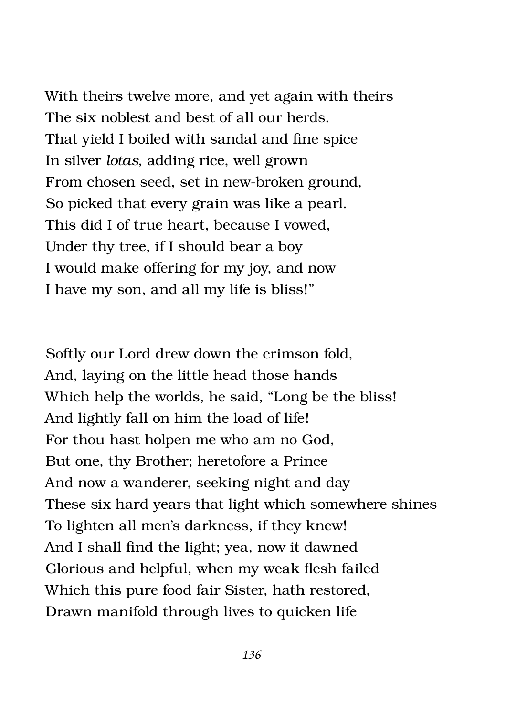With theirs twelve more, and yet again with theirs The six noblest and best of all our herds. That yield I boiled with sandal and fine spice In silver *lotas*, adding rice, well grown From chosen seed, set in new-broken ground, So picked that every grain was like a pearl. This did I of true heart, because I vowed, Under thy tree, if I should bear a boy I would make offering for my joy, and now I have my son, and all my life is bliss!"

Softly our Lord drew down the crimson fold, And, laying on the little head those hands Which help the worlds, he said, "Long be the bliss! And lightly fall on him the load of life! For thou hast holpen me who am no God, But one, thy Brother; heretofore a Prince And now a wanderer, seeking night and day These six hard years that light which somewhere shines To lighten all men's darkness, if they knew! And I shall find the light; yea, now it dawned Glorious and helpful, when my weak flesh failed Which this pure food fair Sister, hath restored, Drawn manifold through lives to quicken life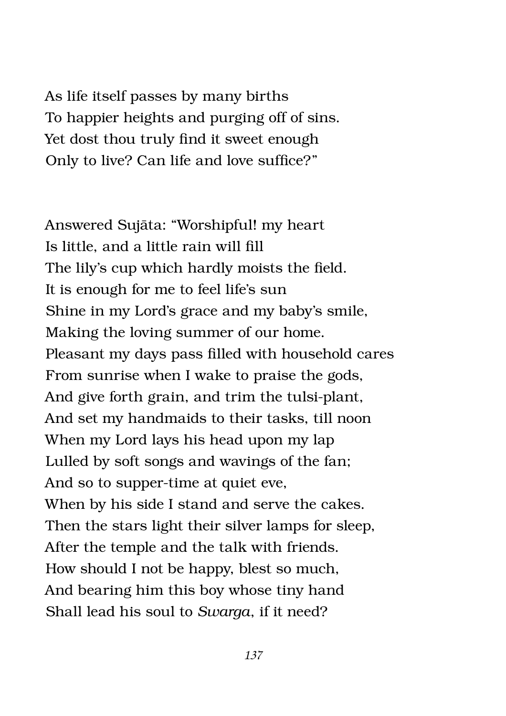As life itself passes by many births To happier heights and purging off of sins. Yet dost thou truly find it sweet enough Only to live? Can life and love suffice?"

Answered Sujàta: "Worshipful! my heart Is little, and a little rain will fill The lily's cup which hardly moists the field. It is enough for me to feel life's sun Shine in my Lord's grace and my baby's smile, Making the loving summer of our home. Pleasant my days pass filled with household cares From sunrise when I wake to praise the gods, And give forth grain, and trim the tulsi-plant, And set my handmaids to their tasks, till noon When my Lord lays his head upon my lap Lulled by soft songs and wavings of the fan; And so to supper-time at quiet eve, When by his side I stand and serve the cakes. Then the stars light their silver lamps for sleep, After the temple and the talk with friends. How should I not be happy, blest so much, And bearing him this boy whose tiny hand Shall lead his soul to *Swarga*, if it need?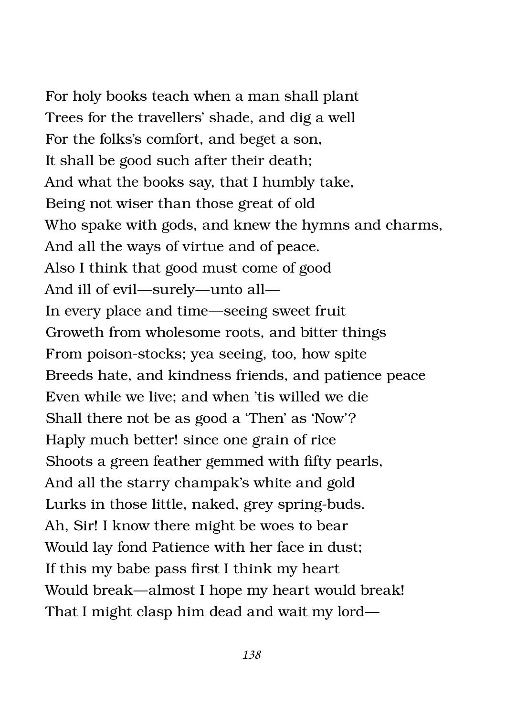For holy books teach when a man shall plant Trees for the travellers' shade, and dig a well For the folks's comfort, and beget a son, It shall be good such after their death; And what the books say, that I humbly take, Being not wiser than those great of old Who spake with gods, and knew the hymns and charms, And all the ways of virtue and of peace. Also I think that good must come of good And ill of evil—surely—unto all— In every place and time—seeing sweet fruit Groweth from wholesome roots, and bitter things From poison-stocks; yea seeing, too, how spite Breeds hate, and kindness friends, and patience peace Even while we live; and when 'tis willed we die Shall there not be as good a 'Then' as 'Now'? Haply much better! since one grain of rice Shoots a green feather gemmed with fifty pearls, And all the starry champak's white and gold Lurks in those little, naked, grey spring-buds. Ah, Sir! I know there might be woes to bear Would lay fond Patience with her face in dust; If this my babe pass first I think my heart Would break—almost I hope my heart would break! That I might clasp him dead and wait my lord—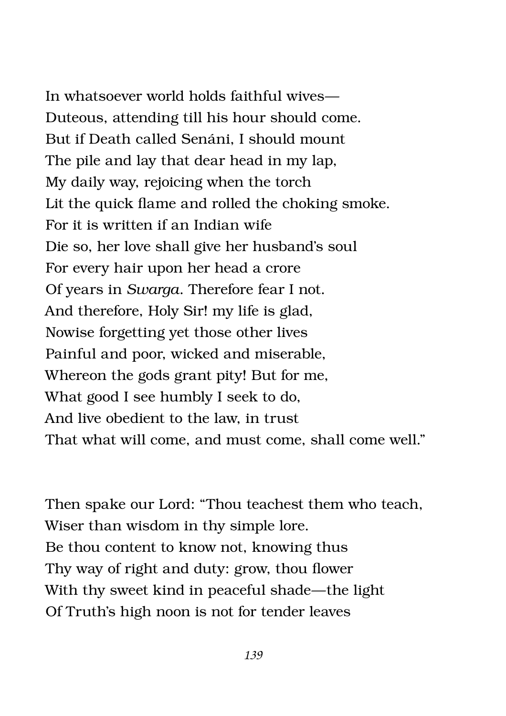In whatsoever world holds faithful wives— Duteous, attending till his hour should come. But if Death called Senáni, I should mount The pile and lay that dear head in my lap, My daily way, rejoicing when the torch Lit the quick flame and rolled the choking smoke. For it is written if an Indian wife Die so, her love shall give her husband's soul For every hair upon her head a crore Of years in *Swarga*. Therefore fear I not. And therefore, Holy Sir! my life is glad, Nowise forgetting yet those other lives Painful and poor, wicked and miserable, Whereon the gods grant pity! But for me, What good I see humbly I seek to do, And live obedient to the law, in trust That what will come, and must come, shall come well."

Then spake our Lord: "Thou teachest them who teach, Wiser than wisdom in thy simple lore. Be thou content to know not, knowing thus Thy way of right and duty: grow, thou flower With thy sweet kind in peaceful shade—the light Of Truth's high noon is not for tender leaves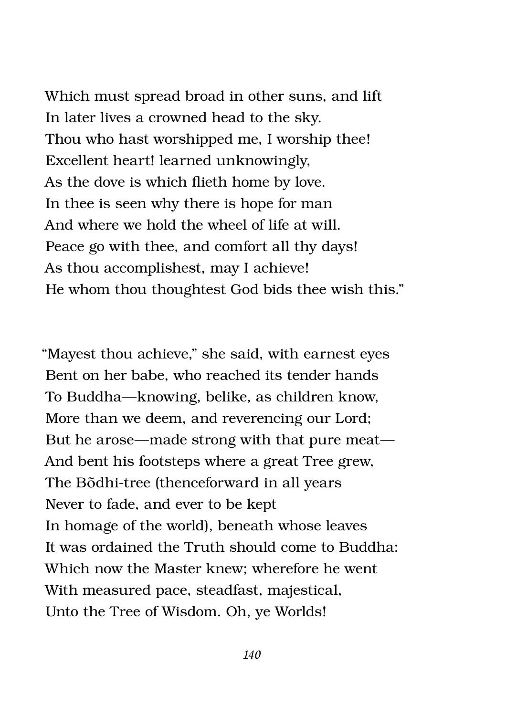Which must spread broad in other suns, and lift In later lives a crowned head to the sky. Thou who hast worshipped me, I worship thee! Excellent heart! learned unknowingly, As the dove is which flieth home by love. In thee is seen why there is hope for man And where we hold the wheel of life at will. Peace go with thee, and comfort all thy days! As thou accomplishest, may I achieve! He whom thou thoughtest God bids thee wish this."

"Mayest thou achieve," she said, with earnest eyes Bent on her babe, who reached its tender hands To Buddha — knowing, belike, as children know, More than we deem, and reverencing our Lord; But he arose—made strong with that pure meat— And bent his footsteps where a great Tree grew, The Bõdhi-tree (thenceforward in all years Never to fade, and ever to be kept In homage of the world), beneath whose leaves It was ordained the Truth should come to Buddha: Which now the Master knew; wherefore he went With measured pace, steadfast, majestical, Unto the Tree of Wisdom. Oh, ye Worlds!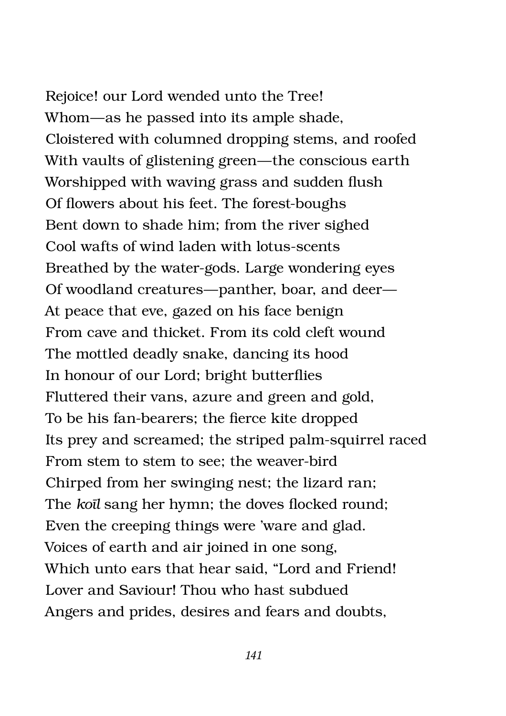Rejoice! our Lord wended unto the Tree! Whom—as he passed into its ample shade, Cloistered with columned dropping stems, and roofed With vaults of glistening green—the conscious earth Worshipped with waving grass and sudden flush Of flowers about his feet. The forest-boughs Bent down to shade him; from the river sighed Cool wafts of wind laden with lotus-scents Breathed by the water-gods. Large wondering eyes Of woodland creatures—panther, boar, and deer— At peace that eve, gazed on his face benign From cave and thicket. From its cold cleft wound The mottled deadly snake, dancing its hood In honour of our Lord; bright butterflies Fluttered their vans, azure and green and gold, To be his fan-bearers; the fierce kite dropped Its prey and screamed; the striped palm-squirrel raced From stem to stem to see; the weaver-bird Chirped from her swinging nest; the lizard ran; The *ko* $\overline{\text{u}}$  sang her hymn; the doves flocked round; Even the creeping things were 'ware and glad. Voices of earth and air joined in one song, Which unto ears that hear said, "Lord and Friend! Lover and Saviour! Thou who hast subdued Angers and prides, desires and fears and doubts,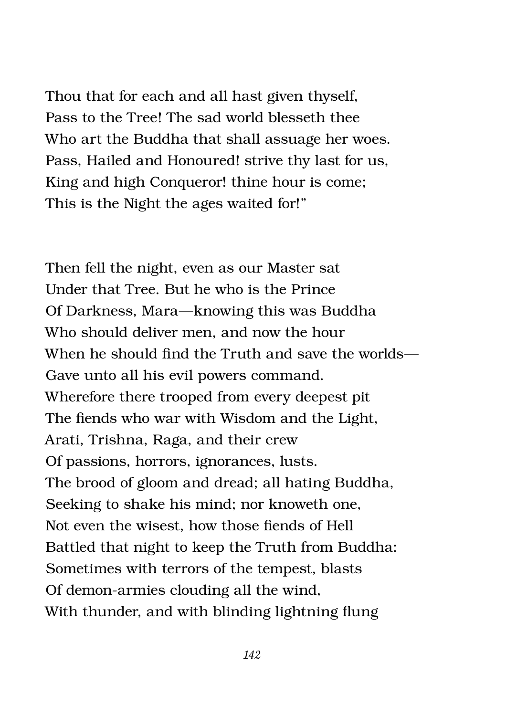Thou that for each and all hast given thyself, Pass to the Tree! The sad world blesseth thee Who art the Buddha that shall assuage her woes. Pass, Hailed and Honoured! strive thy last for us, King and high Conqueror! thine hour is come; This is the Night the ages waited for!"

Then fell the night, even as our Master sat Under that Tree. But he who is the Prince Of Darkness, Mara—knowing this was Buddha Who should deliver men, and now the hour When he should find the Truth and save the worlds — Gave unto all his evil powers command. Wherefore there trooped from every deepest pit The fiends who war with Wisdom and the Light, Arati, Trishna, Raga, and their crew Of passions, horrors, ignorances, lusts. The brood of gloom and dread; all hating Buddha, Seeking to shake his mind; nor knoweth one, Not even the wisest, how those fiends of Hell Battled that night to keep the Truth from Buddha: Sometimes with terrors of the tempest, blasts Of demon-armies clouding all the wind, With thunder, and with blinding lightning flung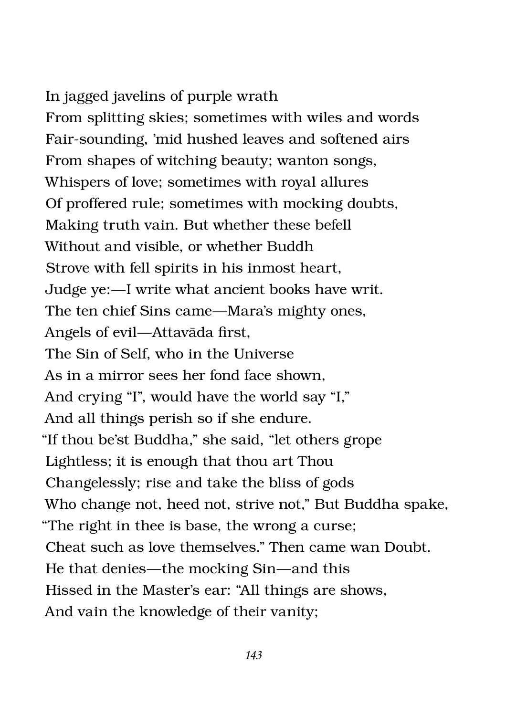In jagged javelins of purple wrath From splitting skies; sometimes with wiles and words Fair-sounding, 'mid hushed leaves and softened airs From shapes of witching beauty; wanton songs, Whispers of love; sometimes with royal allures Of proffered rule; sometimes with mocking doubts, Making truth vain. But whether these befell Without and visible, or whether Buddh Strove with fell spirits in his inmost heart, Judge ye: — I write what ancient books have writ. The ten chief Sins came—Mara's mighty ones, Angels of evil—Attavāda first, The Sin of Self, who in the Universe As in a mirror sees her fond face shown, And crying "I", would have the world say "I," And all things perish so if she endure. "If thou be'st Buddha," she said, "let others grope Lightless; it is enough that thou art Thou Changelessly; rise and take the bliss of gods Who change not, heed not, strive not," But Buddha spake,

"The right in thee is base, the wrong a curse;

Cheat such as love themselves." Then came wan Doubt.

He that denies—the mocking Sin—and this

Hissed in the Master's ear: "All things are shows,

And vain the knowledge of their vanity;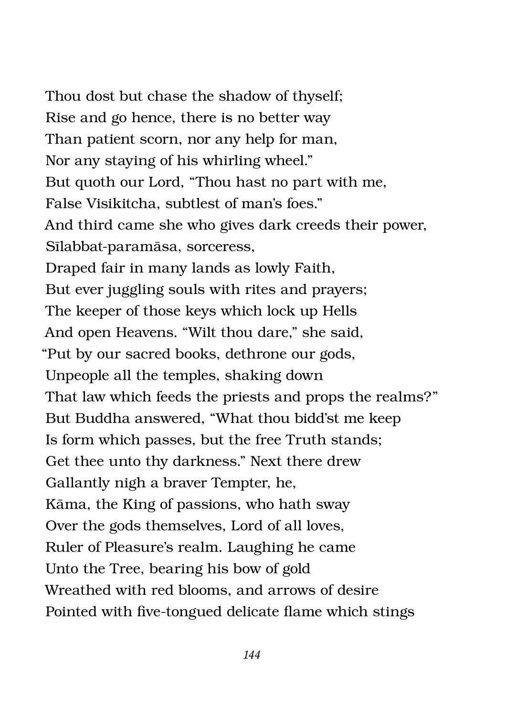Thou dost but chase the shadow of thyself; Rise and go hence, there is no better way Than patient scorn, nor any help for man, Nor any staying of his whirling wheel." But quoth our Lord, "Thou hast no part with me, False Visikitcha, subtlest of man's foes." And third came she who gives dark creeds their power, Sãlabbat-paramàsa, sorceress, Draped fair in many lands as lowly Faith, But ever juggling souls with rites and prayers; The keeper of those keys which lock up Hells And open Heavens. "Wilt thou dare," she said, "Put by our sacred books, dethrone our gods, Unpeople all the temples, shaking down That law which feeds the priests and props the realms?" But Buddha answered, "What thou bidd'st me keep Is form which passes, but the free Truth stands; Get thee unto thy darkness." Next there drew Gallantly nigh a braver Tempter, he, Kàma, the King of passions, who hath sway Over the gods themselves, Lord of all loves, Ruler of Pleasure's realm. Laughing he came Unto the Tree, bearing his bow of gold Wreathed with red blooms, and arrows of desire Pointed with five-tongued delicate flame which stings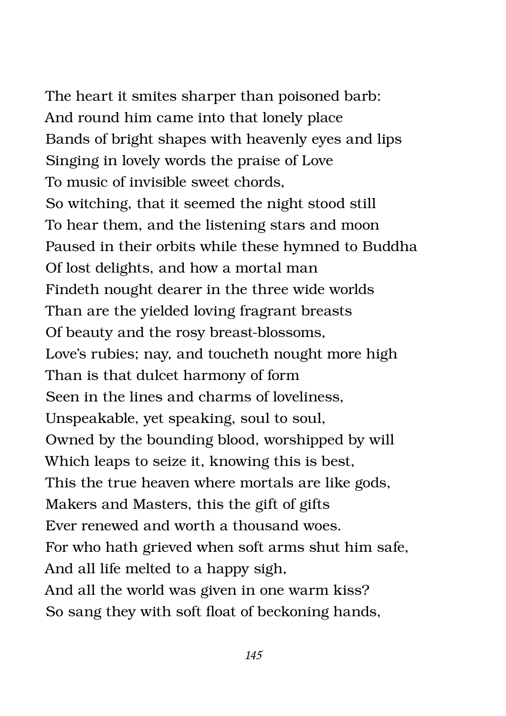The heart it smites sharper than poisoned barb: And round him came into that lonely place Bands of bright shapes with heavenly eyes and lips Singing in lovely words the praise of Love To music of invisible sweet chords, So witching, that it seemed the night stood still To hear them, and the listening stars and moon Paused in their orbits while these hymned to Buddha Of lost delights, and how a mortal man Findeth nought dearer in the three wide worlds Than are the yielded loving fragrant breasts Of beauty and the rosy breast-blossoms, Love's rubies; nay, and toucheth nought more high Than is that dulcet harmony of form Seen in the lines and charms of loveliness, Unspeakable, yet speaking, soul to soul, Owned by the bounding blood, worshipped by will Which leaps to seize it, knowing this is best, This the true heaven where mortals are like gods, Makers and Masters, this the gift of gifts Ever renewed and worth a thousand woes. For who hath grieved when soft arms shut him safe, And all life melted to a happy sigh, And all the world was given in one warm kiss? So sang they with soft float of beckoning hands,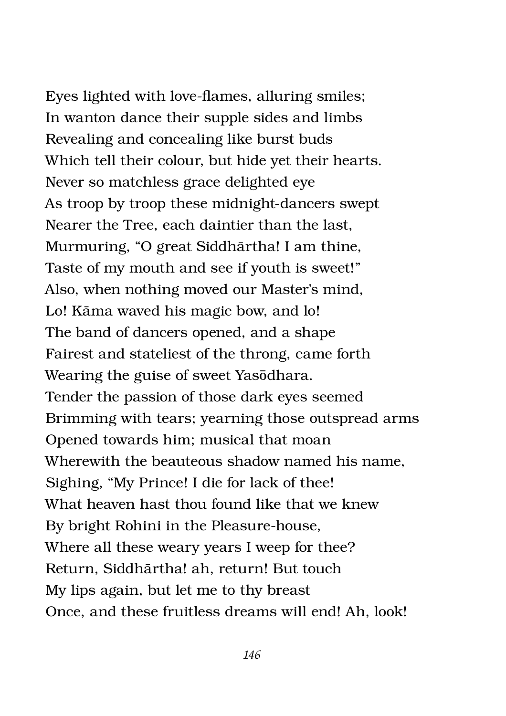Eyes lighted with love-flames, alluring smiles; In wanton dance their supple sides and limbs Revealing and concealing like burst buds Which tell their colour, but hide yet their hearts. Never so matchless grace delighted eye As troop by troop these midnight-dancers swept Nearer the Tree, each daintier than the last, Murmuring, "O great Siddhàrtha! I am thine, Taste of my mouth and see if youth is sweet!" Also, when nothing moved our Master's mind, Lo! Kàma waved his magic bow, and lo! The band of dancers opened, and a shape Fairest and stateliest of the throng, came forth Wearing the guise of sweet Yas**'**dhara. Tender the passion of those dark eyes seemed Brimming with tears; yearning those outspread arms Opened towards him; musical that moan Wherewith the beauteous shadow named his name, Sighing, "My Prince! I die for lack of thee! What heaven hast thou found like that we knew By bright Rohini in the Pleasure-house, Where all these weary years I weep for thee? Return, Siddhàrtha! ah, return! But touch My lips again, but let me to thy breast Once, and these fruitless dreams will end! Ah, look!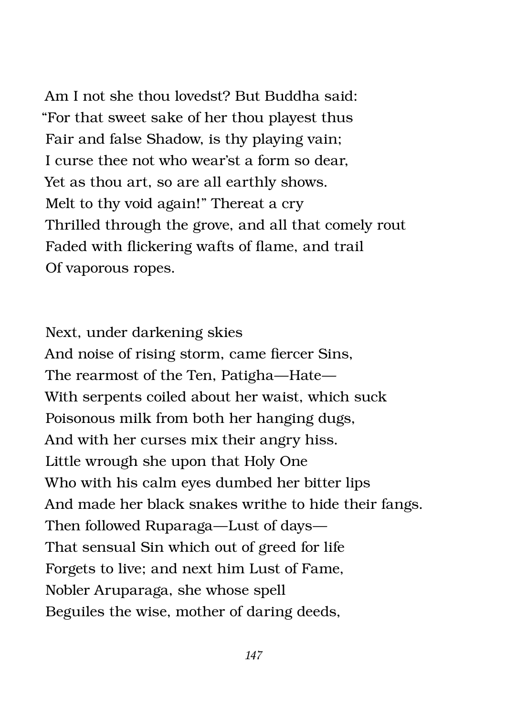Am I not she thou lovedst? But Buddha said: "For that sweet sake of her thou playest thus Fair and false Shadow, is thy playing vain; I curse thee not who wear'st a form so dear, Yet as thou art, so are all earthly shows. Melt to thy void again!" Thereat a cry Thrilled through the grove, and all that comely rout Faded with flickering wafts of flame, and trail Of vaporous ropes.

Next, under darkening skies And noise of rising storm, came fiercer Sins, The rearmost of the Ten, Patigha—Hate— With serpents coiled about her waist, which suck Poisonous milk from both her hanging dugs, And with her curses mix their angry hiss. Little wrough she upon that Holy One Who with his calm eyes dumbed her bitter lips And made her black snakes writhe to hide their fangs. Then followed Ruparaga—Lust of days— That sensual Sin which out of greed for life Forgets to live; and next him Lust of Fame, Nobler Aruparaga, she whose spell Beguiles the wise, mother of daring deeds,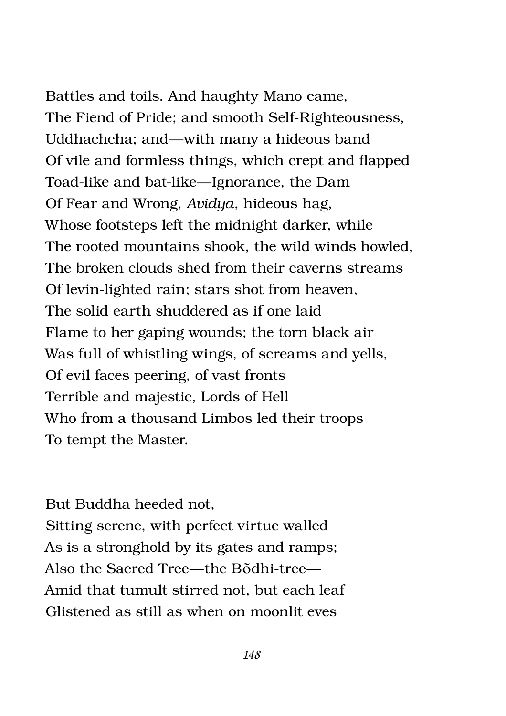Battles and toils. And haughty Mano came, The Fiend of Pride; and smooth Self-Righteousness, Uddhachcha; and—with many a hideous band Of vile and formless things, which crept and flapped Toad-like and bat-like — Ignorance, the Dam Of Fear and Wrong, *Avidya*, hideous hag, Whose footsteps left the midnight darker, while The rooted mountains shook, the wild winds howled, The broken clouds shed from their caverns streams Of levin-lighted rain; stars shot from heaven, The solid earth shuddered as if one laid Flame to her gaping wounds; the torn black air Was full of whistling wings, of screams and yells, Of evil faces peering, of vast fronts Terrible and majestic, Lords of Hell Who from a thousand Limbos led their troops To tempt the Master.

But Buddha heeded not, Sitting serene, with perfect virtue walled As is a stronghold by its gates and ramps; Also the Sacred Tree—the Bõdhi-tree— Amid that tumult stirred not, but each leaf Glistened as still as when on moonlit eves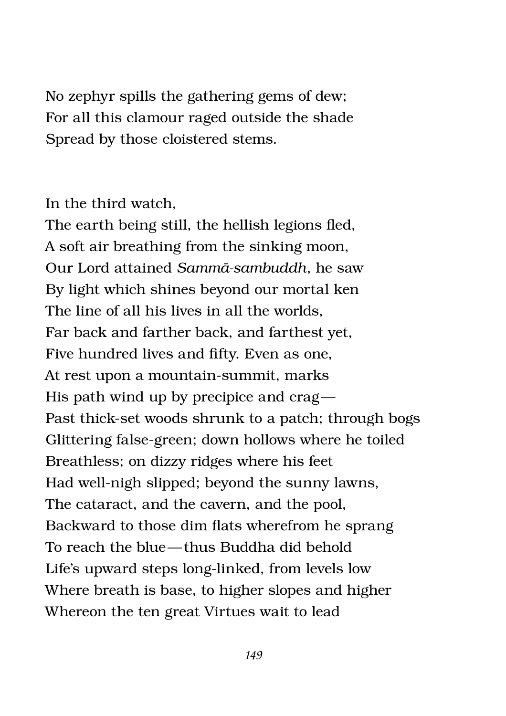No zephyr spills the gathering gems of dew; For all this clamour raged outside the shade Spread by those cloistered stems.

## In the third watch,

The earth being still, the hellish legions fled, A soft air breathing from the sinking moon, Our Lord attained *Sammà-sambuddh*, he saw By light which shines beyond our mortal ken The line of all his lives in all the worlds, Far back and farther back, and farthest yet, Five hundred lives and fifty. Even as one, At rest upon a mountain-summit, marks His path wind up by precipice and crag— Past thick-set woods shrunk to a patch; through bogs Glittering false-green; down hollows where he toiled Breathless; on dizzy ridges where his feet Had well-nigh slipped; beyond the sunny lawns, The cataract, and the cavern, and the pool, Backward to those dim flats wherefrom he sprang To reach the blue — thus Buddha did behold Life's upward steps long-linked, from levels low Where breath is base, to higher slopes and higher Whereon the ten great Virtues wait to lead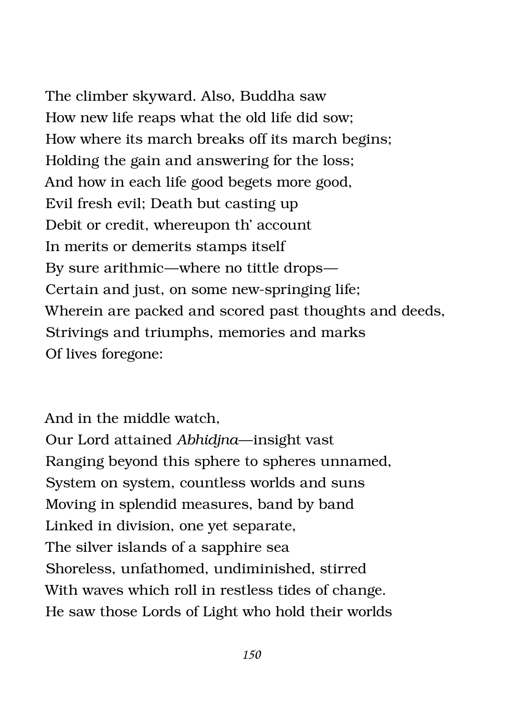The climber skyward. Also, Buddha saw How new life reaps what the old life did sow; How where its march breaks off its march begins; Holding the gain and answering for the loss; And how in each life good begets more good, Evil fresh evil; Death but casting up Debit or credit, whereupon th' account In merits or demerits stamps itself By sure arithmic—where no tittle drops— Certain and just, on some new-springing life; Wherein are packed and scored past thoughts and deeds, Strivings and triumphs, memories and marks Of lives foregone:

And in the middle watch, Our Lord attained *Abhidjna* — insight vast Ranging beyond this sphere to spheres unnamed, System on system, countless worlds and suns Moving in splendid measures, band by band Linked in division, one yet separate, The silver islands of a sapphire sea Shoreless, unfathomed, undiminished, stirred With waves which roll in restless tides of change. He saw those Lords of Light who hold their worlds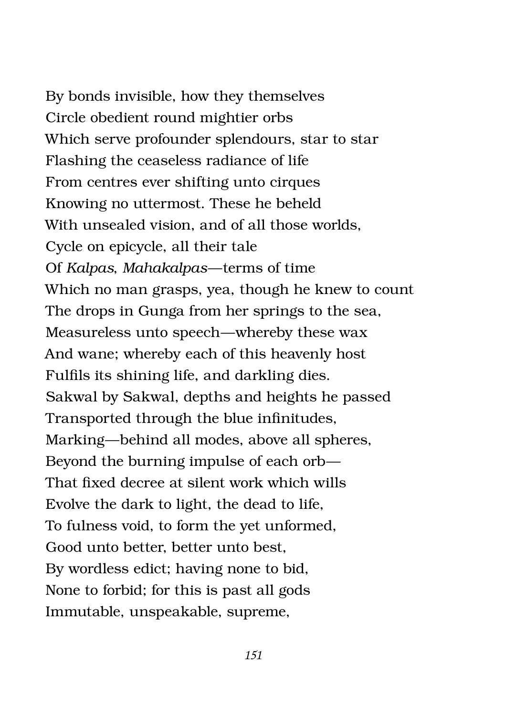By bonds invisible, how they themselves Circle obedient round mightier orbs Which serve profounder splendours, star to star Flashing the ceaseless radiance of life From centres ever shifting unto cirques Knowing no uttermost. These he beheld With unsealed vision, and of all those worlds, Cycle on epicycle, all their tale Of *Kalpas*, *Mahakalpas*— terms of time Which no man grasps, yea, though he knew to count The drops in Gunga from her springs to the sea, Measureless unto speech — whereby these wax And wane; whereby each of this heavenly host Fulfils its shining life, and darkling dies. Sakwal by Sakwal, depths and heights he passed Transported through the blue infinitudes, Marking—behind all modes, above all spheres, Beyond the burning impulse of each orb— That fixed decree at silent work which wills Evolve the dark to light, the dead to life, To fulness void, to form the yet unformed, Good unto better, better unto best, By wordless edict; having none to bid, None to forbid; for this is past all gods Immutable, unspeakable, supreme,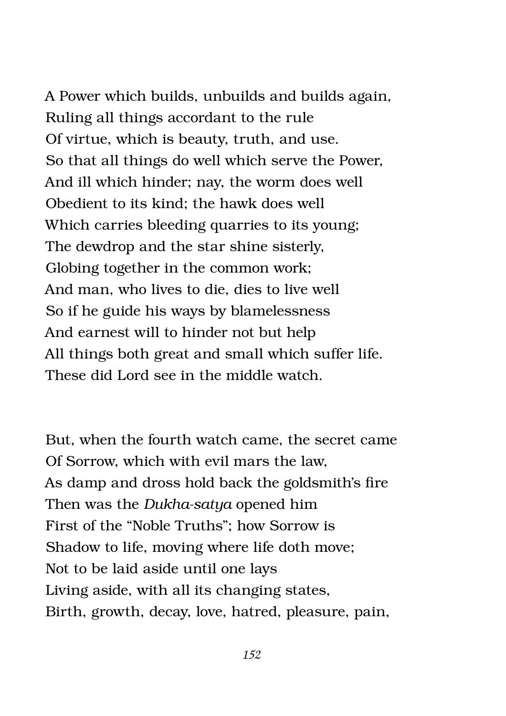A Power which builds, unbuilds and builds again, Ruling all things accordant to the rule Of virtue, which is beauty, truth, and use. So that all things do well which serve the Power, And ill which hinder; nay, the worm does well Obedient to its kind; the hawk does well Which carries bleeding quarries to its young; The dewdrop and the star shine sisterly, Globing together in the common work; And man, who lives to die, dies to live well So if he guide his ways by blamelessness And earnest will to hinder not but help All things both great and small which suffer life. These did Lord see in the middle watch.

But, when the fourth watch came, the secret came Of Sorrow, which with evil mars the law, As damp and dross hold back the goldsmith's fire Then was the *Dukha-satya* opened him First of the "Noble Truths"; how Sorrow is Shadow to life, moving where life doth move; Not to be laid aside until one lays Living aside, with all its changing states, Birth, growth, decay, love, hatred, pleasure, pain,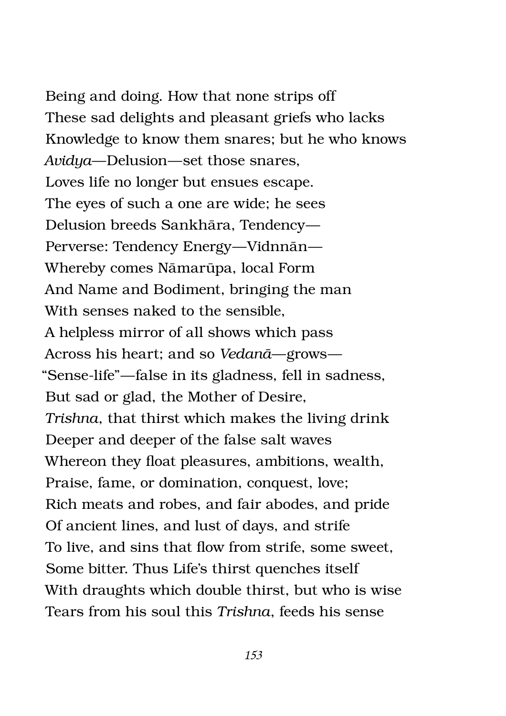Being and doing. How that none strips off These sad delights and pleasant griefs who lacks Knowledge to know them snares; but he who knows *Avidya*— Delusion — set those snares, Loves life no longer but ensues escape. The eyes of such a one are wide; he sees Delusion breeds Sankhāra, Tendency-Perverse: Tendency Energy—Vidnnān— Whereby comes Nàmaråpa, local Form And Name and Bodiment, bringing the man With senses naked to the sensible, A helpless mirror of all shows which pass Across his heart; and so *Vedanà*— grows — "Sense-life" — false in its gladness, fell in sadness, But sad or glad, the Mother of Desire, *Trishna*, that thirst which makes the living drink Deeper and deeper of the false salt waves Whereon they float pleasures, ambitions, wealth, Praise, fame, or domination, conquest, love; Rich meats and robes, and fair abodes, and pride Of ancient lines, and lust of days, and strife To live, and sins that flow from strife, some sweet, Some bitter. Thus Life's thirst quenches itself With draughts which double thirst, but who is wise Tears from his soul this *Trishna*, feeds his sense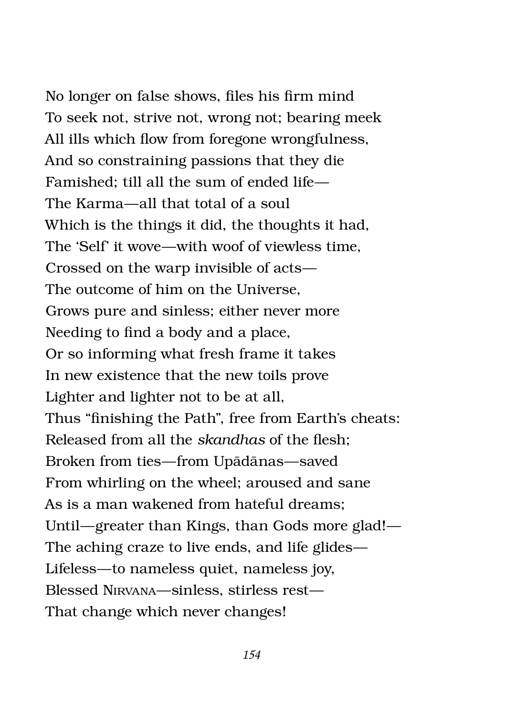No longer on false shows, files his firm mind To seek not, strive not, wrong not; bearing meek All ills which flow from foregone wrongfulness, And so constraining passions that they die Famished: till all the sum of ended life— The Karma—all that total of a soul Which is the things it did, the thoughts it had, The 'Self' it wove—with woof of viewless time. Crossed on the warp invisible of acts — The outcome of him on the Universe, Grows pure and sinless; either never more Needing to find a body and a place, Or so informing what fresh frame it takes In new existence that the new toils prove Lighter and lighter not to be at all, Thus "finishing the Path", free from Earth's cheats: Released from all the *skandhas* of the flesh; Broken from ties — from Upàdànas — saved From whirling on the wheel; aroused and sane As is a man wakened from hateful dreams; Until—greater than Kings, than Gods more glad!— The aching craze to live ends, and life glides— Lifeless — to nameless quiet, nameless joy, Blessed NIRVANA—sinless, stirless rest— That change which never changes!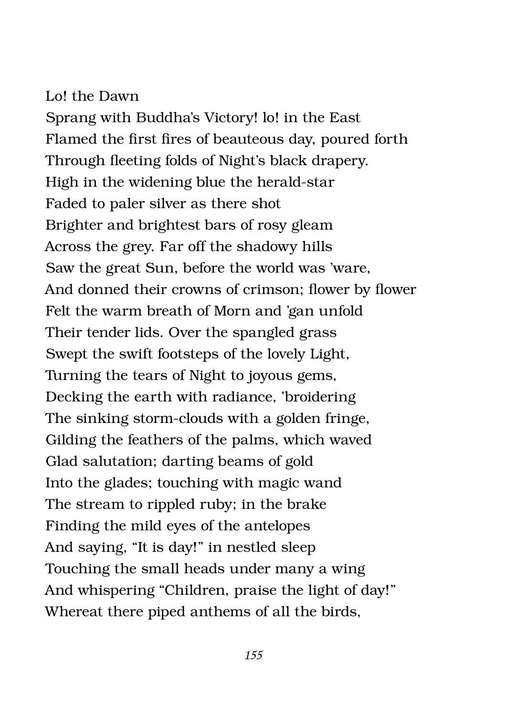#### Lo! the Dawn

Sprang with Buddha's Victory! lo! in the East Flamed the first fires of beauteous day, poured forth Through fleeting folds of Night's black drapery. High in the widening blue the herald-star Faded to paler silver as there shot Brighter and brightest bars of rosy gleam Across the grey. Far off the shadowy hills Saw the great Sun, before the world was 'ware, And donned their crowns of crimson; flower by flower Felt the warm breath of Morn and 'gan unfold Their tender lids. Over the spangled grass Swept the swift footsteps of the lovely Light, Turning the tears of Night to joyous gems, Decking the earth with radiance, 'broidering The sinking storm-clouds with a golden fringe, Gilding the feathers of the palms, which waved Glad salutation; darting beams of gold Into the glades; touching with magic wand The stream to rippled ruby; in the brake Finding the mild eyes of the antelopes And saying, "It is day!" in nestled sleep Touching the small heads under many a wing And whispering "Children, praise the light of day!" Whereat there piped anthems of all the birds,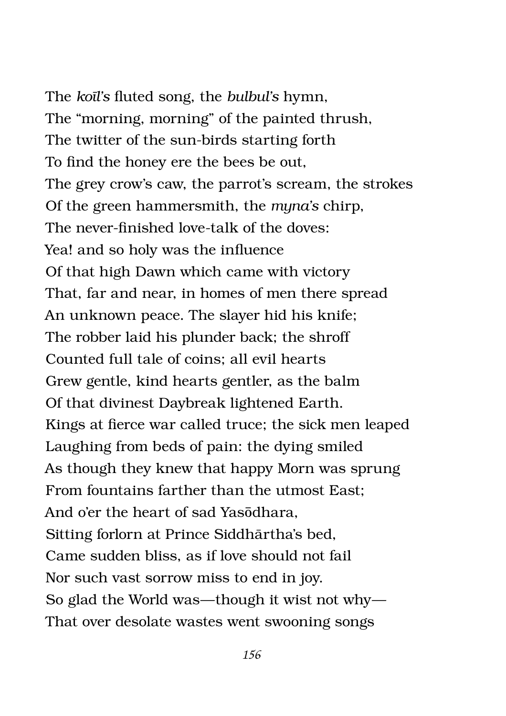The *ko* $\vec{u}$ 's fluted song, the *bulbul*'s hymn, The "morning, morning" of the painted thrush, The twitter of the sun-birds starting forth To find the honey ere the bees be out, The grey crow's caw, the parrot's scream, the strokes Of the green hammersmith, the *myna's* chirp, The never-finished love-talk of the doves: Yea! and so holy was the influence Of that high Dawn which came with victory That, far and near, in homes of men there spread An unknown peace. The slayer hid his knife; The robber laid his plunder back; the shroff Counted full tale of coins; all evil hearts Grew gentle, kind hearts gentler, as the balm Of that divinest Daybreak lightened Earth. Kings at fierce war called truce; the sick men leaped Laughing from beds of pain: the dying smiled As though they knew that happy Morn was sprung From fountains farther than the utmost East; And o'er the heart of sad Yas**'**dhara, Sitting forlorn at Prince Siddhàrtha's bed, Came sudden bliss, as if love should not fail Nor such vast sorrow miss to end in joy. So glad the World was—though it wist not why— That over desolate wastes went swooning songs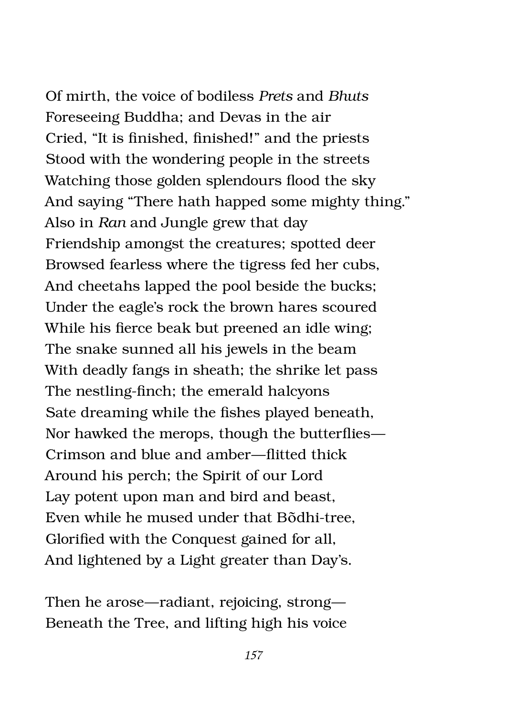Of mirth, the voice of bodiless *Prets* and *Bhuts* Foreseeing Buddha; and Devas in the air Cried, "It is finished, finished!" and the priests Stood with the wondering people in the streets Watching those golden splendours flood the sky And saying "There hath happed some mighty thing." Also in *Ran* and Jungle grew that day Friendship amongst the creatures; spotted deer Browsed fearless where the tigress fed her cubs, And cheetahs lapped the pool beside the bucks; Under the eagle's rock the brown hares scoured While his fierce beak but preened an idle wing; The snake sunned all his jewels in the beam With deadly fangs in sheath; the shrike let pass The nestling-finch; the emerald halcyons Sate dreaming while the fishes played beneath, Nor hawked the merops, though the butterflies— Crimson and blue and amber—flitted thick Around his perch; the Spirit of our Lord Lay potent upon man and bird and beast, Even while he mused under that Bõdhi-tree, Glorified with the Conquest gained for all, And lightened by a Light greater than Day's.

Then he arose—radiant, rejoicing, strong— Beneath the Tree, and lifting high his voice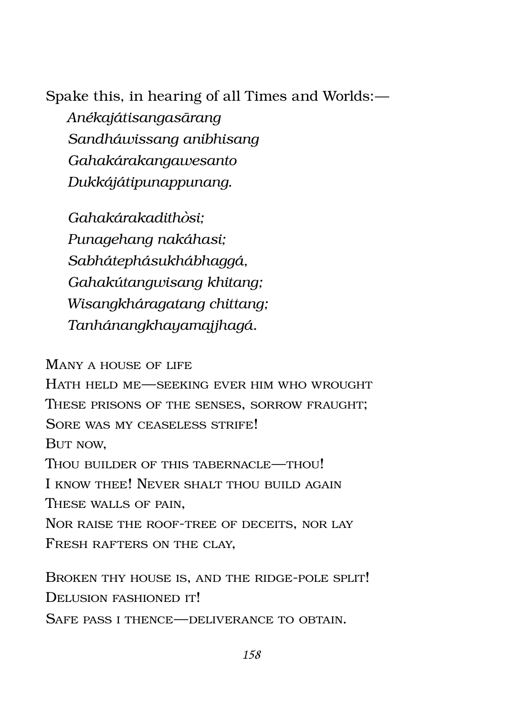Spake this, in hearing of all Times and Worlds: —

*Anékajátisangasàrang Sandháwissang anibhisang Gahakárakangawesanto Dukkájátipunappunang.*

*Gahakárakadithòsi; Punagehang nakáhasi; Sabhátephásukhábhaggá, Gahakútangwisang khitang; Wisangkháragatang chittang; Tanhánangkhayamajjhagá.*

Many a house of life

HATH HELD ME-SEEKING EVER HIM WHO WROUGHT These prisons of the senses, sorrow fraught; SORE WAS MY CEASELESS STRIFE! BUT NOW. THOU BUILDER OF THIS TABERNACLE—THOU! I know thee! Never shalt thou build again THESE WALLS OF PAIN. Nor raise the roof-tree of deceits, nor lay FRESH RAFTERS ON THE CLAY,

BROKEN THY HOUSE IS, AND THE RIDGE-POLE SPLIT! DELUSION FASHIONED IT! SAFE PASS I THENCE—DELIVERANCE TO OBTAIN.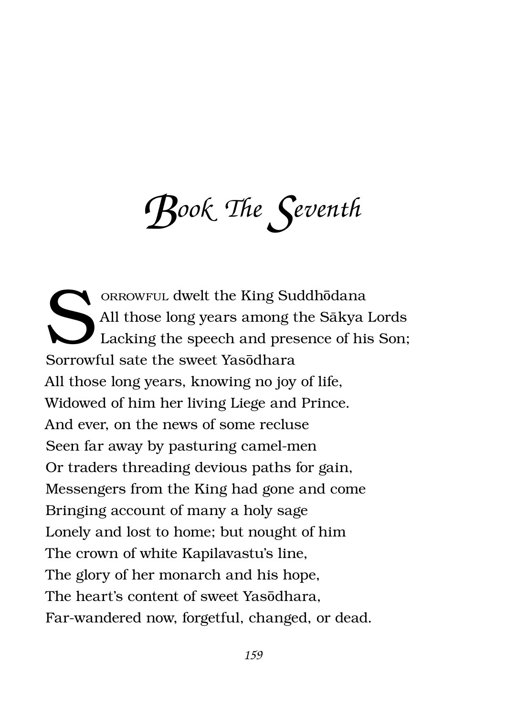# *Book The Seventh*

Sorrowful safe the sweet Yasodhara<br>Sorrowful safe the sweet Yasodhara All those long years among the Sàkya Lords Lacking the speech and presence of his Son; Sorrowful sate the sweet Yas**'**dhara All those long years, knowing no joy of life, Widowed of him her living Liege and Prince. And ever, on the news of some recluse Seen far away by pasturing camel-men Or traders threading devious paths for gain, Messengers from the King had gone and come Bringing account of many a holy sage Lonely and lost to home; but nought of him The crown of white Kapilavastu's line, The glory of her monarch and his hope, The heart's content of sweet Yas**'**dhara, Far-wandered now, forgetful, changed, or dead.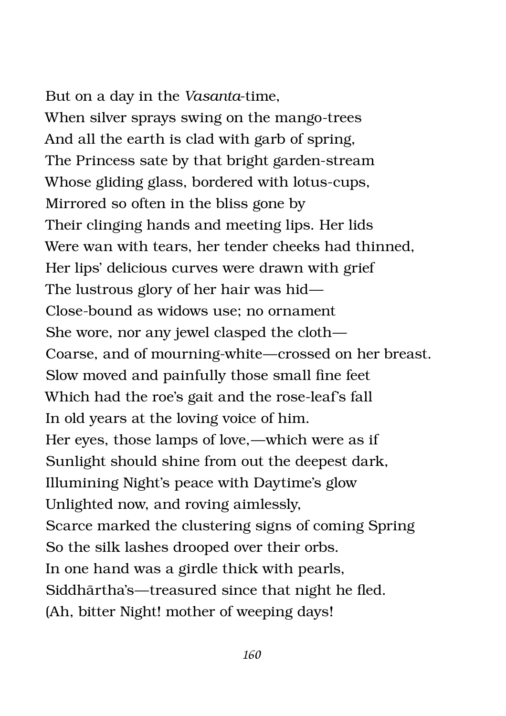But on a day in the *Vasanta*-time,

When silver sprays swing on the mango-trees And all the earth is clad with garb of spring, The Princess sate by that bright garden-stream Whose gliding glass, bordered with lotus-cups, Mirrored so often in the bliss gone by Their clinging hands and meeting lips. Her lids Were wan with tears, her tender cheeks had thinned, Her lips' delicious curves were drawn with grief The lustrous glory of her hair was hid— Close-bound as widows use; no ornament She wore, nor any jewel clasped the cloth — Coarse, and of mourning-white — crossed on her breast. Slow moved and painfully those small fine feet Which had the roe's gait and the rose-leaf's fall In old years at the loving voice of him. Her eyes, those lamps of love, — which were as if Sunlight should shine from out the deepest dark, Illumining Night's peace with Daytime's glow Unlighted now, and roving aimlessly, Scarce marked the clustering signs of coming Spring So the silk lashes drooped over their orbs. In one hand was a girdle thick with pearls, Siddhārtha's—treasured since that night he fled. (Ah, bitter Night! mother of weeping days!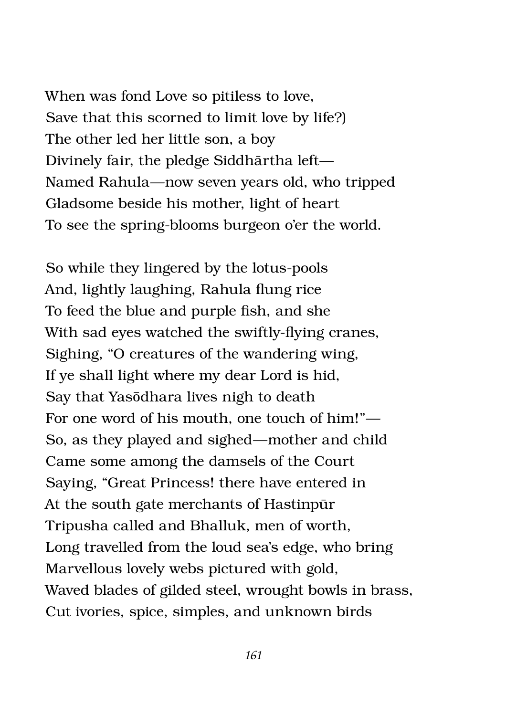When was fond Love so pitiless to love, Save that this scorned to limit love by life?) The other led her little son, a boy Divinely fair, the pledge Siddhārtha left— Named Rahula—now seven years old, who tripped Gladsome beside his mother, light of heart To see the spring-blooms burgeon o'er the world.

So while they lingered by the lotus-pools And, lightly laughing, Rahula flung rice To feed the blue and purple fish, and she With sad eyes watched the swiftly-flying cranes, Sighing, "O creatures of the wandering wing, If ye shall light where my dear Lord is hid, Say that Yas**'**dhara lives nigh to death For one word of his mouth, one touch of him!"— So, as they played and sighed — mother and child Came some among the damsels of the Court Saying, "Great Princess! there have entered in At the south gate merchants of Hastinpår Tripusha called and Bhalluk, men of worth, Long travelled from the loud sea's edge, who bring Marvellous lovely webs pictured with gold, Waved blades of gilded steel, wrought bowls in brass, Cut ivories, spice, simples, and unknown birds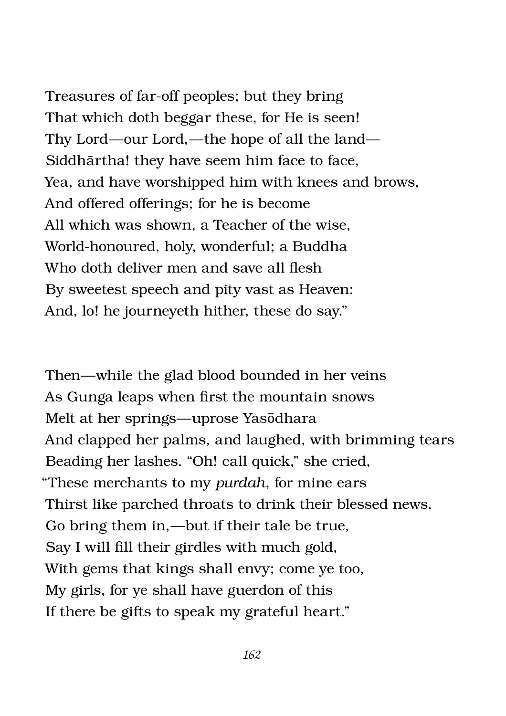Treasures of far-off peoples; but they bring That which doth beggar these, for He is seen! Thy Lord—our Lord,—the hope of all the land— Siddhàrtha! they have seem him face to face, Yea, and have worshipped him with knees and brows, And offered offerings; for he is become All which was shown, a Teacher of the wise, World-honoured, holy, wonderful; a Buddha Who doth deliver men and save all flesh By sweetest speech and pity vast as Heaven: And, lo! he journeyeth hither, these do say."

Then—while the glad blood bounded in her veins As Gunga leaps when first the mountain snows Melt at her springs — uprose Yas**'**dhara And clapped her palms, and laughed, with brimming tears Beading her lashes. "Oh! call quick," she cried, "These merchants to my *purdah*, for mine ears Thirst like parched throats to drink their blessed news. Go bring them in, — but if their tale be true, Say I will fill their girdles with much gold, With gems that kings shall envy; come ye too, My girls, for ye shall have guerdon of this If there be gifts to speak my grateful heart."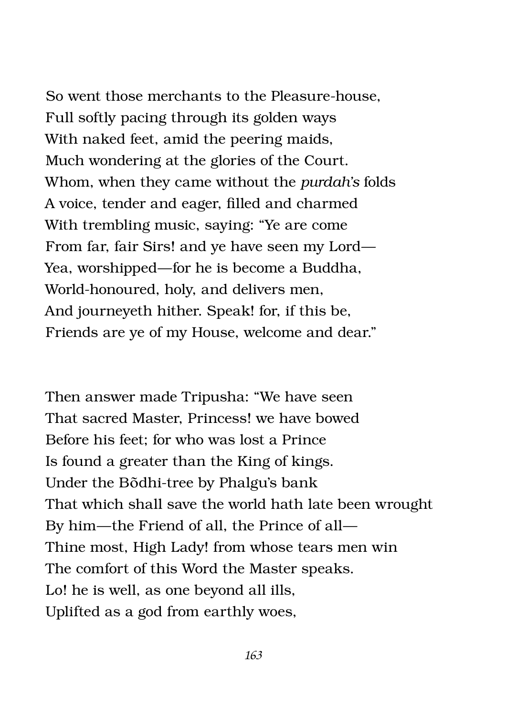So went those merchants to the Pleasure-house, Full softly pacing through its golden ways With naked feet, amid the peering maids, Much wondering at the glories of the Court. Whom, when they came without the *purdah's* folds A voice, tender and eager, filled and charmed With trembling music, saying: "Ye are come From far, fair Sirs! and ye have seen my Lord— Yea, worshipped—for he is become a Buddha, World-honoured, holy, and delivers men, And journeyeth hither. Speak! for, if this be, Friends are ye of my House, welcome and dear."

Then answer made Tripusha: "We have seen That sacred Master, Princess! we have bowed Before his feet; for who was lost a Prince Is found a greater than the King of kings. Under the Bõdhi-tree by Phalgu's bank That which shall save the world hath late been wrought By him—the Friend of all, the Prince of all— Thine most, High Lady! from whose tears men win The comfort of this Word the Master speaks. Lo! he is well, as one beyond all ills, Uplifted as a god from earthly woes,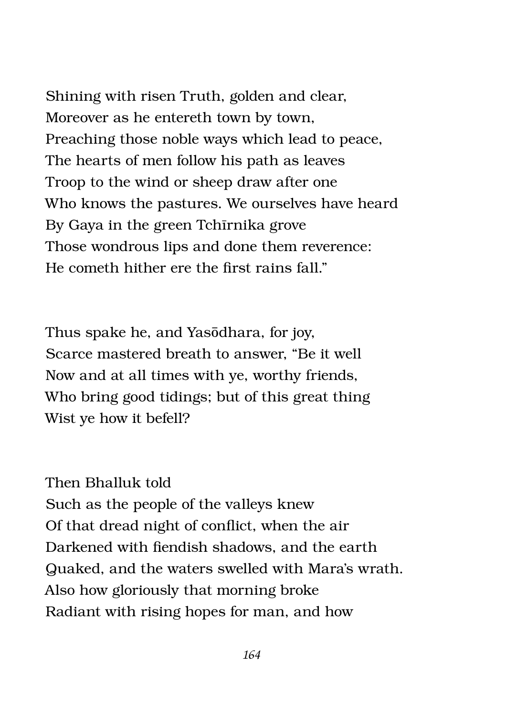Shining with risen Truth, golden and clear, Moreover as he entereth town by town, Preaching those noble ways which lead to peace, The hearts of men follow his path as leaves Troop to the wind or sheep draw after one Who knows the pastures. We ourselves have heard By Gaya in the green Tchīrnika grove Those wondrous lips and done them reverence: He cometh hither ere the first rains fall."

Thus spake he, and Yas**'**dhara, for joy, Scarce mastered breath to answer, "Be it well Now and at all times with ye, worthy friends, Who bring good tidings; but of this great thing Wist ye how it befell?

# Then Bhalluk told

Such as the people of the valleys knew Of that dread night of conflict, when the air Darkened with fiendish shadows, and the earth Quaked, and the waters swelled with Mara's wrath. Also how gloriously that morning broke Radiant with rising hopes for man, and how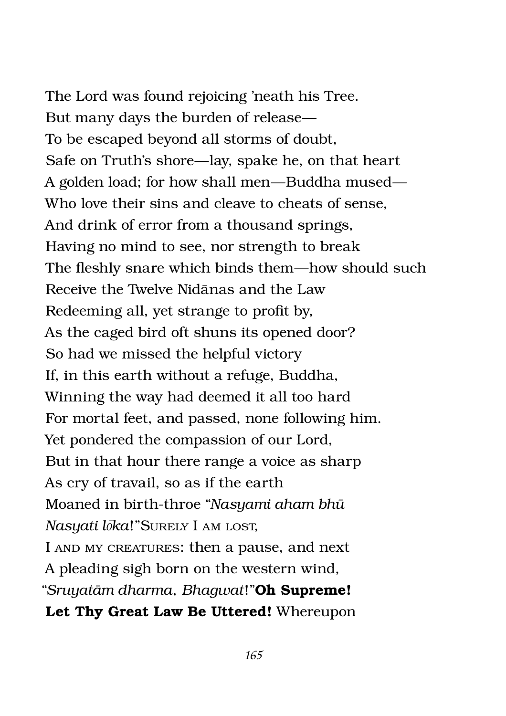The Lord was found rejoicing 'neath his Tree. But many days the burden of release— To be escaped beyond all storms of doubt, Safe on Truth's shore—lay, spake he, on that heart A golden load; for how shall men—Buddha mused— Who love their sins and cleave to cheats of sense, And drink of error from a thousand springs, Having no mind to see, nor strength to break The fleshly snare which binds them—how should such Receive the Twelve Nidànas and the Law Redeeming all, yet strange to profit by, As the caged bird oft shuns its opened door? So had we missed the helpful victory If, in this earth without a refuge, Buddha, Winning the way had deemed it all too hard For mortal feet, and passed, none following him. Yet pondered the compassion of our Lord, But in that hour there range a voice as sharp As cry of travail, so as if the earth Moaned in birth-throe "*Nasyami aham bhå Nasyati l'ka*!"Surely I am lost, I and my creatures: then a pause, and next A pleading sigh born on the western wind, "*Sruyatàm dharma*, *Bhagwat*!"**Oh Supreme!**

## **Let Thy Great Law Be Uttered!** Whereupon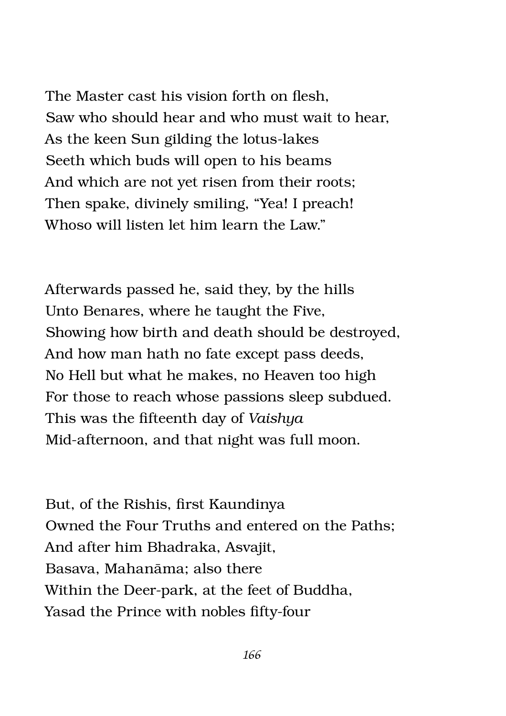The Master cast his vision forth on flesh. Saw who should hear and who must wait to hear, As the keen Sun gilding the lotus-lakes Seeth which buds will open to his beams And which are not yet risen from their roots; Then spake, divinely smiling, "Yea! I preach! Whoso will listen let him learn the Law."

Afterwards passed he, said they, by the hills Unto Benares, where he taught the Five, Showing how birth and death should be destroyed, And how man hath no fate except pass deeds, No Hell but what he makes, no Heaven too high For those to reach whose passions sleep subdued. This was the fifteenth day of *Vaishya* Mid-afternoon, and that night was full moon.

But, of the Rishis, first Kaundinya Owned the Four Truths and entered on the Paths; And after him Bhadraka, Asvajit, Basava, Mahanàma; also there Within the Deer-park, at the feet of Buddha, Yasad the Prince with nobles fifty-four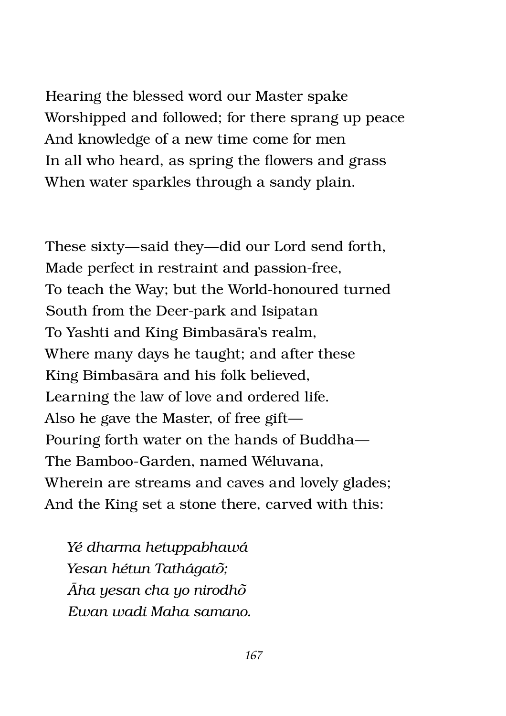Hearing the blessed word our Master spake Worshipped and followed; for there sprang up peace And knowledge of a new time come for men In all who heard, as spring the flowers and grass When water sparkles through a sandy plain.

These sixty—said they—did our Lord send forth, Made perfect in restraint and passion-free, To teach the Way; but the World-honoured turned South from the Deer-park and Isipatan To Yashti and King Bimbasàra's realm, Where many days he taught; and after these King Bimbasàra and his folk believed, Learning the law of love and ordered life. Also he gave the Master, of free gift— Pouring forth water on the hands of Buddha — The Bamboo-Garden, named Wéluvana, Wherein are streams and caves and lovely glades; And the King set a stone there, carved with this:

*Yé dharma hetuppabhawá Yesan hétun Tathágatõ; âha yesan cha yo nirodhõ Ewan wadi Maha samano.*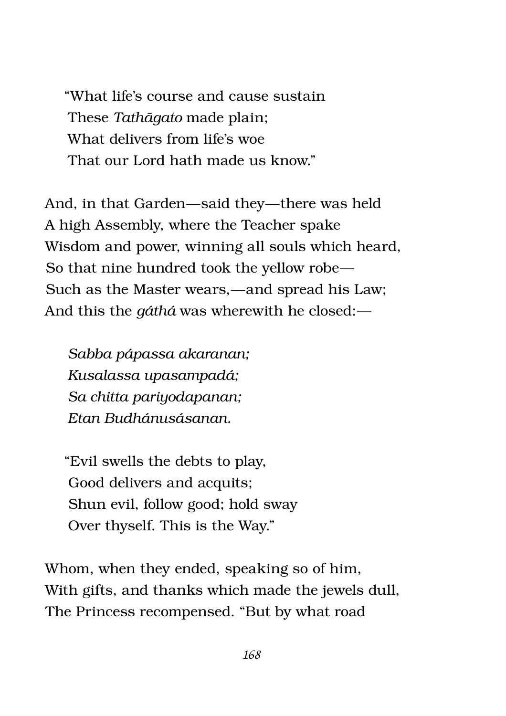"What life's course and cause sustain These *Tathàgato* made plain; What delivers from life's woe That our Lord hath made us know."

And, in that Garden—said they—there was held A high Assembly, where the Teacher spake Wisdom and power, winning all souls which heard, So that nine hundred took the yellow robe— Such as the Master wears, — and spread his Law; And this the *gáthá* was wherewith he closed: —

*Sabba pápassa akaranan; Kusalassa upasampadá; Sa chitta pariyodapanan; Etan Budhánusásanan.*

"Evil swells the debts to play, Good delivers and acquits; Shun evil, follow good; hold sway Over thyself. This is the Way."

Whom, when they ended, speaking so of him, With gifts, and thanks which made the jewels dull, The Princess recompensed. "But by what road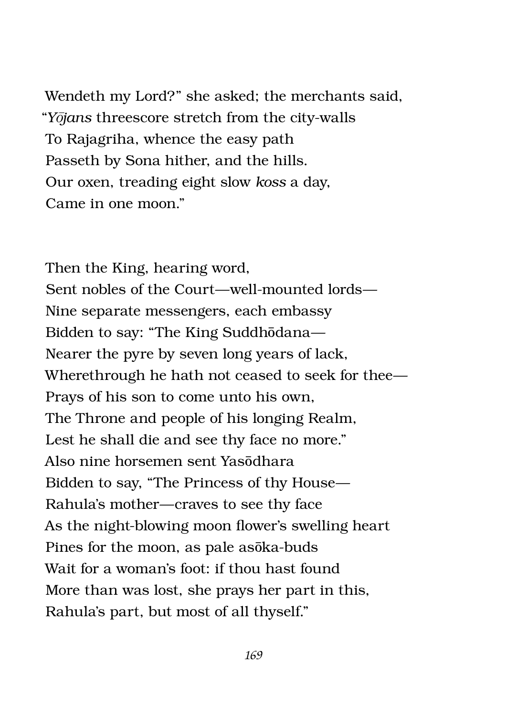Wendeth my Lord?" she asked; the merchants said, "*Y'jans* threescore stretch from the city-walls To Rajagriha, whence the easy path Passeth by Sona hither, and the hills. Our oxen, treading eight slow *koss* a day, Came in one moon."

Then the King, hearing word, Sent nobles of the Court—well-mounted lords— Nine separate messengers, each embassy Bidden to say: "The King Suddhodana— Nearer the pyre by seven long years of lack, Wherethrough he hath not ceased to seek for thee— Prays of his son to come unto his own, The Throne and people of his longing Realm, Lest he shall die and see thy face no more." Also nine horsemen sent Yas**'**dhara Bidden to say, "The Princess of thy House — Rahula's mother — craves to see thy face As the night-blowing moon flower's swelling heart Pines for the moon, as pale aso<sup>ka-buds</sup> Wait for a woman's foot: if thou hast found More than was lost, she prays her part in this, Rahula's part, but most of all thyself."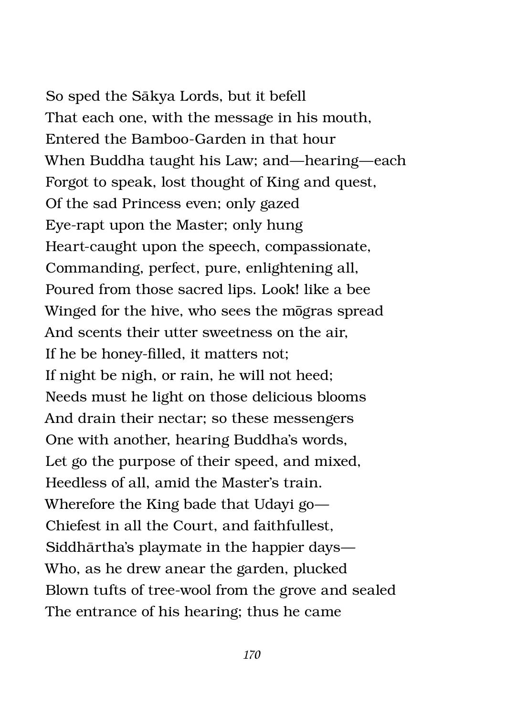So sped the Sàkya Lords, but it befell That each one, with the message in his mouth, Entered the Bamboo-Garden in that hour When Buddha taught his Law; and-hearing-each Forgot to speak, lost thought of King and quest, Of the sad Princess even; only gazed Eye-rapt upon the Master; only hung Heart-caught upon the speech, compassionate, Commanding, perfect, pure, enlightening all, Poured from those sacred lips. Look! like a bee Winged for the hive, who sees the m**'**gras spread And scents their utter sweetness on the air, If he be honey-filled, it matters not; If night be nigh, or rain, he will not heed; Needs must he light on those delicious blooms And drain their nectar; so these messengers One with another, hearing Buddha's words, Let go the purpose of their speed, and mixed, Heedless of all, amid the Master's train. Wherefore the King bade that Udayi  $\text{go}$ — Chiefest in all the Court, and faithfullest, Siddhārtha's playmate in the happier days— Who, as he drew anear the garden, plucked Blown tufts of tree-wool from the grove and sealed The entrance of his hearing; thus he came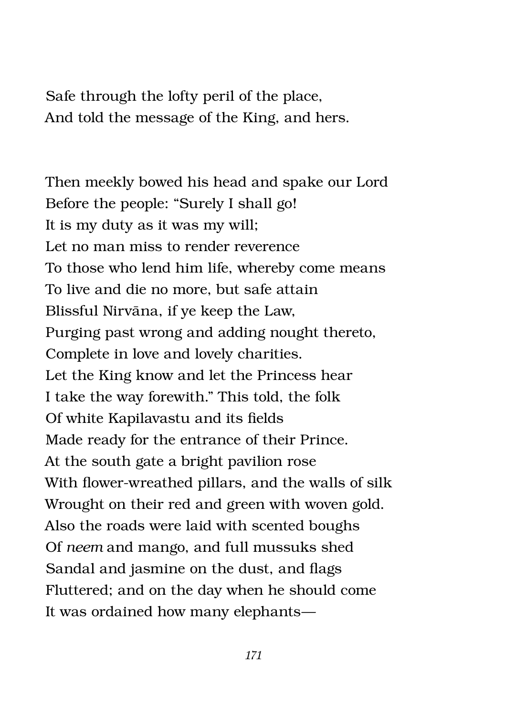Safe through the lofty peril of the place, And told the message of the King, and hers.

Then meekly bowed his head and spake our Lord Before the people: "Surely I shall go! It is my duty as it was my will; Let no man miss to render reverence To those who lend him life, whereby come means To live and die no more, but safe attain Blissful Nirvàna, if ye keep the Law, Purging past wrong and adding nought thereto, Complete in love and lovely charities. Let the King know and let the Princess hear I take the way forewith." This told, the folk Of white Kapilavastu and its fields Made ready for the entrance of their Prince. At the south gate a bright pavilion rose With flower-wreathed pillars, and the walls of silk Wrought on their red and green with woven gold. Also the roads were laid with scented boughs Of *neem* and mango, and full mussuks shed Sandal and jasmine on the dust, and flags Fluttered; and on the day when he should come It was ordained how many elephants —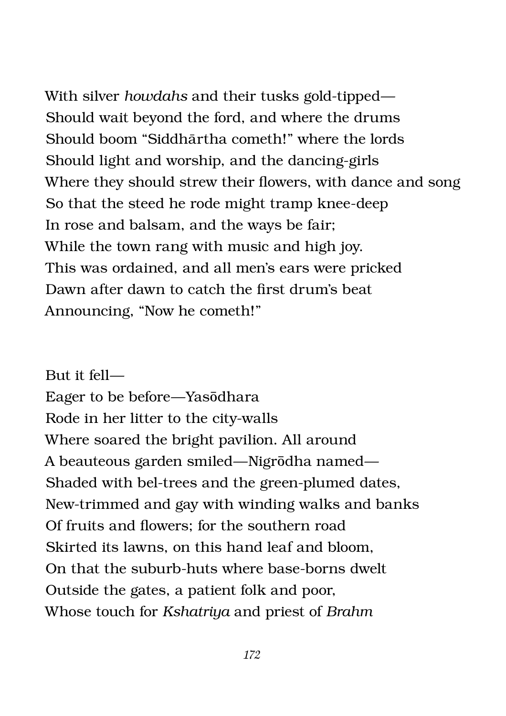With silver *howdahs* and their tusks gold-tipped-Should wait beyond the ford, and where the drums Should boom "Siddhàrtha cometh!" where the lords Should light and worship, and the dancing-girls Where they should strew their flowers, with dance and song So that the steed he rode might tramp knee-deep In rose and balsam, and the ways be fair; While the town rang with music and high joy. This was ordained, and all men's ears were pricked Dawn after dawn to catch the first drum's beat Announcing, "Now he cometh!"

But it fell-Eager to be before — Yas**'**dhara Rode in her litter to the city-walls Where soared the bright pavilion. All around A beauteous garden smiled — Nigr**'**dha named — Shaded with bel-trees and the green-plumed dates, New-trimmed and gay with winding walks and banks Of fruits and flowers; for the southern road Skirted its lawns, on this hand leaf and bloom, On that the suburb-huts where base-borns dwelt Outside the gates, a patient folk and poor, Whose touch for *Kshatriya* and priest of *Brahm*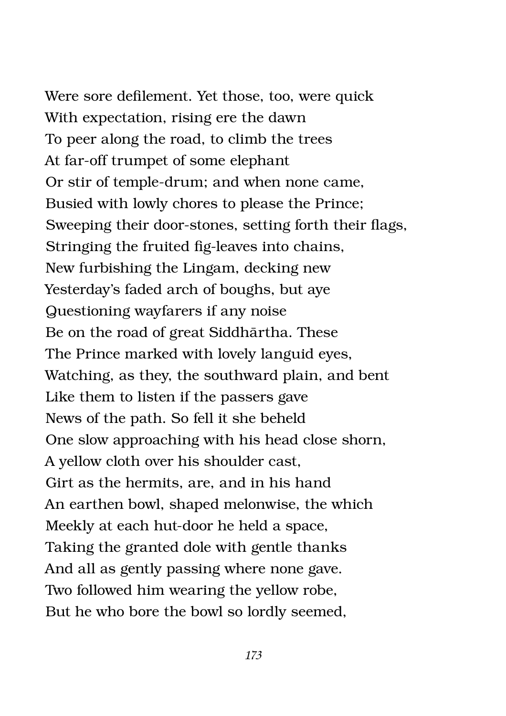Were sore defilement. Yet those, too, were quick With expectation, rising ere the dawn To peer along the road, to climb the trees At far-off trumpet of some elephant Or stir of temple-drum; and when none came, Busied with lowly chores to please the Prince; Sweeping their door-stones, setting forth their flags, Stringing the fruited fig-leaves into chains, New furbishing the Lingam, decking new Yesterday's faded arch of boughs, but aye Questioning wayfarers if any noise Be on the road of great Siddhàrtha. These The Prince marked with lovely languid eyes, Watching, as they, the southward plain, and bent Like them to listen if the passers gave News of the path. So fell it she beheld One slow approaching with his head close shorn, A yellow cloth over his shoulder cast, Girt as the hermits, are, and in his hand An earthen bowl, shaped melonwise, the which Meekly at each hut-door he held a space, Taking the granted dole with gentle thanks And all as gently passing where none gave. Two followed him wearing the yellow robe, But he who bore the bowl so lordly seemed,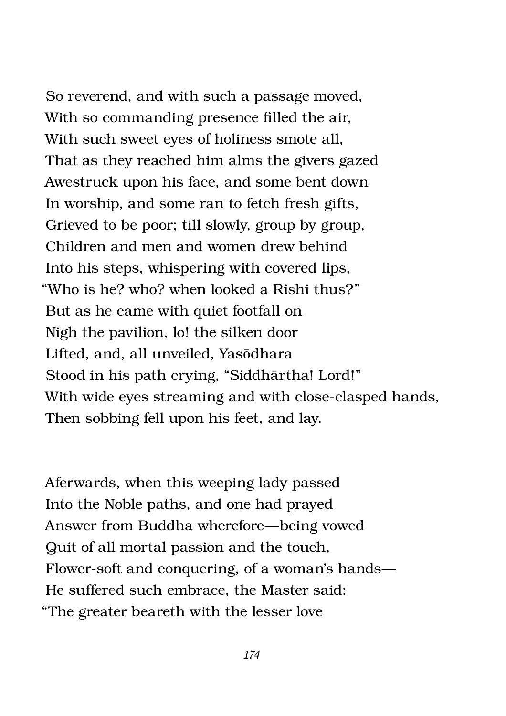So reverend, and with such a passage moved, With so commanding presence filled the air, With such sweet eyes of holiness smote all, That as they reached him alms the givers gazed Awestruck upon his face, and some bent down In worship, and some ran to fetch fresh gifts, Grieved to be poor; till slowly, group by group, Children and men and women drew behind Into his steps, whispering with covered lips, "Who is he? who? when looked a Rishi thus?" But as he came with quiet footfall on Nigh the pavilion, lo! the silken door Lifted, and, all unveiled, Yas**'**dhara Stood in his path crying, "Siddhàrtha! Lord!" With wide eyes streaming and with close-clasped hands, Then sobbing fell upon his feet, and lay.

Aferwards, when this weeping lady passed Into the Noble paths, and one had prayed Answer from Buddha wherefore — being vowed Quit of all mortal passion and the touch, Flower-soft and conquering, of a woman's hands — He suffered such embrace, the Master said: "The greater beareth with the lesser love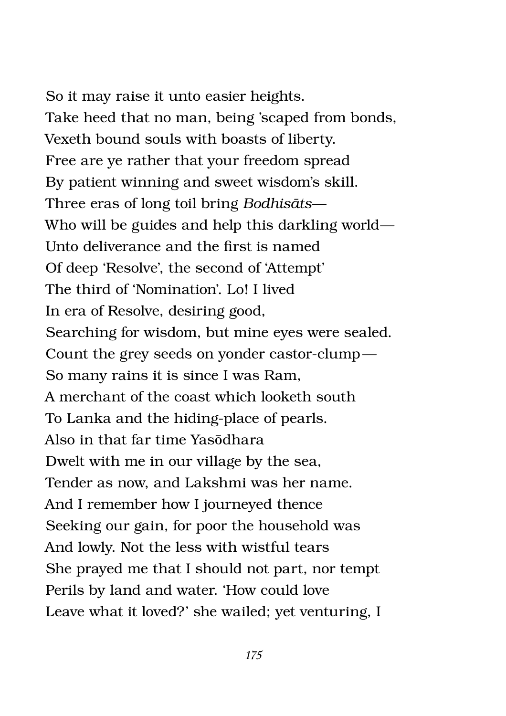So it may raise it unto easier heights. Take heed that no man, being 'scaped from bonds, Vexeth bound souls with boasts of liberty. Free are ye rather that your freedom spread By patient winning and sweet wisdom's skill. Three eras of long toil bring *Bodhisàts* — Who will be guides and help this darkling world— Unto deliverance and the first is named Of deep 'Resolve', the second of 'Attempt' The third of 'Nomination'. Lo! I lived In era of Resolve, desiring good, Searching for wisdom, but mine eyes were sealed. Count the grey seeds on yonder castor-clump — So many rains it is since I was Ram, A merchant of the coast which looketh south To Lanka and the hiding-place of pearls. Also in that far time Yas**'**dhara Dwelt with me in our village by the sea, Tender as now, and Lakshmi was her name. And I remember how I journeyed thence Seeking our gain, for poor the household was And lowly. Not the less with wistful tears She prayed me that I should not part, nor tempt Perils by land and water. 'How could love Leave what it loved?' she wailed; yet venturing, I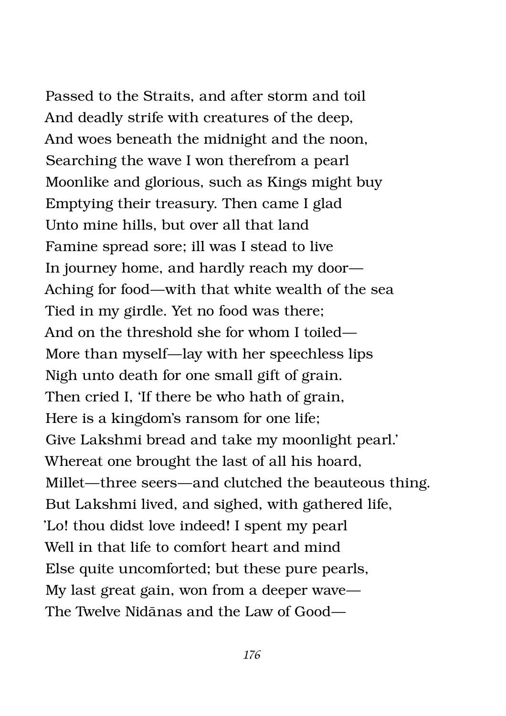Passed to the Straits, and after storm and toil And deadly strife with creatures of the deep, And woes beneath the midnight and the noon, Searching the wave I won therefrom a pearl Moonlike and glorious, such as Kings might buy Emptying their treasury. Then came I glad Unto mine hills, but over all that land Famine spread sore; ill was I stead to live In journey home, and hardly reach my door— Aching for food—with that white wealth of the sea Tied in my girdle. Yet no food was there; And on the threshold she for whom I toiled— More than myself—lay with her speechless lips Nigh unto death for one small gift of grain. Then cried I, 'If there be who hath of grain, Here is a kingdom's ransom for one life; Give Lakshmi bread and take my moonlight pearl.' Whereat one brought the last of all his hoard, Millet—three seers—and clutched the beauteous thing. But Lakshmi lived, and sighed, with gathered life, 'Lo! thou didst love indeed! I spent my pearl Well in that life to comfort heart and mind Else quite uncomforted; but these pure pearls, My last great gain, won from a deeper wave— The Twelve Nidanas and the Law of Good-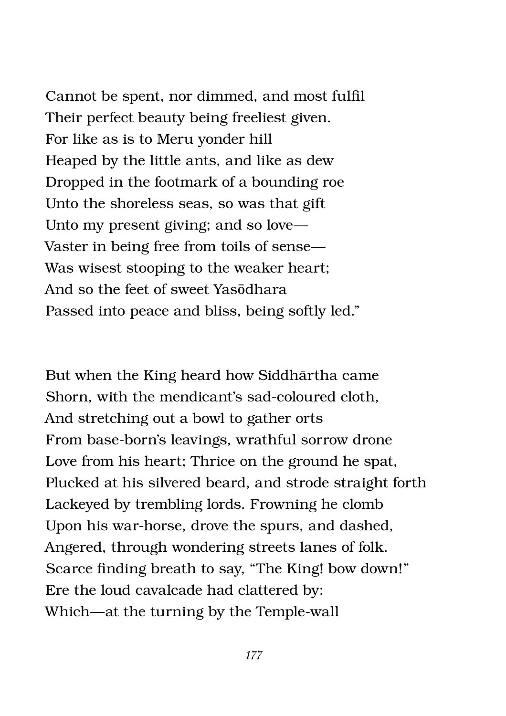Cannot be spent, nor dimmed, and most fulfil Their perfect beauty being freeliest given. For like as is to Meru yonder hill Heaped by the little ants, and like as dew Dropped in the footmark of a bounding roe Unto the shoreless seas, so was that gift Unto my present giving; and so love— Vaster in being free from toils of sense— Was wisest stooping to the weaker heart; And so the feet of sweet Yas**'**dhara Passed into peace and bliss, being softly led."

But when the King heard how Siddhàrtha came Shorn, with the mendicant's sad-coloured cloth, And stretching out a bowl to gather orts From base-born's leavings, wrathful sorrow drone Love from his heart; Thrice on the ground he spat, Plucked at his silvered beard, and strode straight forth Lackeyed by trembling lords. Frowning he clomb Upon his war-horse, drove the spurs, and dashed, Angered, through wondering streets lanes of folk. Scarce finding breath to say, "The King! bow down!" Ere the loud cavalcade had clattered by: Which — at the turning by the Temple-wall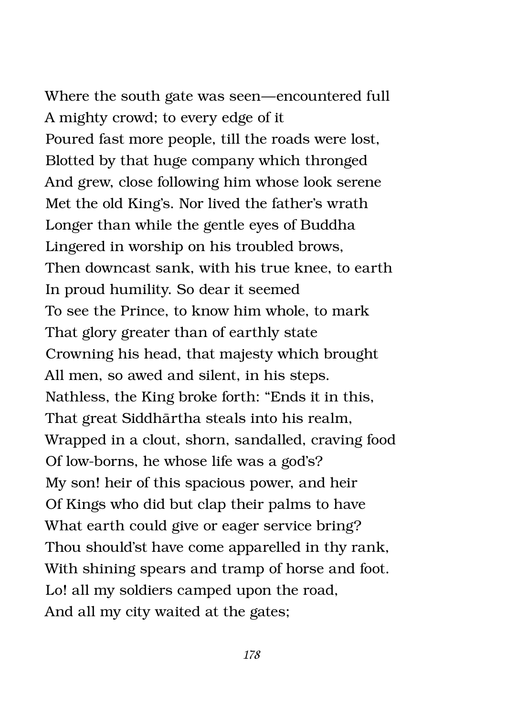Where the south gate was seen—encountered full A mighty crowd; to every edge of it Poured fast more people, till the roads were lost, Blotted by that huge company which thronged And grew, close following him whose look serene Met the old King's. Nor lived the father's wrath Longer than while the gentle eyes of Buddha Lingered in worship on his troubled brows, Then downcast sank, with his true knee, to earth In proud humility. So dear it seemed To see the Prince, to know him whole, to mark That glory greater than of earthly state Crowning his head, that majesty which brought All men, so awed and silent, in his steps. Nathless, the King broke forth: "Ends it in this, That great Siddhàrtha steals into his realm, Wrapped in a clout, shorn, sandalled, craving food Of low-borns, he whose life was a god's? My son! heir of this spacious power, and heir Of Kings who did but clap their palms to have What earth could give or eager service bring? Thou should'st have come apparelled in thy rank, With shining spears and tramp of horse and foot. Lo! all my soldiers camped upon the road, And all my city waited at the gates;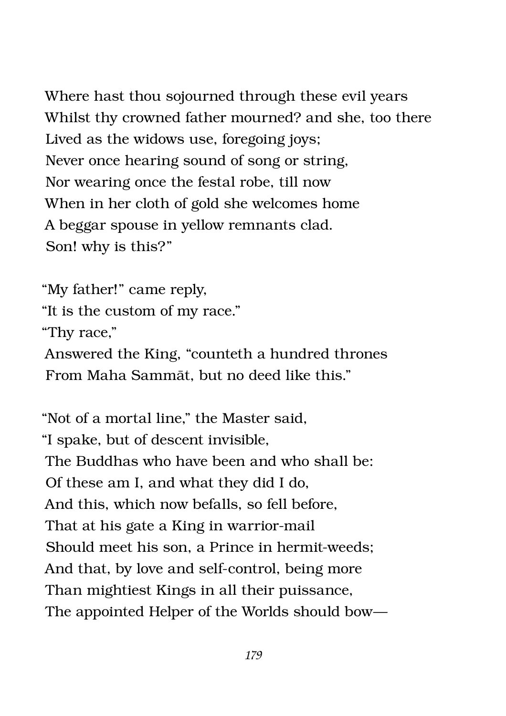Where hast thou sojourned through these evil years Whilst thy crowned father mourned? and she, too there Lived as the widows use, foregoing joys; Never once hearing sound of song or string, Nor wearing once the festal robe, till now When in her cloth of gold she welcomes home A beggar spouse in yellow remnants clad. Son! why is this?"

"My father!" came reply, "It is the custom of my race." "Thy race," Answered the King, "counteth a hundred thrones From Maha Sammàt, but no deed like this."

"Not of a mortal line," the Master said, "I spake, but of descent invisible, The Buddhas who have been and who shall be: Of these am I, and what they did I do, And this, which now befalls, so fell before, That at his gate a King in warrior-mail Should meet his son, a Prince in hermit-weeds; And that, by love and self-control, being more Than mightiest Kings in all their puissance, The appointed Helper of the Worlds should bow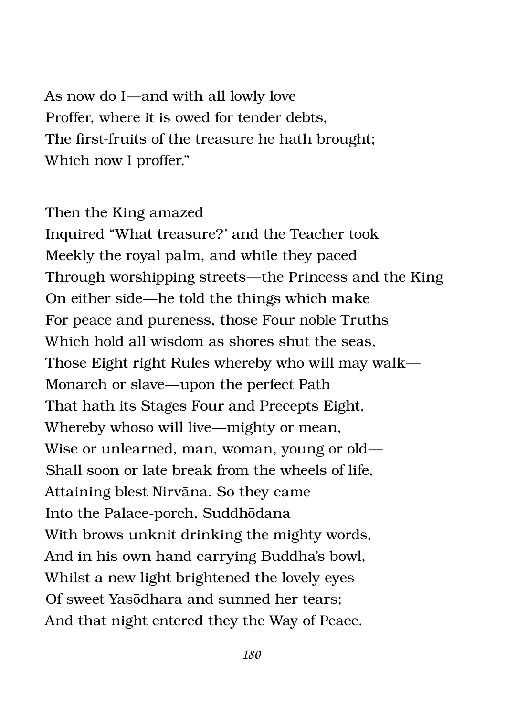As now do I—and with all lowly love Proffer, where it is owed for tender debts, The first-fruits of the treasure he hath brought; Which now I proffer."

Then the King amazed Inquired "What treasure?' and the Teacher took Meekly the royal palm, and while they paced Through worshipping streets—the Princess and the King On either side — he told the things which make For peace and pureness, those Four noble Truths Which hold all wisdom as shores shut the seas, Those Eight right Rules whereby who will may walk — Monarch or slave—upon the perfect Path That hath its Stages Four and Precepts Eight, Whereby whoso will live—mighty or mean, Wise or unlearned, man, woman, young or old— Shall soon or late break from the wheels of life, Attaining blest Nirvàna. So they came Into the Palace-porch, Suddh**'**dana With brows unknit drinking the mighty words, And in his own hand carrying Buddha's bowl, Whilst a new light brightened the lovely eyes Of sweet Yas**'**dhara and sunned her tears; And that night entered they the Way of Peace.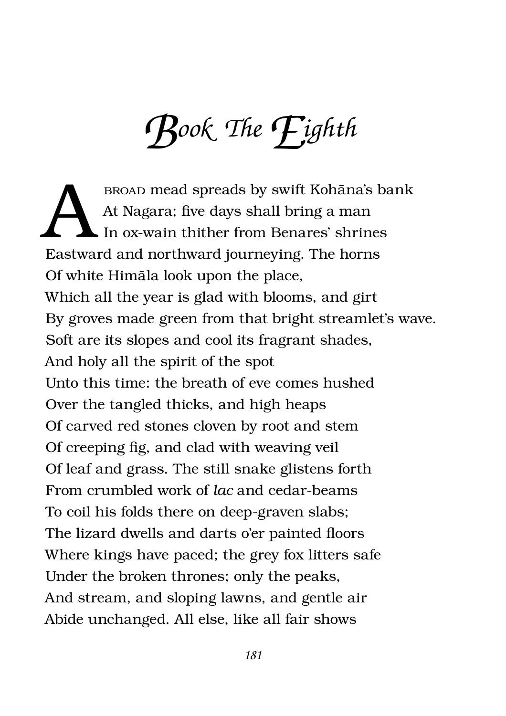## *Book The Eighth*

BROAD mead spreads by swift Kohāna's bank<br>At Nagara; five days shall bring a man<br>In ox-wain thither from Benares' shrines<br>Eastward and northward journeying. The horns At Nagara; five days shall bring a man In ox-wain thither from Benares' shrines Eastward and northward journeying. The horns Of white Himàla look upon the place, Which all the year is glad with blooms, and girt By groves made green from that bright streamlet's wave. Soft are its slopes and cool its fragrant shades, And holy all the spirit of the spot Unto this time: the breath of eve comes hushed Over the tangled thicks, and high heaps Of carved red stones cloven by root and stem Of creeping fig, and clad with weaving veil Of leaf and grass. The still snake glistens forth From crumbled work of *lac* and cedar-beams To coil his folds there on deep-graven slabs; The lizard dwells and darts o'er painted floors Where kings have paced; the grey fox litters safe Under the broken thrones; only the peaks, And stream, and sloping lawns, and gentle air Abide unchanged. All else, like all fair shows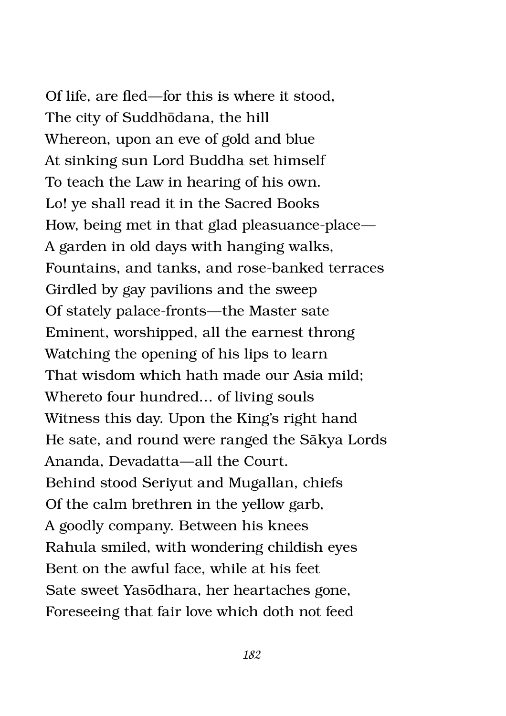Of life, are fled—for this is where it stood. The city of Suddh**'**dana, the hill Whereon, upon an eve of gold and blue At sinking sun Lord Buddha set himself To teach the Law in hearing of his own. Lo! ye shall read it in the Sacred Books How, being met in that glad pleasuance-place — A garden in old days with hanging walks, Fountains, and tanks, and rose-banked terraces Girdled by gay pavilions and the sweep Of stately palace-fronts — the Master sate Eminent, worshipped, all the earnest throng Watching the opening of his lips to learn That wisdom which hath made our Asia mild; Whereto four hundred… of living souls Witness this day. Upon the King's right hand He sate, and round were ranged the Sàkya Lords Ananda, Devadatta—all the Court. Behind stood Seriyut and Mugallan, chiefs Of the calm brethren in the yellow garb, A goodly company. Between his knees Rahula smiled, with wondering childish eyes Bent on the awful face, while at his feet Sate sweet Yas**'**dhara, her heartaches gone, Foreseeing that fair love which doth not feed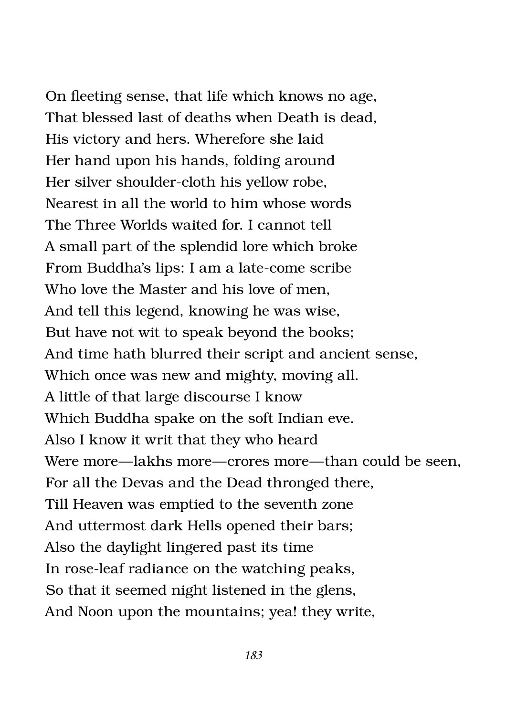On fleeting sense, that life which knows no age, That blessed last of deaths when Death is dead, His victory and hers. Wherefore she laid Her hand upon his hands, folding around Her silver shoulder-cloth his yellow robe, Nearest in all the world to him whose words The Three Worlds waited for. I cannot tell A small part of the splendid lore which broke From Buddha's lips: I am a late-come scribe Who love the Master and his love of men, And tell this legend, knowing he was wise, But have not wit to speak beyond the books; And time hath blurred their script and ancient sense, Which once was new and mighty, moving all. A little of that large discourse I know Which Buddha spake on the soft Indian eve. Also I know it writ that they who heard Were more—lakhs more—crores more—than could be seen. For all the Devas and the Dead thronged there, Till Heaven was emptied to the seventh zone And uttermost dark Hells opened their bars; Also the daylight lingered past its time In rose-leaf radiance on the watching peaks, So that it seemed night listened in the glens, And Noon upon the mountains; yea! they write,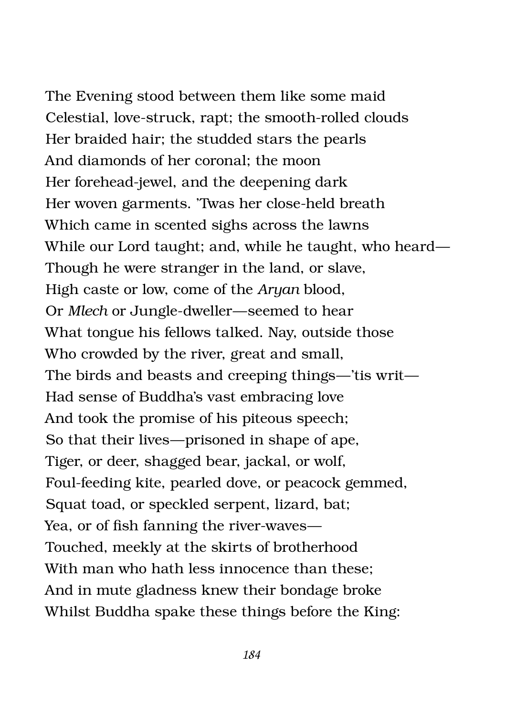The Evening stood between them like some maid Celestial, love-struck, rapt; the smooth-rolled clouds Her braided hair; the studded stars the pearls And diamonds of her coronal; the moon Her forehead-jewel, and the deepening dark Her woven garments. 'Twas her close-held breath Which came in scented sighs across the lawns While our Lord taught; and, while he taught, who heard— Though he were stranger in the land, or slave, High caste or low, come of the *Aryan* blood, Or *Mlech* or Jungle-dweller—seemed to hear What tongue his fellows talked. Nay, outside those Who crowded by the river, great and small, The birds and beasts and creeping things—'tis writ— Had sense of Buddha's vast embracing love And took the promise of his piteous speech; So that their lives — prisoned in shape of ape, Tiger, or deer, shagged bear, jackal, or wolf, Foul-feeding kite, pearled dove, or peacock gemmed, Squat toad, or speckled serpent, lizard, bat; Yea, or of fish fanning the river-waves— Touched, meekly at the skirts of brotherhood With man who hath less innocence than these; And in mute gladness knew their bondage broke Whilst Buddha spake these things before the King: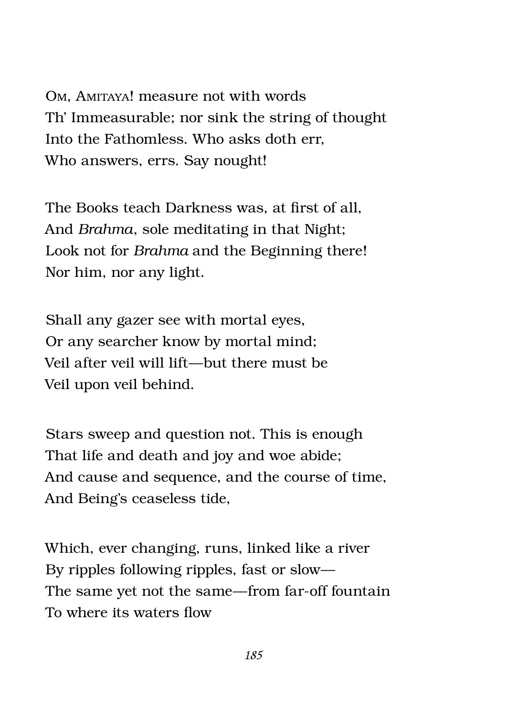Om, Amitaya! measure not with words Th' Immeasurable; nor sink the string of thought Into the Fathomless. Who asks doth err, Who answers, errs. Say nought!

The Books teach Darkness was, at first of all, And *Brahma*, sole meditating in that Night; Look not for *Brahma* and the Beginning there! Nor him, nor any light.

Shall any gazer see with mortal eyes, Or any searcher know by mortal mind; Veil after veil will lift — but there must be Veil upon veil behind.

Stars sweep and question not. This is enough That life and death and joy and woe abide; And cause and sequence, and the course of time, And Being's ceaseless tide,

Which, ever changing, runs, linked like a river By ripples following ripples, fast or slow— The same yet not the same — from far-off fountain To where its waters flow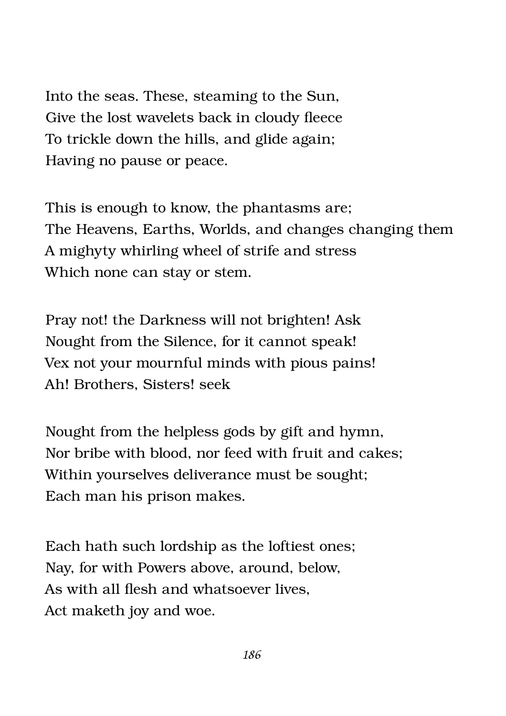Into the seas. These, steaming to the Sun, Give the lost wavelets back in cloudy fleece To trickle down the hills, and glide again; Having no pause or peace.

This is enough to know, the phantasms are; The Heavens, Earths, Worlds, and changes changing them A mighyty whirling wheel of strife and stress Which none can stay or stem.

Pray not! the Darkness will not brighten! Ask Nought from the Silence, for it cannot speak! Vex not your mournful minds with pious pains! Ah! Brothers, Sisters! seek

Nought from the helpless gods by gift and hymn, Nor bribe with blood, nor feed with fruit and cakes; Within yourselves deliverance must be sought; Each man his prison makes.

Each hath such lordship as the loftiest ones; Nay, for with Powers above, around, below, As with all flesh and whatsoever lives. Act maketh joy and woe.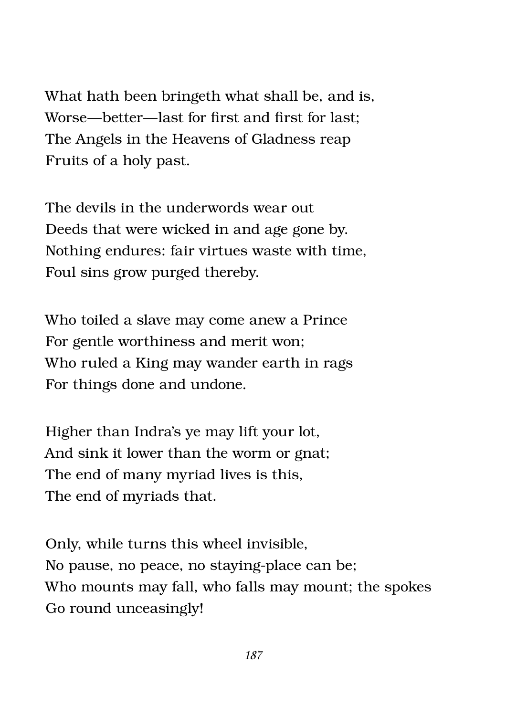What hath been bringeth what shall be, and is, Worse—better—last for first and first for last: The Angels in the Heavens of Gladness reap Fruits of a holy past.

The devils in the underwords wear out Deeds that were wicked in and age gone by. Nothing endures: fair virtues waste with time, Foul sins grow purged thereby.

Who toiled a slave may come anew a Prince For gentle worthiness and merit won; Who ruled a King may wander earth in rags For things done and undone.

Higher than Indra's ye may lift your lot, And sink it lower than the worm or gnat; The end of many myriad lives is this, The end of myriads that.

Only, while turns this wheel invisible, No pause, no peace, no staying-place can be; Who mounts may fall, who falls may mount; the spokes Go round unceasingly!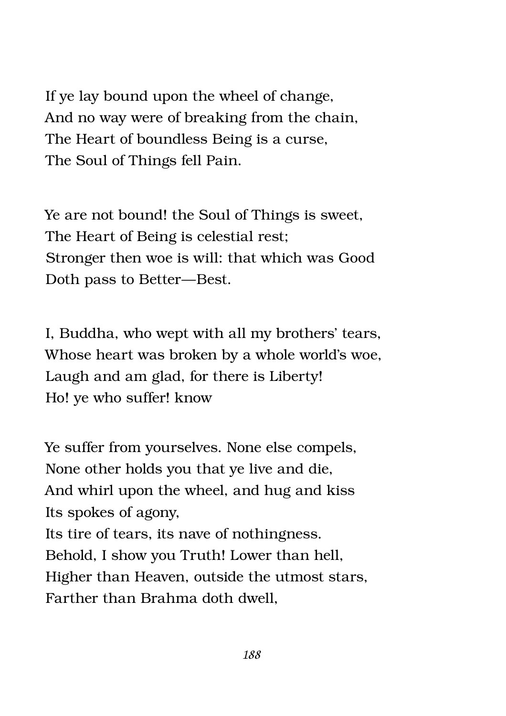If ye lay bound upon the wheel of change, And no way were of breaking from the chain, The Heart of boundless Being is a curse, The Soul of Things fell Pain.

Ye are not bound! the Soul of Things is sweet, The Heart of Being is celestial rest; Stronger then woe is will: that which was Good Doth pass to Better—Best.

I, Buddha, who wept with all my brothers' tears, Whose heart was broken by a whole world's woe, Laugh and am glad, for there is Liberty! Ho! ye who suffer! know

Ye suffer from yourselves. None else compels, None other holds you that ye live and die, And whirl upon the wheel, and hug and kiss Its spokes of agony, Its tire of tears, its nave of nothingness. Behold, I show you Truth! Lower than hell, Higher than Heaven, outside the utmost stars, Farther than Brahma doth dwell,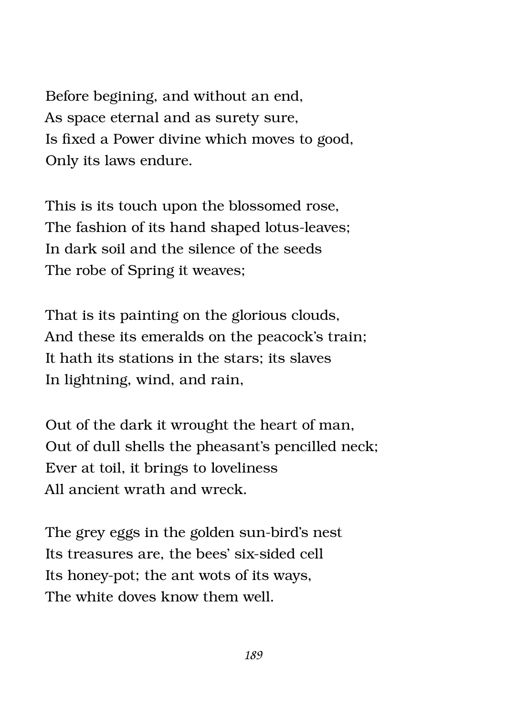Before begining, and without an end, As space eternal and as surety sure, Is fixed a Power divine which moves to good, Only its laws endure.

This is its touch upon the blossomed rose, The fashion of its hand shaped lotus-leaves; In dark soil and the silence of the seeds The robe of Spring it weaves;

That is its painting on the glorious clouds, And these its emeralds on the peacock's train; It hath its stations in the stars; its slaves In lightning, wind, and rain,

Out of the dark it wrought the heart of man, Out of dull shells the pheasant's pencilled neck; Ever at toil, it brings to loveliness All ancient wrath and wreck.

The grey eggs in the golden sun-bird's nest Its treasures are, the bees' six-sided cell Its honey-pot; the ant wots of its ways, The white doves know them well.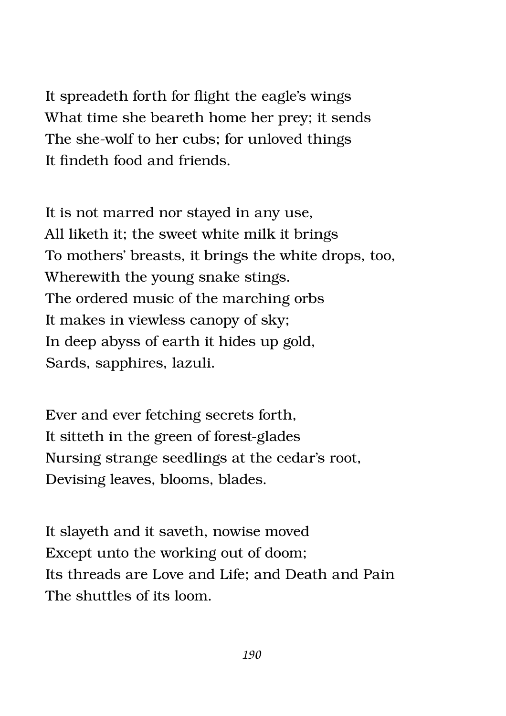It spreadeth forth for flight the eagle's wings What time she beareth home her prey; it sends The she-wolf to her cubs; for unloved things It findeth food and friends.

It is not marred nor stayed in any use, All liketh it; the sweet white milk it brings To mothers' breasts, it brings the white drops, too, Wherewith the young snake stings. The ordered music of the marching orbs It makes in viewless canopy of sky; In deep abyss of earth it hides up gold, Sards, sapphires, lazuli.

Ever and ever fetching secrets forth, It sitteth in the green of forest-glades Nursing strange seedlings at the cedar's root, Devising leaves, blooms, blades.

It slayeth and it saveth, nowise moved Except unto the working out of doom; Its threads are Love and Life; and Death and Pain The shuttles of its loom.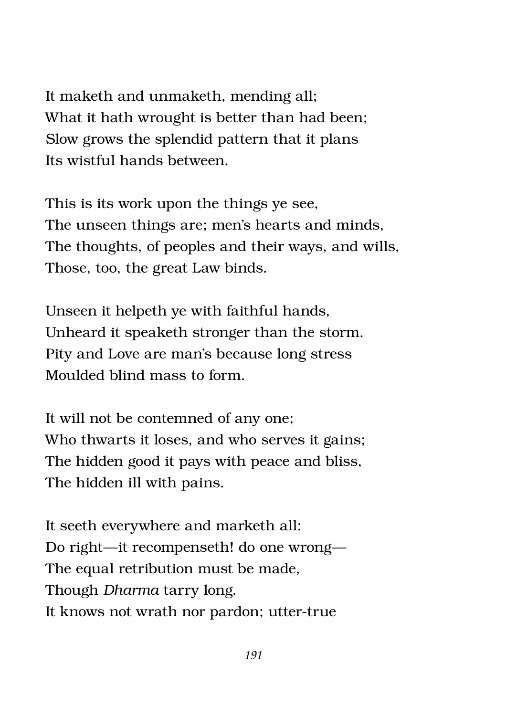It maketh and unmaketh, mending all; What it hath wrought is better than had been; Slow grows the splendid pattern that it plans Its wistful hands between.

This is its work upon the things ye see, The unseen things are; men's hearts and minds, The thoughts, of peoples and their ways, and wills, Those, too, the great Law binds.

Unseen it helpeth ye with faithful hands, Unheard it speaketh stronger than the storm. Pity and Love are man's because long stress Moulded blind mass to form.

It will not be contemned of any one; Who thwarts it loses, and who serves it gains; The hidden good it pays with peace and bliss, The hidden ill with pains.

It seeth everywhere and marketh all: Do right—it recompenseth! do one wrong— The equal retribution must be made, Though *Dharma* tarry long. It knows not wrath nor pardon; utter-true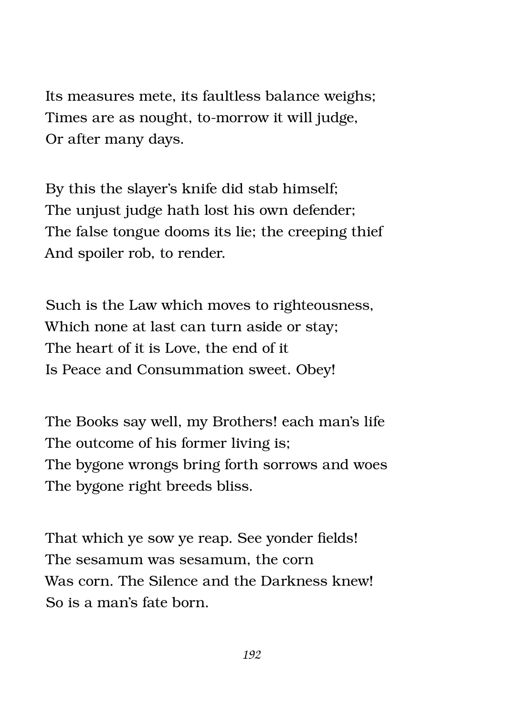Its measures mete, its faultless balance weighs; Times are as nought, to-morrow it will judge, Or after many days.

By this the slayer's knife did stab himself; The unjust judge hath lost his own defender; The false tongue dooms its lie; the creeping thief And spoiler rob, to render.

Such is the Law which moves to righteousness, Which none at last can turn aside or stay; The heart of it is Love, the end of it Is Peace and Consummation sweet. Obey!

The Books say well, my Brothers! each man's life The outcome of his former living is; The bygone wrongs bring forth sorrows and woes The bygone right breeds bliss.

That which ye sow ye reap. See yonder fields! The sesamum was sesamum, the corn Was corn. The Silence and the Darkness knew! So is a man's fate born.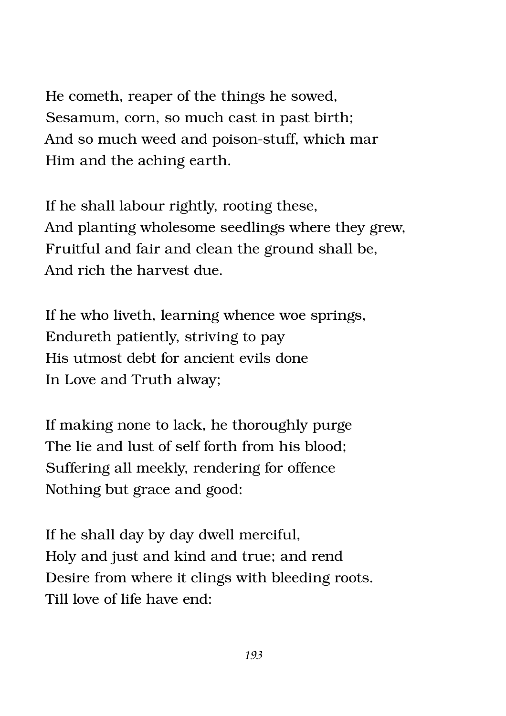He cometh, reaper of the things he sowed, Sesamum, corn, so much cast in past birth; And so much weed and poison-stuff, which mar Him and the aching earth.

If he shall labour rightly, rooting these, And planting wholesome seedlings where they grew, Fruitful and fair and clean the ground shall be, And rich the harvest due.

If he who liveth, learning whence woe springs, Endureth patiently, striving to pay His utmost debt for ancient evils done In Love and Truth alway;

If making none to lack, he thoroughly purge The lie and lust of self forth from his blood; Suffering all meekly, rendering for offence Nothing but grace and good:

If he shall day by day dwell merciful, Holy and just and kind and true; and rend Desire from where it clings with bleeding roots. Till love of life have end: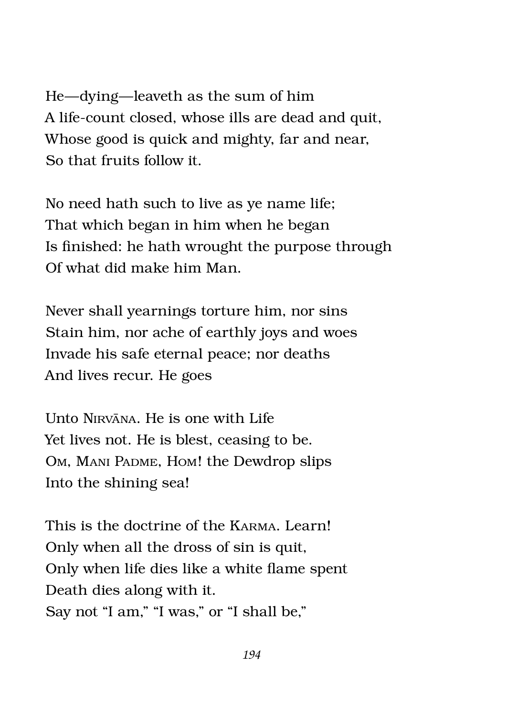He — dying — leaveth as the sum of him A life-count closed, whose ills are dead and quit, Whose good is quick and mighty, far and near, So that fruits follow it.

No need hath such to live as ye name life; That which began in him when he began Is finished: he hath wrought the purpose through Of what did make him Man.

Never shall yearnings torture him, nor sins Stain him, nor ache of earthly joys and woes Invade his safe eternal peace; nor deaths And lives recur. He goes

Unto Nirvàna. He is one with Life Yet lives not. He is blest, ceasing to be. OM, MANI PADME, HOM! the Dewdrop slips Into the shining sea!

This is the doctrine of the KARMA. Learn! Only when all the dross of sin is quit, Only when life dies like a white flame spent Death dies along with it. Say not "I am," "I was," or "I shall be,"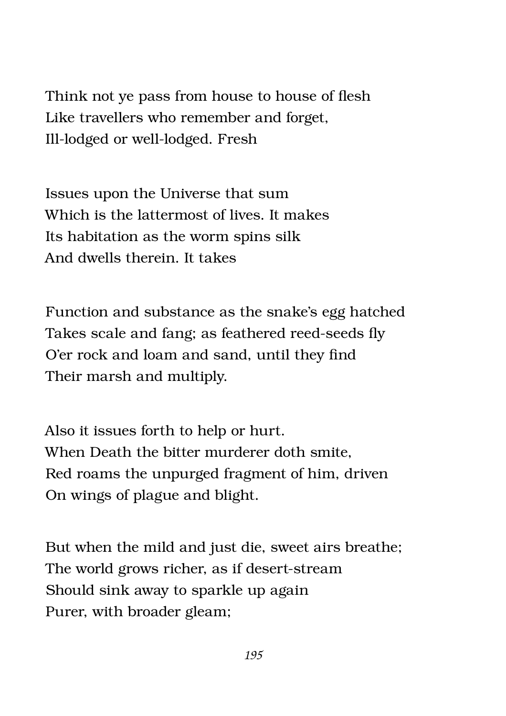Think not ye pass from house to house of flesh Like travellers who remember and forget, Ill-lodged or well-lodged. Fresh

Issues upon the Universe that sum Which is the lattermost of lives. It makes Its habitation as the worm spins silk And dwells therein. It takes

Function and substance as the snake's egg hatched Takes scale and fang; as feathered reed-seeds fly O'er rock and loam and sand, until they find Their marsh and multiply.

Also it issues forth to help or hurt. When Death the bitter murderer doth smite, Red roams the unpurged fragment of him, driven On wings of plague and blight.

But when the mild and just die, sweet airs breathe; The world grows richer, as if desert-stream Should sink away to sparkle up again Purer, with broader gleam;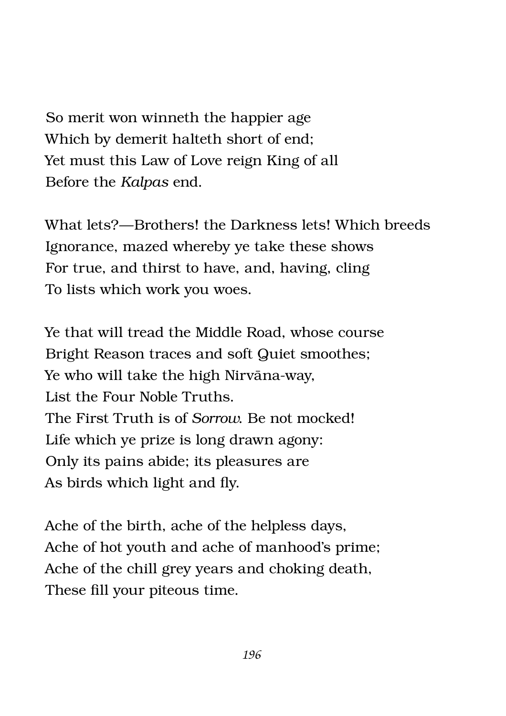So merit won winneth the happier age Which by demerit halteth short of end; Yet must this Law of Love reign King of all Before the *Kalpas* end.

What lets? — Brothers! the Darkness lets! Which breeds Ignorance, mazed whereby ye take these shows For true, and thirst to have, and, having, cling To lists which work you woes.

Ye that will tread the Middle Road, whose course Bright Reason traces and soft Quiet smoothes; Ye who will take the high Nirvàna-way, List the Four Noble Truths. The First Truth is of *Sorrow*. Be not mocked! Life which ye prize is long drawn agony: Only its pains abide; its pleasures are As birds which light and fly.

Ache of the birth, ache of the helpless days, Ache of hot youth and ache of manhood's prime; Ache of the chill grey years and choking death, These fill your piteous time.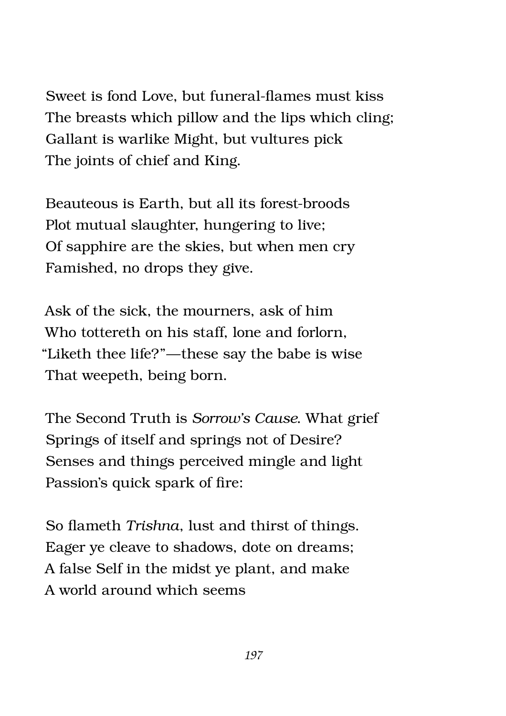Sweet is fond Love, but funeral-flames must kiss The breasts which pillow and the lips which cling; Gallant is warlike Might, but vultures pick The joints of chief and King.

Beauteous is Earth, but all its forest-broods Plot mutual slaughter, hungering to live; Of sapphire are the skies, but when men cry Famished, no drops they give.

Ask of the sick, the mourners, ask of him Who tottereth on his staff, lone and forlorn, "Liketh thee life?" — these say the babe is wise That weepeth, being born.

The Second Truth is *Sorrow's Cause*. What grief Springs of itself and springs not of Desire? Senses and things perceived mingle and light Passion's quick spark of fire:

So flameth *Trishna*, lust and thirst of things. Eager ye cleave to shadows, dote on dreams; A false Self in the midst ye plant, and make A world around which seems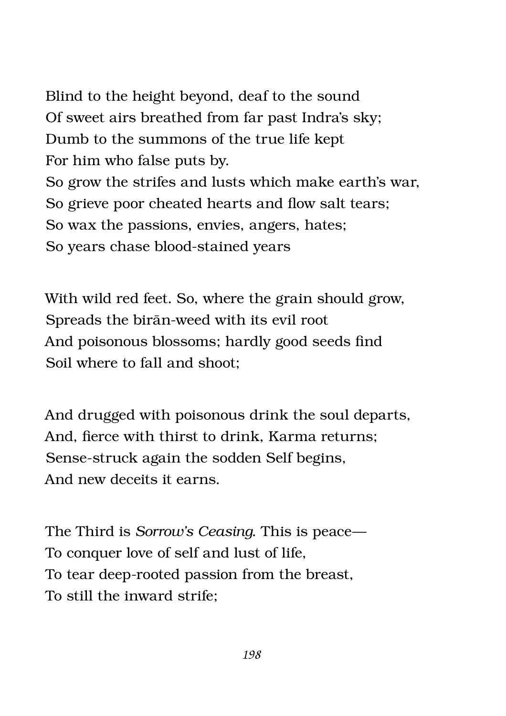Blind to the height beyond, deaf to the sound Of sweet airs breathed from far past Indra's sky; Dumb to the summons of the true life kept For him who false puts by. So grow the strifes and lusts which make earth's war, So grieve poor cheated hearts and flow salt tears; So wax the passions, envies, angers, hates; So years chase blood-stained years

With wild red feet. So, where the grain should grow, Spreads the biràn-weed with its evil root And poisonous blossoms; hardly good seeds find Soil where to fall and shoot;

And drugged with poisonous drink the soul departs, And, fierce with thirst to drink, Karma returns: Sense-struck again the sodden Self begins, And new deceits it earns.

The Third is *Sorrow's Ceasing*. This is peace — To conquer love of self and lust of life, To tear deep-rooted passion from the breast, To still the inward strife;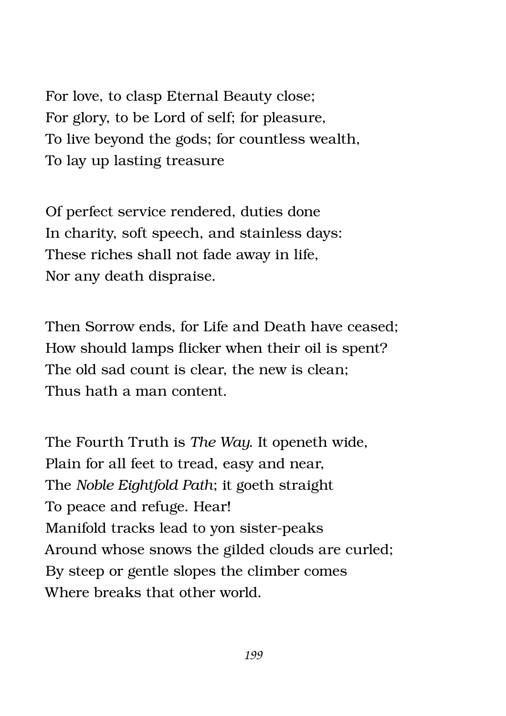For love, to clasp Eternal Beauty close; For glory, to be Lord of self; for pleasure, To live beyond the gods; for countless wealth, To lay up lasting treasure

Of perfect service rendered, duties done In charity, soft speech, and stainless days: These riches shall not fade away in life, Nor any death dispraise.

Then Sorrow ends, for Life and Death have ceased; How should lamps flicker when their oil is spent? The old sad count is clear, the new is clean; Thus hath a man content.

The Fourth Truth is *The Way*. It openeth wide, Plain for all feet to tread, easy and near, The *Noble Eightfold Path*; it goeth straight To peace and refuge. Hear! Manifold tracks lead to yon sister-peaks Around whose snows the gilded clouds are curled; By steep or gentle slopes the climber comes Where breaks that other world.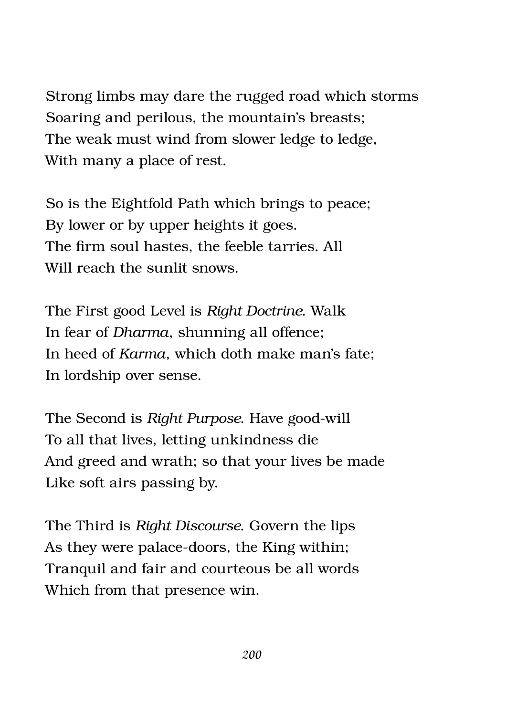Strong limbs may dare the rugged road which storms Soaring and perilous, the mountain's breasts; The weak must wind from slower ledge to ledge, With many a place of rest.

So is the Eightfold Path which brings to peace; By lower or by upper heights it goes. The firm soul hastes, the feeble tarries. All Will reach the sunlit snows.

The First good Level is *Right Doctrine*. Walk In fear of *Dharma*, shunning all offence; In heed of *Karma*, which doth make man's fate; In lordship over sense.

The Second is *Right Purpose*. Have good-will To all that lives, letting unkindness die And greed and wrath; so that your lives be made Like soft airs passing by.

The Third is *Right Discourse*. Govern the lips As they were palace-doors, the King within; Tranquil and fair and courteous be all words Which from that presence win.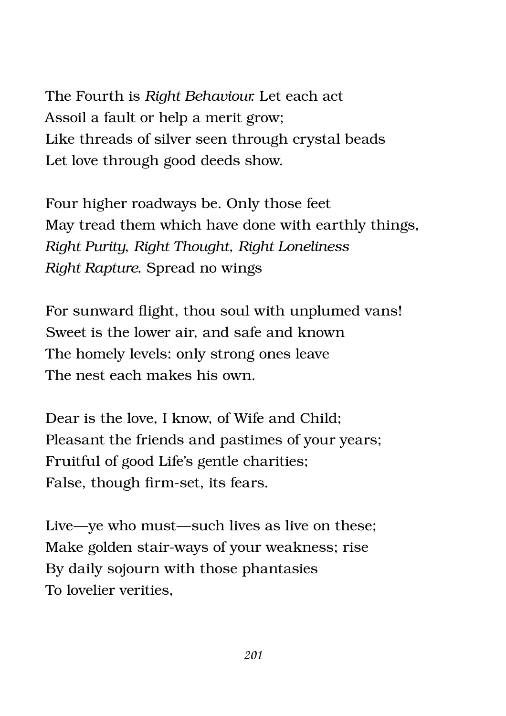The Fourth is *Right Behaviour*. Let each act Assoil a fault or help a merit grow; Like threads of silver seen through crystal beads Let love through good deeds show.

Four higher roadways be. Only those feet May tread them which have done with earthly things, *Right Purity*, *Right Thought*, *Right Loneliness Right Rapture*. Spread no wings

For sunward flight, thou soul with unplumed vans! Sweet is the lower air, and safe and known The homely levels: only strong ones leave The nest each makes his own.

Dear is the love, I know, of Wife and Child; Pleasant the friends and pastimes of your years; Fruitful of good Life's gentle charities; False, though firm-set, its fears.

Live—ye who must—such lives as live on these; Make golden stair-ways of your weakness; rise By daily sojourn with those phantasies To lovelier verities,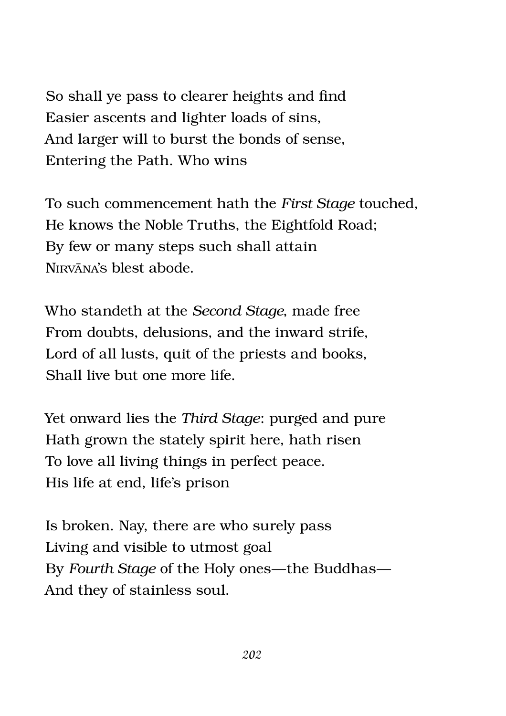So shall ye pass to clearer heights and find Easier ascents and lighter loads of sins, And larger will to burst the bonds of sense, Entering the Path. Who wins

To such commencement hath the *First Stage* touched, He knows the Noble Truths, the Eightfold Road; By few or many steps such shall attain Nirvàna's blest abode.

Who standeth at the *Second Stage*, made free From doubts, delusions, and the inward strife, Lord of all lusts, quit of the priests and books, Shall live but one more life.

Yet onward lies the *Third Stage*: purged and pure Hath grown the stately spirit here, hath risen To love all living things in perfect peace. His life at end, life's prison

Is broken. Nay, there are who surely pass Living and visible to utmost goal By Fourth Stage of the Holy ones-the Buddhas-And they of stainless soul.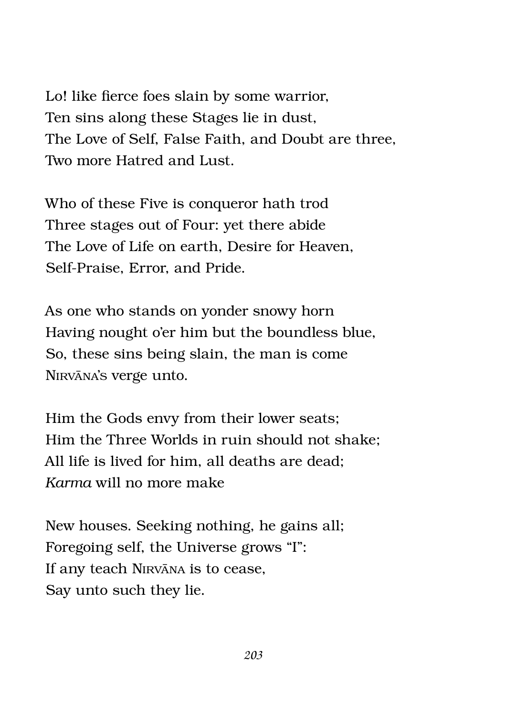Lo! like fierce foes slain by some warrior, Ten sins along these Stages lie in dust, The Love of Self, False Faith, and Doubt are three, Two more Hatred and Lust.

Who of these Five is conqueror hath trod Three stages out of Four: yet there abide The Love of Life on earth, Desire for Heaven, Self-Praise, Error, and Pride.

As one who stands on yonder snowy horn Having nought o'er him but the boundless blue, So, these sins being slain, the man is come Nirvàna's verge unto.

Him the Gods envy from their lower seats; Him the Three Worlds in ruin should not shake; All life is lived for him, all deaths are dead; *Karma* will no more make

New houses. Seeking nothing, he gains all; Foregoing self, the Universe grows "I": If any teach Nirvàna is to cease, Say unto such they lie.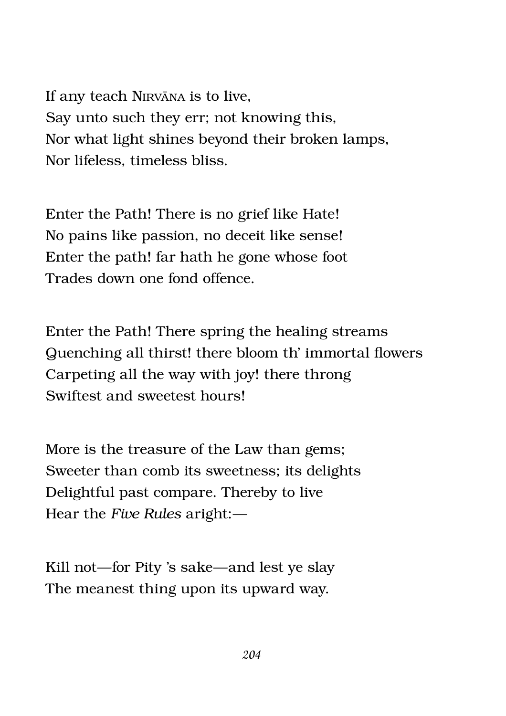If any teach Nirvàna is to live, Say unto such they err; not knowing this, Nor what light shines beyond their broken lamps, Nor lifeless, timeless bliss.

Enter the Path! There is no grief like Hate! No pains like passion, no deceit like sense! Enter the path! far hath he gone whose foot Trades down one fond offence.

Enter the Path! There spring the healing streams Quenching all thirst! there bloom th' immortal flowers Carpeting all the way with joy! there throng Swiftest and sweetest hours!

More is the treasure of the Law than gems; Sweeter than comb its sweetness; its delights Delightful past compare. Thereby to live Hear the *Five Rules* aright:—

Kill not—for Pity 's sake—and lest ye slay The meanest thing upon its upward way.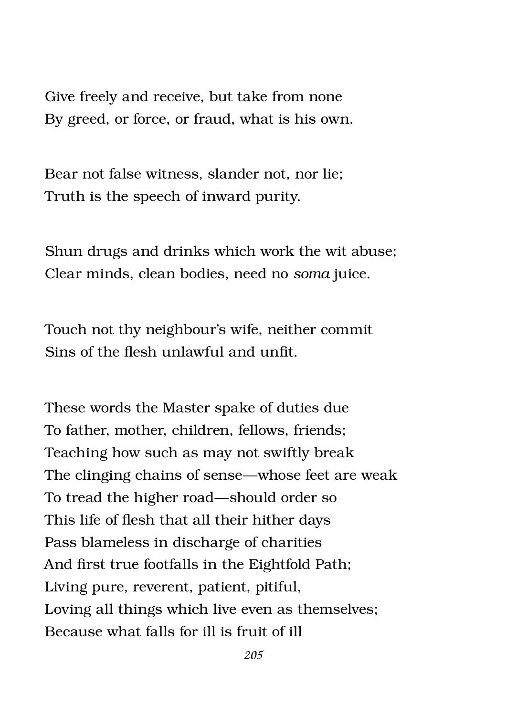Give freely and receive, but take from none By greed, or force, or fraud, what is his own.

Bear not false witness, slander not, nor lie; Truth is the speech of inward purity.

Shun drugs and drinks which work the wit abuse; Clear minds, clean bodies, need no *soma* juice.

Touch not thy neighbour's wife, neither commit Sins of the flesh unlawful and unfit.

These words the Master spake of duties due To father, mother, children, fellows, friends; Teaching how such as may not swiftly break The clinging chains of sense—whose feet are weak To tread the higher road—should order so This life of flesh that all their hither days Pass blameless in discharge of charities And first true footfalls in the Eightfold Path; Living pure, reverent, patient, pitiful, Loving all things which live even as themselves; Because what falls for ill is fruit of ill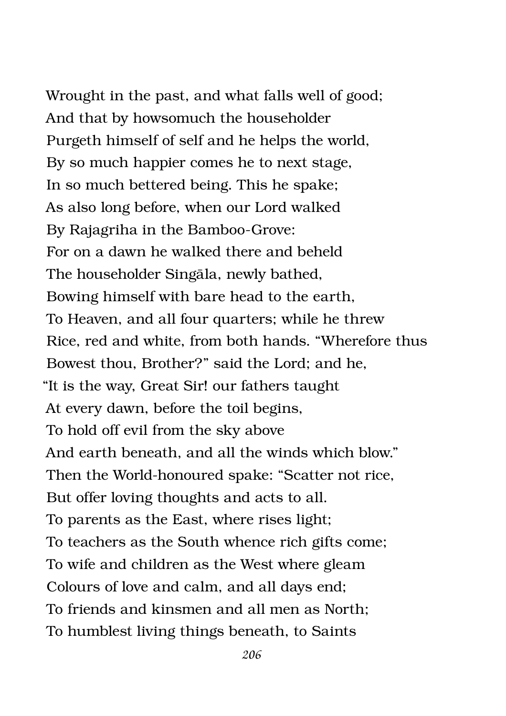Wrought in the past, and what falls well of good; And that by howsomuch the householder Purgeth himself of self and he helps the world, By so much happier comes he to next stage, In so much bettered being. This he spake; As also long before, when our Lord walked By Rajagriha in the Bamboo-Grove: For on a dawn he walked there and beheld The householder Singàla, newly bathed, Bowing himself with bare head to the earth, To Heaven, and all four quarters; while he threw Rice, red and white, from both hands. "Wherefore thus Bowest thou, Brother?" said the Lord; and he, "It is the way, Great Sir! our fathers taught At every dawn, before the toil begins, To hold off evil from the sky above And earth beneath, and all the winds which blow." Then the World-honoured spake: "Scatter not rice, But offer loving thoughts and acts to all. To parents as the East, where rises light; To teachers as the South whence rich gifts come; To wife and children as the West where gleam Colours of love and calm, and all days end; To friends and kinsmen and all men as North; To humblest living things beneath, to Saints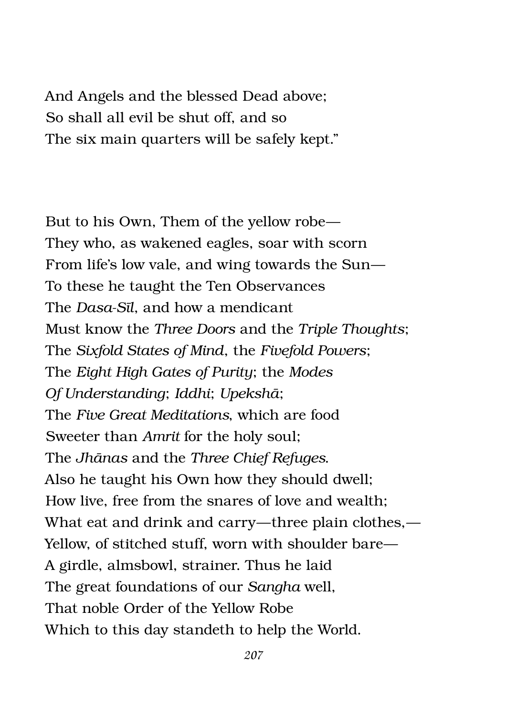And Angels and the blessed Dead above; So shall all evil be shut off, and so The six main quarters will be safely kept."

But to his Own, Them of the yellow robe— They who, as wakened eagles, soar with scorn From life's low vale, and wing towards the Sun— To these he taught the Ten Observances The *Dasa-Sãl*, and how a mendicant Must know the *Three Doors* and the *Triple Thoughts*; The *Sixfold States of Mind*, the *Fivefold Powers*; The *Eight High Gates of Purity*; the *Modes Of Understanding*; *Iddhi*; *Upekshà*; The *Five Great Meditations*, which are food Sweeter than *Amrit* for the holy soul; The *Jhànas* and the *Three Chief Refuges*. Also he taught his Own how they should dwell; How live, free from the snares of love and wealth; What eat and drink and carry—three plain clothes,— Yellow, of stitched stuff, worn with shoulder bare— A girdle, almsbowl, strainer. Thus he laid The great foundations of our *Sangha* well, That noble Order of the Yellow Robe Which to this day standeth to help the World.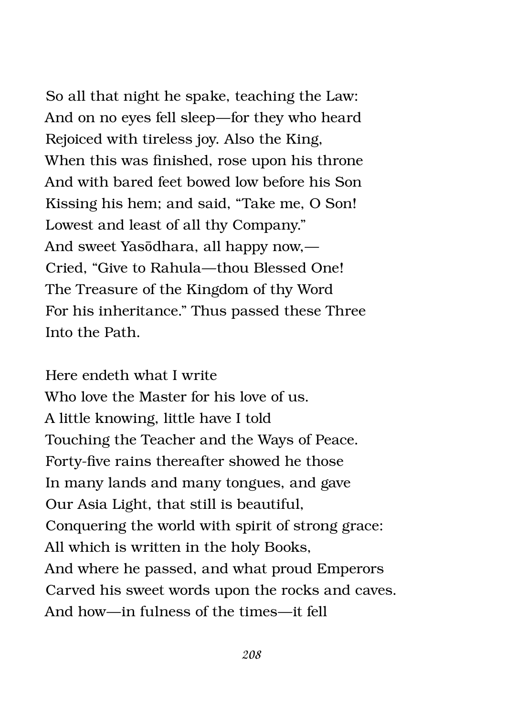So all that night he spake, teaching the Law: And on no eyes fell sleep — for they who heard Rejoiced with tireless joy. Also the King, When this was finished, rose upon his throne And with bared feet bowed low before his Son Kissing his hem; and said, "Take me, O Son! Lowest and least of all thy Company." And sweet Yas**'**dhara, all happy now, — Cried. "Give to Rahula-thou Blessed One! The Treasure of the Kingdom of thy Word For his inheritance." Thus passed these Three Into the Path.

Here endeth what I write Who love the Master for his love of us. A little knowing, little have I told Touching the Teacher and the Ways of Peace. Forty-five rains thereafter showed he those In many lands and many tongues, and gave Our Asia Light, that still is beautiful, Conquering the world with spirit of strong grace: All which is written in the holy Books, And where he passed, and what proud Emperors Carved his sweet words upon the rocks and caves. And how — in fulness of the times — it fell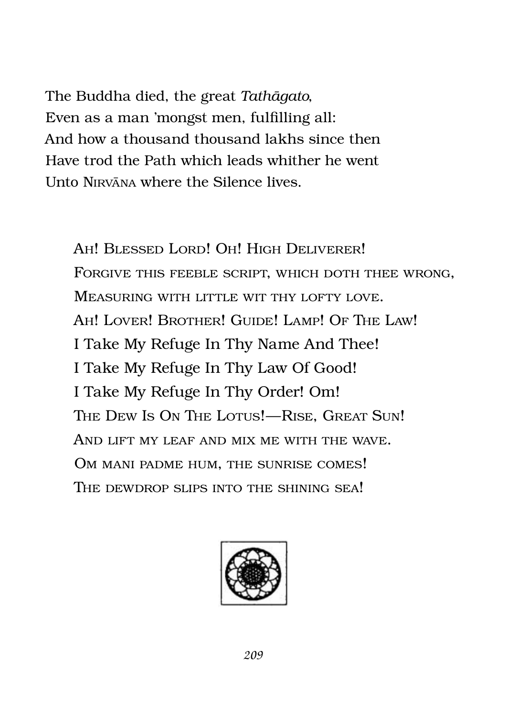The Buddha died, the great *Tathàgato*, Even as a man 'mongst men, fulfilling all: And how a thousand thousand lakhs since then Have trod the Path which leads whither he went Unto Nirvàna where the Silence lives.

Ah! Blessed Lord! Oh! High Deliverer! FORGIVE THIS FEEBLE SCRIPT, WHICH DOTH THEE WRONG, MEASURING WITH LITTLE WIT THY LOFTY LOVE. AH! LOVER! BROTHER! GUIDE! LAMP! OF THE LAW! I Take My Refuge In Thy Name And Thee! I Take My Refuge In Thy Law Of Good! I Take My Refuge In Thy Order! Om! THE DEW IS ON THE LOTUS!—RISE, GREAT SUN! AND LIFT MY LEAF AND MIX ME WITH THE WAVE. OM MANI PADME HUM, THE SUNRISE COMES! THE DEWDROP SLIPS INTO THE SHINING SEA!

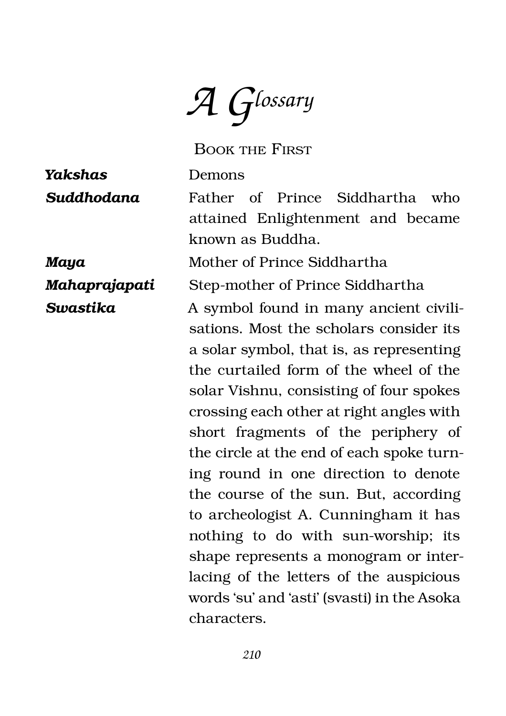*A Glossary*

Book the First

*Suddhodana* Father of Prince Siddhartha who attained Enlightenment and became known as Buddha.

*Maya* Mother of Prince Siddhartha

*Mahaprajapati* Step-mother of Prince Siddhartha

*Swastika* A symbol found in many ancient civilisations. Most the scholars consider its a solar symbol, that is, as representing the curtailed form of the wheel of the solar Vishnu, consisting of four spokes crossing each other at right angles with short fragments of the periphery of the circle at the end of each spoke turning round in one direction to denote the course of the sun. But, according to archeologist A. Cunningham it has nothing to do with sun-worship; its shape represents a monogram or interlacing of the letters of the auspicious words 'su' and 'asti' (svasti) in the Asoka characters.

## *Yakshas* Demons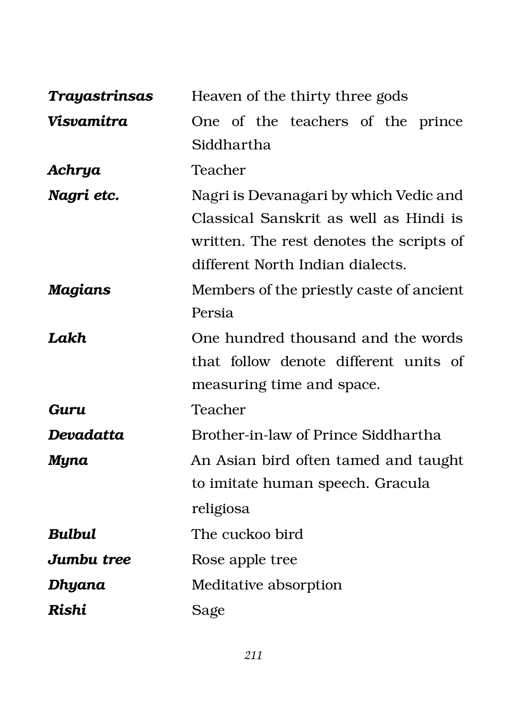| <b>Trayastrinsas</b> | Heaven of the thirty three gods          |
|----------------------|------------------------------------------|
| Visvamitra           | One of the teachers of the prince        |
|                      | Siddhartha                               |
| Achrya               | Teacher                                  |
| Nagri etc.           | Nagri is Devanagari by which Vedic and   |
|                      | Classical Sanskrit as well as Hindi is   |
|                      | written. The rest denotes the scripts of |
|                      | different North Indian dialects.         |
| <b>Magians</b>       | Members of the priestly caste of ancient |
|                      | Persia                                   |
| Lakh                 | One hundred thousand and the words       |
|                      | that follow denote different units of    |
|                      | measuring time and space.                |
| Guru                 | Teacher                                  |
| Devadatta            | Brother-in-law of Prince Siddhartha      |
| Myna                 | An Asian bird often tamed and taught     |
|                      | to imitate human speech. Gracula         |
|                      | religiosa                                |
| <b>Bulbul</b>        | The cuckoo bird                          |
| Jumbu tree           | Rose apple tree                          |
| Dhyana               | Meditative absorption                    |
| Rishi                | Sage                                     |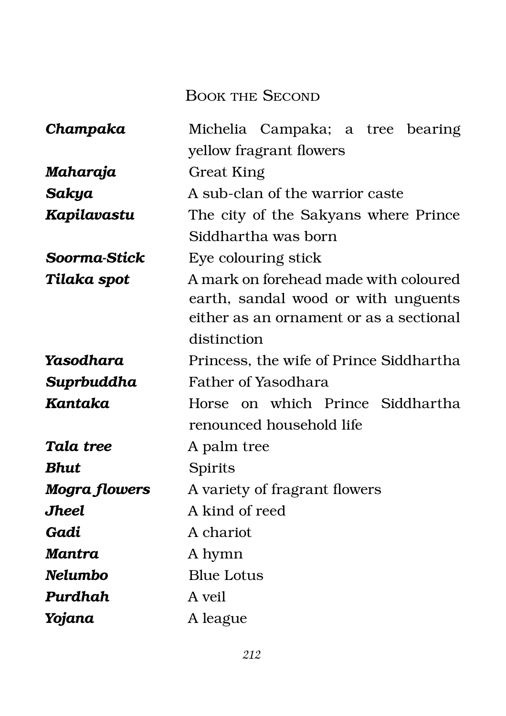BOOK THE SECOND

| Champaka             | Michelia Campaka; a tree bearing                                                                                                       |
|----------------------|----------------------------------------------------------------------------------------------------------------------------------------|
|                      | yellow fragrant flowers                                                                                                                |
| Maharaja             | <b>Great King</b>                                                                                                                      |
| Sakya                | A sub-clan of the warrior caste                                                                                                        |
| Kapilavastu          | The city of the Sakyans where Prince                                                                                                   |
|                      | Siddhartha was born                                                                                                                    |
| Soorma-Stick         | Eye colouring stick                                                                                                                    |
| Tilaka spot          | A mark on forehead made with coloured<br>earth, sandal wood or with unguents<br>either as an ornament or as a sectional<br>distinction |
| Yasodhara            | Princess, the wife of Prince Siddhartha                                                                                                |
| Suprbuddha           | Father of Yasodhara                                                                                                                    |
| Kantaka              | Horse on which Prince Siddhartha<br>renounced household life                                                                           |
| Tala tree            | A palm tree                                                                                                                            |
| <b>Bhut</b>          | Spirits                                                                                                                                |
| <b>Mogra flowers</b> | A variety of fragrant flowers                                                                                                          |
| <b>Jheel</b>         | A kind of reed                                                                                                                         |
| Gadi                 | A chariot                                                                                                                              |
| Mantra               | A hymn                                                                                                                                 |
| Nelumbo              | <b>Blue Lotus</b>                                                                                                                      |
| Purdhah              | A veil                                                                                                                                 |
| Yojana               | A league                                                                                                                               |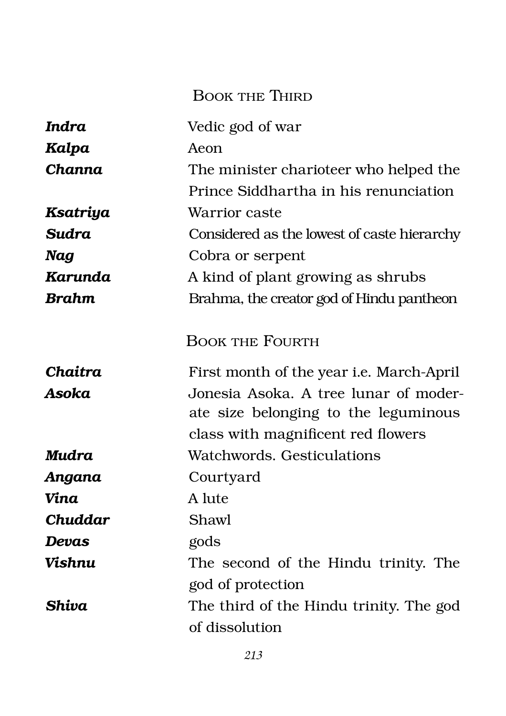## BOOK THE THIRD

| Indra        | Vedic god of war                                |
|--------------|-------------------------------------------------|
| Kalpa        | Aeon                                            |
| Channa       | The minister charioteer who helped the          |
|              | Prince Siddhartha in his renunciation           |
| Ksatriya     | <b>Warrior</b> caste                            |
| Sudra        | Considered as the lowest of caste hierarchy     |
| <b>Nag</b>   | Cobra or serpent                                |
| Karunda      | A kind of plant growing as shrubs               |
| <b>Brahm</b> | Brahma, the creator god of Hindu pantheon       |
|              |                                                 |
|              | <b>BOOK THE FOURTH</b>                          |
| Chaitra      | First month of the year <i>i.e.</i> March-April |
| Asoka        | Jonesia Asoka. A tree lunar of moder-           |
|              | ate size belonging to the leguminous            |
|              | class with magnificent red flowers              |
| <b>Mudra</b> | Watchwords. Gesticulations                      |
| Angana       | Courtyard                                       |
| Vina         | A lute                                          |
| Chuddar      | Shawl                                           |
| Devas        | gods                                            |
| Vishnu       | The second of the Hindu trinity. The            |
|              | god of protection                               |
| Shiva        | The third of the Hindu trinity. The god         |
|              | of dissolution                                  |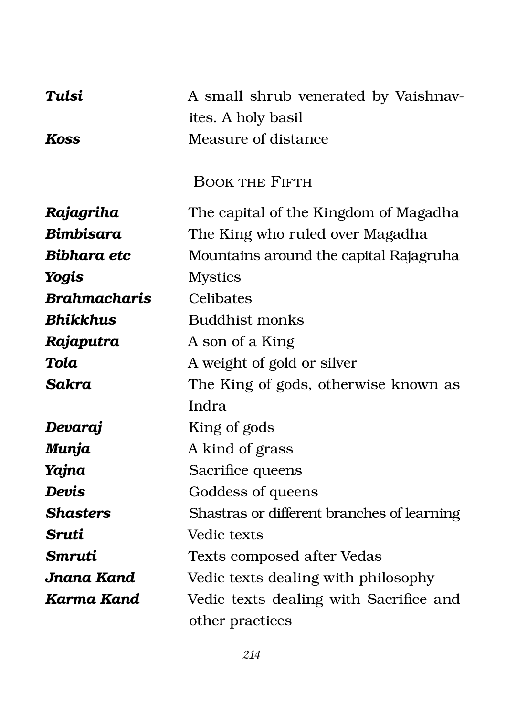| Tulsi               | A small shrub venerated by Vaishnav-       |
|---------------------|--------------------------------------------|
|                     | ites. A holy basil                         |
| <b>Koss</b>         | Measure of distance                        |
|                     | <b>BOOK THE FIFTH</b>                      |
| Rajagriha           | The capital of the Kingdom of Magadha      |
| Bimbisara           | The King who ruled over Magadha            |
| Bibhara etc         | Mountains around the capital Rajagruha     |
| Yogis               | <b>Mystics</b>                             |
| <b>Brahmacharis</b> | Celibates                                  |
| <b>Bhikkhus</b>     | <b>Buddhist monks</b>                      |
| Rajaputra           | A son of a King                            |
| Tola                | A weight of gold or silver                 |
| Sakra               | The King of gods, otherwise known as       |
|                     | Indra                                      |
| Devaraj             | King of gods                               |
| Munja               | A kind of grass                            |
| Yajna               | Sacrifice queens                           |
| <b>Devis</b>        | Goddess of queens                          |
| <b>Shasters</b>     | Shastras or different branches of learning |
| Sruti               | Vedic texts                                |
| Smruti              | <b>Texts composed after Vedas</b>          |
| Jnana Kand          | Vedic texts dealing with philosophy        |
| Karma Kand          | Vedic texts dealing with Sacrifice and     |
|                     | other practices                            |